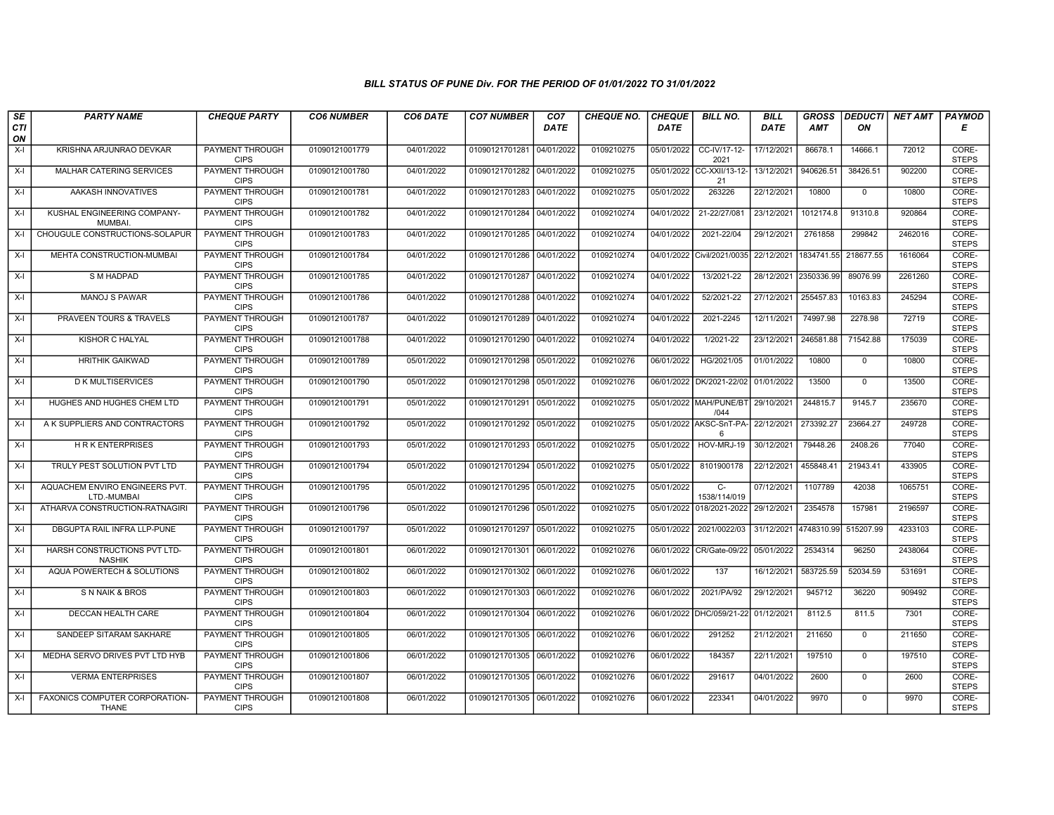| SE<br><b>CTI</b> | <b>PARTY NAME</b>                              | <b>CHEQUE PARTY</b>                   | <b>CO6 NUMBER</b> | CO6 DATE   | <b>CO7 NUMBER</b>         | CO <sub>7</sub><br><b>DATE</b> | <b>CHEQUE NO.</b> | <b>CHEQUE</b><br><b>DATE</b> | <b>BILL NO.</b>                 | <b>BILL</b><br><b>DATE</b> | <b>GROSS</b><br><b>AMT</b> | ON           | <b>DEDUCTI NET AMT</b> | PAYMOD<br>Е           |
|------------------|------------------------------------------------|---------------------------------------|-------------------|------------|---------------------------|--------------------------------|-------------------|------------------------------|---------------------------------|----------------------------|----------------------------|--------------|------------------------|-----------------------|
| ON               |                                                |                                       |                   |            |                           |                                |                   |                              |                                 |                            |                            |              |                        |                       |
| X-I              | KRISHNA ARJUNRAO DEVKAR                        | PAYMENT THROUGH<br><b>CIPS</b>        | 01090121001779    | 04/01/2022 | 01090121701281 04/01/2022 |                                | 0109210275        | 05/01/2022                   | CC-IV/17-12-<br>2021            | 17/12/2021                 | 86678.1                    | 14666.1      | 72012                  | CORE-<br><b>STEPS</b> |
| $X-I$            | <b>MALHAR CATERING SERVICES</b>                | <b>PAYMENT THROUGH</b><br><b>CIPS</b> | 01090121001780    | 04/01/2022 | 01090121701282 04/01/2022 |                                | 0109210275        |                              | 05/01/2022 CC-XXII/13-12-<br>21 | 13/12/2021                 | 940626.51                  | 38426.51     | 902200                 | CORE-<br><b>STEPS</b> |
| X-I              | AAKASH INNOVATIVES                             | <b>PAYMENT THROUGH</b><br><b>CIPS</b> | 01090121001781    | 04/01/2022 | 01090121701283 04/01/2022 |                                | 0109210275        | 05/01/2022                   | 263226                          | 22/12/2021                 | 10800                      | $\mathbf 0$  | 10800                  | CORE-<br><b>STEPS</b> |
| $X-I$            | KUSHAL ENGINEERING COMPANY-<br><b>MUMBAI</b>   | PAYMENT THROUGH<br><b>CIPS</b>        | 01090121001782    | 04/01/2022 | 01090121701284            | 04/01/2022                     | 0109210274        | 04/01/2022                   | 21-22/27/08                     | 23/12/2021                 | 1012174.8                  | 91310.8      | 920864                 | CORE-<br><b>STEPS</b> |
| $X-I$            | CHOUGULE CONSTRUCTIONS-SOLAPUR                 | PAYMENT THROUGH<br><b>CIPS</b>        | 01090121001783    | 04/01/2022 | 01090121701285 04/01/2022 |                                | 0109210274        | 04/01/2022                   | 2021-22/04                      | 29/12/2021                 | 2761858                    | 299842       | 2462016                | CORE-<br><b>STEPS</b> |
| $X-I$            | MEHTA CONSTRUCTION-MUMBAI                      | <b>PAYMENT THROUGH</b><br><b>CIPS</b> | 01090121001784    | 04/01/2022 | 01090121701286 04/01/2022 |                                | 0109210274        |                              | 04/01/2022 Civil/2021/0035      | 22/12/2021                 | 1834741.55                 | 218677.55    | 1616064                | CORE-<br><b>STEPS</b> |
| $X-I$            | S M HADPAD                                     | PAYMENT THROUGH<br><b>CIPS</b>        | 01090121001785    | 04/01/2022 | 01090121701287 04/01/2022 |                                | 0109210274        | 04/01/2022                   | 13/2021-22                      | 28/12/2021                 | 2350336.99                 | 89076.99     | 2261260                | CORE-<br><b>STEPS</b> |
| X-I              | <b>MANOJ S PAWAR</b>                           | PAYMENT THROUGH<br><b>CIPS</b>        | 01090121001786    | 04/01/2022 | 01090121701288 04/01/2022 |                                | 0109210274        | 04/01/2022                   | 52/2021-22                      | 27/12/2021                 | 255457.83                  | 10163.83     | 245294                 | CORE-<br><b>STEPS</b> |
| X-I              | PRAVEEN TOURS & TRAVELS                        | <b>PAYMENT THROUGH</b><br><b>CIPS</b> | 01090121001787    | 04/01/2022 | 01090121701289 04/01/2022 |                                | 0109210274        | 04/01/2022                   | 2021-2245                       | 12/11/2021                 | 74997.98                   | 2278.98      | 72719                  | CORE-<br><b>STEPS</b> |
| $X-I$            | KISHOR C HALYAL                                | <b>PAYMENT THROUGH</b><br><b>CIPS</b> | 01090121001788    | 04/01/2022 | 01090121701290 04/01/2022 |                                | 0109210274        | 04/01/2022                   | 1/2021-22                       | 23/12/2021                 | 246581.88                  | 71542.88     | 175039                 | CORE-<br><b>STEPS</b> |
| $X-I$            | HRITHIK GAIKWAD                                | PAYMENT THROUGH<br><b>CIPS</b>        | 01090121001789    | 05/01/2022 | 01090121701298            | 05/01/2022                     | 0109210276        | 06/01/2022                   | HG/2021/05                      | 01/01/2022                 | 10800                      | $\mathbf 0$  | 10800                  | CORE-<br><b>STEPS</b> |
| X-I              | <b>D K MULTISERVICES</b>                       | <b>PAYMENT THROUGH</b><br><b>CIPS</b> | 01090121001790    | 05/01/2022 | 01090121701298 05/01/2022 |                                | 0109210276        |                              | 06/01/2022 DK/2021-22/02        | 01/01/2022                 | 13500                      | $\Omega$     | 13500                  | CORE-<br><b>STEPS</b> |
| X-I              | HUGHES AND HUGHES CHEM LTD                     | PAYMENT THROUGH<br><b>CIPS</b>        | 01090121001791    | 05/01/2022 | 01090121701291 05/01/2022 |                                | 0109210275        |                              | 05/01/2022 MAH/PUNE/BT<br>/044  | 29/10/2021                 | 244815.7                   | 9145.7       | 235670                 | CORE-<br><b>STEPS</b> |
| X-I              | A K SUPPLIERS AND CONTRACTORS                  | <b>PAYMENT THROUGH</b><br><b>CIPS</b> | 01090121001792    | 05/01/2022 | 01090121701292 05/01/2022 |                                | 0109210275        | 05/01/2022                   | AKSC-SnT-PA-<br>6               | 22/12/2021                 | 273392.27                  | 23664.27     | 249728                 | CORE-<br><b>STEPS</b> |
| X-I              | <b>HRK ENTERPRISES</b>                         | <b>PAYMENT THROUGH</b><br><b>CIPS</b> | 01090121001793    | 05/01/2022 | 01090121701293 05/01/2022 |                                | 0109210275        | 05/01/2022                   | HOV-MRJ-19                      | 30/12/2021                 | 79448.26                   | 2408.26      | 77040                  | CORE-<br><b>STEPS</b> |
| $X-I$            | TRULY PEST SOLUTION PVT LTD                    | <b>PAYMENT THROUGH</b><br><b>CIPS</b> | 01090121001794    | 05/01/2022 | 01090121701294 05/01/2022 |                                | 0109210275        | 05/01/2022                   | 8101900178                      | 22/12/2021                 | 455848.41                  | 21943.41     | 433905                 | CORE-<br><b>STEPS</b> |
| X-I              | AQUACHEM ENVIRO ENGINEERS PVT.<br>LTD.-MUMBAI  | PAYMENT THROUGH<br><b>CIPS</b>        | 01090121001795    | 05/01/2022 | 01090121701295 05/01/2022 |                                | 0109210275        | 05/01/2022                   | $\overline{C}$<br>1538/114/019  | 07/12/2021                 | 1107789                    | 42038        | 1065751                | CORE-<br><b>STEPS</b> |
| X-I              | ATHARVA CONSTRUCTION-RATNAGIRI                 | <b>PAYMENT THROUGH</b><br><b>CIPS</b> | 01090121001796    | 05/01/2022 | 01090121701296 05/01/2022 |                                | 0109210275        | 05/01/2022                   | 018/2021-2022                   | 29/12/2021                 | 2354578                    | 157981       | 2196597                | CORE-<br><b>STEPS</b> |
| $X-I$            | DBGUPTA RAIL INFRA LLP-PUNE                    | PAYMENT THROUGH<br><b>CIPS</b>        | 01090121001797    | 05/01/2022 | 01090121701297 05/01/2022 |                                | 0109210275        | 05/01/2022                   | 2021/0022/03                    | 31/12/2021                 | 4748310.99                 | 515207.99    | 4233103                | CORE-<br><b>STEPS</b> |
| X-I              | HARSH CONSTRUCTIONS PVT LTD-<br><b>NASHIK</b>  | PAYMENT THROUGH<br><b>CIPS</b>        | 01090121001801    | 06/01/2022 | 01090121701301 06/01/2022 |                                | 0109210276        |                              | 06/01/2022   CR/Gate-09/22      | 05/01/2022                 | 2534314                    | 96250        | 2438064                | CORE-<br><b>STEPS</b> |
| $X-I$            | AQUA POWERTECH & SOLUTIONS                     | <b>PAYMENT THROUGH</b><br><b>CIPS</b> | 01090121001802    | 06/01/2022 | 01090121701302 06/01/2022 |                                | 0109210276        | 06/01/2022                   | 137                             | 16/12/2021                 | 583725.59                  | 52034.59     | 531691                 | CORE-<br><b>STEPS</b> |
| X-I              | S N NAIK & BROS                                | <b>PAYMENT THROUGH</b><br><b>CIPS</b> | 01090121001803    | 06/01/2022 | 01090121701303 06/01/2022 |                                | 0109210276        | 06/01/2022                   | 2021/PA/92                      | 29/12/2021                 | 945712                     | 36220        | 909492                 | CORE-<br><b>STEPS</b> |
| X-I              | DECCAN HEALTH CARE                             | PAYMENT THROUGH<br><b>CIPS</b>        | 01090121001804    | 06/01/2022 | 01090121701304            | 06/01/2022                     | 0109210276        | 06/01/2022                   | DHC/059/21-22                   | 01/12/2021                 | 8112.5                     | 811.5        | 7301                   | CORE-<br><b>STEPS</b> |
| $X-I$            | SANDEEP SITARAM SAKHARE                        | PAYMENT THROUGH<br><b>CIPS</b>        | 01090121001805    | 06/01/2022 | 01090121701305 06/01/2022 |                                | 0109210276        | 06/01/2022                   | 291252                          | 21/12/2021                 | 211650                     | $\mathbf{0}$ | 211650                 | CORE-<br><b>STEPS</b> |
| X-I              | MEDHA SERVO DRIVES PVT LTD HYB                 | PAYMENT THROUGH<br><b>CIPS</b>        | 01090121001806    | 06/01/2022 | 01090121701305 06/01/2022 |                                | 0109210276        | 06/01/2022                   | 184357                          | 22/11/2021                 | 197510                     | $\mathbf 0$  | 197510                 | CORE-<br><b>STEPS</b> |
| X-I              | <b>VERMA ENTERPRISES</b>                       | PAYMENT THROUGH<br><b>CIPS</b>        | 01090121001807    | 06/01/2022 | 01090121701305 06/01/2022 |                                | 0109210276        | 06/01/2022                   | 291617                          | 04/01/2022                 | 2600                       | $\mathbf{0}$ | 2600                   | CORE-<br><b>STEPS</b> |
| X-I              | FAXONICS COMPUTER CORPORATION-<br><b>THANE</b> | PAYMENT THROUGH<br><b>CIPS</b>        | 01090121001808    | 06/01/2022 | 01090121701305 06/01/2022 |                                | 0109210276        | 06/01/2022                   | 223341                          | 04/01/2022                 | 9970                       | $\mathbf 0$  | 9970                   | CORE-<br><b>STEPS</b> |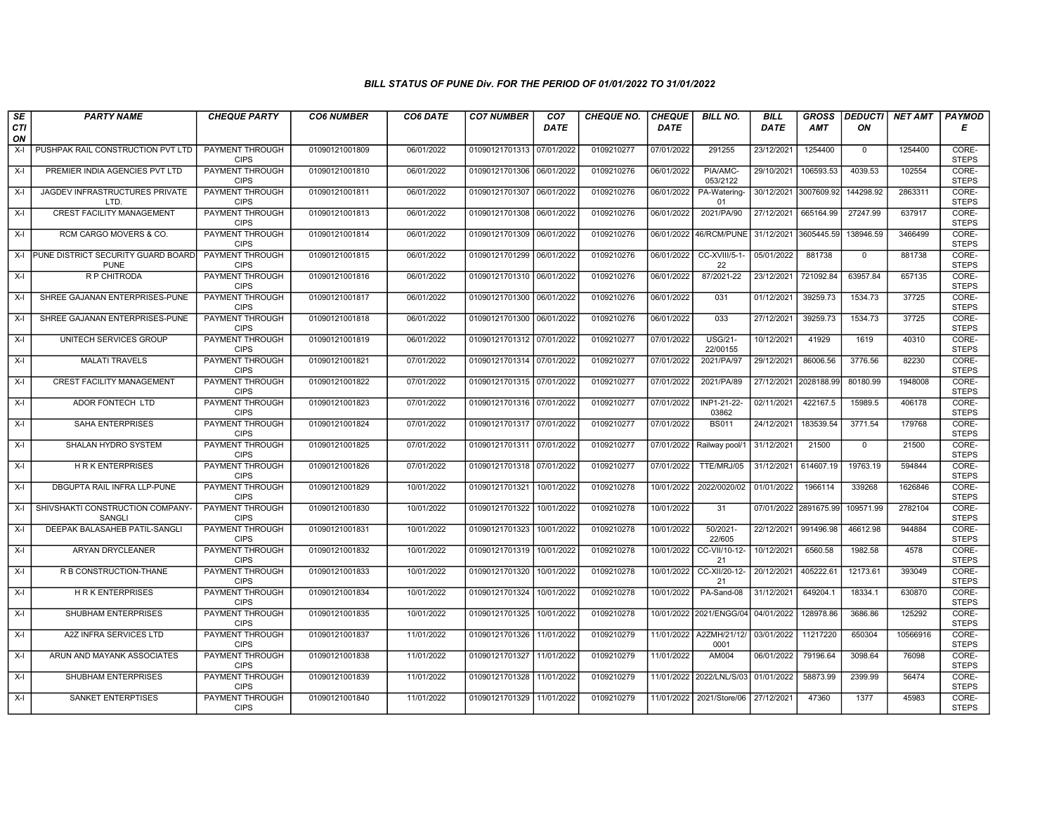| SE        | <b>PARTY NAME</b>                                     | <b>CHEQUE PARTY</b>                   | <b>CO6 NUMBER</b> | CO6 DATE   | <b>CO7 NUMBER</b>         | CO <sub>7</sub> | <b>CHEQUE NO.</b> | <b>CHEQUE</b> | <b>BILL NO.</b>                 | <b>BILL</b> | <b>GROSS</b>          | <b>DEDUCTI</b> | NET AMT  | <b>PAYMOD</b>         |
|-----------|-------------------------------------------------------|---------------------------------------|-------------------|------------|---------------------------|-----------------|-------------------|---------------|---------------------------------|-------------|-----------------------|----------------|----------|-----------------------|
| CTI<br>ON |                                                       |                                       |                   |            |                           | <b>DATE</b>     |                   | <b>DATE</b>   |                                 | DATE        | <b>AMT</b>            | ON             |          | Е                     |
| $X-I$     | PUSHPAK RAIL CONSTRUCTION PVT LTD                     | <b>PAYMENT THROUGH</b><br><b>CIPS</b> | 01090121001809    | 06/01/2022 | 01090121701313 07/01/2022 |                 | 0109210277        | 07/01/2022    | 291255                          | 23/12/2021  | 1254400               | $\mathbf{0}$   | 1254400  | CORE-<br><b>STEPS</b> |
| $X-I$     | PREMIER INDIA AGENCIES PVT LTD                        | <b>PAYMENT THROUGH</b><br><b>CIPS</b> | 01090121001810    | 06/01/2022 | 01090121701306 06/01/2022 |                 | 0109210276        | 06/01/2022    | PIA/AMC-<br>053/2122            | 29/10/2021  | 106593.53             | 4039.53        | 102554   | CORE-<br><b>STEPS</b> |
| $X-I$     | JAGDEV INFRASTRUCTURES PRIVATE<br>LTD                 | PAYMENT THROUGH<br><b>CIPS</b>        | 01090121001811    | 06/01/2022 | 01090121701307 06/01/2022 |                 | 0109210276        | 06/01/2022    | PA-Watering-<br>01              |             | 30/12/2021 3007609.92 | 144298.92      | 2863311  | CORE-<br><b>STEPS</b> |
| $X-I$     | <b>CREST FACILITY MANAGEMENT</b>                      | <b>PAYMENT THROUGH</b><br><b>CIPS</b> | 01090121001813    | 06/01/2022 | 01090121701308 06/01/2022 |                 | 0109210276        | 06/01/2022    | 2021/PA/90                      | 27/12/2021  | 665164.99             | 27247.99       | 637917   | CORE-<br><b>STEPS</b> |
| $X-I$     | RCM CARGO MOVERS & CO.                                | <b>PAYMENT THROUGH</b><br><b>CIPS</b> | 01090121001814    | 06/01/2022 | 01090121701309 06/01/2022 |                 | 0109210276        |               | 06/01/2022 46/RCM/PUNE          | 31/12/2021  | 3605445.59            | 138946.59      | 3466499  | CORE-<br><b>STEPS</b> |
|           | X-I PUNE DISTRICT SECURITY GUARD BOARD<br><b>PUNE</b> | <b>PAYMENT THROUGH</b><br><b>CIPS</b> | 01090121001815    | 06/01/2022 | 01090121701299 06/01/2022 |                 | 0109210276        | 06/01/2022    | CC-XVIII/5-1-<br>22             | 05/01/2022  | 881738                | $\mathbf{0}$   | 881738   | CORE-<br><b>STEPS</b> |
| $X-I$     | R P CHITRODA                                          | PAYMENT THROUGH<br><b>CIPS</b>        | 01090121001816    | 06/01/2022 | 01090121701310 06/01/2022 |                 | 0109210276        | 06/01/2022    | 87/2021-22                      | 23/12/2021  | 721092.84             | 63957.84       | 657135   | CORE-<br><b>STEPS</b> |
| $X-I$     | SHREE GAJANAN ENTERPRISES-PUNE                        | <b>PAYMENT THROUGH</b><br><b>CIPS</b> | 01090121001817    | 06/01/2022 | 01090121701300 06/01/2022 |                 | 0109210276        | 06/01/2022    | 031                             | 01/12/2021  | 39259.73              | 1534.73        | 37725    | CORE-<br><b>STEPS</b> |
| $X-I$     | SHREE GAJANAN ENTERPRISES-PUNE                        | <b>PAYMENT THROUGH</b><br><b>CIPS</b> | 01090121001818    | 06/01/2022 | 01090121701300 06/01/2022 |                 | 0109210276        | 06/01/2022    | 033                             | 27/12/2021  | 39259.73              | 1534.73        | 37725    | CORE-<br><b>STEPS</b> |
| $X-I$     | UNITECH SERVICES GROUP                                | <b>PAYMENT THROUGH</b><br><b>CIPS</b> | 01090121001819    | 06/01/2022 | 01090121701312 07/01/2022 |                 | 0109210277        | 07/01/2022    | <b>USG/21-</b><br>22/00155      | 10/12/2021  | 41929                 | 1619           | 40310    | CORE-<br><b>STEPS</b> |
| $X-I$     | <b>MALATI TRAVELS</b>                                 | PAYMENT THROUGH<br><b>CIPS</b>        | 01090121001821    | 07/01/2022 | 01090121701314 07/01/2022 |                 | 0109210277        | 07/01/2022    | 2021/PA/97                      | 29/12/2021  | 86006.56              | 3776.56        | 82230    | CORE-<br><b>STEPS</b> |
| $X-I$     | <b>CREST FACILITY MANAGEMENT</b>                      | PAYMENT THROUGH<br><b>CIPS</b>        | 01090121001822    | 07/01/2022 | 01090121701315 07/01/2022 |                 | 0109210277        | 07/01/2022    | 2021/PA/89                      |             | 27/12/2021 2028188.99 | 80180.99       | 1948008  | CORE-<br><b>STEPS</b> |
| $X-I$     | ADOR FONTECH LTD                                      | PAYMENT THROUGH<br><b>CIPS</b>        | 01090121001823    | 07/01/2022 | 01090121701316 07/01/2022 |                 | 0109210277        | 07/01/2022    | INP1-21-22-<br>03862            | 02/11/2021  | 422167.5              | 15989.5        | 406178   | CORE-<br><b>STEPS</b> |
| $X-I$     | <b>SAHA ENTERPRISES</b>                               | <b>PAYMENT THROUGH</b><br><b>CIPS</b> | 01090121001824    | 07/01/2022 | 01090121701317 07/01/2022 |                 | 0109210277        | 07/01/2022    | <b>BS011</b>                    | 24/12/2021  | 183539.54             | 3771.54        | 179768   | CORE-<br><b>STEPS</b> |
| $X-I$     | SHALAN HYDRO SYSTEM                                   | PAYMENT THROUGH<br><b>CIPS</b>        | 01090121001825    | 07/01/2022 | 01090121701311 07/01/2022 |                 | 0109210277        | 07/01/2022    | Railway pool/1                  | 31/12/2021  | 21500                 | $\Omega$       | 21500    | CORE-<br><b>STEPS</b> |
| $X-I$     | <b>HRK ENTERPRISES</b>                                | <b>PAYMENT THROUGH</b><br><b>CIPS</b> | 01090121001826    | 07/01/2022 | 01090121701318 07/01/2022 |                 | 0109210277        | 07/01/2022    | TTE/MRJ/05                      | 31/12/2021  | 614607.19             | 19763.19       | 594844   | CORE-<br><b>STEPS</b> |
| $X-I$     | DBGUPTA RAIL INFRA LLP-PUNE                           | <b>PAYMENT THROUGH</b><br><b>CIPS</b> | 01090121001829    | 10/01/2022 | 01090121701321            | 10/01/2022      | 0109210278        | 10/01/2022    | 2022/0020/02                    | 01/01/2022  | 1966114               | 339268         | 1626846  | CORE-<br><b>STEPS</b> |
| $X-I$     | SHIVSHAKTI CONSTRUCTION COMPANY-<br>SANGLI            | <b>PAYMENT THROUGH</b><br><b>CIPS</b> | 01090121001830    | 10/01/2022 | 01090121701322            | 10/01/2022      | 0109210278        | 10/01/2022    | 31                              |             | 07/01/2022 2891675.99 | 109571.99      | 2782104  | CORE-<br><b>STEPS</b> |
| $X-I$     | DEEPAK BALASAHEB PATIL-SANGLI                         | <b>PAYMENT THROUGH</b><br><b>CIPS</b> | 01090121001831    | 10/01/2022 | 01090121701323            | 10/01/2022      | 0109210278        | 10/01/2022    | 50/2021-<br>22/605              | 22/12/2021  | 991496.98             | 46612.98       | 944884   | CORE-<br><b>STEPS</b> |
| $X-I$     | ARYAN DRYCLEANER                                      | PAYMENT THROUGH<br><b>CIPS</b>        | 01090121001832    | 10/01/2022 | 01090121701319            | 10/01/2022      | 0109210278        | 10/01/2022    | CC-VII/10-12-<br>21             | 10/12/2021  | 6560.58               | 1982.58        | 4578     | CORE-<br><b>STEPS</b> |
| $X-I$     | R B CONSTRUCTION-THANE                                | <b>PAYMENT THROUGH</b><br><b>CIPS</b> | 01090121001833    | 10/01/2022 | 01090121701320            | 10/01/2022      | 0109210278        | 10/01/2022    | CC-XII/20-12-<br>21             | 20/12/2021  | 405222.61             | 12173.61       | 393049   | CORE-<br><b>STEPS</b> |
| $X-I$     | <b>HRKENTERPRISES</b>                                 | <b>PAYMENT THROUGH</b><br><b>CIPS</b> | 01090121001834    | 10/01/2022 | 01090121701324 10/01/2022 |                 | 0109210278        | 10/01/2022    | PA-Sand-08                      | 31/12/2021  | 649204.1              | 18334.1        | 630870   | CORE-<br><b>STEPS</b> |
| $X-I$     | SHUBHAM ENTERPRISES                                   | PAYMENT THROUGH<br><b>CIPS</b>        | 01090121001835    | 10/01/2022 | 01090121701325            | 10/01/2022      | 0109210278        | 10/01/2022    | 2021/ENGG/04                    | 04/01/2022  | 128978.86             | 3686.86        | 125292   | CORE-<br><b>STEPS</b> |
| $X-I$     | A2Z INFRA SERVICES LTD                                | PAYMENT THROUGH<br><b>CIPS</b>        | 01090121001837    | 11/01/2022 | 01090121701326            | 11/01/2022      | 0109210279        |               | 11/01/2022 A2ZMH/21/12/<br>0001 | 03/01/2022  | 11217220              | 650304         | 10566916 | CORE-<br><b>STEPS</b> |
| $X-I$     | ARUN AND MAYANK ASSOCIATES                            | PAYMENT THROUGH<br><b>CIPS</b>        | 01090121001838    | 11/01/2022 | 01090121701327 11/01/2022 |                 | 0109210279        | 11/01/2022    | <b>AM004</b>                    | 06/01/2022  | 79196.64              | 3098.64        | 76098    | CORE-<br><b>STEPS</b> |
| $X-I$     | SHUBHAM ENTERPRISES                                   | <b>PAYMENT THROUGH</b><br><b>CIPS</b> | 01090121001839    | 11/01/2022 | 01090121701328 11/01/2022 |                 | 0109210279        |               | 11/01/2022 2022/LNL/S/03        | 01/01/2022  | 58873.99              | 2399.99        | 56474    | CORE-<br><b>STEPS</b> |
| $X-I$     | <b>SANKET ENTERPTISES</b>                             | <b>PAYMENT THROUGH</b><br><b>CIPS</b> | 01090121001840    | 11/01/2022 | 01090121701329 11/01/2022 |                 | 0109210279        | 11/01/2022    | 2021/Store/06                   | 27/12/2021  | 47360                 | 1377           | 45983    | CORE-<br><b>STEPS</b> |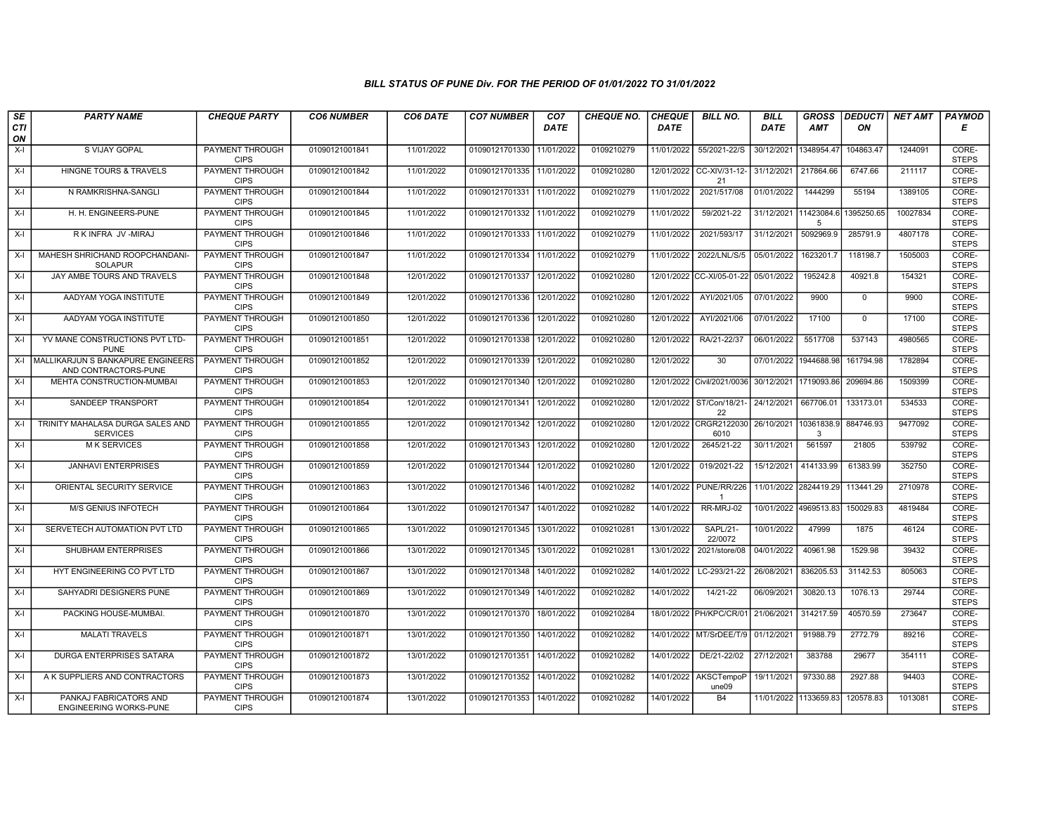| SE        | <b>PARTY NAME</b>                                         | <b>CHEQUE PARTY</b>                   | <b>CO6 NUMBER</b> | CO6 DATE   | <b>CO7 NUMBER</b>         | CO <sub>7</sub> | <b>CHEQUE NO.</b> | <b>CHEQUE</b> | <b>BILL NO.</b>                | <b>BILL</b> | <b>GROSS</b>          |             | <b>DEDUCTI NET AMT</b> | <b>PAYMOD</b>         |
|-----------|-----------------------------------------------------------|---------------------------------------|-------------------|------------|---------------------------|-----------------|-------------------|---------------|--------------------------------|-------------|-----------------------|-------------|------------------------|-----------------------|
| CTI<br>ON |                                                           |                                       |                   |            |                           | <b>DATE</b>     |                   | <b>DATE</b>   |                                | <b>DATE</b> | <b>AMT</b>            | ON          |                        | Е                     |
| $X-I$     | S VIJAY GOPAL                                             | PAYMENT THROUGH<br><b>CIPS</b>        | 01090121001841    | 11/01/2022 | 01090121701330            | 11/01/2022      | 0109210279        | 11/01/2022    | 55/2021-22/S                   | 30/12/2021  | 1348954.4             | 104863.47   | 1244091                | CORE-<br><b>STEPS</b> |
| $X-I$     | <b>HINGNE TOURS &amp; TRAVELS</b>                         | <b>PAYMENT THROUGH</b><br><b>CIPS</b> | 01090121001842    | 11/01/2022 | 01090121701335 11/01/2022 |                 | 0109210280        | 12/01/2022    | CC-XIV/31-12-<br>21            | 31/12/2021  | 217864.66             | 6747.66     | 211117                 | CORE-<br><b>STEPS</b> |
| $X-I$     | N RAMKRISHNA-SANGLI                                       | PAYMENT THROUGH<br><b>CIPS</b>        | 01090121001844    | 11/01/2022 | 01090121701331            | 11/01/2022      | 0109210279        | 11/01/2022    | 2021/517/08                    | 01/01/2022  | 1444299               | 55194       | 1389105                | CORE-<br><b>STEPS</b> |
| $X-I$     | H. H. ENGINEERS-PUNE                                      | <b>PAYMENT THROUGH</b><br><b>CIPS</b> | 01090121001845    | 11/01/2022 | 01090121701332            | 11/01/2022      | 0109210279        | 11/01/2022    | 59/2021-22                     | 31/12/2021  | 11423084.<br>-5       | 1395250.65  | 10027834               | CORE-<br><b>STEPS</b> |
| $X-I$     | R K INFRA JV -MIRAJ                                       | <b>PAYMENT THROUGH</b><br><b>CIPS</b> | 01090121001846    | 11/01/2022 | 01090121701333 11/01/2022 |                 | 0109210279        | 11/01/2022    | 2021/593/17                    | 31/12/2021  | 5092969.9             | 285791.9    | 4807178                | CORE-<br><b>STEPS</b> |
| $X-I$     | MAHESH SHRICHAND ROOPCHANDANI-<br><b>SOLAPUR</b>          | <b>PAYMENT THROUGH</b><br><b>CIPS</b> | 01090121001847    | 11/01/2022 | 01090121701334 11/01/2022 |                 | 0109210279        | 11/01/2022    | 2022/LNL/S/5                   | 05/01/2022  | 1623201.7             | 118198.7    | 1505003                | CORE-<br><b>STEPS</b> |
| $X-I$     | JAY AMBE TOURS AND TRAVELS                                | PAYMENT THROUGH<br><b>CIPS</b>        | 01090121001848    | 12/01/2022 | 01090121701337            | 12/01/2022      | 0109210280        |               | 12/01/2022 CC-XI/05-01-22      | 05/01/2022  | 195242.8              | 40921.8     | 154321                 | CORE-<br><b>STEPS</b> |
| $X-I$     | AADYAM YOGA INSTITUTE                                     | PAYMENT THROUGH<br><b>CIPS</b>        | 01090121001849    | 12/01/2022 | 01090121701336 12/01/2022 |                 | 0109210280        | 12/01/2022    | AYI/2021/05                    | 07/01/2022  | 9900                  | $\mathbf 0$ | 9900                   | CORE-<br><b>STEPS</b> |
| $X-I$     | AADYAM YOGA INSTITUTE                                     | <b>PAYMENT THROUGH</b><br><b>CIPS</b> | 01090121001850    | 12/01/2022 | 01090121701336            | 12/01/2022      | 0109210280        | 12/01/2022    | AYI/2021/06                    | 07/01/2022  | 17100                 | $\mathbf 0$ | 17100                  | CORE-<br><b>STEPS</b> |
| $X-I$     | YV MANE CONSTRUCTIONS PVT LTD-<br><b>PUNE</b>             | <b>PAYMENT THROUGH</b><br><b>CIPS</b> | 01090121001851    | 12/01/2022 | 01090121701338            | 12/01/2022      | 0109210280        | 12/01/2022    | RA/21-22/37                    | 06/01/2022  | 5517708               | 537143      | 4980565                | CORE-<br><b>STEPS</b> |
| X-I       | MALLIKARJUN S BANKAPURE ENGINEERS<br>AND CONTRACTORS-PUNE | PAYMENT THROUGH<br><b>CIPS</b>        | 01090121001852    | 12/01/2022 | 01090121701339            | 12/01/2022      | 0109210280        | 12/01/2022    | 30                             | 07/01/2022  | 1944688.98            | 161794.98   | 1782894                | CORE-<br><b>STEPS</b> |
| $X-I$     | MEHTA CONSTRUCTION-MUMBAI                                 | <b>PAYMENT THROUGH</b><br><b>CIPS</b> | 01090121001853    | 12/01/2022 | 01090121701340            | 12/01/2022      | 0109210280        |               | 12/01/2022 Civil/2021/0036     |             | 30/12/2021 1719093.86 | 209694.86   | 1509399                | CORE-<br><b>STEPS</b> |
| $X-I$     | SANDEEP TRANSPORT                                         | <b>PAYMENT THROUGH</b><br><b>CIPS</b> | 01090121001854    | 12/01/2022 | 01090121701341 12/01/2022 |                 | 0109210280        |               | 12/01/2022 ST/Con/18/21-<br>22 | 24/12/2021  | 667706.01             | 133173.01   | 534533                 | CORE-<br><b>STEPS</b> |
| $X-I$     | TRINITY MAHALASA DURGA SALES AND<br><b>SERVICES</b>       | <b>PAYMENT THROUGH</b><br><b>CIPS</b> | 01090121001855    | 12/01/2022 | 01090121701342            | 12/01/2022      | 0109210280        | 12/01/2022    | CRGR2122030<br>6010            | 26/10/2021  | 10361838.9<br>3       | 884746.93   | 9477092                | CORE-<br><b>STEPS</b> |
| $X-I$     | <b>MK SERVICES</b>                                        | PAYMENT THROUGH<br><b>CIPS</b>        | 01090121001858    | 12/01/2022 | 01090121701343            | 12/01/2022      | 0109210280        | 12/01/2022    | 2645/21-22                     | 30/11/2021  | 561597                | 21805       | 539792                 | CORE-<br><b>STEPS</b> |
| $X-I$     | <b>JANHAVI ENTERPRISES</b>                                | PAYMENT THROUGH<br><b>CIPS</b>        | 01090121001859    | 12/01/2022 | 01090121701344            | 12/01/2022      | 0109210280        | 12/01/2022    | 019/2021-22                    | 15/12/2021  | 414133.99             | 61383.99    | 352750                 | CORE-<br><b>STEPS</b> |
| $X-I$     | ORIENTAL SECURITY SERVICE                                 | PAYMENT THROUGH<br><b>CIPS</b>        | 01090121001863    | 13/01/2022 | 01090121701346            | 14/01/2022      | 0109210282        | 14/01/2022    | PUNE/RR/226                    |             | 11/01/2022 2824419.29 | 113441.29   | 2710978                | CORE-<br><b>STEPS</b> |
| $X-I$     | <b>M/S GENIUS INFOTECH</b>                                | <b>PAYMENT THROUGH</b><br><b>CIPS</b> | 01090121001864    | 13/01/2022 | 01090121701347 14/01/2022 |                 | 0109210282        | 14/01/2022    | RR-MRJ-02                      |             | 10/01/2022 4969513.83 | 150029.83   | 4819484                | CORE-<br><b>STEPS</b> |
| $X-I$     | SERVETECH AUTOMATION PVT LTD                              | PAYMENT THROUGH<br><b>CIPS</b>        | 01090121001865    | 13/01/2022 | 01090121701345            | 13/01/2022      | 0109210281        | 13/01/2022    | SAPL/21-<br>22/0072            | 10/01/2022  | 47999                 | 1875        | 46124                  | CORE-<br><b>STEPS</b> |
| $X-I$     | SHUBHAM ENTERPRISES                                       | <b>PAYMENT THROUGH</b><br><b>CIPS</b> | 01090121001866    | 13/01/2022 | 01090121701345            | 13/01/2022      | 0109210281        | 13/01/2022    | 2021/store/08                  | 04/01/2022  | 40961.98              | 1529.98     | 39432                  | CORE-<br><b>STEPS</b> |
| $X-I$     | HYT ENGINEERING CO PVT LTD                                | <b>PAYMENT THROUGH</b><br><b>CIPS</b> | 01090121001867    | 13/01/2022 | 01090121701348            | 14/01/2022      | 0109210282        | 14/01/2022    | LC-293/21-22                   | 26/08/2021  | 836205.53             | 31142.53    | 805063                 | CORE-<br><b>STEPS</b> |
| $X-I$     | SAHYADRI DESIGNERS PUNE                                   | <b>PAYMENT THROUGH</b><br><b>CIPS</b> | 01090121001869    | 13/01/2022 | 01090121701349            | 14/01/2022      | 0109210282        | 14/01/2022    | $14/21-22$                     | 06/09/2021  | 30820.13              | 1076.13     | 29744                  | CORE-<br><b>STEPS</b> |
| $X-I$     | PACKING HOUSE-MUMBAI.                                     | PAYMENT THROUGH<br><b>CIPS</b>        | 01090121001870    | 13/01/2022 | 01090121701370            | 18/01/2022      | 0109210284        | 18/01/2022    | PH/KPC/CR/01                   | 21/06/2021  | 314217.59             | 40570.59    | 273647                 | CORE-<br><b>STEPS</b> |
| $X-I$     | <b>MALATI TRAVELS</b>                                     | PAYMENT THROUGH<br><b>CIPS</b>        | 01090121001871    | 13/01/2022 | 01090121701350            | 14/01/2022      | 0109210282        | 14/01/2022    | MT/SrDEE/T/9                   | 01/12/2021  | 91988.79              | 2772.79     | 89216                  | CORE-<br><b>STEPS</b> |
| $X-I$     | <b>DURGA ENTERPRISES SATARA</b>                           | <b>PAYMENT THROUGH</b><br><b>CIPS</b> | 01090121001872    | 13/01/2022 | 01090121701351            | 14/01/2022      | 0109210282        | 14/01/2022    | DE/21-22/02                    | 27/12/2021  | 383788                | 29677       | 354111                 | CORE-<br><b>STEPS</b> |
| $X-I$     | A K SUPPLIERS AND CONTRACTORS                             | <b>PAYMENT THROUGH</b><br><b>CIPS</b> | 01090121001873    | 13/01/2022 | 01090121701352            | 14/01/2022      | 0109210282        |               | 14/01/2022 AKSCTempoP<br>une09 | 19/11/2021  | 97330.88              | 2927.88     | 94403                  | CORE-<br><b>STEPS</b> |
| $X-I$     | PANKAJ FABRICATORS AND<br><b>ENGINEERING WORKS-PUNE</b>   | <b>PAYMENT THROUGH</b><br><b>CIPS</b> | 01090121001874    | 13/01/2022 | 01090121701353            | 14/01/2022      | 0109210282        | 14/01/2022    | B4                             |             | 11/01/2022 1133659.83 | 120578.83   | 1013081                | CORE-<br><b>STEPS</b> |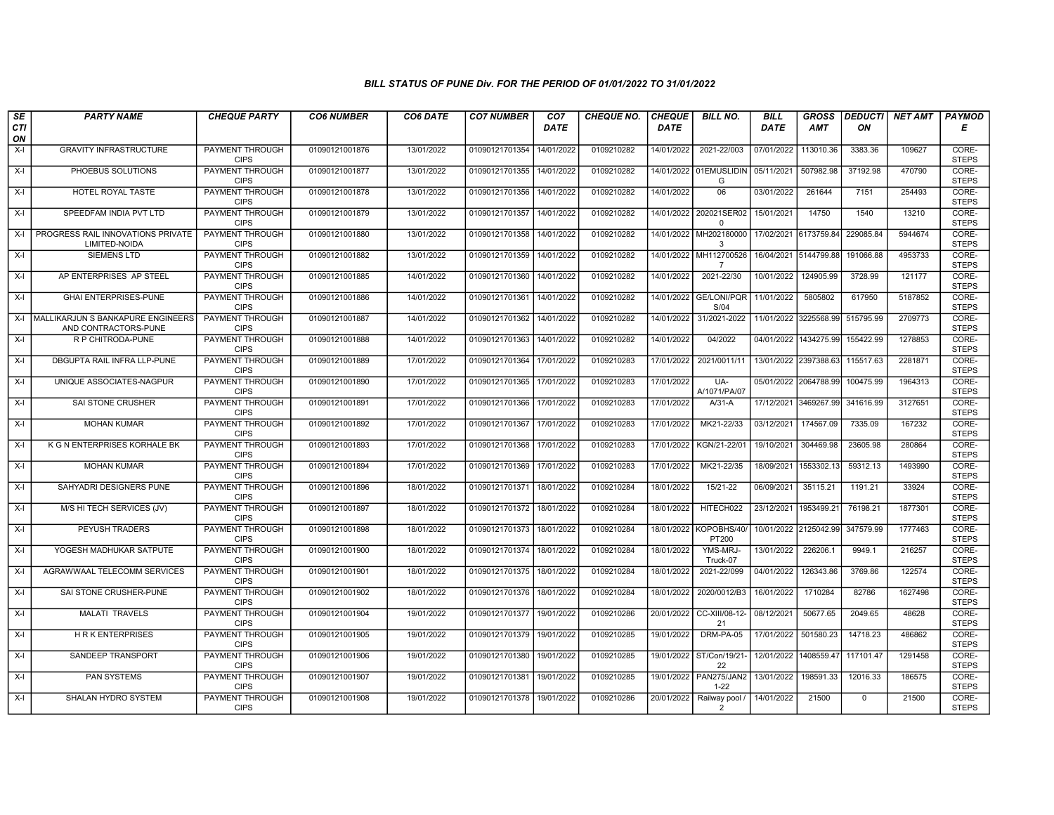| SE        | <b>PARTY NAME</b>                                         | <b>CHEQUE PARTY</b>                                             | <b>CO6 NUMBER</b> | CO6 DATE   | <b>CO7 NUMBER</b>           | CO <sub>7</sub> | <b>CHEQUE NO.</b> | <b>CHEQUE</b> | <b>BILL NO.</b>                    | <b>BILL</b>           | <b>GROSS</b>          |                  | <b>DEDUCTI NET AMT</b> | <b>PAYMOD</b>                  |
|-----------|-----------------------------------------------------------|-----------------------------------------------------------------|-------------------|------------|-----------------------------|-----------------|-------------------|---------------|------------------------------------|-----------------------|-----------------------|------------------|------------------------|--------------------------------|
| CTI<br>ON |                                                           |                                                                 |                   |            |                             | <b>DATE</b>     |                   | <b>DATE</b>   |                                    | <b>DATE</b>           | AMT                   | ON               |                        | Е                              |
| $X-I$     | <b>GRAVITY INFRASTRUCTURE</b>                             | <b>PAYMENT THROUGH</b><br><b>CIPS</b>                           | 01090121001876    | 13/01/2022 | 01090121701354              | 14/01/2022      | 0109210282        | 14/01/2022    | 2021-22/003                        | 07/01/2022            | 113010.36             | 3383.36          | 109627                 | CORE-<br><b>STEPS</b>          |
| $X-I$     | PHOEBUS SOLUTIONS                                         | <b>PAYMENT THROUGH</b><br><b>CIPS</b>                           | 01090121001877    | 13/01/2022 | 01090121701355 14/01/2022   |                 | 0109210282        |               | 14/01/2022 01EMUSLIDIN<br>G        | 05/11/2021            | 507982.98             | 37192.98         | 470790                 | CORE-<br><b>STEPS</b>          |
| X-I       | HOTEL ROYAL TASTE                                         | PAYMENT THROUGH<br><b>CIPS</b>                                  | 01090121001878    | 13/01/2022 | 01090121701356 14/01/2022   |                 | 0109210282        | 14/01/2022    | 06                                 | 03/01/2022            | 261644                | 7151             | 254493                 | CORE-<br><b>STEPS</b>          |
| $X-I$     | SPEEDFAM INDIA PVT LTD                                    | <b>PAYMENT THROUGH</b><br><b>CIPS</b>                           | 01090121001879    | 13/01/2022 | 01090121701357              | 14/01/2022      | 0109210282        | 14/01/2022    | 202021SER02<br>$\mathbf 0$         | 15/01/2021            | 14750                 | 1540             | 13210                  | CORE-<br><b>STEPS</b>          |
| $X-I$     | PROGRESS RAIL INNOVATIONS PRIVATE<br>LIMITED-NOIDA        | <b>PAYMENT THROUGH</b><br><b>CIPS</b>                           | 01090121001880    | 13/01/2022 | 01090121701358              | 14/01/2022      | 0109210282        |               | 14/01/2022 MH202180000<br>3        | 17/02/2021 6173759.84 |                       | 229085.84        | 5944674                | CORE-<br><b>STEPS</b>          |
| $X-I$     | <b>SIEMENS LTD</b>                                        | <b>PAYMENT THROUGH</b><br><b>CIPS</b>                           | 01090121001882    | 13/01/2022 | 01090121701359              | 14/01/2022      | 0109210282        | 14/01/2022    | MH112700526<br>$\overline{7}$      |                       | 16/04/2021 5144799.88 | 191066.88        | 4953733                | CORE-<br><b>STEPS</b>          |
| $X-I$     | AP ENTERPRISES AP STEEL                                   | PAYMENT THROUGH<br><b>CIPS</b>                                  | 01090121001885    | 14/01/2022 | 01090121701360              | 14/01/2022      | 0109210282        | 14/01/2022    | 2021-22/30                         | 10/01/2022            | 124905.99             | 3728.99          | 121177                 | CORE-<br><b>STEPS</b>          |
| $X-I$     | <b>GHAI ENTERPRISES-PUNE</b>                              | PAYMENT THROUGH<br><b>CIPS</b>                                  | 01090121001886    | 14/01/2022 | 01090121701361              | 14/01/2022      | 0109210282        |               | 14/01/2022 GE/LONI/PQR<br>S/04     | 11/01/2022            | 5805802               | 617950           | 5187852                | CORE-<br><b>STEPS</b>          |
| X-I       | MALLIKARJUN S BANKAPURE ENGINEERS<br>AND CONTRACTORS-PUNE | <b>PAYMENT THROUGH</b><br><b>CIPS</b>                           | 01090121001887    | 14/01/2022 | 01090121701362              | 14/01/2022      | 0109210282        | 14/01/2022    | 31/2021-2022                       |                       | 11/01/2022 3225568.99 | 515795.99        | 2709773                | CORE-<br><b>STEPS</b>          |
| $X-I$     | R P CHITRODA-PUNE                                         | <b>PAYMENT THROUGH</b><br><b>CIPS</b>                           | 01090121001888    | 14/01/2022 | 01090121701363 14/01/2022   |                 | 0109210282        | 14/01/2022    | 04/2022                            |                       | 04/01/2022 1434275.99 | 155422.99        | 1278853                | CORE-<br><b>STEPS</b>          |
| $X-I$     | DBGUPTA RAIL INFRA LLP-PUNE                               | <b>PAYMENT THROUGH</b><br><b>CIPS</b>                           | 01090121001889    | 17/01/2022 | 01090121701364              | 17/01/2022      | 0109210283        | 17/01/2022    | 2021/0011/11                       |                       | 13/01/2022 2397388.63 | 115517.63        | 2281871                | CORE-<br><b>STEPS</b>          |
| $X-I$     | UNIQUE ASSOCIATES-NAGPUR                                  | PAYMENT THROUGH<br><b>CIPS</b>                                  | 01090121001890    | 17/01/2022 | 01090121701365 17/01/2022   |                 | 0109210283        | 17/01/2022    | UA-<br>A/1071/PA/07                |                       | 05/01/2022 2064788.99 | 100475.99        | 1964313                | CORE-<br><b>STEPS</b>          |
| $X-I$     | SAI STONE CRUSHER                                         | <b>PAYMENT THROUGH</b><br><b>CIPS</b>                           | 01090121001891    | 17/01/2022 | 01090121701366 17/01/2022   |                 | 0109210283        | 17/01/2022    | $A/31-A$                           |                       | 17/12/2021 3469267.99 | 341616.99        | 3127651                | CORE-<br><b>STEPS</b>          |
| $X-I$     | <b>MOHAN KUMAR</b>                                        | <b>PAYMENT THROUGH</b><br><b>CIPS</b>                           | 01090121001892    | 17/01/2022 | 01090121701367              | 17/01/2022      | 0109210283        | 17/01/2022    | MK21-22/33                         | 03/12/2021            | 174567.09             | 7335.09          | 167232                 | CORE-<br><b>STEPS</b>          |
| $X-I$     | K G N ENTERPRISES KORHALE BK                              | <b>PAYMENT THROUGH</b><br><b>CIPS</b>                           | 01090121001893    | 17/01/2022 | 01090121701368              | 17/01/2022      | 0109210283        | 17/01/2022    | KGN/21-22/01                       | 19/10/2021            | 304469.98             | 23605.98         | 280864                 | CORE-<br><b>STEPS</b>          |
| $X-I$     | <b>MOHAN KUMAR</b>                                        | <b>PAYMENT THROUGH</b><br><b>CIPS</b>                           | 01090121001894    | 17/01/2022 | 01090121701369              | 17/01/2022      | 0109210283        | 17/01/2022    | MK21-22/35                         | 18/09/2021            | 1553302.13            | 59312.13         | 1493990                | CORE-<br><b>STEPS</b>          |
| X-I       | SAHYADRI DESIGNERS PUNE                                   | <b>PAYMENT THROUGH</b><br><b>CIPS</b>                           | 01090121001896    | 18/01/2022 | 01090121701371              | 18/01/2022      | 0109210284        | 18/01/2022    | 15/21-22                           | 06/09/2021            | 35115.21              | 1191.21          | 33924                  | CORE-<br><b>STEPS</b>          |
| $X-I$     | M/S HI TECH SERVICES (JV)                                 | <b>PAYMENT THROUGH</b><br><b>CIPS</b>                           | 01090121001897    | 18/01/2022 | 01090121701372              | 18/01/2022      | 0109210284        | 18/01/2022    | HITECH022                          | 23/12/2021            | 1953499.2             | 76198.21         | 1877301                | CORE-<br><b>STEPS</b>          |
| $X-I$     | PEYUSH TRADERS                                            | <b>PAYMENT THROUGH</b><br><b>CIPS</b>                           | 01090121001898    | 18/01/2022 | 01090121701373 18/01/2022   |                 | 0109210284        |               | 18/01/2022 KOPOBHS/40/<br>PT200    |                       | 10/01/2022 2125042.99 | 347579.99        | 1777463                | CORE-<br><b>STEPS</b>          |
| $X-I$     | YOGESH MADHUKAR SATPUTE                                   | <b>PAYMENT THROUGH</b><br><b>CIPS</b><br><b>PAYMENT THROUGH</b> | 01090121001900    | 18/01/2022 | 01090121701374 18/01/2022   |                 | 0109210284        | 18/01/2022    | YMS-MRJ-<br>Truck-07               | 13/01/2022            | 226206.1              | 9949.1           | 216257                 | CORE-<br><b>STEPS</b>          |
| $X-I$     | AGRAWWAAL TELECOMM SERVICES                               | <b>CIPS</b>                                                     | 01090121001901    | 18/01/2022 | 01090121701375   18/01/2022 |                 | 0109210284        | 18/01/2022    | 2021-22/099                        | 04/01/2022            | 126343.86             | 3769.86<br>82786 | 122574<br>1627498      | CORE-<br><b>STEPS</b><br>CORE- |
| X-I       | SAI STONE CRUSHER-PUNE                                    | <b>PAYMENT THROUGH</b><br><b>CIPS</b>                           | 01090121001902    | 18/01/2022 | 01090121701376 18/01/2022   |                 | 0109210284        | 18/01/2022    | 2020/0012/B3                       | 16/01/2022            | 1710284               |                  |                        | <b>STEPS</b>                   |
| $X-I$     | MALATI TRAVELS                                            | PAYMENT THROUGH<br><b>CIPS</b>                                  | 01090121001904    | 19/01/2022 | 01090121701377              | 19/01/2022      | 0109210286        | 20/01/2022    | CC-XIII/08-12-<br>21               | 08/12/2021            | 50677.65              | 2049.65          | 48628                  | CORE-<br><b>STEPS</b>          |
| $X-I$     | <b>HRK ENTERPRISES</b>                                    | <b>PAYMENT THROUGH</b><br><b>CIPS</b>                           | 01090121001905    | 19/01/2022 | 01090121701379              | 19/01/2022      | 0109210285        | 19/01/2022    | DRM-PA-05                          | 17/01/2022            | 501580.23             | 14718.23         | 486862                 | CORE-<br><b>STEPS</b>          |
| X-I       | SANDEEP TRANSPORT                                         | PAYMENT THROUGH<br><b>CIPS</b>                                  | 01090121001906    | 19/01/2022 | 01090121701380              | 19/01/2022      | 0109210285        | 19/01/2022    | ST/Con/19/21-<br>22                | 12/01/2022            | 1408559.47            | 117101.47        | 1291458                | CORE-<br><b>STEPS</b>          |
| $X-I$     | <b>PAN SYSTEMS</b>                                        | <b>PAYMENT THROUGH</b><br><b>CIPS</b>                           | 01090121001907    | 19/01/2022 | 01090121701381              | 19/01/2022      | 0109210285        |               | 19/01/2022 PAN275/JAN2<br>$1 - 22$ | 13/01/2022            | 198591.33             | 12016.33         | 186575                 | CORE-<br><b>STEPS</b>          |
| X-I       | SHALAN HYDRO SYSTEM                                       | <b>PAYMENT THROUGH</b><br><b>CIPS</b>                           | 01090121001908    | 19/01/2022 | 01090121701378 19/01/2022   |                 | 0109210286        | 20/01/2022    | Railway pool /<br>$\overline{2}$   | 14/01/2022            | 21500                 | $\mathbf 0$      | 21500                  | CORE-<br><b>STEPS</b>          |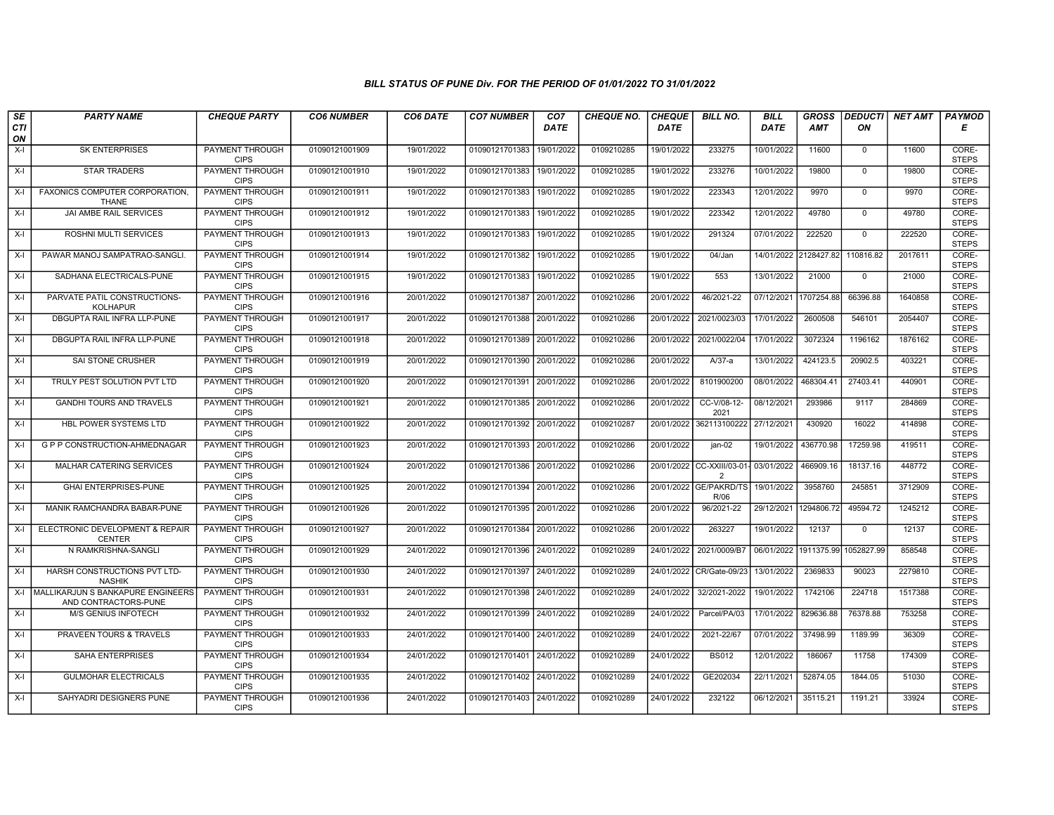| SE               | <b>PARTY NAME</b>                                               | <b>CHEQUE PARTY</b>                   | <b>CO6 NUMBER</b> | CO6 DATE   | <b>CO7 NUMBER</b>         | CO <sub>7</sub> | <b>CHEQUE NO.</b> | <b>CHEQUE</b> | <b>BILL NO.</b>                              | <b>BILL</b> | <b>GROSS</b> |                                  | <b>DEDUCTI NET AMT</b> | <b>PAYMOD</b>         |
|------------------|-----------------------------------------------------------------|---------------------------------------|-------------------|------------|---------------------------|-----------------|-------------------|---------------|----------------------------------------------|-------------|--------------|----------------------------------|------------------------|-----------------------|
| <b>CTI</b><br>ON |                                                                 |                                       |                   |            |                           | <b>DATE</b>     |                   | <b>DATE</b>   |                                              | <b>DATE</b> | <b>AMT</b>   | ΟN                               |                        | Е                     |
| $X-I$            | <b>SK ENTERPRISES</b>                                           | PAYMENT THROUGH<br><b>CIPS</b>        | 01090121001909    | 19/01/2022 | 01090121701383            | 19/01/2022      | 0109210285        | 19/01/2022    | 233275                                       | 10/01/2022  | 11600        | 0                                | 11600                  | CORE-<br><b>STEPS</b> |
| $X-I$            | <b>STAR TRADERS</b>                                             | PAYMENT THROUGH<br><b>CIPS</b>        | 01090121001910    | 19/01/2022 | 01090121701383            | 19/01/2022      | 0109210285        | 19/01/2022    | 233276                                       | 10/01/2022  | 19800        | $\mathbf 0$                      | 19800                  | CORE-<br><b>STEPS</b> |
| X-I              | FAXONICS COMPUTER CORPORATION,<br><b>THANE</b>                  | PAYMENT THROUGH<br><b>CIPS</b>        | 01090121001911    | 19/01/2022 | 01090121701383            | 19/01/2022      | 0109210285        | 19/01/2022    | 223343                                       | 12/01/2022  | 9970         | $\mathbf 0$                      | 9970                   | CORE-<br><b>STEPS</b> |
| X-I              | JAI AMBE RAIL SERVICES                                          | PAYMENT THROUGH<br><b>CIPS</b>        | 01090121001912    | 19/01/2022 | 01090121701383            | 19/01/2022      | 0109210285        | 19/01/2022    | 223342                                       | 12/01/2022  | 49780        | $\mathbf 0$                      | 49780                  | CORE-<br><b>STEPS</b> |
| $X-I$            | ROSHNI MULTI SERVICES                                           | PAYMENT THROUGH<br><b>CIPS</b>        | 01090121001913    | 19/01/2022 | 01090121701383            | 19/01/2022      | 0109210285        | 19/01/2022    | 291324                                       | 07/01/2022  | 222520       | $\mathbf 0$                      | 222520                 | CORE-<br><b>STEPS</b> |
| X-I              | PAWAR MANOJ SAMPATRAO-SANGLI.                                   | <b>PAYMENT THROUGH</b><br><b>CIPS</b> | 01090121001914    | 19/01/2022 | 01090121701382            | 19/01/2022      | 0109210285        | 19/01/2022    | 04/Jan                                       | 14/01/2022  | 2128427.82   | 110816.82                        | 2017611                | CORE-<br><b>STEPS</b> |
| $X-I$            | SADHANA ELECTRICALS-PUNE                                        | PAYMENT THROUGH<br><b>CIPS</b>        | 01090121001915    | 19/01/2022 | 01090121701383            | 19/01/2022      | 0109210285        | 19/01/2022    | 553                                          | 13/01/2022  | 21000        | $\mathbf{0}$                     | 21000                  | CORE-<br><b>STEPS</b> |
| $X-I$            | PARVATE PATIL CONSTRUCTIONS-<br><b>KOLHAPUR</b>                 | <b>PAYMENT THROUGH</b><br><b>CIPS</b> | 01090121001916    | 20/01/2022 | 01090121701387            | 20/01/2022      | 0109210286        | 20/01/2022    | 46/2021-22                                   | 07/12/2021  | 1707254.88   | 66396.88                         | 1640858                | CORE-<br><b>STEPS</b> |
| X-I              | DBGUPTA RAIL INFRA LLP-PUNE                                     | PAYMENT THROUGH<br><b>CIPS</b>        | 01090121001917    | 20/01/2022 | 01090121701388            | 20/01/2022      | 0109210286        | 20/01/2022    | 2021/0023/03                                 | 17/01/2022  | 2600508      | 546101                           | 2054407                | CORE-<br><b>STEPS</b> |
| X-I              | DBGUPTA RAIL INFRA LLP-PUNE                                     | <b>PAYMENT THROUGH</b><br><b>CIPS</b> | 01090121001918    | 20/01/2022 | 01090121701389 20/01/2022 |                 | 0109210286        | 20/01/2022    | 2021/0022/04                                 | 17/01/2022  | 3072324      | 1196162                          | 1876162                | CORE-<br><b>STEPS</b> |
| X-I              | SAI STONE CRUSHER                                               | PAYMENT THROUGH<br><b>CIPS</b>        | 01090121001919    | 20/01/2022 | 01090121701390            | 20/01/2022      | 0109210286        | 20/01/2022    | $A/37-a$                                     | 13/01/2022  | 424123.5     | 20902.5                          | 403221                 | CORE-<br><b>STEPS</b> |
| X-I              | TRULY PEST SOLUTION PVT LTD                                     | PAYMENT THROUGH<br><b>CIPS</b>        | 01090121001920    | 20/01/2022 | 01090121701391 20/01/2022 |                 | 0109210286        | 20/01/2022    | 8101900200                                   | 08/01/2022  | 468304.41    | 27403.41                         | 440901                 | CORE-<br><b>STEPS</b> |
| $X-I$            | <b>GANDHI TOURS AND TRAVELS</b>                                 | <b>PAYMENT THROUGH</b><br><b>CIPS</b> | 01090121001921    | 20/01/2022 | 01090121701385 20/01/2022 |                 | 0109210286        | 20/01/2022    | CC-V/08-12-<br>2021                          | 08/12/2021  | 293986       | 9117                             | 284869                 | CORE-<br><b>STEPS</b> |
| X-I              | HBL POWER SYSTEMS LTD                                           | PAYMENT THROUGH<br><b>CIPS</b>        | 01090121001922    | 20/01/2022 | 01090121701392            | 20/01/2022      | 0109210287        | 20/01/2022    | 362113100222                                 | 27/12/2021  | 430920       | 16022                            | 414898                 | CORE-<br><b>STEPS</b> |
| X-I              | G P P CONSTRUCTION-AHMEDNAGAR                                   | PAYMENT THROUGH<br><b>CIPS</b>        | 01090121001923    | 20/01/2022 | 01090121701393            | 20/01/2022      | 0109210286        | 20/01/2022    | jan-02                                       | 19/01/2022  | 436770.98    | 17259.98                         | 419511                 | CORE-<br><b>STEPS</b> |
| X-I              | MALHAR CATERING SERVICES                                        | PAYMENT THROUGH<br><b>CIPS</b>        | 01090121001924    | 20/01/2022 | 01090121701386            | 20/01/2022      | 0109210286        |               | 20/01/2022 CC-XXIII/03-01-<br>$\overline{2}$ | 03/01/2022  | 466909.16    | 18137.16                         | 448772                 | CORE-<br><b>STEPS</b> |
| X-I              | <b>GHAI ENTERPRISES-PUNE</b>                                    | PAYMENT THROUGH<br><b>CIPS</b>        | 01090121001925    | 20/01/2022 | 01090121701394            | 20/01/2022      | 0109210286        |               | 20/01/2022 GE/PAKRD/TS<br>R/06               | 19/01/2022  | 3958760      | 245851                           | 3712909                | CORE-<br><b>STEPS</b> |
| X-I              | MANIK RAMCHANDRA BABAR-PUNE                                     | <b>PAYMENT THROUGH</b><br><b>CIPS</b> | 01090121001926    | 20/01/2022 | 01090121701395            | 20/01/2022      | 0109210286        | 20/01/2022    | 96/2021-22                                   | 29/12/2021  | 1294806.72   | 49594.72                         | 1245212                | CORE-<br><b>STEPS</b> |
| X-I              | ELECTRONIC DEVELOPMENT & REPAIR<br><b>CENTER</b>                | PAYMENT THROUGH<br><b>CIPS</b>        | 01090121001927    | 20/01/2022 | 01090121701384            | 20/01/2022      | 0109210286        | 20/01/2022    | 263227                                       | 19/01/2022  | 12137        | $\mathbf 0$                      | 12137                  | CORE-<br><b>STEPS</b> |
| X-I              | N RAMKRISHNA-SANGLI                                             | PAYMENT THROUGH<br><b>CIPS</b>        | 01090121001929    | 24/01/2022 | 01090121701396            | 24/01/2022      | 0109210289        | 24/01/2022    | 2021/0009/B7                                 |             |              | 06/01/2022 1911375.99 1052827.99 | 858548                 | CORE-<br><b>STEPS</b> |
| X-I              | HARSH CONSTRUCTIONS PVT LTD-<br><b>NASHIK</b>                   | PAYMENT THROUGH<br><b>CIPS</b>        | 01090121001930    | 24/01/2022 | 01090121701397 24/01/2022 |                 | 0109210289        |               | 24/01/2022   CR/Gate-09/23                   | 13/01/2022  | 2369833      | 90023                            | 2279810                | CORE-<br><b>STEPS</b> |
|                  | X-I   MALLIKARJUN S BANKAPURE ENGINEERS<br>AND CONTRACTORS-PUNE | PAYMENT THROUGH<br><b>CIPS</b>        | 01090121001931    | 24/01/2022 | 01090121701398 24/01/2022 |                 | 0109210289        | 24/01/2022    | 32/2021-2022                                 | 19/01/2022  | 1742106      | 224718                           | 1517388                | CORE-<br><b>STEPS</b> |
| X-I              | M/S GENIUS INFOTECH                                             | PAYMENT THROUGH<br><b>CIPS</b>        | 01090121001932    | 24/01/2022 | 01090121701399            | 24/01/2022      | 0109210289        | 24/01/2022    | Parcel/PA/03                                 | 17/01/2022  | 829636.88    | 76378.88                         | 753258                 | CORE-<br><b>STEPS</b> |
| $X-I$            | PRAVEEN TOURS & TRAVELS                                         | PAYMENT THROUGH<br><b>CIPS</b>        | 01090121001933    | 24/01/2022 | 01090121701400            | 24/01/2022      | 0109210289        | 24/01/2022    | 2021-22/67                                   | 07/01/2022  | 37498.99     | 1189.99                          | 36309                  | CORE-<br><b>STEPS</b> |
| X-I              | <b>SAHA ENTERPRISES</b>                                         | PAYMENT THROUGH<br><b>CIPS</b>        | 01090121001934    | 24/01/2022 | 01090121701401 24/01/2022 |                 | 0109210289        | 24/01/2022    | <b>BS012</b>                                 | 12/01/2022  | 186067       | 11758                            | 174309                 | CORE-<br><b>STEPS</b> |
| $X-I$            | <b>GULMOHAR ELECTRICALS</b>                                     | <b>PAYMENT THROUGH</b><br><b>CIPS</b> | 01090121001935    | 24/01/2022 | 01090121701402 24/01/2022 |                 | 0109210289        | 24/01/2022    | GE202034                                     | 22/11/2021  | 52874.05     | 1844.05                          | 51030                  | CORE-<br><b>STEPS</b> |
| $X-I$            | SAHYADRI DESIGNERS PUNE                                         | PAYMENT THROUGH<br><b>CIPS</b>        | 01090121001936    | 24/01/2022 | 01090121701403 24/01/2022 |                 | 0109210289        | 24/01/2022    | 232122                                       | 06/12/2021  | 35115.21     | 1191.21                          | 33924                  | CORE-<br><b>STEPS</b> |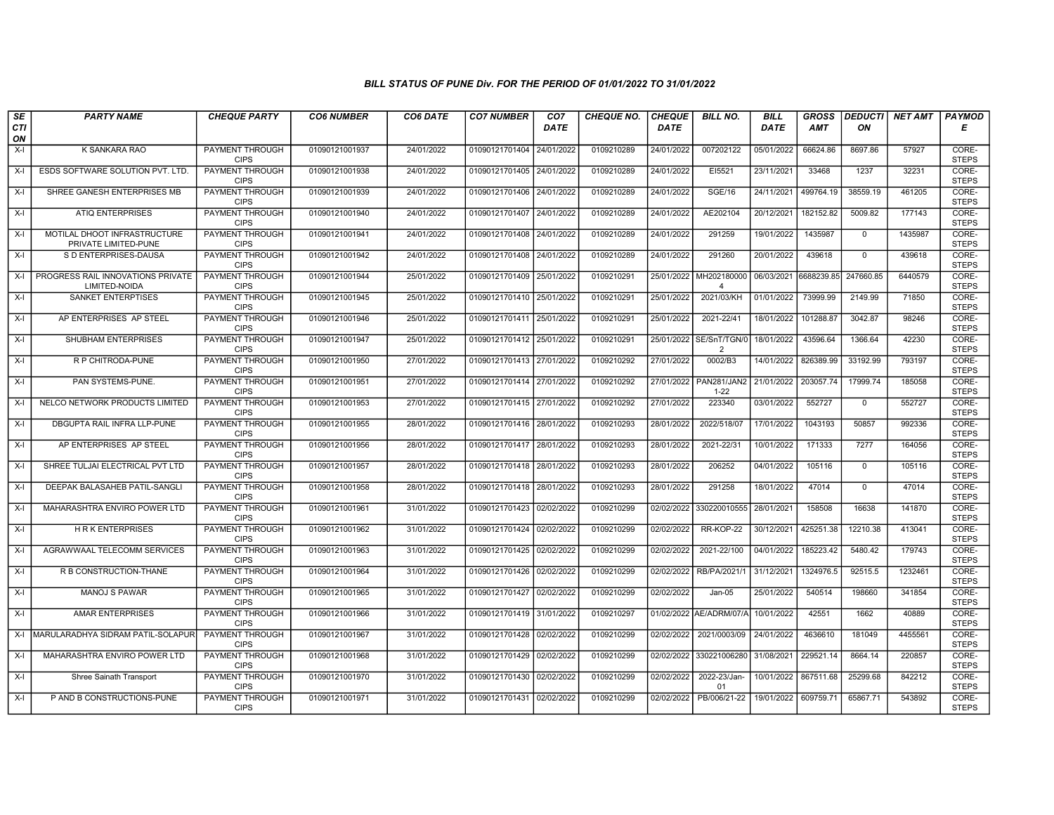| SE               | <b>PARTY NAME</b>                                    | <b>CHEQUE PARTY</b>                   | <b>CO6 NUMBER</b> | CO6 DATE   | <b>CO7 NUMBER</b>         | CO <sub>7</sub> | <b>CHEQUE NO.</b> | <b>CHEQUE</b> | <b>BILL NO.</b>                | <b>BILL</b> | <b>GROSS</b> |              | <b>DEDUCTI</b> NET AMT | <b>PAYMOD</b>         |
|------------------|------------------------------------------------------|---------------------------------------|-------------------|------------|---------------------------|-----------------|-------------------|---------------|--------------------------------|-------------|--------------|--------------|------------------------|-----------------------|
| <b>CTI</b><br>ON |                                                      |                                       |                   |            |                           | <b>DATE</b>     |                   | <b>DATE</b>   |                                | <b>DATE</b> | <b>AMT</b>   | ON           |                        | Е                     |
| X-I              | K SANKARA RAO                                        | PAYMENT THROUGH<br><b>CIPS</b>        | 01090121001937    | 24/01/2022 | 01090121701404            | 24/01/2022      | 0109210289        | 24/01/2022    | 007202122                      | 05/01/2022  | 66624.86     | 8697.86      | 57927                  | CORE-<br><b>STEPS</b> |
| X-I              | ESDS SOFTWARE SOLUTION PVT. LTD                      | <b>PAYMENT THROUGH</b><br><b>CIPS</b> | 01090121001938    | 24/01/2022 | 01090121701405 24/01/2022 |                 | 0109210289        | 24/01/2022    | EI5521                         | 23/11/2021  | 33468        | 1237         | 32231                  | CORE-<br><b>STEPS</b> |
| $X-I$            | SHREE GANESH ENTERPRISES MB                          | PAYMENT THROUGH<br><b>CIPS</b>        | 01090121001939    | 24/01/2022 | 01090121701406 24/01/2022 |                 | 0109210289        | 24/01/2022    | <b>SGE/16</b>                  | 24/11/2021  | 499764.19    | 38559.19     | 461205                 | CORE-<br><b>STEPS</b> |
| $X-I$            | <b>ATIQ ENTERPRISES</b>                              | <b>PAYMENT THROUGH</b><br><b>CIPS</b> | 01090121001940    | 24/01/2022 | 01090121701407            | 24/01/2022      | 0109210289        | 24/01/2022    | AE202104                       | 20/12/2021  | 182152.82    | 5009.82      | 177143                 | CORE-<br><b>STEPS</b> |
| $X-I$            | MOTILAL DHOOT INFRASTRUCTURE<br>PRIVATE LIMITED-PUNE | <b>PAYMENT THROUGH</b><br><b>CIPS</b> | 01090121001941    | 24/01/2022 | 01090121701408 24/01/2022 |                 | 0109210289        | 24/01/2022    | 291259                         | 19/01/2022  | 1435987      | $\mathbf{0}$ | 1435987                | CORE-<br><b>STEPS</b> |
| X-I              | S D ENTERPRISES-DAUSA                                | <b>PAYMENT THROUGH</b><br><b>CIPS</b> | 01090121001942    | 24/01/2022 | 01090121701408 24/01/2022 |                 | 0109210289        | 24/01/2022    | 291260                         | 20/01/2022  | 439618       | $\mathbf{0}$ | 439618                 | CORE-<br><b>STEPS</b> |
| X-I              | PROGRESS RAIL INNOVATIONS PRIVATE<br>LIMITED-NOIDA   | PAYMENT THROUGH<br><b>CIPS</b>        | 01090121001944    | 25/01/2022 | 01090121701409 25/01/2022 |                 | 0109210291        | 25/01/2022    | MH202180000<br>$\overline{4}$  | 06/03/2021  | 6688239.85   | 247660.85    | 6440579                | CORE-<br><b>STEPS</b> |
| X-I              | <b>SANKET ENTERPTISES</b>                            | PAYMENT THROUGH<br><b>CIPS</b>        | 01090121001945    | 25/01/2022 | 01090121701410            | 25/01/2022      | 0109210291        | 25/01/2022    | 2021/03/KH                     | 01/01/2022  | 73999.99     | 2149.99      | 71850                  | CORE-<br><b>STEPS</b> |
| $X-I$            | AP ENTERPRISES AP STEEL                              | PAYMENT THROUGH<br><b>CIPS</b>        | 01090121001946    | 25/01/2022 | 01090121701411 25/01/2022 |                 | 0109210291        | 25/01/2022    | 2021-22/41                     | 18/01/2022  | 101288.87    | 3042.87      | 98246                  | CORE-<br><b>STEPS</b> |
| X-I              | SHUBHAM ENTERPRISES                                  | <b>PAYMENT THROUGH</b><br><b>CIPS</b> | 01090121001947    | 25/01/2022 | 01090121701412 25/01/2022 |                 | 0109210291        | 25/01/2022    | SE/SnT/TGN/0<br>$\overline{2}$ | 18/01/2022  | 43596.64     | 1366.64      | 42230                  | CORE-<br><b>STEPS</b> |
| $X-I$            | R P CHITRODA-PUNE                                    | PAYMENT THROUGH<br><b>CIPS</b>        | 01090121001950    | 27/01/2022 | 01090121701413 27/01/2022 |                 | 0109210292        | 27/01/2022    | 0002/B3                        | 14/01/2022  | 826389.99    | 33192.99     | 793197                 | CORE-<br><b>STEPS</b> |
| X-I              | PAN SYSTEMS-PUNE.                                    | PAYMENT THROUGH<br><b>CIPS</b>        | 01090121001951    | 27/01/2022 | 01090121701414 27/01/2022 |                 | 0109210292        | 27/01/2022    | PAN281/JAN2<br>$1 - 22$        | 21/01/2022  | 203057.74    | 17999.74     | 185058                 | CORE-<br><b>STEPS</b> |
| $X-I$            | NELCO NETWORK PRODUCTS LIMITED                       | <b>PAYMENT THROUGH</b><br><b>CIPS</b> | 01090121001953    | 27/01/2022 | 01090121701415 27/01/2022 |                 | 0109210292        | 27/01/2022    | 223340                         | 03/01/2022  | 552727       | $\mathbf 0$  | 552727                 | CORE-<br><b>STEPS</b> |
| $X-I$            | DBGUPTA RAIL INFRA LLP-PUNE                          | <b>PAYMENT THROUGH</b><br><b>CIPS</b> | 01090121001955    | 28/01/2022 | 01090121701416 28/01/2022 |                 | 0109210293        | 28/01/2022    | 2022/518/07                    | 17/01/2022  | 1043193      | 50857        | 992336                 | CORE-<br><b>STEPS</b> |
| $X-I$            | AP ENTERPRISES AP STEEL                              | PAYMENT THROUGH<br><b>CIPS</b>        | 01090121001956    | 28/01/2022 | 01090121701417 28/01/2022 |                 | 0109210293        | 28/01/2022    | 2021-22/31                     | 10/01/2022  | 171333       | 7277         | 164056                 | CORE-<br><b>STEPS</b> |
| $X-I$            | SHREE TULJAI ELECTRICAL PVT LTD                      | <b>PAYMENT THROUGH</b><br><b>CIPS</b> | 01090121001957    | 28/01/2022 | 01090121701418 28/01/2022 |                 | 0109210293        | 28/01/2022    | 206252                         | 04/01/2022  | 105116       | $\mathbf 0$  | 105116                 | CORE-<br><b>STEPS</b> |
| X-I              | DEEPAK BALASAHEB PATIL-SANGLI                        | <b>PAYMENT THROUGH</b><br><b>CIPS</b> | 01090121001958    | 28/01/2022 | 01090121701418 28/01/2022 |                 | 0109210293        | 28/01/2022    | 291258                         | 18/01/2022  | 47014        | $\mathbf 0$  | 47014                  | CORE-<br><b>STEPS</b> |
| X-I              | MAHARASHTRA ENVIRO POWER LTD                         | PAYMENT THROUGH<br><b>CIPS</b>        | 01090121001961    | 31/01/2022 | 01090121701423 02/02/2022 |                 | 0109210299        | 02/02/2022    | 330220010555                   | 28/01/2021  | 158508       | 16638        | 141870                 | CORE-<br><b>STEPS</b> |
| $X-I$            | <b>HRK ENTERPRISES</b>                               | PAYMENT THROUGH<br><b>CIPS</b>        | 01090121001962    | 31/01/2022 | 01090121701424 02/02/2022 |                 | 0109210299        | 02/02/2022    | RR-KOP-22                      | 30/12/2021  | 425251.38    | 12210.38     | 413041                 | CORE-<br><b>STEPS</b> |
| $X-I$            | AGRAWWAAL TELECOMM SERVICES                          | PAYMENT THROUGH<br><b>CIPS</b>        | 01090121001963    | 31/01/2022 | 01090121701425 02/02/2022 |                 | 0109210299        | 02/02/2022    | 2021-22/100                    | 04/01/2022  | 185223.42    | 5480.42      | 179743                 | CORE-<br><b>STEPS</b> |
| $X-I$            | R B CONSTRUCTION-THANE                               | <b>PAYMENT THROUGH</b><br><b>CIPS</b> | 01090121001964    | 31/01/2022 | 01090121701426 02/02/2022 |                 | 0109210299        | 02/02/2022    | RB/PA/2021/1                   | 31/12/2021  | 1324976.5    | 92515.5      | 1232461                | CORE-<br><b>STEPS</b> |
| X-I              | <b>MANOJ S PAWAR</b>                                 | PAYMENT THROUGH<br><b>CIPS</b>        | 01090121001965    | 31/01/2022 | 01090121701427 02/02/2022 |                 | 0109210299        | 02/02/2022    | $Jan-05$                       | 25/01/2022  | 540514       | 198660       | 341854                 | CORE-<br><b>STEPS</b> |
| $X-I$            | <b>AMAR ENTERPRISES</b>                              | PAYMENT THROUGH<br><b>CIPS</b>        | 01090121001966    | 31/01/2022 | 01090121701419 31/01/2022 |                 | 0109210297        | 01/02/2022    | AE/ADRM/07/A                   | 10/01/2022  | 42551        | 1662         | 40889                  | CORE-<br><b>STEPS</b> |
| $X-I$            | İMARULARADHYA SIDRAM PATIL-SOLAPUR                   | PAYMENT THROUGH<br><b>CIPS</b>        | 01090121001967    | 31/01/2022 | 01090121701428            | 02/02/2022      | 0109210299        | 02/02/2022    | 2021/0003/09                   | 24/01/2022  | 4636610      | 181049       | 4455561                | CORE-<br><b>STEPS</b> |
| X-I              | MAHARASHTRA ENVIRO POWER LTD                         | PAYMENT THROUGH<br><b>CIPS</b>        | 01090121001968    | 31/01/2022 | 01090121701429 02/02/2022 |                 | 0109210299        | 02/02/2022    | 330221006280                   | 31/08/2021  | 229521.14    | 8664.14      | 220857                 | CORE-<br><b>STEPS</b> |
| X-I              | Shree Sainath Transport                              | <b>PAYMENT THROUGH</b><br><b>CIPS</b> | 01090121001970    | 31/01/2022 | 01090121701430 02/02/2022 |                 | 0109210299        | 02/02/2022    | 2022-23/Jan-<br>01             | 10/01/2022  | 867511.68    | 25299.68     | 842212                 | CORE-<br><b>STEPS</b> |
| X-I              | P AND B CONSTRUCTIONS-PUNE                           | PAYMENT THROUGH<br><b>CIPS</b>        | 01090121001971    | 31/01/2022 | 01090121701431 02/02/2022 |                 | 0109210299        | 02/02/2022    | PB/006/21-22                   | 19/01/2022  | 609759.71    | 65867.71     | 543892                 | CORE-<br><b>STEPS</b> |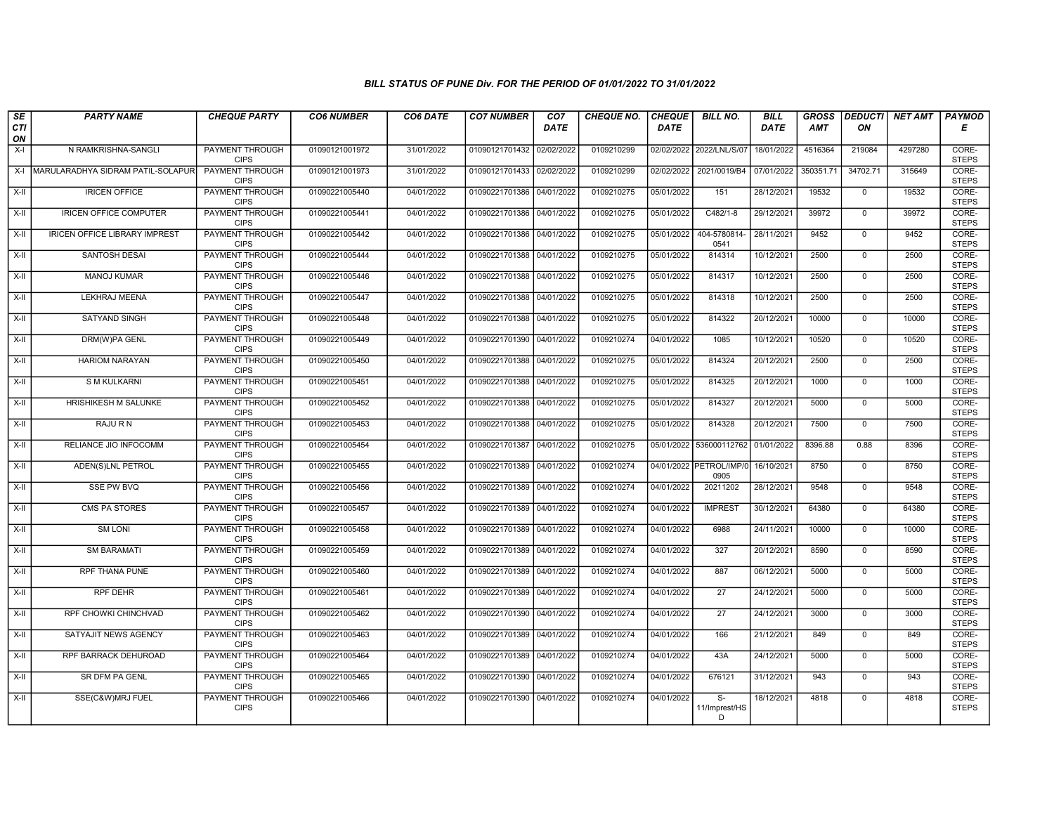| SE               | <b>PARTY NAME</b>                     | <b>CHEQUE PARTY</b>                   | <b>CO6 NUMBER</b> | CO6 DATE   | <b>CO7 NUMBER</b>         | CO <sub>7</sub> | <b>CHEQUE NO.</b> | <b>CHEQUE</b> | <b>BILL NO.</b>                      | <b>BILL</b> | <b>GROSS</b> | <b>DEDUCTI</b> | NET AMT | <b>PAYMOD</b>         |
|------------------|---------------------------------------|---------------------------------------|-------------------|------------|---------------------------|-----------------|-------------------|---------------|--------------------------------------|-------------|--------------|----------------|---------|-----------------------|
| <b>CTI</b><br>ON |                                       |                                       |                   |            |                           | <b>DATE</b>     |                   | <b>DATE</b>   |                                      | <b>DATE</b> | AMT          | ΟN             |         | Е                     |
| X-I              | N RAMKRISHNA-SANGLI                   | <b>PAYMENT THROUGH</b><br><b>CIPS</b> | 01090121001972    | 31/01/2022 | 01090121701432 02/02/2022 |                 | 0109210299        |               | 02/02/2022 2022/LNL/S/07             | 18/01/2022  | 4516364      | 219084         | 4297280 | CORE-<br><b>STEPS</b> |
|                  | X-I MARULARADHYA SIDRAM PATIL-SOLAPUR | PAYMENT THROUGH<br><b>CIPS</b>        | 01090121001973    | 31/01/2022 | 01090121701433 02/02/2022 |                 | 0109210299        | 02/02/2022    | 2021/0019/B4                         | 07/01/2022  | 350351.71    | 34702.71       | 315649  | CORE-<br><b>STEPS</b> |
| $X-II$           | <b>IRICEN OFFICE</b>                  | PAYMENT THROUGH<br><b>CIPS</b>        | 01090221005440    | 04/01/2022 | 01090221701386 04/01/2022 |                 | 0109210275        | 05/01/2022    | 151                                  | 28/12/2021  | 19532        | $\mathbf{0}$   | 19532   | CORE-<br><b>STEPS</b> |
| $X-H$            | <b>IRICEN OFFICE COMPUTER</b>         | <b>PAYMENT THROUGH</b><br><b>CIPS</b> | 01090221005441    | 04/01/2022 | 01090221701386 04/01/2022 |                 | 0109210275        | 05/01/2022    | $C482/1-8$                           | 29/12/2021  | 39972        | $\overline{0}$ | 39972   | CORE-<br><b>STEPS</b> |
| X-II             | <b>IRICEN OFFICE LIBRARY IMPREST</b>  | <b>PAYMENT THROUGH</b><br><b>CIPS</b> | 01090221005442    | 04/01/2022 | 01090221701386 04/01/2022 |                 | 0109210275        | 05/01/2022    | 404-5780814-<br>0541                 | 28/11/2021  | 9452         | $\overline{0}$ | 9452    | CORE-<br><b>STEPS</b> |
| $X-H$            | <b>SANTOSH DESAI</b>                  | <b>PAYMENT THROUGH</b><br><b>CIPS</b> | 01090221005444    | 04/01/2022 | 01090221701388 04/01/2022 |                 | 0109210275        | 05/01/2022    | 814314                               | 10/12/2021  | 2500         | $\overline{0}$ | 2500    | CORE-<br><b>STEPS</b> |
| $X-I$            | <b>MANOJ KUMAR</b>                    | PAYMENT THROUGH<br><b>CIPS</b>        | 01090221005446    | 04/01/2022 | 01090221701388 04/01/2022 |                 | 0109210275        | 05/01/2022    | 814317                               | 10/12/2021  | 2500         | $\mathbf 0$    | 2500    | CORE-<br><b>STEPS</b> |
| $X-H$            | LEKHRAJ MEENA                         | <b>PAYMENT THROUGH</b><br><b>CIPS</b> | 01090221005447    | 04/01/2022 | 01090221701388 04/01/2022 |                 | 0109210275        | 05/01/2022    | 814318                               | 10/12/2021  | 2500         | $\overline{0}$ | 2500    | CORE-<br><b>STEPS</b> |
| X-II             | <b>SATYAND SINGH</b>                  | <b>PAYMENT THROUGH</b><br><b>CIPS</b> | 01090221005448    | 04/01/2022 | 01090221701388 04/01/2022 |                 | 0109210275        | 05/01/2022    | 814322                               | 20/12/2021  | 10000        | $\mathbf{0}$   | 10000   | CORE-<br><b>STEPS</b> |
| $X-II$           | DRM(W)PA GENL                         | <b>PAYMENT THROUGH</b><br><b>CIPS</b> | 01090221005449    | 04/01/2022 | 01090221701390 04/01/2022 |                 | 0109210274        | 04/01/2022    | 1085                                 | 10/12/2021  | 10520        | $\mathbf{0}$   | 10520   | CORE-<br><b>STEPS</b> |
| X-II             | <b>HARIOM NARAYAN</b>                 | PAYMENT THROUGH<br><b>CIPS</b>        | 01090221005450    | 04/01/2022 | 01090221701388 04/01/2022 |                 | 0109210275        | 05/01/2022    | 814324                               | 20/12/2021  | 2500         | $\mathbf{0}$   | 2500    | CORE-<br><b>STEPS</b> |
| X-II             | <b>S M KULKARNI</b>                   | <b>PAYMENT THROUGH</b><br><b>CIPS</b> | 01090221005451    | 04/01/2022 | 01090221701388 04/01/2022 |                 | 0109210275        | 05/01/2022    | 814325                               | 20/12/2021  | 1000         | $\overline{0}$ | 1000    | CORE-<br><b>STEPS</b> |
| X-II             | HRISHIKESH M SALUNKE                  | PAYMENT THROUGH<br><b>CIPS</b>        | 01090221005452    | 04/01/2022 | 01090221701388 04/01/2022 |                 | 0109210275        | 05/01/2022    | 814327                               | 20/12/2021  | 5000         | $\overline{0}$ | 5000    | CORE-<br><b>STEPS</b> |
| $X-H$            | RAJU R N                              | <b>PAYMENT THROUGH</b><br><b>CIPS</b> | 01090221005453    | 04/01/2022 | 01090221701388 04/01/2022 |                 | 0109210275        | 05/01/2022    | 814328                               | 20/12/2021  | 7500         | $\overline{0}$ | 7500    | CORE-<br><b>STEPS</b> |
| X-II             | RELIANCE JIO INFOCOMM                 | PAYMENT THROUGH<br><b>CIPS</b>        | 01090221005454    | 04/01/2022 | 01090221701387 04/01/2022 |                 | 0109210275        |               | 05/01/2022 536000112762              | 01/01/2022  | 8396.88      | 0.88           | 8396    | CORE-<br><b>STEPS</b> |
| $X-H$            | <b>ADEN(S)LNL PETROL</b>              | <b>PAYMENT THROUGH</b><br><b>CIPS</b> | 01090221005455    | 04/01/2022 | 01090221701389 04/01/2022 |                 | 0109210274        |               | 04/01/2022 PETROL/IMP/0<br>0905      | 16/10/2021  | 8750         | $\overline{0}$ | 8750    | CORE-<br><b>STEPS</b> |
| X-II             | <b>SSE PW BVQ</b>                     | <b>PAYMENT THROUGH</b><br><b>CIPS</b> | 01090221005456    | 04/01/2022 | 01090221701389 04/01/2022 |                 | 0109210274        | 04/01/2022    | 20211202                             | 28/12/2021  | 9548         | $\overline{0}$ | 9548    | CORE-<br><b>STEPS</b> |
| X-II             | <b>CMS PA STORES</b>                  | PAYMENT THROUGH<br><b>CIPS</b>        | 01090221005457    | 04/01/2022 | 01090221701389 04/01/2022 |                 | 0109210274        | 04/01/2022    | <b>IMPREST</b>                       | 30/12/2021  | 64380        | $\overline{0}$ | 64380   | CORE-<br><b>STEPS</b> |
| X-II             | <b>SM LONI</b>                        | PAYMENT THROUGH<br><b>CIPS</b>        | 01090221005458    | 04/01/2022 | 01090221701389 04/01/2022 |                 | 0109210274        | 04/01/2022    | 6988                                 | 24/11/2021  | 10000        | $\mathbf 0$    | 10000   | CORE-<br><b>STEPS</b> |
| $X-II$           | <b>SM BARAMATI</b>                    | PAYMENT THROUGH<br><b>CIPS</b>        | 01090221005459    | 04/01/2022 | 01090221701389 04/01/2022 |                 | 0109210274        | 04/01/2022    | 327                                  | 20/12/2021  | 8590         | $\Omega$       | 8590    | CORE-<br><b>STEPS</b> |
| $X-H$            | RPF THANA PUNE                        | <b>PAYMENT THROUGH</b><br><b>CIPS</b> | 01090221005460    | 04/01/2022 | 01090221701389 04/01/2022 |                 | 0109210274        | 04/01/2022    | 887                                  | 06/12/2021  | 5000         | $\overline{0}$ | 5000    | CORE-<br><b>STEPS</b> |
| $X-H$            | <b>RPF DEHR</b>                       | <b>PAYMENT THROUGH</b><br><b>CIPS</b> | 01090221005461    | 04/01/2022 | 01090221701389 04/01/2022 |                 | 0109210274        | 04/01/2022    | $\overline{27}$                      | 24/12/2021  | 5000         | $\overline{0}$ | 5000    | CORE-<br><b>STEPS</b> |
| X-II             | RPF CHOWKI CHINCHVAD                  | PAYMENT THROUGH<br><b>CIPS</b>        | 01090221005462    | 04/01/2022 | 01090221701390 04/01/2022 |                 | 0109210274        | 04/01/2022    | $\overline{27}$                      | 24/12/2021  | 3000         | $\mathbf 0$    | 3000    | CORE-<br><b>STEPS</b> |
| X-II             | SATYAJIT NEWS AGENCY                  | PAYMENT THROUGH<br><b>CIPS</b>        | 01090221005463    | 04/01/2022 | 01090221701389 04/01/2022 |                 | 0109210274        | 04/01/2022    | 166                                  | 21/12/2021  | 849          | $\Omega$       | 849     | CORE-<br><b>STEPS</b> |
| X-II             | RPF BARRACK DEHUROAD                  | PAYMENT THROUGH<br><b>CIPS</b>        | 01090221005464    | 04/01/2022 | 01090221701389 04/01/2022 |                 | 0109210274        | 04/01/2022    | 43A                                  | 24/12/2021  | 5000         | $\overline{0}$ | 5000    | CORE-<br><b>STEPS</b> |
| $X-I$            | <b>SR DFM PA GENL</b>                 | <b>PAYMENT THROUGH</b><br><b>CIPS</b> | 01090221005465    | 04/01/2022 | 01090221701390 04/01/2022 |                 | 0109210274        | 04/01/2022    | 676121                               | 31/12/2021  | 943          | $\mathbf{0}$   | 943     | CORE-<br><b>STEPS</b> |
| X-II             | SSE(C&W)MRJ FUEL                      | <b>PAYMENT THROUGH</b><br><b>CIPS</b> | 01090221005466    | 04/01/2022 | 01090221701390 04/01/2022 |                 | 0109210274        | 04/01/2022    | $\overline{s}$<br>11/Imprest/HS<br>D | 18/12/2021  | 4818         | $\Omega$       | 4818    | CORE-<br><b>STEPS</b> |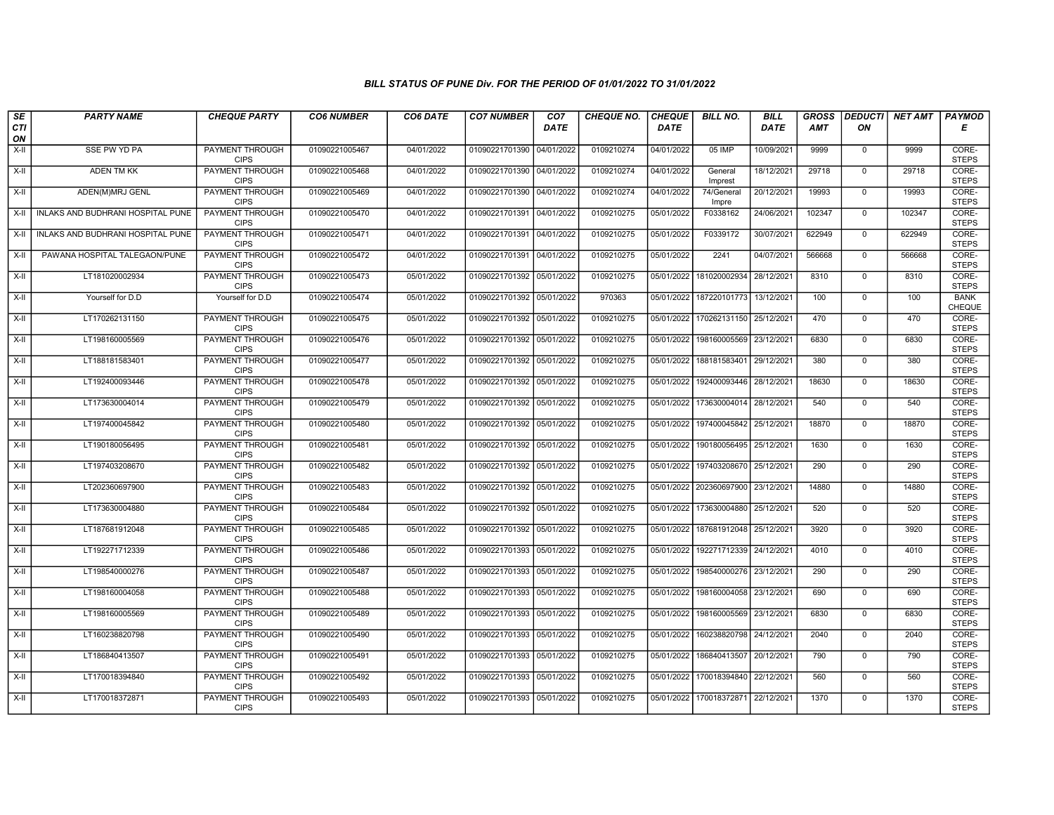| $\sqrt{SE}$ | <b>PARTY NAME</b>                        | <b>CHEQUE PARTY</b>                   | <b>CO6 NUMBER</b> | CO6 DATE   | <b>CO7 NUMBER</b>         | CO <sub>7</sub> | CHEQUE NO. | <b>CHEQUE</b> | <b>BILL NO.</b>     | <b>BILL</b> | <b>GROSS</b> |                | DEDUCTI  NET AMT | <b>PAYMOD</b>         |
|-------------|------------------------------------------|---------------------------------------|-------------------|------------|---------------------------|-----------------|------------|---------------|---------------------|-------------|--------------|----------------|------------------|-----------------------|
| CTI<br>ON   |                                          |                                       |                   |            |                           | <b>DATE</b>     |            | <b>DATE</b>   |                     | <b>DATE</b> | <b>AMT</b>   | ON             |                  | Е                     |
| X-II        | SSE PW YD PA                             | <b>PAYMENT THROUGH</b><br><b>CIPS</b> | 01090221005467    | 04/01/2022 | 01090221701390 04/01/2022 |                 | 0109210274 | 04/01/2022    | 05 IMP              | 10/09/2021  | 9999         | $\mathsf{O}$   | 9999             | CORE-<br><b>STEPS</b> |
| X-II        | <b>ADEN TM KK</b>                        | <b>PAYMENT THROUGH</b><br><b>CIPS</b> | 01090221005468    | 04/01/2022 | 01090221701390 04/01/2022 |                 | 0109210274 | 04/01/2022    | General<br>Imprest  | 18/12/2021  | 29718        | $\mathbf{0}$   | 29718            | CORE-<br><b>STEPS</b> |
| X-II        | ADEN(M)MRJ GENL                          | PAYMENT THROUGH<br><b>CIPS</b>        | 01090221005469    | 04/01/2022 | 01090221701390            | 04/01/2022      | 0109210274 | 04/01/2022    | 74/General<br>Impre | 20/12/2021  | 19993        | $\mathbf 0$    | 19993            | CORE-<br><b>STEPS</b> |
| X-II        | INLAKS AND BUDHRANI HOSPITAL PUNE        | <b>PAYMENT THROUGH</b><br><b>CIPS</b> | 01090221005470    | 04/01/2022 | 01090221701391 04/01/2022 |                 | 0109210275 | 05/01/2022    | F0338162            | 24/06/2021  | 102347       | $\overline{0}$ | 102347           | CORE-<br><b>STEPS</b> |
| X-II        | <b>INLAKS AND BUDHRANI HOSPITAL PUNE</b> | <b>PAYMENT THROUGH</b><br><b>CIPS</b> | 01090221005471    | 04/01/2022 | 01090221701391 04/01/2022 |                 | 0109210275 | 05/01/2022    | F0339172            | 30/07/2021  | 622949       | $\mathbf 0$    | 622949           | CORE-<br><b>STEPS</b> |
| X-II        | PAWANA HOSPITAL TALEGAON/PUNE            | <b>PAYMENT THROUGH</b><br><b>CIPS</b> | 01090221005472    | 04/01/2022 | 01090221701391 04/01/2022 |                 | 0109210275 | 05/01/2022    | 2241                | 04/07/2021  | 566668       | $\mathbf{0}$   | 566668           | CORE-<br><b>STEPS</b> |
| X-II        | LT181020002934                           | PAYMENT THROUGH<br><b>CIPS</b>        | 01090221005473    | 05/01/2022 | 01090221701392            | 05/01/2022      | 0109210275 | 05/01/2022    | 181020002934        | 28/12/2021  | 8310         | $\mathbf 0$    | 8310             | CORE-<br><b>STEPS</b> |
| X-II        | Yourself for D.D                         | Yourself for D.D                      | 01090221005474    | 05/01/2022 | 01090221701392            | 05/01/2022      | 970363     | 05/01/2022    | 187220101773        | 13/12/2021  | 100          | $\mathbf 0$    | 100              | <b>BANK</b><br>CHEQUE |
| X-II        | LT170262131150                           | <b>PAYMENT THROUGH</b><br><b>CIPS</b> | 01090221005475    | 05/01/2022 | 01090221701392 05/01/2022 |                 | 0109210275 | 05/01/2022    | 170262131150        | 25/12/2021  | 470          | $\overline{0}$ | 470              | CORE-<br><b>STEPS</b> |
| X-II        | LT198160005569                           | <b>PAYMENT THROUGH</b><br><b>CIPS</b> | 01090221005476    | 05/01/2022 | 01090221701392 05/01/2022 |                 | 0109210275 | 05/01/2022    | 198160005569        | 23/12/2021  | 6830         | $\mathbf 0$    | 6830             | CORE-<br><b>STEPS</b> |
| X-II        | LT188181583401                           | PAYMENT THROUGH<br><b>CIPS</b>        | 01090221005477    | 05/01/2022 | 01090221701392 05/01/2022 |                 | 0109210275 | 05/01/2022    | 188181583401        | 29/12/2021  | 380          | $\mathbf 0$    | 380              | CORE-<br><b>STEPS</b> |
| X-II        | LT192400093446                           | PAYMENT THROUGH<br><b>CIPS</b>        | 01090221005478    | 05/01/2022 | 01090221701392 05/01/2022 |                 | 0109210275 | 05/01/2022    | 192400093446        | 28/12/2021  | 18630        | $\mathbf 0$    | 18630            | CORE-<br><b>STEPS</b> |
| X-II        | LT173630004014                           | <b>PAYMENT THROUGH</b><br><b>CIPS</b> | 01090221005479    | 05/01/2022 | 01090221701392            | 05/01/2022      | 0109210275 | 05/01/2022    | 173630004014        | 28/12/2021  | 540          | $\mathbf 0$    | 540              | CORE-<br><b>STEPS</b> |
| X-II        | LT197400045842                           | PAYMENT THROUGH<br><b>CIPS</b>        | 01090221005480    | 05/01/2022 | 01090221701392 05/01/2022 |                 | 0109210275 | 05/01/2022    | 197400045842        | 25/12/2021  | 18870        | $\mathbf{0}$   | 18870            | CORE-<br><b>STEPS</b> |
| X-II        | LT190180056495                           | PAYMENT THROUGH<br><b>CIPS</b>        | 01090221005481    | 05/01/2022 | 01090221701392 05/01/2022 |                 | 0109210275 | 05/01/2022    | 190180056495        | 25/12/2021  | 1630         | $\mathbf 0$    | 1630             | CORE-<br><b>STEPS</b> |
| X-II        | LT197403208670                           | <b>PAYMENT THROUGH</b><br><b>CIPS</b> | 01090221005482    | 05/01/2022 | 01090221701392 05/01/2022 |                 | 0109210275 | 05/01/2022    | 197403208670        | 25/12/2021  | 290          | $\overline{0}$ | 290              | CORE-<br><b>STEPS</b> |
| X-II        | LT202360697900                           | <b>PAYMENT THROUGH</b><br><b>CIPS</b> | 01090221005483    | 05/01/2022 | 01090221701392 05/01/2022 |                 | 0109210275 | 05/01/2022    | 202360697900        | 23/12/2021  | 14880        | $\mathbf 0$    | 14880            | CORE-<br><b>STEPS</b> |
| X-II        | LT173630004880                           | <b>PAYMENT THROUGH</b><br><b>CIPS</b> | 01090221005484    | 05/01/2022 | 01090221701392 05/01/2022 |                 | 0109210275 | 05/01/2022    | 173630004880        | 25/12/2021  | 520          | $\mathbf 0$    | 520              | CORE-<br><b>STEPS</b> |
| X-II        | LT187681912048                           | PAYMENT THROUGH<br><b>CIPS</b>        | 01090221005485    | 05/01/2022 | 01090221701392 05/01/2022 |                 | 0109210275 | 05/01/2022    | 187681912048        | 25/12/2021  | 3920         | $\Omega$       | 3920             | CORE-<br><b>STEPS</b> |
| X-II        | LT192271712339                           | PAYMENT THROUGH<br><b>CIPS</b>        | 01090221005486    | 05/01/2022 | 01090221701393 05/01/2022 |                 | 0109210275 | 05/01/2022    | 192271712339        | 24/12/2021  | 4010         | $\mathbf 0$    | 4010             | CORE-<br><b>STEPS</b> |
| $X-H$       | LT198540000276                           | <b>PAYMENT THROUGH</b><br><b>CIPS</b> | 01090221005487    | 05/01/2022 | 01090221701393 05/01/2022 |                 | 0109210275 | 05/01/2022    | 198540000276        | 23/12/2021  | 290          | $\overline{0}$ | 290              | CORE-<br><b>STEPS</b> |
| X-II        | LT198160004058                           | <b>PAYMENT THROUGH</b><br><b>CIPS</b> | 01090221005488    | 05/01/2022 | 01090221701393 05/01/2022 |                 | 0109210275 | 05/01/2022    | 198160004058        | 23/12/2021  | 690          | $\mathbf 0$    | 690              | CORE-<br><b>STEPS</b> |
| X-II        | LT198160005569                           | PAYMENT THROUGH<br><b>CIPS</b>        | 01090221005489    | 05/01/2022 | 01090221701393            | 05/01/2022      | 0109210275 | 05/01/2022    | 198160005569        | 23/12/2021  | 6830         | $\mathbf{0}$   | 6830             | CORE-<br><b>STEPS</b> |
| X-II        | LT160238820798                           | PAYMENT THROUGH<br><b>CIPS</b>        | 01090221005490    | 05/01/2022 | 01090221701393 05/01/2022 |                 | 0109210275 | 05/01/2022    | 160238820798        | 24/12/2021  | 2040         | $\mathbf{0}$   | 2040             | CORE-<br><b>STEPS</b> |
| X-II        | LT186840413507                           | PAYMENT THROUGH<br><b>CIPS</b>        | 01090221005491    | 05/01/2022 | 01090221701393 05/01/2022 |                 | 0109210275 | 05/01/2022    | 186840413507        | 20/12/2021  | 790          | $\mathbf 0$    | 790              | CORE-<br><b>STEPS</b> |
| X-II        | LT170018394840                           | <b>PAYMENT THROUGH</b><br><b>CIPS</b> | 01090221005492    | 05/01/2022 | 01090221701393 05/01/2022 |                 | 0109210275 | 05/01/2022    | 170018394840        | 22/12/2021  | 560          | $\mathsf{O}$   | 560              | CORE-<br><b>STEPS</b> |
| X-II        | LT170018372871                           | <b>PAYMENT THROUGH</b><br><b>CIPS</b> | 01090221005493    | 05/01/2022 | 01090221701393 05/01/2022 |                 | 0109210275 | 05/01/2022    | 170018372871        | 22/12/2021  | 1370         | $\mathsf{O}$   | 1370             | CORE-<br><b>STEPS</b> |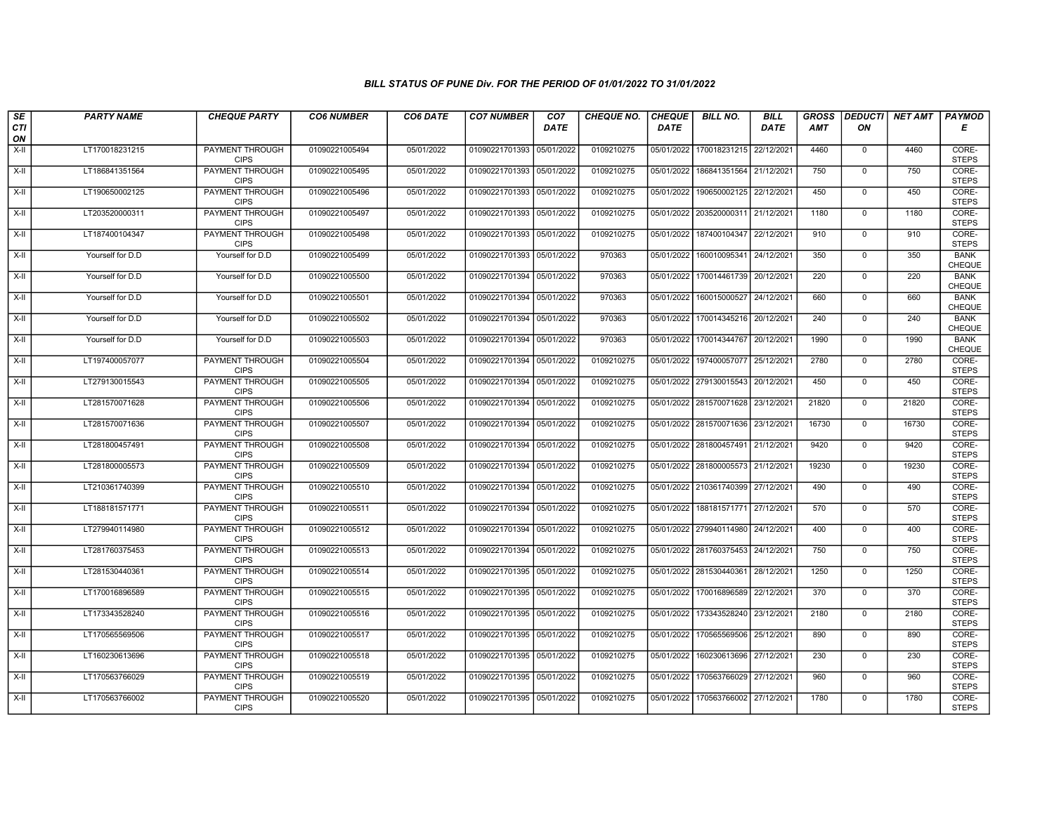| SE                 | <b>PARTY NAME</b> | <b>CHEQUE PARTY</b>                   | <b>CO6 NUMBER</b> | CO6 DATE   | <b>CO7 NUMBER</b>         | CO <sub>7</sub> | <b>CHEQUE NO.</b> | <b>CHEQUE</b> | <b>BILL NO.</b>                    | <b>BILL</b> | <b>GROSS</b><br><b>AMT</b> | ON             | <b>DEDUCTI</b> NET AMT | <b>PAYMOD</b>                |
|--------------------|-------------------|---------------------------------------|-------------------|------------|---------------------------|-----------------|-------------------|---------------|------------------------------------|-------------|----------------------------|----------------|------------------------|------------------------------|
| <b>CTI</b><br>ON   |                   |                                       |                   |            |                           | <b>DATE</b>     |                   | <b>DATE</b>   |                                    | <b>DATE</b> |                            |                |                        | Е                            |
| $X-H$              | LT170018231215    | <b>PAYMENT THROUGH</b><br><b>CIPS</b> | 01090221005494    | 05/01/2022 | 01090221701393 05/01/2022 |                 | 0109210275        | 05/01/2022    | 170018231215                       | 22/12/2021  | 4460                       | 0              | 4460                   | CORE-<br><b>STEPS</b>        |
| $X-H$              | LT186841351564    | <b>PAYMENT THROUGH</b><br><b>CIPS</b> | 01090221005495    | 05/01/2022 | 01090221701393 05/01/2022 |                 | 0109210275        | 05/01/2022    | 186841351564                       | 21/12/2021  | 750                        | $\mathbf{0}$   | 750                    | CORE-<br><b>STEPS</b>        |
| $X-II$             | LT190650002125    | PAYMENT THROUGH<br><b>CIPS</b>        | 01090221005496    | 05/01/2022 | 01090221701393 05/01/2022 |                 | 0109210275        | 05/01/2022    | 190650002125                       | 22/12/2021  | 450                        | $\mathbf 0$    | 450                    | CORE-<br><b>STEPS</b>        |
| X-II               | LT203520000311    | PAYMENT THROUGH<br><b>CIPS</b>        | 01090221005497    | 05/01/2022 | 01090221701393 05/01/2022 |                 | 0109210275        | 05/01/2022    | 203520000311                       | 21/12/2021  | 1180                       | $\mathbf 0$    | 1180                   | CORE-<br><b>STEPS</b>        |
| $X-H$              | LT187400104347    | <b>PAYMENT THROUGH</b><br><b>CIPS</b> | 01090221005498    | 05/01/2022 | 01090221701393 05/01/2022 |                 | 0109210275        | 05/01/2022    | 187400104347                       | 22/12/2021  | 910                        | $\mathbf 0$    | 910                    | CORE-<br><b>STEPS</b>        |
| $X-H$              | Yourself for D.D  | Yourself for D.D                      | 01090221005499    | 05/01/2022 | 01090221701393 05/01/2022 |                 | 970363            | 05/01/2022    | 160010095341                       | 24/12/2021  | 350                        | $\overline{0}$ | 350                    | <b>BANK</b><br>CHEQUE        |
| $\overline{x}$ -II | Yourself for D.D  | Yourself for D.D                      | 01090221005500    | 05/01/2022 | 01090221701394 05/01/2022 |                 | 970363            | 05/01/2022    | 170014461739                       | 20/12/2021  | 220                        | $\mathbf{0}$   | 220                    | <b>BANK</b><br>CHEQUE        |
| $X-H$              | Yourself for D.D  | Yourself for D.D                      | 01090221005501    | 05/01/2022 | 01090221701394 05/01/2022 |                 | 970363            | 05/01/2022    | 160015000527                       | 24/12/2021  | 660                        | $\overline{0}$ | 660                    | <b>BANK</b><br>CHEQUE        |
| X-II               | Yourself for D.D  | Yourself for D.D                      | 01090221005502    | 05/01/2022 | 01090221701394 05/01/2022 |                 | 970363            | 05/01/2022    | 170014345216                       | 20/12/2021  | 240                        | $\mathbf 0$    | 240                    | <b>BANK</b><br>CHEQUE        |
| $X-H$              | Yourself for D.D  | Yourself for D.D                      | 01090221005503    | 05/01/2022 | 01090221701394 05/01/2022 |                 | 970363            |               | 05/01/2022 170014344767            | 20/12/2021  | 1990                       | 0              | 1990                   | <b>BANK</b><br><b>CHEQUE</b> |
| $X-II$             | LT197400057077    | PAYMENT THROUGH<br><b>CIPS</b>        | 01090221005504    | 05/01/2022 | 01090221701394 05/01/2022 |                 | 0109210275        |               | 05/01/2022 197400057077            | 25/12/2021  | 2780                       | $\mathbf 0$    | 2780                   | CORE-<br><b>STEPS</b>        |
| $X-II$             | LT279130015543    | PAYMENT THROUGH<br><b>CIPS</b>        | 01090221005505    | 05/01/2022 | 01090221701394 05/01/2022 |                 | 0109210275        |               | 05/01/2022 279130015543            | 20/12/2021  | 450                        | $\mathbf 0$    | 450                    | CORE-<br><b>STEPS</b>        |
| $X-H$              | LT281570071628    | <b>PAYMENT THROUGH</b><br><b>CIPS</b> | 01090221005506    | 05/01/2022 | 01090221701394 05/01/2022 |                 | 0109210275        |               | 05/01/2022 281570071628            | 23/12/2021  | 21820                      | $\overline{0}$ | 21820                  | CORE-<br><b>STEPS</b>        |
| $X-I$              | LT281570071636    | <b>PAYMENT THROUGH</b><br><b>CIPS</b> | 01090221005507    | 05/01/2022 | 01090221701394 05/01/2022 |                 | 0109210275        |               | 05/01/2022 281570071636            | 23/12/2021  | 16730                      | $\mathbf 0$    | 16730                  | CORE-<br><b>STEPS</b>        |
| $X-II$             | LT281800457491    | PAYMENT THROUGH<br><b>CIPS</b>        | 01090221005508    | 05/01/2022 | 01090221701394 05/01/2022 |                 | 0109210275        |               | 05/01/2022 281800457491            | 21/12/2021  | 9420                       | $\Omega$       | 9420                   | CORE-<br><b>STEPS</b>        |
| $X-II$             | LT281800005573    | PAYMENT THROUGH<br><b>CIPS</b>        | 01090221005509    | 05/01/2022 | 01090221701394 05/01/2022 |                 | 0109210275        |               | 05/01/2022 281800005573            | 21/12/2021  | 19230                      | $\mathbf 0$    | 19230                  | CORE-<br><b>STEPS</b>        |
| $X-H$              | LT210361740399    | PAYMENT THROUGH<br><b>CIPS</b>        | 01090221005510    | 05/01/2022 | 01090221701394 05/01/2022 |                 | 0109210275        |               | 05/01/2022 210361740399            | 27/12/2021  | 490                        | $\overline{0}$ | 490                    | CORE-<br><b>STEPS</b>        |
| $X-H$              | LT188181571771    | <b>PAYMENT THROUGH</b><br><b>CIPS</b> | 01090221005511    | 05/01/2022 | 01090221701394            | 05/01/2022      | 0109210275        | 05/01/2022    | 188181571771                       | 27/12/2021  | 570                        | $\mathbf 0$    | 570                    | CORE-<br><b>STEPS</b>        |
| $X-H$              | LT279940114980    | PAYMENT THROUGH<br><b>CIPS</b>        | 01090221005512    | 05/01/2022 | 01090221701394 05/01/2022 |                 | 0109210275        |               | 05/01/2022 279940114980            | 24/12/2021  | 400                        | $\mathbf 0$    | 400                    | CORE-<br><b>STEPS</b>        |
| $X-H$              | LT281760375453    | PAYMENT THROUGH<br><b>CIPS</b>        | 01090221005513    | 05/01/2022 | 01090221701394 05/01/2022 |                 | 0109210275        |               | 05/01/2022 281760375453            | 24/12/2021  | 750                        | $\mathbf{0}$   | 750                    | CORE-<br><b>STEPS</b>        |
| $X-II$             | LT281530440361    | <b>PAYMENT THROUGH</b><br><b>CIPS</b> | 01090221005514    | 05/01/2022 | 01090221701395 05/01/2022 |                 | 0109210275        |               | 05/01/2022 281530440361            | 28/12/2021  | 1250                       | $\mathbf 0$    | 1250                   | CORE-<br><b>STEPS</b>        |
| X-II               | LT170016896589    | <b>PAYMENT THROUGH</b><br><b>CIPS</b> | 01090221005515    | 05/01/2022 | 01090221701395 05/01/2022 |                 | 0109210275        | 05/01/2022    | 170016896589                       | 22/12/2021  | 370                        | $\mathbf{0}$   | 370                    | CORE-<br><b>STEPS</b>        |
| $X-II$             | LT173343528240    | PAYMENT THROUGH<br><b>CIPS</b>        | 01090221005516    | 05/01/2022 | 01090221701395 05/01/2022 |                 | 0109210275        | 05/01/2022    | 173343528240                       | 23/12/2021  | 2180                       | $\mathbf 0$    | 2180                   | CORE-<br><b>STEPS</b>        |
| $X-II$             | LT170565569506    | PAYMENT THROUGH<br><b>CIPS</b>        | 01090221005517    | 05/01/2022 | 01090221701395 05/01/2022 |                 | 0109210275        | 05/01/2022    | 170565569506                       | 25/12/2021  | 890                        | $\mathbf{0}$   | 890                    | CORE-<br><b>STEPS</b>        |
| $X-H$              | LT160230613696    | PAYMENT THROUGH<br><b>CIPS</b>        | 01090221005518    | 05/01/2022 | 01090221701395 05/01/2022 |                 | 0109210275        | 05/01/2022    | 160230613696                       | 27/12/2021  | 230                        | $\mathbf 0$    | 230                    | CORE-<br><b>STEPS</b>        |
| $X-H$              | LT170563766029    | <b>PAYMENT THROUGH</b><br><b>CIPS</b> | 01090221005519    | 05/01/2022 | 01090221701395 05/01/2022 |                 | 0109210275        |               | 05/01/2022 170563766029 27/12/2021 |             | 960                        | $\mathbf 0$    | 960                    | CORE-<br><b>STEPS</b>        |
| $X-H$              | LT170563766002    | <b>PAYMENT THROUGH</b><br><b>CIPS</b> | 01090221005520    | 05/01/2022 | 01090221701395 05/01/2022 |                 | 0109210275        |               | 05/01/2022   170563766002          | 27/12/2021  | 1780                       | $\mathbf 0$    | 1780                   | CORE-<br><b>STEPS</b>        |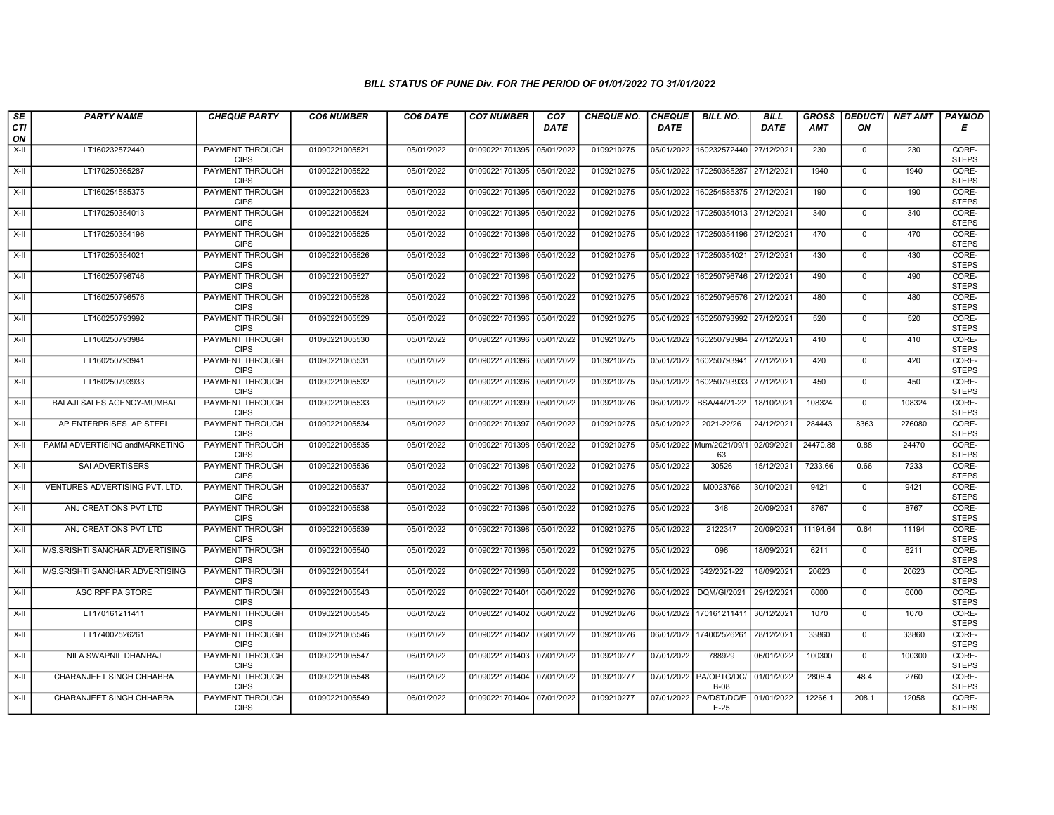| SE               | <b>PARTY NAME</b>               | <b>CHEQUE PARTY</b>                   | <b>CO6 NUMBER</b> | CO6 DATE   | <b>CO7 NUMBER</b>         | CO <sub>7</sub> | <b>CHEQUE NO.</b> | <b>CHEQUE</b> | <b>BILL NO.</b>                       | <b>BILL</b> | <b>GROSS</b> |                | DEDUCTI NET AMT | <b>PAYMOD</b>         |
|------------------|---------------------------------|---------------------------------------|-------------------|------------|---------------------------|-----------------|-------------------|---------------|---------------------------------------|-------------|--------------|----------------|-----------------|-----------------------|
| <b>CTI</b><br>ON |                                 |                                       |                   |            |                           | <b>DATE</b>     |                   | <b>DATE</b>   |                                       | <b>DATE</b> | <b>AMT</b>   | ON             |                 | Е                     |
| $X-H$            | LT160232572440                  | PAYMENT THROUGH<br><b>CIPS</b>        | 01090221005521    | 05/01/2022 | 01090221701395 05/01/2022 |                 | 0109210275        | 05/01/2022    | 160232572440                          | 27/12/2021  | 230          | 0              | 230             | CORE-<br><b>STEPS</b> |
| $X-H$            | LT170250365287                  | <b>PAYMENT THROUGH</b><br><b>CIPS</b> | 01090221005522    | 05/01/2022 | 01090221701395 05/01/2022 |                 | 0109210275        | 05/01/2022    | 170250365287                          | 27/12/2021  | 1940         | $\mathbf 0$    | 1940            | CORE-<br><b>STEPS</b> |
| $X-II$           | LT160254585375                  | PAYMENT THROUGH<br><b>CIPS</b>        | 01090221005523    | 05/01/2022 | 01090221701395 05/01/2022 |                 | 0109210275        | 05/01/2022    | 160254585375                          | 27/12/2021  | 190          | $\mathbf 0$    | 190             | CORE-<br><b>STEPS</b> |
| X-II             | LT170250354013                  | PAYMENT THROUGH<br><b>CIPS</b>        | 01090221005524    | 05/01/2022 | 01090221701395 05/01/2022 |                 | 0109210275        | 05/01/2022    | 170250354013                          | 27/12/2021  | 340          | $\mathbf 0$    | 340             | CORE-<br><b>STEPS</b> |
| $X-H$            | LT170250354196                  | <b>PAYMENT THROUGH</b><br><b>CIPS</b> | 01090221005525    | 05/01/2022 | 01090221701396 05/01/2022 |                 | 0109210275        | 05/01/2022    | 170250354196                          | 27/12/2021  | 470          | $\mathbf{0}$   | 470             | CORE-<br><b>STEPS</b> |
| $X-H$            | LT170250354021                  | <b>PAYMENT THROUGH</b><br><b>CIPS</b> | 01090221005526    | 05/01/2022 | 01090221701396 05/01/2022 |                 | 0109210275        | 05/01/2022    | 170250354021                          | 27/12/2021  | 430          | $\Omega$       | 430             | CORE-<br><b>STEPS</b> |
| $X-II$           | LT160250796746                  | PAYMENT THROUGH<br><b>CIPS</b>        | 01090221005527    | 05/01/2022 | 01090221701396 05/01/2022 |                 | 0109210275        | 05/01/2022    | 160250796746                          | 27/12/2021  | 490          | $\mathbf 0$    | 490             | CORE-<br><b>STEPS</b> |
| $X-H$            | LT160250796576                  | <b>PAYMENT THROUGH</b><br><b>CIPS</b> | 01090221005528    | 05/01/2022 | 01090221701396 05/01/2022 |                 | 0109210275        | 05/01/2022    | 160250796576                          | 27/12/2021  | 480          | $\overline{0}$ | 480             | CORE-<br><b>STEPS</b> |
| X-II             | LT160250793992                  | PAYMENT THROUGH<br><b>CIPS</b>        | 01090221005529    | 05/01/2022 | 01090221701396 05/01/2022 |                 | 0109210275        | 05/01/2022    | 160250793992                          | 27/12/2021  | 520          | $\mathbf{0}$   | 520             | CORE-<br><b>STEPS</b> |
| $X-H$            | LT160250793984                  | <b>PAYMENT THROUGH</b><br><b>CIPS</b> | 01090221005530    | 05/01/2022 | 01090221701396 05/01/2022 |                 | 0109210275        | 05/01/2022    | 160250793984                          | 27/12/2021  | 410          | $\overline{0}$ | 410             | CORE-<br><b>STEPS</b> |
| $X-II$           | LT160250793941                  | PAYMENT THROUGH<br><b>CIPS</b>        | 01090221005531    | 05/01/2022 | 01090221701396            | 05/01/2022      | 0109210275        | 05/01/2022    | 160250793941                          | 27/12/2021  | 420          | $\mathbf 0$    | 420             | CORE-<br><b>STEPS</b> |
| X-II             | LT160250793933                  | PAYMENT THROUGH<br><b>CIPS</b>        | 01090221005532    | 05/01/2022 | 01090221701396 05/01/2022 |                 | 0109210275        | 05/01/2022    | 160250793933                          | 27/12/2021  | 450          | $\mathbf 0$    | 450             | CORE-<br><b>STEPS</b> |
| $X-H$            | BALAJI SALES AGENCY-MUMBAI      | <b>PAYMENT THROUGH</b><br><b>CIPS</b> | 01090221005533    | 05/01/2022 | 01090221701399 05/01/2022 |                 | 0109210276        | 06/01/2022    | BSA/44/21-22                          | 18/10/2021  | 108324       | $\mathbf 0$    | 108324          | CORE-<br><b>STEPS</b> |
| X-II             | AP ENTERPRISES AP STEEL         | <b>PAYMENT THROUGH</b><br><b>CIPS</b> | 01090221005534    | 05/01/2022 | 01090221701397            | 05/01/2022      | 0109210275        | 05/01/2022    | 2021-22/26                            | 24/12/2021  | 284443       | 8363           | 276080          | CORE-<br><b>STEPS</b> |
| X-II             | PAMM ADVERTISING and MARKETING  | PAYMENT THROUGH<br><b>CIPS</b>        | 01090221005535    | 05/01/2022 | 01090221701398 05/01/2022 |                 | 0109210275        |               | 05/01/2022 Mum/2021/09/1<br>63        | 02/09/2021  | 24470.88     | 0.88           | 24470           | CORE-<br><b>STEPS</b> |
| $X-II$           | SAI ADVERTISERS                 | PAYMENT THROUGH<br><b>CIPS</b>        | 01090221005536    | 05/01/2022 | 01090221701398 05/01/2022 |                 | 0109210275        | 05/01/2022    | 30526                                 | 15/12/2021  | 7233.66      | 0.66           | 7233            | CORE-<br><b>STEPS</b> |
| X-II             | VENTURES ADVERTISING PVT. LTD.  | PAYMENT THROUGH<br><b>CIPS</b>        | 01090221005537    | 05/01/2022 | 01090221701398            | 05/01/2022      | 0109210275        | 05/01/2022    | M0023766                              | 30/10/2021  | 9421         | $\mathsf{O}$   | 9421            | CORE-<br><b>STEPS</b> |
| X-II             | ANJ CREATIONS PVT LTD           | <b>PAYMENT THROUGH</b><br><b>CIPS</b> | 01090221005538    | 05/01/2022 | 01090221701398 05/01/2022 |                 | 0109210275        | 05/01/2022    | 348                                   | 20/09/2021  | 8767         | $\mathbf 0$    | 8767            | CORE-<br><b>STEPS</b> |
| X-II             | ANJ CREATIONS PVT LTD           | PAYMENT THROUGH<br><b>CIPS</b>        | 01090221005539    | 05/01/2022 | 01090221701398 05/01/2022 |                 | 0109210275        | 05/01/2022    | 2122347                               | 20/09/2021  | 11194.64     | 0.64           | 11194           | CORE-<br><b>STEPS</b> |
| $X-H$            | M/S.SRISHTI SANCHAR ADVERTISING | PAYMENT THROUGH<br><b>CIPS</b>        | 01090221005540    | 05/01/2022 | 01090221701398 05/01/2022 |                 | 0109210275        | 05/01/2022    | 096                                   | 18/09/2021  | 6211         | $\mathbf{0}$   | 6211            | CORE-<br><b>STEPS</b> |
| $X-II$           | M/S.SRISHTI SANCHAR ADVERTISING | PAYMENT THROUGH<br><b>CIPS</b>        | 01090221005541    | 05/01/2022 | 01090221701398 05/01/2022 |                 | 0109210275        | 05/01/2022    | 342/2021-22                           | 18/09/2021  | 20623        | $\mathsf{O}$   | 20623           | CORE-<br><b>STEPS</b> |
| X-II             | ASC RPF PA STORE                | PAYMENT THROUGH<br><b>CIPS</b>        | 01090221005543    | 05/01/2022 | 01090221701401 06/01/2022 |                 | 0109210276        | 06/01/2022    | DQM/GI/2021                           | 29/12/2021  | 6000         | $\mathbf 0$    | 6000            | CORE-<br><b>STEPS</b> |
| $X-II$           | LT170161211411                  | PAYMENT THROUGH<br><b>CIPS</b>        | 01090221005545    | 06/01/2022 | 01090221701402 06/01/2022 |                 | 0109210276        | 06/01/2022    | 170161211411                          | 30/12/2021  | 1070         | $\mathbf 0$    | 1070            | CORE-<br><b>STEPS</b> |
| $X-II$           | LT174002526261                  | PAYMENT THROUGH<br><b>CIPS</b>        | 01090221005546    | 06/01/2022 | 01090221701402 06/01/2022 |                 | 0109210276        |               | 06/01/2022 174002526261               | 28/12/2021  | 33860        | $\mathbf 0$    | 33860           | CORE-<br><b>STEPS</b> |
| X-II             | NILA SWAPNIL DHANRAJ            | PAYMENT THROUGH<br><b>CIPS</b>        | 01090221005547    | 06/01/2022 | 01090221701403 07/01/2022 |                 | 0109210277        | 07/01/2022    | 788929                                | 06/01/2022  | 100300       | $\mathbf 0$    | 100300          | CORE-<br><b>STEPS</b> |
| $X-H$            | CHARANJEET SINGH CHHABRA        | <b>PAYMENT THROUGH</b><br><b>CIPS</b> | 01090221005548    | 06/01/2022 | 01090221701404 07/01/2022 |                 | 0109210277        |               | 07/01/2022 PA/OPTG/DC/<br><b>B-08</b> | 01/01/2022  | 2808.4       | 48.4           | 2760            | CORE-<br><b>STEPS</b> |
| X-II             | CHARANJEET SINGH CHHABRA        | PAYMENT THROUGH<br><b>CIPS</b>        | 01090221005549    | 06/01/2022 | 01090221701404 07/01/2022 |                 | 0109210277        | 07/01/2022    | PA/DST/DC/E   01/01/2022<br>$E-25$    |             | 12266.1      | 208.1          | 12058           | CORE-<br><b>STEPS</b> |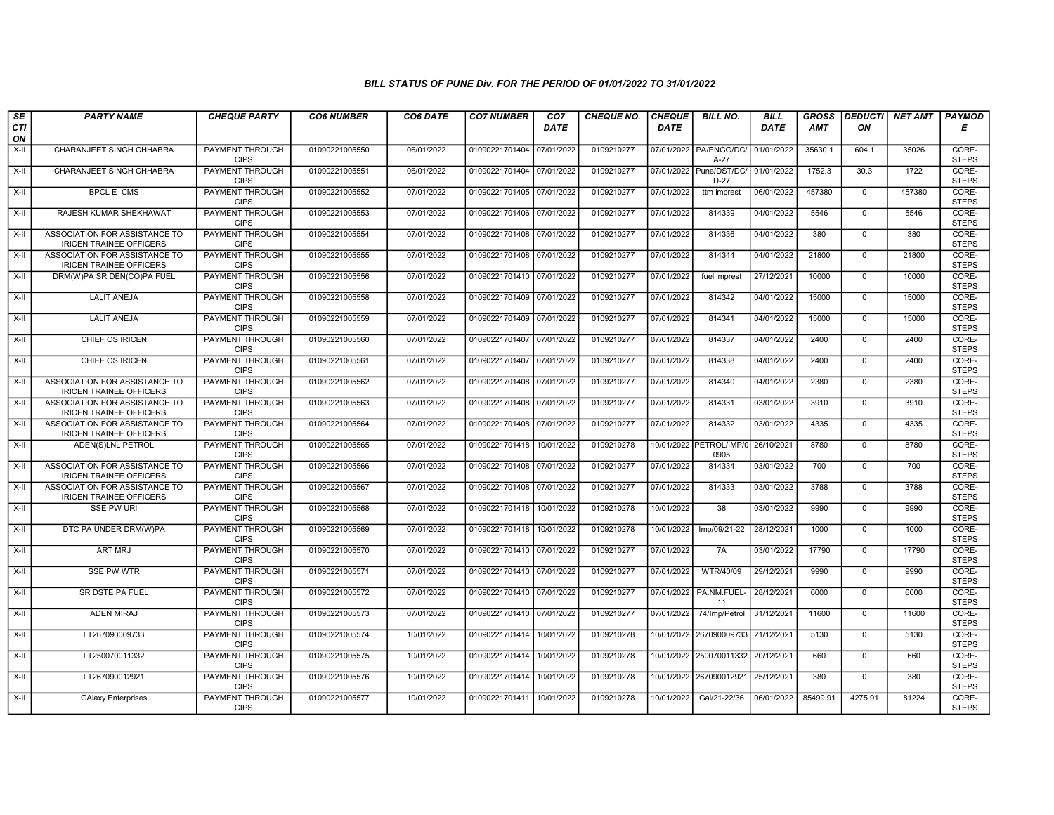| SE               | <b>PARTY NAME</b>                                               | <b>CHEQUE PARTY</b>                   | <b>CO6 NUMBER</b> | CO6 DATE   | <b>CO7 NUMBER</b>         | CO7         | <b>CHEQUE NO.</b> | <b>CHEQUE</b> | <b>BILL NO.</b>                    | <b>BILL</b> | <b>GROSS</b> | <b>DEDUCTI</b> | <b>NET AMT</b> | <b>PAYMOD</b>         |
|------------------|-----------------------------------------------------------------|---------------------------------------|-------------------|------------|---------------------------|-------------|-------------------|---------------|------------------------------------|-------------|--------------|----------------|----------------|-----------------------|
| <b>CTI</b><br>ON |                                                                 |                                       |                   |            |                           | <b>DATE</b> |                   | <b>DATE</b>   |                                    | DATE        | <b>AMT</b>   | ON             |                | Е                     |
| X-II             | CHARANJEET SINGH CHHABRA                                        | <b>PAYMENT THROUGH</b><br><b>CIPS</b> | 01090221005550    | 06/01/2022 | 01090221701404            | 07/01/2022  | 0109210277        |               | 07/01/2022 PA/ENGG/DC/<br>$A-27$   | 01/01/2022  | 35630.1      | 604.1          | 35026          | CORE-<br><b>STEPS</b> |
| $X-H$            | <b>CHARANJEET SINGH CHHABRA</b>                                 | <b>PAYMENT THROUGH</b><br><b>CIPS</b> | 01090221005551    | 06/01/2022 | 01090221701404 07/01/2022 |             | 0109210277        |               | 07/01/2022 Pune/DST/DC/<br>$D-27$  | 01/01/2022  | 1752.3       | 30.3           | 1722           | CORE-<br><b>STEPS</b> |
| X-II             | <b>BPCL E CMS</b>                                               | PAYMENT THROUGH<br><b>CIPS</b>        | 01090221005552    | 07/01/2022 | 01090221701405 07/01/2022 |             | 0109210277        | 07/01/2022    | ttm imprest                        | 06/01/2022  | 457380       | $\mathbf{0}$   | 457380         | CORE-<br><b>STEPS</b> |
| $X-H$            | RAJESH KUMAR SHEKHAWAT                                          | <b>PAYMENT THROUGH</b><br><b>CIPS</b> | 01090221005553    | 07/01/2022 | 01090221701406 07/01/2022 |             | 0109210277        | 07/01/2022    | 814339                             | 04/01/2022  | 5546         | $\overline{0}$ | 5546           | CORE-<br><b>STEPS</b> |
| X-II             | ASSOCIATION FOR ASSISTANCE TO<br><b>IRICEN TRAINEE OFFICERS</b> | <b>PAYMENT THROUGH</b><br><b>CIPS</b> | 01090221005554    | 07/01/2022 | 01090221701408 07/01/2022 |             | 0109210277        | 07/01/2022    | 814336                             | 04/01/2022  | 380          | $\mathbf 0$    | 380            | CORE-<br><b>STEPS</b> |
| X-II             | ASSOCIATION FOR ASSISTANCE TO<br><b>IRICEN TRAINEE OFFICERS</b> | <b>PAYMENT THROUGH</b><br><b>CIPS</b> | 01090221005555    | 07/01/2022 | 01090221701408 07/01/2022 |             | 0109210277        | 07/01/2022    | 814344                             | 04/01/2022  | 21800        | $\mathbf{0}$   | 21800          | CORE-<br><b>STEPS</b> |
| $X-H$            | DRM(W)PA SR DEN(CO)PA FUEL                                      | PAYMENT THROUGH<br><b>CIPS</b>        | 01090221005556    | 07/01/2022 | 01090221701410 07/01/2022 |             | 0109210277        | 07/01/2022    | fuel imprest                       | 27/12/2021  | 10000        | $\Omega$       | 10000          | CORE-<br><b>STEPS</b> |
| $X-II$           | <b>LALIT ANEJA</b>                                              | PAYMENT THROUGH<br><b>CIPS</b>        | 01090221005558    | 07/01/2022 | 01090221701409 07/01/2022 |             | 0109210277        | 07/01/2022    | 814342                             | 04/01/2022  | 15000        | $\mathbf{0}$   | 15000          | CORE-<br><b>STEPS</b> |
| $X-H$            | <b>LALIT ANEJA</b>                                              | <b>PAYMENT THROUGH</b><br><b>CIPS</b> | 01090221005559    | 07/01/2022 | 01090221701409 07/01/2022 |             | 0109210277        | 07/01/2022    | 814341                             | 04/01/2022  | 15000        | $\overline{0}$ | 15000          | CORE-<br><b>STEPS</b> |
| X-II             | <b>CHIEF OS IRICEN</b>                                          | <b>PAYMENT THROUGH</b><br><b>CIPS</b> | 01090221005560    | 07/01/2022 | 01090221701407 07/01/2022 |             | 0109210277        | 07/01/2022    | 814337                             | 04/01/2022  | 2400         | $\Omega$       | 2400           | CORE-<br><b>STEPS</b> |
| X-II             | CHIEF OS IRICEN                                                 | PAYMENT THROUGH<br><b>CIPS</b>        | 01090221005561    | 07/01/2022 | 01090221701407 07/01/2022 |             | 0109210277        | 07/01/2022    | 814338                             | 04/01/2022  | 2400         | $\mathbf{0}$   | 2400           | CORE-<br><b>STEPS</b> |
| $X-H$            | ASSOCIATION FOR ASSISTANCE TO<br><b>IRICEN TRAINEE OFFICERS</b> | PAYMENT THROUGH<br><b>CIPS</b>        | 01090221005562    | 07/01/2022 | 01090221701408 07/01/2022 |             | 0109210277        | 07/01/2022    | 814340                             | 04/01/2022  | 2380         | $\Omega$       | 2380           | CORE-<br><b>STEPS</b> |
| $X-II$           | ASSOCIATION FOR ASSISTANCE TO<br><b>IRICEN TRAINEE OFFICERS</b> | PAYMENT THROUGH<br><b>CIPS</b>        | 01090221005563    | 07/01/2022 | 01090221701408 07/01/2022 |             | 0109210277        | 07/01/2022    | 814331                             | 03/01/2022  | 3910         | $\mathbf{0}$   | 3910           | CORE-<br><b>STEPS</b> |
| $X-H$            | ASSOCIATION FOR ASSISTANCE TO<br><b>IRICEN TRAINEE OFFICERS</b> | <b>PAYMENT THROUGH</b><br><b>CIPS</b> | 01090221005564    | 07/01/2022 | 01090221701408 07/01/2022 |             | 0109210277        | 07/01/2022    | 814332                             | 03/01/2022  | 4335         | $\overline{0}$ | 4335           | CORE-<br><b>STEPS</b> |
| $X-II$           | ADEN(S)LNL PETROL                                               | <b>PAYMENT THROUGH</b><br><b>CIPS</b> | 01090221005565    | 07/01/2022 | 01090221701418 10/01/2022 |             | 0109210278        |               | 10/01/2022 PETROL/IMP/0<br>0905    | 26/10/2021  | 8780         | $\Omega$       | 8780           | CORE-<br><b>STEPS</b> |
| $X-II$           | ASSOCIATION FOR ASSISTANCE TO<br><b>IRICEN TRAINEE OFFICERS</b> | PAYMENT THROUGH<br><b>CIPS</b>        | 01090221005566    | 07/01/2022 | 01090221701408 07/01/2022 |             | 0109210277        | 07/01/2022    | 814334                             | 03/01/2022  | 700          | $\overline{0}$ | 700            | CORE-<br><b>STEPS</b> |
| $X-II$           | ASSOCIATION FOR ASSISTANCE TO<br><b>IRICEN TRAINEE OFFICERS</b> | PAYMENT THROUGH<br><b>CIPS</b>        | 01090221005567    | 07/01/2022 | 01090221701408 07/01/2022 |             | 0109210277        | 07/01/2022    | 814333                             | 03/01/2022  | 3788         | $\mathbf 0$    | 3788           | CORE-<br><b>STEPS</b> |
| X-II             | <b>SSE PW URI</b>                                               | <b>PAYMENT THROUGH</b><br><b>CIPS</b> | 01090221005568    | 07/01/2022 | 01090221701418 10/01/2022 |             | 0109210278        | 10/01/2022    | $\overline{38}$                    | 03/01/2022  | 9990         | $\mathbf{0}$   | 9990           | CORE-<br><b>STEPS</b> |
| $X-H$            | DTC PA UNDER DRM(W)PA                                           | PAYMENT THROUGH<br><b>CIPS</b>        | 01090221005569    | 07/01/2022 | 01090221701418            | 10/01/2022  | 0109210278        | 10/01/2022    | Imp/09/21-22                       | 28/12/2021  | 1000         | $\Omega$       | 1000           | CORE-<br><b>STEPS</b> |
| X-II             | <b>ART MRJ</b>                                                  | PAYMENT THROUGH<br><b>CIPS</b>        | 01090221005570    | 07/01/2022 | 01090221701410 07/01/2022 |             | 0109210277        | 07/01/2022    | 7A                                 | 03/01/2022  | 17790        | $\mathbf{0}$   | 17790          | CORE-<br><b>STEPS</b> |
| $X-H$            | <b>SSE PW WTR</b>                                               | <b>PAYMENT THROUGH</b><br><b>CIPS</b> | 01090221005571    | 07/01/2022 | 01090221701410 07/01/2022 |             | 0109210277        | 07/01/2022    | WTR/40/09                          | 29/12/2021  | 9990         | $\overline{0}$ | 9990           | CORE-<br><b>STEPS</b> |
| X-II             | <b>SR DSTE PA FUEL</b>                                          | <b>PAYMENT THROUGH</b><br><b>CIPS</b> | 01090221005572    | 07/01/2022 | 01090221701410 07/01/2022 |             | 0109210277        |               | 07/01/2022 PA.NM.FUEL-<br>11       | 28/12/2021  | 6000         | $\Omega$       | 6000           | CORE-<br><b>STEPS</b> |
| X-II             | <b>ADEN MIRAJ</b>                                               | PAYMENT THROUGH<br><b>CIPS</b>        | 01090221005573    | 07/01/2022 | 01090221701410 07/01/2022 |             | 0109210277        | 07/01/2022    | 74/Imp/Petrol                      | 31/12/2021  | 11600        | $\mathbf 0$    | 11600          | CORE-<br><b>STEPS</b> |
| $X-H$            | LT267090009733                                                  | PAYMENT THROUGH<br><b>CIPS</b>        | 01090221005574    | 10/01/2022 | 01090221701414            | 10/01/2022  | 0109210278        |               | 10/01/2022 267090009733            | 21/12/2021  | 5130         | $\Omega$       | 5130           | CORE-<br><b>STEPS</b> |
| X-II             | LT250070011332                                                  | PAYMENT THROUGH<br><b>CIPS</b>        | 01090221005575    | 10/01/2022 | 01090221701414            | 10/01/2022  | 0109210278        |               | 10/01/2022 250070011332            | 20/12/2021  | 660          | $\Omega$       | 660            | CORE-<br><b>STEPS</b> |
| $X-H$            | LT267090012921                                                  | <b>PAYMENT THROUGH</b><br><b>CIPS</b> | 01090221005576    | 10/01/2022 | 01090221701414            | 10/01/2022  | 0109210278        |               | 10/01/2022 267090012921 25/12/2021 |             | 380          | $\Omega$       | 380            | CORE-<br><b>STEPS</b> |
| X-II             | <b>GAlaxy Enterprises</b>                                       | <b>PAYMENT THROUGH</b><br><b>CIPS</b> | 01090221005577    | 10/01/2022 | 01090221701411 10/01/2022 |             | 0109210278        | 10/01/2022    | Gal/21-22/36                       | 06/01/2022  | 85499.91     | 4275.91        | 81224          | CORE-<br><b>STEPS</b> |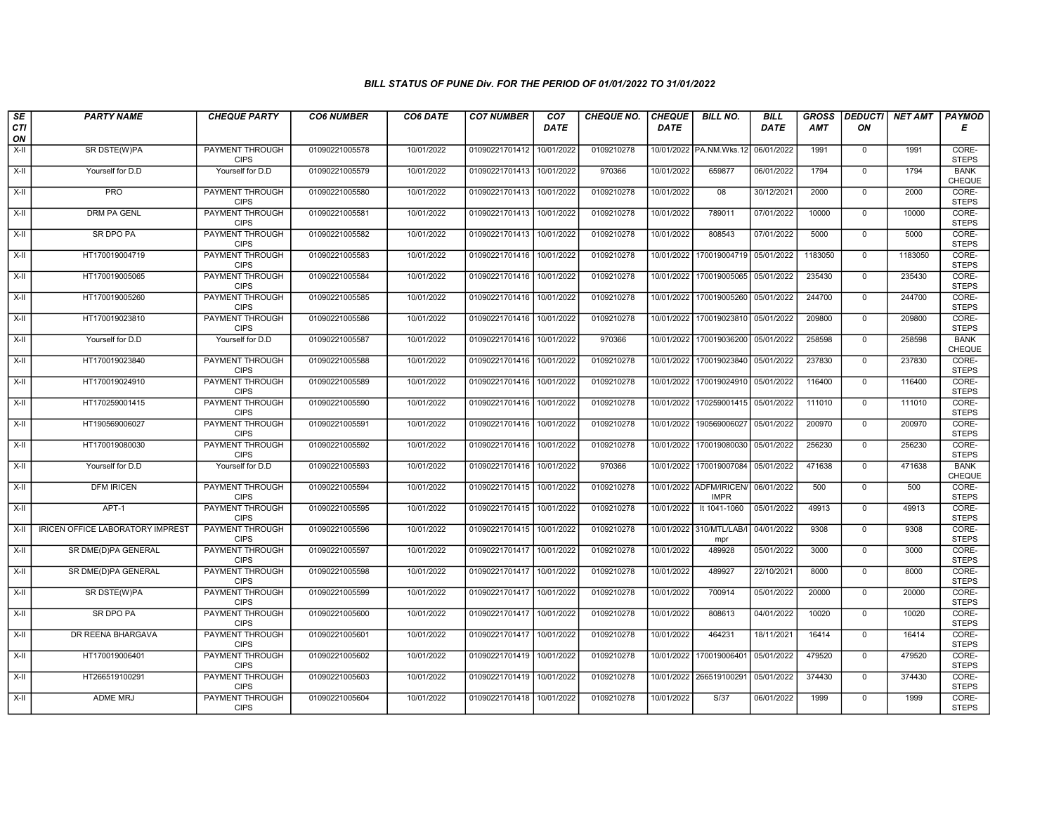| SE        | <b>PARTY NAME</b>                       | <b>CHEQUE PARTY</b>                   | <b>CO6 NUMBER</b> | CO6 DATE   | <b>CO7 NUMBER</b>         | CO <sub>7</sub> | <b>CHEQUE NO.</b> | <b>CHEQUE</b> | <b>BILL NO.</b>                | <b>BILL</b> | <b>GROSS</b> | <b>DEDUCTI</b> | NET AMT | <b>PAYMOD</b>         |
|-----------|-----------------------------------------|---------------------------------------|-------------------|------------|---------------------------|-----------------|-------------------|---------------|--------------------------------|-------------|--------------|----------------|---------|-----------------------|
| CTI<br>ON |                                         |                                       |                   |            |                           | <b>DATE</b>     |                   | <b>DATE</b>   |                                | <b>DATE</b> | <b>AMT</b>   | ON             |         | Е                     |
| $X-H$     | SR DSTE(W)PA                            | PAYMENT THROUGH<br><b>CIPS</b>        | 01090221005578    | 10/01/2022 | 01090221701412            | 10/01/2022      | 0109210278        |               | 10/01/2022 PA.NM.Wks.12        | 06/01/2022  | 1991         | $\mathbf 0$    | 1991    | CORE-<br><b>STEPS</b> |
| $X-H$     | Yourself for D.D                        | Yourself for D.D                      | 01090221005579    | 10/01/2022 | 01090221701413 10/01/2022 |                 | 970366            | 10/01/2022    | 659877                         | 06/01/2022  | 1794         | $\overline{0}$ | 1794    | <b>BANK</b><br>CHEQUE |
| X-II      | <b>PRO</b>                              | PAYMENT THROUGH<br><b>CIPS</b>        | 01090221005580    | 10/01/2022 | 01090221701413            | 10/01/2022      | 0109210278        | 10/01/2022    | 08                             | 30/12/2021  | 2000         | $\mathbf 0$    | 2000    | CORE-<br><b>STEPS</b> |
| $X-H$     | <b>DRM PA GENL</b>                      | <b>PAYMENT THROUGH</b><br><b>CIPS</b> | 01090221005581    | 10/01/2022 | 01090221701413            | 10/01/2022      | 0109210278        | 10/01/2022    | 789011                         | 07/01/2022  | 10000        | $\mathbf 0$    | 10000   | CORE-<br><b>STEPS</b> |
| $X-H$     | SR DPO PA                               | <b>PAYMENT THROUGH</b><br><b>CIPS</b> | 01090221005582    | 10/01/2022 | 01090221701413            | 10/01/2022      | 0109210278        | 10/01/2022    | 808543                         | 07/01/2022  | 5000         | $\mathbf 0$    | 5000    | CORE-<br><b>STEPS</b> |
| $X-H$     | HT170019004719                          | PAYMENT THROUGH<br><b>CIPS</b>        | 01090221005583    | 10/01/2022 | 01090221701416            | 10/01/2022      | 0109210278        | 10/01/2022    | 170019004719                   | 05/01/2022  | 1183050      | $\overline{0}$ | 1183050 | CORE-<br><b>STEPS</b> |
| X-II      | HT170019005065                          | PAYMENT THROUGH<br><b>CIPS</b>        | 01090221005584    | 10/01/2022 | 01090221701416            | 10/01/2022      | 0109210278        | 10/01/2022    | 170019005065                   | 05/01/2022  | 235430       | $\mathbf{0}$   | 235430  | CORE-<br><b>STEPS</b> |
| X-II      | HT170019005260                          | PAYMENT THROUGH<br><b>CIPS</b>        | 01090221005585    | 10/01/2022 | 01090221701416            | 10/01/2022      | 0109210278        | 10/01/2022    | 170019005260                   | 05/01/2022  | 244700       | $\mathbf 0$    | 244700  | CORE-<br><b>STEPS</b> |
| $X-H$     | HT170019023810                          | <b>PAYMENT THROUGH</b><br><b>CIPS</b> | 01090221005586    | 10/01/2022 | 01090221701416            | 10/01/2022      | 0109210278        | 10/01/2022    | 170019023810                   | 05/01/2022  | 209800       | $\mathbf 0$    | 209800  | CORE-<br><b>STEPS</b> |
| X-II      | Yourself for D.D                        | Yourself for D.D                      | 01090221005587    | 10/01/2022 | 01090221701416            | 10/01/2022      | 970366            | 10/01/2022    | 170019036200                   | 05/01/2022  | 258598       | $\mathbf 0$    | 258598  | <b>BANK</b><br>CHEQUE |
| $X-H$     | HT170019023840                          | PAYMENT THROUGH<br><b>CIPS</b>        | 01090221005588    | 10/01/2022 | 01090221701416            | 10/01/2022      | 0109210278        | 10/01/2022    | 170019023840                   | 05/01/2022  | 237830       | $\mathbf 0$    | 237830  | CORE-<br><b>STEPS</b> |
| $X-II$    | HT170019024910                          | <b>PAYMENT THROUGH</b><br><b>CIPS</b> | 01090221005589    | 10/01/2022 | 01090221701416            | 10/01/2022      | 0109210278        | 10/01/2022    | 170019024910                   | 05/01/2022  | 116400       | $\overline{0}$ | 116400  | CORE-<br><b>STEPS</b> |
| X-II      | HT170259001415                          | PAYMENT THROUGH<br><b>CIPS</b>        | 01090221005590    | 10/01/2022 | 01090221701416            | 10/01/2022      | 0109210278        | 10/01/2022    | 170259001415                   | 05/01/2022  | 111010       | $\mathbf 0$    | 111010  | CORE-<br><b>STEPS</b> |
| $X-H$     | HT190569006027                          | <b>PAYMENT THROUGH</b><br><b>CIPS</b> | 01090221005591    | 10/01/2022 | 01090221701416            | 10/01/2022      | 0109210278        | 10/01/2022    | 190569006027                   | 05/01/2022  | 200970       | $\mathbf{0}$   | 200970  | CORE-<br><b>STEPS</b> |
| $X-II$    | HT170019080030                          | PAYMENT THROUGH<br><b>CIPS</b>        | 01090221005592    | 10/01/2022 | 01090221701416            | 10/01/2022      | 0109210278        | 10/01/2022    | 170019080030                   | 05/01/2022  | 256230       | $\mathbf 0$    | 256230  | CORE-<br><b>STEPS</b> |
| $X-H$     | Yourself for D.D                        | Yourself for D.D                      | 01090221005593    | 10/01/2022 | 01090221701416            | 10/01/2022      | 970366            | 10/01/2022    | 170019007084                   | 05/01/2022  | 471638       | $\overline{0}$ | 471638  | <b>BANK</b><br>CHEQUE |
| $X-II$    | <b>DFM IRICEN</b>                       | <b>PAYMENT THROUGH</b><br><b>CIPS</b> | 01090221005594    | 10/01/2022 | 01090221701415            | 10/01/2022      | 0109210278        | 10/01/2022    | ADFM/IRICEN<br><b>IMPR</b>     | 06/01/2022  | 500          | $\mathbf{0}$   | 500     | CORE-<br><b>STEPS</b> |
| X-II      | $APT-1$                                 | PAYMENT THROUGH<br><b>CIPS</b>        | 01090221005595    | 10/01/2022 | 01090221701415 10/01/2022 |                 | 0109210278        | 10/01/2022    | It 1041-1060                   | 05/01/2022  | 49913        | $\mathbf 0$    | 49913   | CORE-<br><b>STEPS</b> |
| $X-H$     | <b>IRICEN OFFICE LABORATORY IMPREST</b> | <b>PAYMENT THROUGH</b><br><b>CIPS</b> | 01090221005596    | 10/01/2022 | 01090221701415            | 10/01/2022      | 0109210278        |               | 10/01/2022 310/MTL/LAB/<br>mpr | 04/01/2022  | 9308         | $\mathbf 0$    | 9308    | CORE-<br><b>STEPS</b> |
| X-II      | SR DME(D)PA GENERAL                     | PAYMENT THROUGH<br><b>CIPS</b>        | 01090221005597    | 10/01/2022 | 01090221701417 10/01/2022 |                 | 0109210278        | 10/01/2022    | 489928                         | 05/01/2022  | 3000         | $\mathbf{0}$   | 3000    | CORE-<br><b>STEPS</b> |
| $X-H$     | SR DME(D)PA GENERAL                     | PAYMENT THROUGH<br><b>CIPS</b>        | 01090221005598    | 10/01/2022 | 01090221701417            | 10/01/2022      | 0109210278        | 10/01/2022    | 489927                         | 22/10/2021  | 8000         | $\overline{0}$ | 8000    | CORE-<br><b>STEPS</b> |
| X-II      | SR DSTE(W)PA                            | <b>PAYMENT THROUGH</b><br><b>CIPS</b> | 01090221005599    | 10/01/2022 | 01090221701417            | 10/01/2022      | 0109210278        | 10/01/2022    | 700914                         | 05/01/2022  | 20000        | $\mathbf{0}$   | 20000   | CORE-<br><b>STEPS</b> |
| X-II      | SR DPO PA                               | PAYMENT THROUGH<br><b>CIPS</b>        | 01090221005600    | 10/01/2022 | 01090221701417            | 10/01/2022      | 0109210278        | 10/01/2022    | 808613                         | 04/01/2022  | 10020        | $\mathbf 0$    | 10020   | CORE-<br><b>STEPS</b> |
| X-II      | DR REENA BHARGAVA                       | <b>PAYMENT THROUGH</b><br><b>CIPS</b> | 01090221005601    | 10/01/2022 | 01090221701417            | 10/01/2022      | 0109210278        | 10/01/2022    | 464231                         | 18/11/2021  | 16414        | $\mathbf{0}$   | 16414   | CORE-<br><b>STEPS</b> |
| X-II      | HT170019006401                          | <b>PAYMENT THROUGH</b><br><b>CIPS</b> | 01090221005602    | 10/01/2022 | 01090221701419 10/01/2022 |                 | 0109210278        | 10/01/2022    | 170019006401                   | 05/01/2022  | 479520       | $\mathbf 0$    | 479520  | CORE-<br><b>STEPS</b> |
| X-II      | HT266519100291                          | PAYMENT THROUGH<br><b>CIPS</b>        | 01090221005603    | 10/01/2022 | 01090221701419            | 10/01/2022      | 0109210278        |               | 10/01/2022 266519100291        | 05/01/2022  | 374430       | $\mathbf{0}$   | 374430  | CORE-<br><b>STEPS</b> |
| X-II      | <b>ADME MRJ</b>                         | <b>PAYMENT THROUGH</b><br><b>CIPS</b> | 01090221005604    | 10/01/2022 | 01090221701418 10/01/2022 |                 | 0109210278        | 10/01/2022    | S/37                           | 06/01/2022  | 1999         | $\mathbf 0$    | 1999    | CORE-<br><b>STEPS</b> |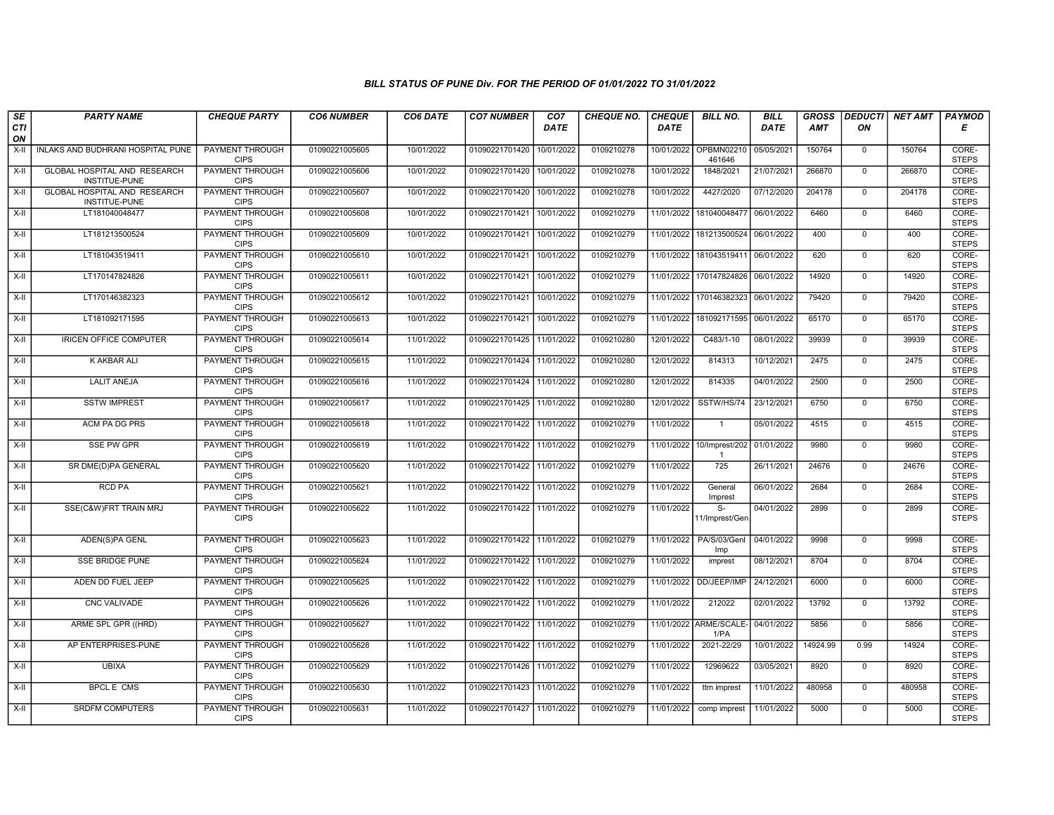| SE        | <b>PARTY NAME</b>                                    | <b>CHEQUE PARTY</b>                   | <b>CO6 NUMBER</b> | CO6 DATE   | <b>CO7 NUMBER</b>         | CO <sub>7</sub> | <b>CHEQUE NO.</b> | <b>CHEQUE</b> | <b>BILL NO.</b>                    | <b>BILL</b> | <b>GROSS</b> |                | <b>DEDUCTI NET AMT</b> | <b>PAYMOD</b>         |
|-----------|------------------------------------------------------|---------------------------------------|-------------------|------------|---------------------------|-----------------|-------------------|---------------|------------------------------------|-------------|--------------|----------------|------------------------|-----------------------|
| CTI<br>ON |                                                      |                                       |                   |            |                           | <b>DATE</b>     |                   | <b>DATE</b>   |                                    | DATE        | AMT          | ON             |                        | Е                     |
| X-II      | INLAKS AND BUDHRANI HOSPITAL PUNE                    | <b>PAYMENT THROUGH</b><br><b>CIPS</b> | 01090221005605    | 10/01/2022 | 01090221701420            | 10/01/2022      | 0109210278        | 10/01/2022    | OPBMN02210<br>461646               | 05/05/2021  | 150764       | $\mathbf 0$    | 150764                 | CORE-<br><b>STEPS</b> |
| $X-H$     | <b>GLOBAL HOSPITAL AND RESEARCH</b><br>INSTITUE-PUNE | <b>PAYMENT THROUGH</b><br><b>CIPS</b> | 01090221005606    | 10/01/2022 | 01090221701420 10/01/2022 |                 | 0109210278        | 10/01/2022    | 1848/2021                          | 21/07/2021  | 266870       | $\mathbf 0$    | 266870                 | CORE-<br><b>STEPS</b> |
| $X-H$     | GLOBAL HOSPITAL AND RESEARCH<br>INSTITUE-PUNE        | PAYMENT THROUGH<br><b>CIPS</b>        | 01090221005607    | 10/01/2022 | 01090221701420            | 10/01/2022      | 0109210278        | 10/01/2022    | 4427/2020                          | 07/12/2020  | 204178       | $\mathbf 0$    | 204178                 | CORE-<br><b>STEPS</b> |
| $X-II$    | LT181040048477                                       | <b>PAYMENT THROUGH</b><br><b>CIPS</b> | 01090221005608    | 10/01/2022 | 01090221701421            | 10/01/2022      | 0109210279        | 11/01/2022    | 181040048477                       | 06/01/2022  | 6460         | $\overline{0}$ | 6460                   | CORE-<br><b>STEPS</b> |
| X-II      | LT181213500524                                       | <b>PAYMENT THROUGH</b><br><b>CIPS</b> | 01090221005609    | 10/01/2022 | 01090221701421            | 10/01/2022      | 0109210279        |               | 11/01/2022 181213500524            | 06/01/2022  | 400          | $\mathbf 0$    | 400                    | CORE-<br><b>STEPS</b> |
| X-II      | LT181043519411                                       | <b>PAYMENT THROUGH</b><br><b>CIPS</b> | 01090221005610    | 10/01/2022 | 01090221701421            | 10/01/2022      | 0109210279        |               | 11/01/2022 181043519411            | 06/01/2022  | 620          | $\Omega$       | 620                    | CORE-<br><b>STEPS</b> |
| $X-H$     | LT170147824826                                       | PAYMENT THROUGH<br><b>CIPS</b>        | 01090221005611    | 10/01/2022 | 01090221701421            | 10/01/2022      | 0109210279        |               | 11/01/2022 170147824826            | 06/01/2022  | 14920        | $\mathbf 0$    | 14920                  | CORE-<br><b>STEPS</b> |
| $X-H$     | LT170146382323                                       | <b>PAYMENT THROUGH</b><br><b>CIPS</b> | 01090221005612    | 10/01/2022 | 01090221701421            | 10/01/2022      | 0109210279        |               | 11/01/2022 170146382323            | 06/01/2022  | 79420        | $\overline{0}$ | 79420                  | CORE-<br><b>STEPS</b> |
| X-II      | LT181092171595                                       | <b>PAYMENT THROUGH</b><br><b>CIPS</b> | 01090221005613    | 10/01/2022 | 01090221701421            | 10/01/2022      | 0109210279        |               | 11/01/2022 181092171595            | 06/01/2022  | 65170        | $\mathbf 0$    | 65170                  | CORE-<br><b>STEPS</b> |
| X-II      | <b>IRICEN OFFICE COMPUTER</b>                        | <b>PAYMENT THROUGH</b><br><b>CIPS</b> | 01090221005614    | 11/01/2022 | 01090221701425 11/01/2022 |                 | 0109210280        | 12/01/2022    | $C483/1-10$                        | 08/01/2022  | 39939        | $\mathbf 0$    | 39939                  | CORE-<br><b>STEPS</b> |
| X-II      | K AKBAR ALI                                          | <b>PAYMENT THROUGH</b><br><b>CIPS</b> | 01090221005615    | 11/01/2022 | 01090221701424 11/01/2022 |                 | 0109210280        | 12/01/2022    | 814313                             | 10/12/2021  | 2475         | $\mathbf 0$    | 2475                   | CORE-<br><b>STEPS</b> |
| $X-II$    | <b>LALIT ANEJA</b>                                   | <b>PAYMENT THROUGH</b><br><b>CIPS</b> | 01090221005616    | 11/01/2022 | 01090221701424 11/01/2022 |                 | 0109210280        | 12/01/2022    | 814335                             | 04/01/2022  | 2500         | $\overline{0}$ | 2500                   | CORE-<br><b>STEPS</b> |
| X-II      | <b>SSTW IMPREST</b>                                  | <b>PAYMENT THROUGH</b><br><b>CIPS</b> | 01090221005617    | 11/01/2022 | 01090221701425 11/01/2022 |                 | 0109210280        | 12/01/2022    | SSTW/HS/74                         | 23/12/2021  | 6750         | $\mathbf 0$    | 6750                   | CORE-<br><b>STEPS</b> |
| X-II      | <b>ACM PA DG PRS</b>                                 | <b>PAYMENT THROUGH</b><br><b>CIPS</b> | 01090221005618    | 11/01/2022 | 01090221701422 11/01/2022 |                 | 0109210279        | 11/01/2022    | $\overline{1}$                     | 05/01/2022  | 4515         | $\mathbf 0$    | 4515                   | CORE-<br><b>STEPS</b> |
| X-II      | SSE PW GPR                                           | <b>PAYMENT THROUGH</b><br><b>CIPS</b> | 01090221005619    | 11/01/2022 | 01090221701422            | 11/01/2022      | 0109210279        | 11/01/2022    | 10/Imprest/202                     | 01/01/2022  | 9980         | $\mathbf{0}$   | 9980                   | CORE-<br><b>STEPS</b> |
| $X-H$     | SR DME(D)PA GENERAL                                  | <b>PAYMENT THROUGH</b><br><b>CIPS</b> | 01090221005620    | 11/01/2022 | 01090221701422 11/01/2022 |                 | 0109210279        | 11/01/2022    | 725                                | 26/11/2021  | 24676        | $\mathbf 0$    | 24676                  | CORE-<br><b>STEPS</b> |
| $X-II$    | <b>RCD PA</b>                                        | <b>PAYMENT THROUGH</b><br><b>CIPS</b> | 01090221005621    | 11/01/2022 | 01090221701422 11/01/2022 |                 | 0109210279        | 11/01/2022    | General<br>Imprest                 | 06/01/2022  | 2684         | $\overline{0}$ | 2684                   | CORE-<br><b>STEPS</b> |
| X-II      | SSE(C&W)FRT TRAIN MRJ                                | <b>PAYMENT THROUGH</b><br><b>CIPS</b> | 01090221005622    | 11/01/2022 | 01090221701422 11/01/2022 |                 | 0109210279        | 11/01/2022    | $\overline{s}$ -<br>11/Imprest/Gen | 04/01/2022  | 2899         | $\mathbf 0$    | 2899                   | CORE-<br><b>STEPS</b> |
| $X-H$     | ADEN(S)PA GENL                                       | <b>PAYMENT THROUGH</b><br><b>CIPS</b> | 01090221005623    | 11/01/2022 | 01090221701422 11/01/2022 |                 | 0109210279        | 11/01/2022    | PA/S/03/Genl<br>Imp                | 04/01/2022  | 9998         | $\overline{0}$ | 9998                   | CORE-<br><b>STEPS</b> |
| $X-H$     | <b>SSE BRIDGE PUNE</b>                               | <b>PAYMENT THROUGH</b><br><b>CIPS</b> | 01090221005624    | 11/01/2022 | 01090221701422 11/01/2022 |                 | 0109210279        | 11/01/2022    | imprest                            | 08/12/2021  | 8704         | $\overline{0}$ | 8704                   | CORE-<br><b>STEPS</b> |
| X-II      | ADEN DD FUEL JEEP                                    | <b>PAYMENT THROUGH</b><br><b>CIPS</b> | 01090221005625    | 11/01/2022 | 01090221701422 11/01/2022 |                 | 0109210279        | 11/01/2022    | DD/JEEP/IMP                        | 24/12/2021  | 6000         | $\mathbf 0$    | 6000                   | CORE-<br><b>STEPS</b> |
| $X-H$     | CNC VALIVADE                                         | PAYMENT THROUGH<br><b>CIPS</b>        | 01090221005626    | 11/01/2022 | 01090221701422 11/01/2022 |                 | 0109210279        | 11/01/2022    | 212022                             | 02/01/2022  | 13792        | $\mathbf 0$    | 13792                  | CORE-<br><b>STEPS</b> |
| $X-II$    | ARME SPL GPR ((HRD)                                  | <b>PAYMENT THROUGH</b><br><b>CIPS</b> | 01090221005627    | 11/01/2022 | 01090221701422 11/01/2022 |                 | 0109210279        | 11/01/2022    | ARME/SCALE-<br>1/PA                | 04/01/2022  | 5856         | $\overline{0}$ | 5856                   | CORE-<br><b>STEPS</b> |
| X-II      | AP ENTERPRISES-PUNE                                  | <b>PAYMENT THROUGH</b><br><b>CIPS</b> | 01090221005628    | 11/01/2022 | 01090221701422            | 11/01/2022      | 0109210279        | 11/01/2022    | 2021-22/29                         | 10/01/2022  | 14924.99     | 0.99           | 14924                  | CORE-<br><b>STEPS</b> |
| X-II      | <b>UBIXA</b>                                         | <b>PAYMENT THROUGH</b><br><b>CIPS</b> | 01090221005629    | 11/01/2022 | 01090221701426 11/01/2022 |                 | 0109210279        | 11/01/2022    | 12969622                           | 03/05/2021  | 8920         | $\mathbf 0$    | 8920                   | CORE-<br><b>STEPS</b> |
| $X-H$     | <b>BPCL E CMS</b>                                    | PAYMENT THROUGH<br><b>CIPS</b>        | 01090221005630    | 11/01/2022 | 01090221701423 11/01/2022 |                 | 0109210279        | 11/01/2022    | ttm imprest                        | 11/01/2022  | 480958       | $\mathbf 0$    | 480958                 | CORE-<br><b>STEPS</b> |
| $X-II$    | <b>SRDFM COMPUTERS</b>                               | <b>PAYMENT THROUGH</b><br><b>CIPS</b> | 01090221005631    | 11/01/2022 | 01090221701427 11/01/2022 |                 | 0109210279        | 11/01/2022    | comp imprest                       | 11/01/2022  | 5000         | $\overline{0}$ | 5000                   | CORE-<br><b>STEPS</b> |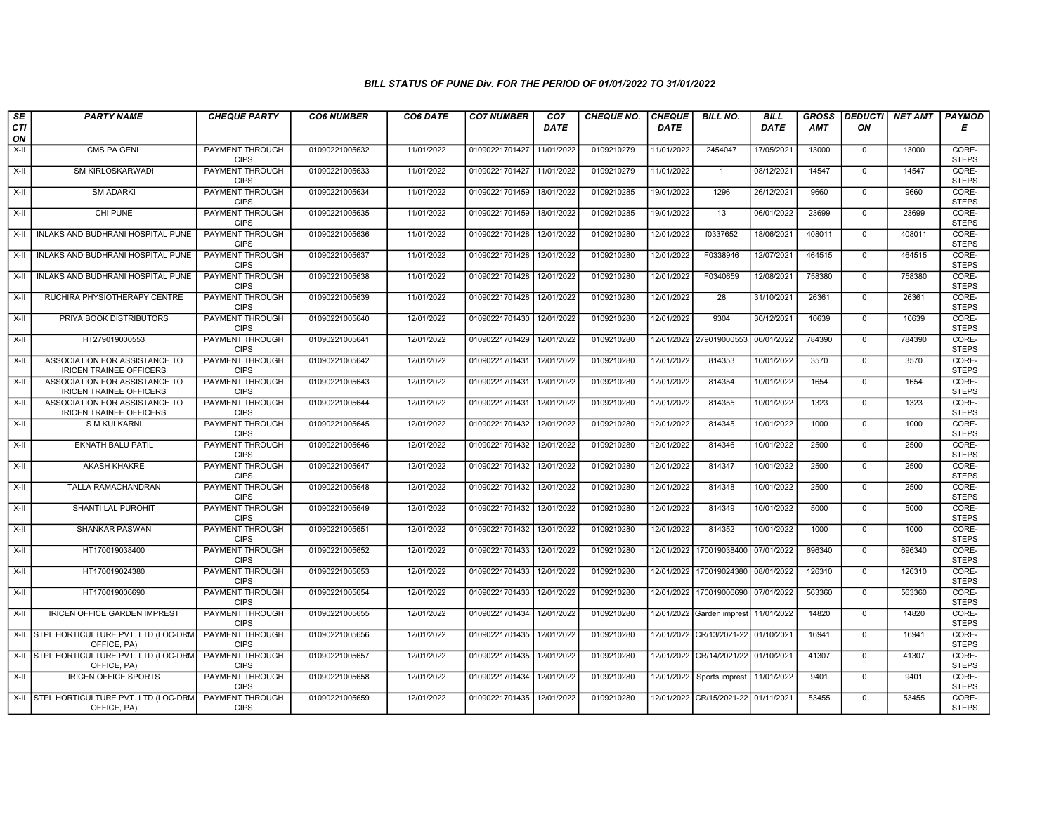| SE               | <b>PARTY NAME</b>                                               | <b>CHEQUE PARTY</b>                   | <b>CO6 NUMBER</b> | CO6 DATE   | <b>CO7 NUMBER</b>         | CO <sub>7</sub> | <b>CHEQUE NO.</b> | <b>CHEQUE</b> | <b>BILL NO.</b>          | <b>BILL</b> | <b>GROSS</b> | <b>DEDUCTI</b> | NET AMT | <b>PAYMOD</b>         |
|------------------|-----------------------------------------------------------------|---------------------------------------|-------------------|------------|---------------------------|-----------------|-------------------|---------------|--------------------------|-------------|--------------|----------------|---------|-----------------------|
| <b>CTI</b><br>ON |                                                                 |                                       |                   |            |                           | <b>DATE</b>     |                   | <b>DATE</b>   |                          | <b>DATE</b> | <b>AMT</b>   | ΟN             |         | Е                     |
| X-II             | CMS PA GENL                                                     | PAYMENT THROUGH<br><b>CIPS</b>        | 01090221005632    | 11/01/2022 | 01090221701427            | 11/01/2022      | 0109210279        | 11/01/2022    | 2454047                  | 17/05/2021  | 13000        | $\mathbf 0$    | 13000   | CORE-<br><b>STEPS</b> |
| $X-II$           | <b>SM KIRLOSKARWADI</b>                                         | <b>PAYMENT THROUGH</b><br><b>CIPS</b> | 01090221005633    | 11/01/2022 | 01090221701427            | 11/01/2022      | 0109210279        | 11/01/2022    | $\mathbf{1}$             | 08/12/2021  | 14547        | $\Omega$       | 14547   | CORE-<br><b>STEPS</b> |
| X-II             | <b>SM ADARKI</b>                                                | PAYMENT THROUGH<br><b>CIPS</b>        | 01090221005634    | 11/01/2022 | 01090221701459            | 18/01/2022      | 0109210285        | 19/01/2022    | 1296                     | 26/12/2021  | 9660         | $\mathbf 0$    | 9660    | CORE-<br><b>STEPS</b> |
| $X-H$            | CHI PUNE                                                        | <b>PAYMENT THROUGH</b><br><b>CIPS</b> | 01090221005635    | 11/01/2022 | 01090221701459            | 18/01/2022      | 0109210285        | 19/01/2022    | 13                       | 06/01/2022  | 23699        | $\mathbf 0$    | 23699   | CORE-<br><b>STEPS</b> |
| $X-H$            | I INLAKS AND BUDHRANI HOSPITAL PUNE                             | <b>PAYMENT THROUGH</b><br><b>CIPS</b> | 01090221005636    | 11/01/2022 | 01090221701428            | 12/01/2022      | 0109210280        | 12/01/2022    | f0337652                 | 18/06/2021  | 408011       | $\mathbf 0$    | 408011  | CORE-<br><b>STEPS</b> |
| X-II             | INLAKS AND BUDHRANI HOSPITAL PUNE                               | <b>PAYMENT THROUGH</b><br><b>CIPS</b> | 01090221005637    | 11/01/2022 | 01090221701428            | 12/01/2022      | 0109210280        | 12/01/2022    | F0338946                 | 12/07/2021  | 464515       | $\mathbf{0}$   | 464515  | CORE-<br><b>STEPS</b> |
| X-II             | INLAKS AND BUDHRANI HOSPITAL PUNE                               | PAYMENT THROUGH<br><b>CIPS</b>        | 01090221005638    | 11/01/2022 | 01090221701428            | 12/01/2022      | 0109210280        | 12/01/2022    | F0340659                 | 12/08/2021  | 758380       | $\mathbf 0$    | 758380  | CORE-<br><b>STEPS</b> |
| X-II             | RUCHIRA PHYSIOTHERAPY CENTRE                                    | PAYMENT THROUGH<br><b>CIPS</b>        | 01090221005639    | 11/01/2022 | 01090221701428            | 12/01/2022      | 0109210280        | 12/01/2022    | 28                       | 31/10/2021  | 26361        | $\mathbf 0$    | 26361   | CORE-<br><b>STEPS</b> |
| $X-H$            | PRIYA BOOK DISTRIBUTORS                                         | <b>PAYMENT THROUGH</b><br><b>CIPS</b> | 01090221005640    | 12/01/2022 | 01090221701430            | 12/01/2022      | 0109210280        | 12/01/2022    | 9304                     | 30/12/2021  | 10639        | $\mathbf 0$    | 10639   | CORE-<br><b>STEPS</b> |
| $X-H$            | HT279019000553                                                  | <b>PAYMENT THROUGH</b><br><b>CIPS</b> | 01090221005641    | 12/01/2022 | 01090221701429            | 12/01/2022      | 0109210280        |               | 12/01/2022 279019000553  | 06/01/2022  | 784390       | $\mathbf 0$    | 784390  | CORE-<br><b>STEPS</b> |
| X-II             | ASSOCIATION FOR ASSISTANCE TO<br><b>IRICEN TRAINEE OFFICERS</b> | PAYMENT THROUGH<br><b>CIPS</b>        | 01090221005642    | 12/01/2022 | 01090221701431            | 12/01/2022      | 0109210280        | 12/01/2022    | 814353                   | 10/01/2022  | 3570         | $\mathbf{0}$   | 3570    | CORE-<br><b>STEPS</b> |
| X-II             | ASSOCIATION FOR ASSISTANCE TO<br><b>IRICEN TRAINEE OFFICERS</b> | PAYMENT THROUGH<br><b>CIPS</b>        | 01090221005643    | 12/01/2022 | 01090221701431            | 12/01/2022      | 0109210280        | 12/01/2022    | 814354                   | 10/01/2022  | 1654         | $\Omega$       | 1654    | CORE-<br><b>STEPS</b> |
| X-II             | ASSOCIATION FOR ASSISTANCE TO<br><b>IRICEN TRAINEE OFFICERS</b> | <b>PAYMENT THROUGH</b><br><b>CIPS</b> | 01090221005644    | 12/01/2022 | 01090221701431            | 12/01/2022      | 0109210280        | 12/01/2022    | 814355                   | 10/01/2022  | 1323         | $\mathbf 0$    | 1323    | CORE-<br><b>STEPS</b> |
| $X-H$            | <b>S M KULKARNI</b>                                             | <b>PAYMENT THROUGH</b><br><b>CIPS</b> | 01090221005645    | 12/01/2022 | 01090221701432            | 12/01/2022      | 0109210280        | 12/01/2022    | 814345                   | 10/01/2022  | 1000         | $\mathbf 0$    | 1000    | CORE-<br><b>STEPS</b> |
| X-II             | <b>EKNATH BALU PATIL</b>                                        | <b>PAYMENT THROUGH</b><br><b>CIPS</b> | 01090221005646    | 12/01/2022 | 01090221701432            | 12/01/2022      | 0109210280        | 12/01/2022    | 814346                   | 10/01/2022  | 2500         | $\Omega$       | 2500    | CORE-<br><b>STEPS</b> |
| $X-II$           | <b>AKASH KHAKRE</b>                                             | PAYMENT THROUGH<br><b>CIPS</b>        | 01090221005647    | 12/01/2022 | 01090221701432            | 12/01/2022      | 0109210280        | 12/01/2022    | 814347                   | 10/01/2022  | 2500         | $\mathbf{0}$   | 2500    | CORE-<br><b>STEPS</b> |
| X-II             | TALLA RAMACHANDRAN                                              | PAYMENT THROUGH<br><b>CIPS</b>        | 01090221005648    | 12/01/2022 | 01090221701432            | 12/01/2022      | 0109210280        | 12/01/2022    | 814348                   | 10/01/2022  | 2500         | $\mathbf 0$    | 2500    | CORE-<br><b>STEPS</b> |
| $X-II$           | SHANTI LAL PUROHIT                                              | <b>PAYMENT THROUGH</b><br><b>CIPS</b> | 01090221005649    | 12/01/2022 | 01090221701432            | 12/01/2022      | 0109210280        | 12/01/2022    | 814349                   | 10/01/2022  | 5000         | $\mathbf 0$    | 5000    | CORE-<br><b>STEPS</b> |
| X-II             | <b>SHANKAR PASWAN</b>                                           | PAYMENT THROUGH<br><b>CIPS</b>        | 01090221005651    | 12/01/2022 | 01090221701432            | 12/01/2022      | 0109210280        | 12/01/2022    | 814352                   | 10/01/2022  | 1000         | $\Omega$       | 1000    | CORE-<br><b>STEPS</b> |
| X-II             | HT170019038400                                                  | PAYMENT THROUGH<br><b>CIPS</b>        | 01090221005652    | 12/01/2022 | 01090221701433            | 12/01/2022      | 0109210280        | 12/01/2022    | 170019038400             | 07/01/2022  | 696340       | $\mathbf 0$    | 696340  | CORE-<br><b>STEPS</b> |
| $X-H$            | HT170019024380                                                  | <b>PAYMENT THROUGH</b><br><b>CIPS</b> | 01090221005653    | 12/01/2022 | 01090221701433            | 12/01/2022      | 0109210280        | 12/01/2022    | 170019024380             | 08/01/2022  | 126310       | $\mathbf 0$    | 126310  | CORE-<br><b>STEPS</b> |
| X-II             | HT170019006690                                                  | <b>PAYMENT THROUGH</b><br><b>CIPS</b> | 01090221005654    | 12/01/2022 | 01090221701433            | 12/01/2022      | 0109210280        | 12/01/2022    | 170019006690             | 07/01/2022  | 563360       | $\mathbf 0$    | 563360  | CORE-<br><b>STEPS</b> |
| X-II             | IRICEN OFFICE GARDEN IMPREST                                    | PAYMENT THROUGH<br><b>CIPS</b>        | 01090221005655    | 12/01/2022 | 01090221701434            | 12/01/2022      | 0109210280        | 12/01/2022    | Garden imprest           | 11/01/2022  | 14820        | $\mathbf 0$    | 14820   | CORE-<br><b>STEPS</b> |
|                  | X-II STPL HORTICULTURE PVT. LTD (LOC-DRM<br>OFFICE, PA)         | PAYMENT THROUGH<br><b>CIPS</b>        | 01090221005656    | 12/01/2022 | 01090221701435            | 12/01/2022      | 0109210280        |               | 12/01/2022 CR/13/2021-22 | 01/10/2021  | 16941        | $\mathbf 0$    | 16941   | CORE-<br><b>STEPS</b> |
|                  | X-II STPL HORTICULTURE PVT. LTD (LOC-DRM<br>OFFICE, PA)         | PAYMENT THROUGH<br><b>CIPS</b>        | 01090221005657    | 12/01/2022 | 01090221701435            | 12/01/2022      | 0109210280        | 12/01/2022    | CR/14/2021/22            | 01/10/2021  | 41307        | $\Omega$       | 41307   | CORE-<br><b>STEPS</b> |
| $X-H$            | <b>IRICEN OFFICE SPORTS</b>                                     | <b>PAYMENT THROUGH</b><br><b>CIPS</b> | 01090221005658    | 12/01/2022 | 01090221701434            | 12/01/2022      | 0109210280        | 12/01/2022    | Sports imprest           | 11/01/2022  | 9401         | 0              | 9401    | CORE-<br><b>STEPS</b> |
|                  | X-II STPL HORTICULTURE PVT. LTD (LOC-DRM<br>OFFICE, PA)         | PAYMENT THROUGH<br><b>CIPS</b>        | 01090221005659    | 12/01/2022 | 01090221701435 12/01/2022 |                 | 0109210280        |               | 12/01/2022 CR/15/2021-22 | 01/11/2021  | 53455        | $\mathbf 0$    | 53455   | CORE-<br><b>STEPS</b> |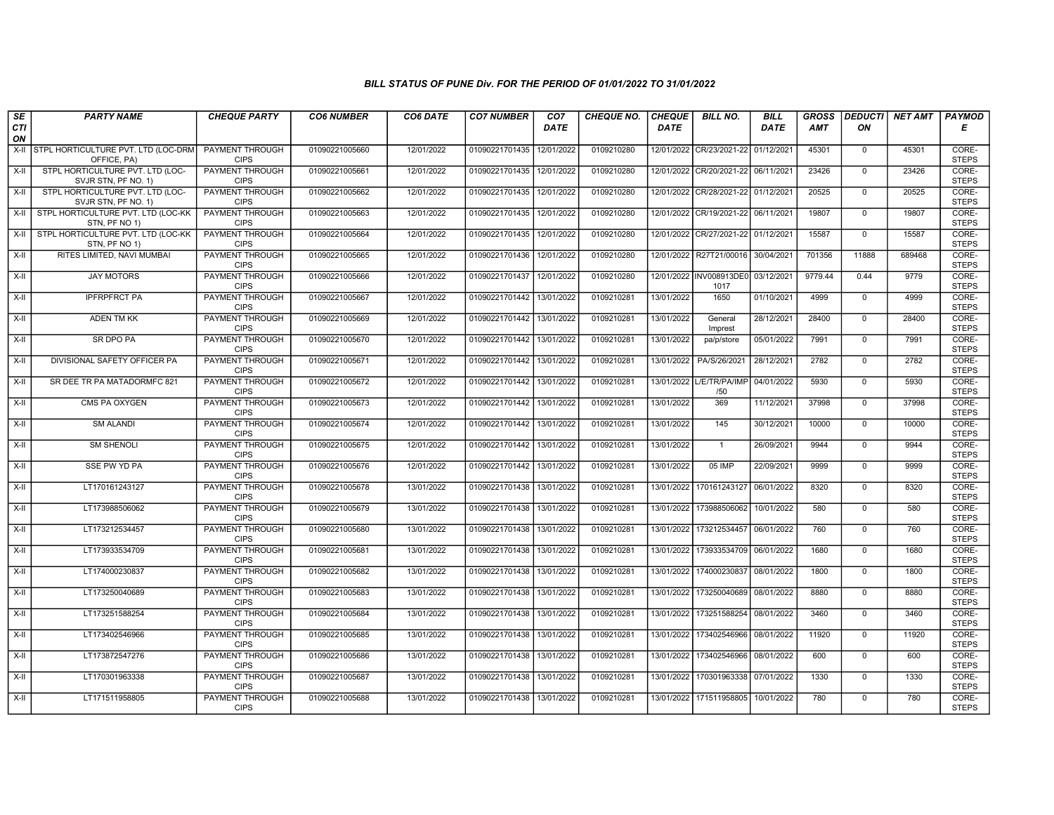| SE               | <b>PARTY NAME</b>                                         | <b>CHEQUE PARTY</b>                   | <b>CO6 NUMBER</b> | CO6 DATE   | <b>CO7 NUMBER</b>         | CO <sub>7</sub> | <b>CHEQUE NO.</b> | <b>CHEQUE</b> | <b>BILL NO.</b>                 | <b>BILL</b> | <b>GROSS</b> | <b>DEDUCTI</b> | NET AMT | <b>PAYMOD</b>         |
|------------------|-----------------------------------------------------------|---------------------------------------|-------------------|------------|---------------------------|-----------------|-------------------|---------------|---------------------------------|-------------|--------------|----------------|---------|-----------------------|
| <b>CTI</b><br>ON |                                                           |                                       |                   |            |                           | <b>DATE</b>     |                   | <b>DATE</b>   |                                 | DATE        | AMT          | ON             |         | Е                     |
| X-II             | <b>STPL HORTICULTURE PVT. LTD (LOC-DRM</b><br>OFFICE, PA) | <b>PAYMENT THROUGH</b><br><b>CIPS</b> | 01090221005660    | 12/01/2022 | 01090221701435            | 12/01/2022      | 0109210280        |               | 12/01/2022 CR/23/2021-22        | 01/12/2021  | 45301        | $\mathbf 0$    | 45301   | CORE-<br><b>STEPS</b> |
| $X-H$            | STPL HORTICULTURE PVT. LTD (LOC-<br>SVJR STN, PF NO. 1)   | <b>PAYMENT THROUGH</b><br><b>CIPS</b> | 01090221005661    | 12/01/2022 | 01090221701435 12/01/2022 |                 | 0109210280        |               | 12/01/2022 CR/20/2021-22        | 06/11/2021  | 23426        | $\Omega$       | 23426   | CORE-<br><b>STEPS</b> |
| X-II             | STPL HORTICULTURE PVT. LTD (LOC-<br>SVJR STN, PF NO. 1)   | PAYMENT THROUGH<br><b>CIPS</b>        | 01090221005662    | 12/01/2022 | 01090221701435            | 12/01/2022      | 0109210280        | 12/01/2022    | CR/28/2021-22                   | 01/12/2021  | 20525        | $\mathbf 0$    | 20525   | CORE-<br><b>STEPS</b> |
| $X-II$           | STPL HORTICULTURE PVT. LTD (LOC-KK<br>STN, PF NO 1)       | <b>PAYMENT THROUGH</b><br><b>CIPS</b> | 01090221005663    | 12/01/2022 | 01090221701435 12/01/2022 |                 | 0109210280        |               | 12/01/2022 CR/19/2021-22        | 06/11/2021  | 19807        | $\overline{0}$ | 19807   | CORE-<br><b>STEPS</b> |
| $X-H$            | STPL HORTICULTURE PVT. LTD (LOC-KK<br>STN, PF NO 1)       | <b>PAYMENT THROUGH</b><br><b>CIPS</b> | 01090221005664    | 12/01/2022 | 01090221701435 12/01/2022 |                 | 0109210280        |               | 12/01/2022 CR/27/2021-22        | 01/12/2021  | 15587        | $\mathbf 0$    | 15587   | CORE-<br><b>STEPS</b> |
| X-II             | RITES LIMITED, NAVI MUMBAI                                | <b>PAYMENT THROUGH</b><br><b>CIPS</b> | 01090221005665    | 12/01/2022 | 01090221701436 12/01/2022 |                 | 0109210280        |               | 12/01/2022   R27T21/00016       | 30/04/2021  | 701356       | 11888          | 689468  | CORE-<br><b>STEPS</b> |
| X-II             | <b>JAY MOTORS</b>                                         | PAYMENT THROUGH<br><b>CIPS</b>        | 01090221005666    | 12/01/2022 | 01090221701437            | 12/01/2022      | 0109210280        | 12/01/2022    | INV008913DE0<br>1017            | 03/12/2021  | 9779.44      | 0.44           | 9779    | CORE-<br><b>STEPS</b> |
| $X-II$           | <b>IPFRPFRCT PA</b>                                       | PAYMENT THROUGH<br><b>CIPS</b>        | 01090221005667    | 12/01/2022 | 01090221701442            | 13/01/2022      | 0109210281        | 13/01/2022    | 1650                            | 01/10/2021  | 4999         | $\mathbf 0$    | 4999    | CORE-<br><b>STEPS</b> |
| $X-H$            | <b>ADEN TM KK</b>                                         | <b>PAYMENT THROUGH</b><br><b>CIPS</b> | 01090221005669    | 12/01/2022 | 01090221701442 13/01/2022 |                 | 0109210281        | 13/01/2022    | General<br>Imprest              | 28/12/2021  | 28400        | $\Omega$       | 28400   | CORE-<br><b>STEPS</b> |
| $X-H$            | <b>SR DPO PA</b>                                          | PAYMENT THROUGH<br><b>CIPS</b>        | 01090221005670    | 12/01/2022 | 01090221701442 13/01/2022 |                 | 0109210281        | 13/01/2022    | pa/p/store                      | 05/01/2022  | 7991         | $\mathbf 0$    | 7991    | CORE-<br><b>STEPS</b> |
| X-II             | DIVISIONAL SAFETY OFFICER PA                              | PAYMENT THROUGH<br><b>CIPS</b>        | 01090221005671    | 12/01/2022 | 01090221701442            | 13/01/2022      | 0109210281        | 13/01/2022    | PA/S/26/2021                    | 28/12/2021  | 2782         | $\mathbf 0$    | 2782    | CORE-<br><b>STEPS</b> |
| X-II             | SR DEE TR PA MATADORMFC 821                               | PAYMENT THROUGH<br><b>CIPS</b>        | 01090221005672    | 12/01/2022 | 01090221701442 13/01/2022 |                 | 0109210281        |               | 13/01/2022 L/E/TR/PA/IMP<br>/50 | 04/01/2022  | 5930         | $\Omega$       | 5930    | CORE-<br><b>STEPS</b> |
| X-II             | CMS PA OXYGEN                                             | <b>PAYMENT THROUGH</b><br><b>CIPS</b> | 01090221005673    | 12/01/2022 | 01090221701442            | 13/01/2022      | 0109210281        | 13/01/2022    | 369                             | 11/12/2021  | 37998        | $\mathbf 0$    | 37998   | CORE-<br><b>STEPS</b> |
| $X-H$            | <b>SM ALANDI</b>                                          | <b>PAYMENT THROUGH</b><br><b>CIPS</b> | 01090221005674    | 12/01/2022 | 01090221701442 13/01/2022 |                 | 0109210281        | 13/01/2022    | 145                             | 30/12/2021  | 10000        | $\overline{0}$ | 10000   | CORE-<br><b>STEPS</b> |
| X-II             | <b>SM SHENOLI</b>                                         | PAYMENT THROUGH<br><b>CIPS</b>        | 01090221005675    | 12/01/2022 | 01090221701442 13/01/2022 |                 | 0109210281        | 13/01/2022    | $\mathbf{1}$                    | 26/09/2021  | 9944         | $\Omega$       | 9944    | CORE-<br><b>STEPS</b> |
| $X-II$           | SSE PW YD PA                                              | PAYMENT THROUGH<br><b>CIPS</b>        | 01090221005676    | 12/01/2022 | 01090221701442            | 13/01/2022      | 0109210281        | 13/01/2022    | 05 IMP                          | 22/09/2021  | 9999         | $\overline{0}$ | 9999    | CORE-<br><b>STEPS</b> |
| $X-H$            | LT170161243127                                            | PAYMENT THROUGH<br><b>CIPS</b>        | 01090221005678    | 13/01/2022 | 01090221701438 13/01/2022 |                 | 0109210281        | 13/01/2022    | 170161243127                    | 06/01/2022  | 8320         | $\Omega$       | 8320    | CORE-<br><b>STEPS</b> |
| X-II             | LT173988506062                                            | <b>PAYMENT THROUGH</b><br><b>CIPS</b> | 01090221005679    | 13/01/2022 | 01090221701438            | 13/01/2022      | 0109210281        | 13/01/2022    | 173988506062                    | 10/01/2022  | 580          | $\mathbf 0$    | 580     | CORE-<br><b>STEPS</b> |
| X-II             | LT173212534457                                            | PAYMENT THROUGH<br><b>CIPS</b>        | 01090221005680    | 13/01/2022 | 01090221701438 13/01/2022 |                 | 0109210281        |               | 13/01/2022 173212534457         | 06/01/2022  | 760          | $\Omega$       | 760     | CORE-<br><b>STEPS</b> |
| X-II             | LT173933534709                                            | PAYMENT THROUGH<br><b>CIPS</b>        | 01090221005681    | 13/01/2022 | 01090221701438            | 13/01/2022      | 0109210281        | 13/01/2022    | 173933534709                    | 06/01/2022  | 1680         | $\Omega$       | 1680    | CORE-<br><b>STEPS</b> |
| $X-II$           | LT174000230837                                            | <b>PAYMENT THROUGH</b><br><b>CIPS</b> | 01090221005682    | 13/01/2022 | 01090221701438            | 13/01/2022      | 0109210281        | 13/01/2022    | 174000230837                    | 08/01/2022  | 1800         | $\overline{0}$ | 1800    | CORE-<br><b>STEPS</b> |
| X-II             | LT173250040689                                            | <b>PAYMENT THROUGH</b><br><b>CIPS</b> | 01090221005683    | 13/01/2022 | 01090221701438 13/01/2022 |                 | 0109210281        | 13/01/2022    | 173250040689                    | 08/01/2022  | 8880         | $\Omega$       | 8880    | CORE-<br><b>STEPS</b> |
| X-II             | LT173251588254                                            | PAYMENT THROUGH<br><b>CIPS</b>        | 01090221005684    | 13/01/2022 | 01090221701438            | 13/01/2022      | 0109210281        | 13/01/2022    | 173251588254                    | 08/01/2022  | 3460         | $\mathbf 0$    | 3460    | CORE-<br><b>STEPS</b> |
| $X-II$           | LT173402546966                                            | PAYMENT THROUGH<br><b>CIPS</b>        | 01090221005685    | 13/01/2022 | 01090221701438            | 13/01/2022      | 0109210281        | 13/01/2022    | 173402546966                    | 08/01/2022  | 11920        | $\Omega$       | 11920   | CORE-<br><b>STEPS</b> |
| $X-II$           | LT173872547276                                            | PAYMENT THROUGH<br><b>CIPS</b>        | 01090221005686    | 13/01/2022 | 01090221701438            | 13/01/2022      | 0109210281        | 13/01/2022    | 173402546966                    | 08/01/2022  | 600          | $\Omega$       | 600     | CORE-<br><b>STEPS</b> |
| $X-H$            | LT170301963338                                            | <b>PAYMENT THROUGH</b><br><b>CIPS</b> | 01090221005687    | 13/01/2022 | 01090221701438 13/01/2022 |                 | 0109210281        |               | 13/01/2022 170301963338         | 07/01/2022  | 1330         | $\mathbf 0$    | 1330    | CORE-<br><b>STEPS</b> |
| X-II             | LT171511958805                                            | <b>PAYMENT THROUGH</b><br><b>CIPS</b> | 01090221005688    | 13/01/2022 | 01090221701438 13/01/2022 |                 | 0109210281        |               | 13/01/2022 171511958805         | 10/01/2022  | 780          | $\mathbf{0}$   | 780     | CORE-<br><b>STEPS</b> |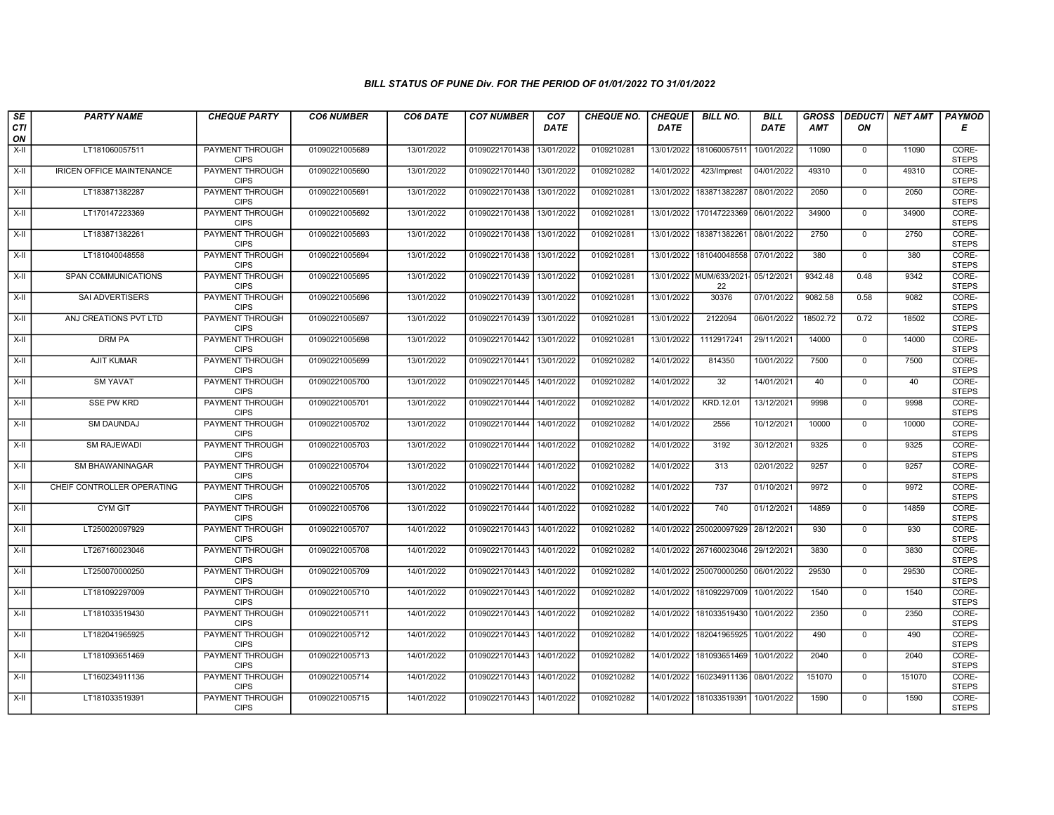| SE               | <b>PARTY NAME</b>                | <b>CHEQUE PARTY</b>                   | <b>CO6 NUMBER</b> | CO6 DATE   | <b>CO7 NUMBER</b>         | CO <sub>7</sub> | <b>CHEQUE NO.</b> | <b>CHEQUE</b> | <b>BILL NO.</b>         | <b>BILL</b> | <b>GROSS</b> | <b>DEDUCTI</b> | NET AMT | <b>PAYMOD</b>         |
|------------------|----------------------------------|---------------------------------------|-------------------|------------|---------------------------|-----------------|-------------------|---------------|-------------------------|-------------|--------------|----------------|---------|-----------------------|
| <b>CTI</b><br>ON |                                  |                                       |                   |            |                           | <b>DATE</b>     |                   | <b>DATE</b>   |                         | DATE        | <b>AMT</b>   | ON             |         | Е                     |
| $X-H$            | LT181060057511                   | <b>PAYMENT THROUGH</b><br><b>CIPS</b> | 01090221005689    | 13/01/2022 | 01090221701438            | 13/01/2022      | 0109210281        | 13/01/2022    | 181060057511            | 10/01/2022  | 11090        | $\mathbf 0$    | 11090   | CORE-<br><b>STEPS</b> |
| $X-H$            | <b>IRICEN OFFICE MAINTENANCE</b> | <b>PAYMENT THROUGH</b><br><b>CIPS</b> | 01090221005690    | 13/01/2022 | 01090221701440            | 13/01/2022      | 0109210282        | 14/01/2022    | 423/Imprest             | 04/01/2022  | 49310        | $\mathbf{0}$   | 49310   | CORE-<br><b>STEPS</b> |
| X-II             | LT183871382287                   | PAYMENT THROUGH<br><b>CIPS</b>        | 01090221005691    | 13/01/2022 | 01090221701438            | 13/01/2022      | 0109210281        | 13/01/2022    | 183871382287            | 08/01/2022  | 2050         | $\mathbf 0$    | 2050    | CORE-<br><b>STEPS</b> |
| $X-H$            | LT170147223369                   | <b>PAYMENT THROUGH</b><br><b>CIPS</b> | 01090221005692    | 13/01/2022 | 01090221701438            | 13/01/2022      | 0109210281        | 13/01/2022    | 170147223369            | 06/01/2022  | 34900        | $\overline{0}$ | 34900   | CORE-<br><b>STEPS</b> |
| $X-H$            | LT183871382261                   | <b>PAYMENT THROUGH</b><br><b>CIPS</b> | 01090221005693    | 13/01/2022 | 01090221701438            | 13/01/2022      | 0109210281        | 13/01/2022    | 183871382261            | 08/01/2022  | 2750         | $\mathbf 0$    | 2750    | CORE-<br><b>STEPS</b> |
| X-II             | LT181040048558                   | <b>PAYMENT THROUGH</b><br><b>CIPS</b> | 01090221005694    | 13/01/2022 | 01090221701438            | 13/01/2022      | 0109210281        |               | 13/01/2022 181040048558 | 07/01/2022  | 380          | $\mathbf{0}$   | 380     | CORE-<br><b>STEPS</b> |
| X-II             | SPAN COMMUNICATIONS              | PAYMENT THROUGH<br><b>CIPS</b>        | 01090221005695    | 13/01/2022 | 01090221701439            | 13/01/2022      | 0109210281        | 13/01/2022    | MUM/633/2021<br>22      | 05/12/2021  | 9342.48      | 0.48           | 9342    | CORE-<br><b>STEPS</b> |
| $X-H$            | SAI ADVERTISERS                  | PAYMENT THROUGH<br><b>CIPS</b>        | 01090221005696    | 13/01/2022 | 01090221701439            | 13/01/2022      | 0109210281        | 13/01/2022    | 30376                   | 07/01/2022  | 9082.58      | 0.58           | 9082    | CORE-<br><b>STEPS</b> |
| $X-H$            | ANJ CREATIONS PVT LTD            | <b>PAYMENT THROUGH</b><br><b>CIPS</b> | 01090221005697    | 13/01/2022 | 01090221701439            | 13/01/2022      | 0109210281        | 13/01/2022    | 2122094                 | 06/01/2022  | 18502.72     | 0.72           | 18502   | CORE-<br><b>STEPS</b> |
| $X-H$            | <b>DRM PA</b>                    | <b>PAYMENT THROUGH</b><br><b>CIPS</b> | 01090221005698    | 13/01/2022 | 01090221701442 13/01/2022 |                 | 0109210281        | 13/01/2022    | 1112917241              | 29/11/2021  | 14000        | $\mathbf 0$    | 14000   | CORE-<br><b>STEPS</b> |
| X-II             | AJIT KUMAR                       | PAYMENT THROUGH<br><b>CIPS</b>        | 01090221005699    | 13/01/2022 | 01090221701441            | 13/01/2022      | 0109210282        | 14/01/2022    | 814350                  | 10/01/2022  | 7500         | $\mathbf 0$    | 7500    | CORE-<br><b>STEPS</b> |
| X-II             | <b>SM YAVAT</b>                  | PAYMENT THROUGH<br><b>CIPS</b>        | 01090221005700    | 13/01/2022 | 01090221701445            | 14/01/2022      | 0109210282        | 14/01/2022    | 32                      | 14/01/2021  | 40           | $\Omega$       | 40      | CORE-<br><b>STEPS</b> |
| X-II             | <b>SSE PW KRD</b>                | PAYMENT THROUGH<br><b>CIPS</b>        | 01090221005701    | 13/01/2022 | 01090221701444            | 14/01/2022      | 0109210282        | 14/01/2022    | KRD.12.01               | 13/12/2021  | 9998         | $\mathbf 0$    | 9998    | CORE-<br><b>STEPS</b> |
| $X-H$            | <b>SM DAUNDAJ</b>                | <b>PAYMENT THROUGH</b><br><b>CIPS</b> | 01090221005702    | 13/01/2022 | 01090221701444            | 14/01/2022      | 0109210282        | 14/01/2022    | 2556                    | 10/12/2021  | 10000        | $\mathbf 0$    | 10000   | CORE-<br><b>STEPS</b> |
| $X-II$           | <b>SM RAJEWADI</b>               | PAYMENT THROUGH<br><b>CIPS</b>        | 01090221005703    | 13/01/2022 | 01090221701444            | 14/01/2022      | 0109210282        | 14/01/2022    | 3192                    | 30/12/2021  | 9325         | $\mathbf 0$    | 9325    | CORE-<br><b>STEPS</b> |
| $X-II$           | <b>SM BHAWANINAGAR</b>           | <b>PAYMENT THROUGH</b><br><b>CIPS</b> | 01090221005704    | 13/01/2022 | 01090221701444            | 14/01/2022      | 0109210282        | 14/01/2022    | 313                     | 02/01/2022  | 9257         | $\overline{0}$ | 9257    | CORE-<br><b>STEPS</b> |
| $X-H$            | CHEIF CONTROLLER OPERATING       | <b>PAYMENT THROUGH</b><br><b>CIPS</b> | 01090221005705    | 13/01/2022 | 01090221701444 14/01/2022 |                 | 0109210282        | 14/01/2022    | 737                     | 01/10/2021  | 9972         | $\mathbf 0$    | 9972    | CORE-<br><b>STEPS</b> |
| X-II             | <b>CYM GIT</b>                   | <b>PAYMENT THROUGH</b><br><b>CIPS</b> | 01090221005706    | 13/01/2022 | 01090221701444            | 14/01/2022      | 0109210282        | 14/01/2022    | 740                     | 01/12/2021  | 14859        | $\mathbf 0$    | 14859   | CORE-<br><b>STEPS</b> |
| $X-H$            | LT250020097929                   | PAYMENT THROUGH<br><b>CIPS</b>        | 01090221005707    | 14/01/2022 | 01090221701443            | 14/01/2022      | 0109210282        |               | 14/01/2022 250020097929 | 28/12/2021  | 930          | $\Omega$       | 930     | CORE-<br><b>STEPS</b> |
| X-II             | LT267160023046                   | PAYMENT THROUGH<br><b>CIPS</b>        | 01090221005708    | 14/01/2022 | 01090221701443            | 14/01/2022      | 0109210282        |               | 14/01/2022 267160023046 | 29/12/2021  | 3830         | $\mathbf 0$    | 3830    | CORE-<br><b>STEPS</b> |
| $X-H$            | LT250070000250                   | <b>PAYMENT THROUGH</b><br><b>CIPS</b> | 01090221005709    | 14/01/2022 | 01090221701443            | 14/01/2022      | 0109210282        |               | 14/01/2022 250070000250 | 06/01/2022  | 29530        | $\overline{0}$ | 29530   | CORE-<br><b>STEPS</b> |
| $X-H$            | LT181092297009                   | <b>PAYMENT THROUGH</b><br><b>CIPS</b> | 01090221005710    | 14/01/2022 | 01090221701443 14/01/2022 |                 | 0109210282        | 14/01/2022    | 181092297009            | 10/01/2022  | 1540         | $\mathbf 0$    | 1540    | CORE-<br><b>STEPS</b> |
| $X-II$           | LT181033519430                   | PAYMENT THROUGH<br><b>CIPS</b>        | 01090221005711    | 14/01/2022 | 01090221701443            | 14/01/2022      | 0109210282        | 14/01/2022    | 181033519430            | 10/01/2022  | 2350         | 0              | 2350    | CORE-<br><b>STEPS</b> |
| X-II             | LT182041965925                   | PAYMENT THROUGH<br><b>CIPS</b>        | 01090221005712    | 14/01/2022 | 01090221701443            | 14/01/2022      | 0109210282        | 14/01/2022    | 182041965925            | 10/01/2022  | 490          | $\mathbf 0$    | 490     | CORE-<br><b>STEPS</b> |
| $X-H$            | LT181093651469                   | PAYMENT THROUGH<br><b>CIPS</b>        | 01090221005713    | 14/01/2022 | 01090221701443            | 14/01/2022      | 0109210282        | 14/01/2022    | 181093651469            | 10/01/2022  | 2040         | $\mathbf 0$    | 2040    | CORE-<br><b>STEPS</b> |
| $X-H$            | LT160234911136                   | <b>PAYMENT THROUGH</b><br><b>CIPS</b> | 01090221005714    | 14/01/2022 | 01090221701443            | 14/01/2022      | 0109210282        | 14/01/2022    | 160234911136            | 08/01/2022  | 151070       | $\mathbf 0$    | 151070  | CORE-<br><b>STEPS</b> |
| X-II             | LT181033519391                   | PAYMENT THROUGH<br><b>CIPS</b>        | 01090221005715    | 14/01/2022 | 01090221701443 14/01/2022 |                 | 0109210282        | 14/01/2022    | 181033519391            | 10/01/2022  | 1590         | $\mathbf 0$    | 1590    | CORE-<br><b>STEPS</b> |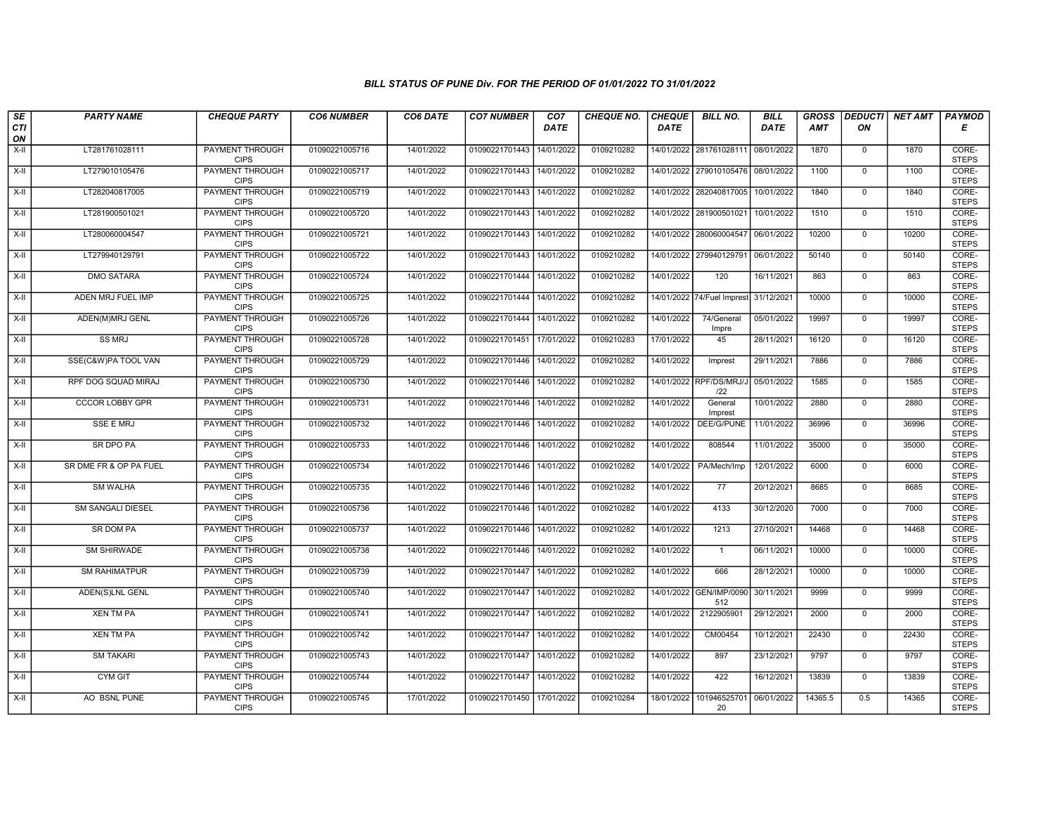| SE                 | <b>PARTY NAME</b>        | <b>CHEQUE PARTY</b>                   | <b>CO6 NUMBER</b> | CO6 DATE   | <b>CO7 NUMBER</b>         | CO <sub>7</sub> | <b>CHEQUE NO.</b> | <b>CHEQUE</b> | <b>BILL NO.</b>                | <b>BILL</b> | <b>GROSS</b> |                | DEDUCTI NET AMT | <b>PAYMOD</b>         |
|--------------------|--------------------------|---------------------------------------|-------------------|------------|---------------------------|-----------------|-------------------|---------------|--------------------------------|-------------|--------------|----------------|-----------------|-----------------------|
| CTI<br>ON          |                          |                                       |                   |            |                           | <b>DATE</b>     |                   | <b>DATE</b>   |                                | <b>DATE</b> | <b>AMT</b>   | ON             |                 | Е                     |
| $X-H$              | LT281761028111           | PAYMENT THROUGH<br><b>CIPS</b>        | 01090221005716    | 14/01/2022 | 01090221701443            | 14/01/2022      | 0109210282        |               | 14/01/2022 281761028111        | 08/01/2022  | 1870         | $\mathbf 0$    | 1870            | CORE-<br><b>STEPS</b> |
| $X-H$              | LT279010105476           | <b>PAYMENT THROUGH</b><br><b>CIPS</b> | 01090221005717    | 14/01/2022 | 01090221701443 14/01/2022 |                 | 0109210282        |               | 14/01/2022 279010105476        | 08/01/2022  | 1100         | $\overline{0}$ | 1100            | CORE-<br><b>STEPS</b> |
| $X-II$             | LT282040817005           | PAYMENT THROUGH<br><b>CIPS</b>        | 01090221005719    | 14/01/2022 | 01090221701443            | 14/01/2022      | 0109210282        | 14/01/2022    | 282040817005                   | 10/01/2022  | 1840         | $\mathbf 0$    | 1840            | CORE-<br><b>STEPS</b> |
| $X-H$              | LT281900501021           | PAYMENT THROUGH<br><b>CIPS</b>        | 01090221005720    | 14/01/2022 | 01090221701443            | 14/01/2022      | 0109210282        |               | 14/01/2022 281900501021        | 10/01/2022  | 1510         | $\mathsf{O}$   | 1510            | CORE-<br><b>STEPS</b> |
| $X-H$              | LT280060004547           | <b>PAYMENT THROUGH</b><br><b>CIPS</b> | 01090221005721    | 14/01/2022 | 01090221701443            | 14/01/2022      | 0109210282        |               | 14/01/2022 280060004547        | 06/01/2022  | 10200        | $\mathbf 0$    | 10200           | CORE-<br><b>STEPS</b> |
| $X-H$              | LT279940129791           | <b>PAYMENT THROUGH</b><br><b>CIPS</b> | 01090221005722    | 14/01/2022 | 01090221701443            | 14/01/2022      | 0109210282        |               | 14/01/2022 279940129791        | 06/01/2022  | 50140        | $\overline{0}$ | 50140           | CORE-<br><b>STEPS</b> |
| $X-H$              | <b>DMO SATARA</b>        | PAYMENT THROUGH<br><b>CIPS</b>        | 01090221005724    | 14/01/2022 | 01090221701444            | 14/01/2022      | 0109210282        | 14/01/2022    | 120                            | 16/11/2021  | 863          | $\mathbf{0}$   | 863             | CORE-<br><b>STEPS</b> |
| X-II               | ADEN MRJ FUEL IMP        | <b>PAYMENT THROUGH</b><br><b>CIPS</b> | 01090221005725    | 14/01/2022 | 01090221701444 14/01/2022 |                 | 0109210282        | 14/01/2022    | 74/Fuel Imprest 31/12/2021     |             | 10000        | $\mathbf 0$    | 10000           | CORE-<br><b>STEPS</b> |
| X-II               | ADEN(M)MRJ GENL          | <b>PAYMENT THROUGH</b><br><b>CIPS</b> | 01090221005726    | 14/01/2022 | 01090221701444            | 14/01/2022      | 0109210282        | 14/01/2022    | 74/General<br>Impre            | 05/01/2022  | 19997        | $\mathbf{0}$   | 19997           | CORE-<br><b>STEPS</b> |
| $\overline{x}$ -II | SS MRJ                   | <b>PAYMENT THROUGH</b><br><b>CIPS</b> | 01090221005728    | 14/01/2022 | 01090221701451 17/01/2022 |                 | 0109210283        | 17/01/2022    | 45                             | 28/11/2021  | 16120        | $\mathbf{0}$   | 16120           | CORE-<br><b>STEPS</b> |
| X-II               | SSE(C&W)PA TOOL VAN      | PAYMENT THROUGH<br><b>CIPS</b>        | 01090221005729    | 14/01/2022 | 01090221701446            | 14/01/2022      | 0109210282        | 14/01/2022    | Imprest                        | 29/11/2021  | 7886         | $\mathsf 0$    | 7886            | CORE-<br><b>STEPS</b> |
| $X-H$              | RPF DOG SQUAD MIRAJ      | <b>PAYMENT THROUGH</b><br><b>CIPS</b> | 01090221005730    | 14/01/2022 | 01090221701446            | 14/01/2022      | 0109210282        |               | 14/01/2022 RPF/DS/MRJ/J<br>122 | 05/01/2022  | 1585         | $\overline{0}$ | 1585            | CORE-<br><b>STEPS</b> |
| X-II               | <b>CCCOR LOBBY GPR</b>   | <b>PAYMENT THROUGH</b><br><b>CIPS</b> | 01090221005731    | 14/01/2022 | 01090221701446 14/01/2022 |                 | 0109210282        | 14/01/2022    | General<br>Imprest             | 10/01/2022  | 2880         | $\mathbf 0$    | 2880            | CORE-<br><b>STEPS</b> |
| $X-H$              | <b>SSE E MRJ</b>         | <b>PAYMENT THROUGH</b><br><b>CIPS</b> | 01090221005732    | 14/01/2022 | 01090221701446            | 14/01/2022      | 0109210282        | 14/01/2022    | DEE/G/PUNE                     | 11/01/2022  | 36996        | $\mathbf{0}$   | 36996           | CORE-<br><b>STEPS</b> |
| $X-H$              | SR DPO PA                | PAYMENT THROUGH<br><b>CIPS</b>        | 01090221005733    | 14/01/2022 | 01090221701446            | 14/01/2022      | 0109210282        | 14/01/2022    | 808544                         | 11/01/2022  | 35000        | $\mathbf 0$    | 35000           | CORE-<br><b>STEPS</b> |
| X-II               | SR DME FR & OP PA FUEL   | PAYMENT THROUGH<br><b>CIPS</b>        | 01090221005734    | 14/01/2022 | 01090221701446            | 14/01/2022      | 0109210282        | 14/01/2022    | PA/Mech/Imp                    | 12/01/2022  | 6000         | $\overline{0}$ | 6000            | CORE-<br><b>STEPS</b> |
| $X-H$              | <b>SM WALHA</b>          | <b>PAYMENT THROUGH</b><br><b>CIPS</b> | 01090221005735    | 14/01/2022 | 01090221701446            | 14/01/2022      | 0109210282        | 14/01/2022    | 77                             | 20/12/2021  | 8685         | $\mathbf{0}$   | 8685            | CORE-<br><b>STEPS</b> |
| X-II               | <b>SM SANGALI DIESEL</b> | <b>PAYMENT THROUGH</b><br><b>CIPS</b> | 01090221005736    | 14/01/2022 | 01090221701446 14/01/2022 |                 | 0109210282        | 14/01/2022    | 4133                           | 30/12/2020  | 7000         | $\mathbf 0$    | 7000            | CORE-<br><b>STEPS</b> |
| X-II               | SR DOM PA                | PAYMENT THROUGH<br><b>CIPS</b>        | 01090221005737    | 14/01/2022 | 01090221701446            | 14/01/2022      | 0109210282        | 14/01/2022    | 1213                           | 27/10/2021  | 14468        | $\mathbf 0$    | 14468           | CORE-<br><b>STEPS</b> |
| $X-H$              | <b>SM SHIRWADE</b>       | PAYMENT THROUGH<br><b>CIPS</b>        | 01090221005738    | 14/01/2022 | 01090221701446            | 14/01/2022      | 0109210282        | 14/01/2022    | $\mathbf{1}$                   | 06/11/2021  | 10000        | $\mathbf 0$    | 10000           | CORE-<br><b>STEPS</b> |
| $X-H$              | <b>SM RAHIMATPUR</b>     | <b>PAYMENT THROUGH</b><br><b>CIPS</b> | 01090221005739    | 14/01/2022 | 01090221701447            | 14/01/2022      | 0109210282        | 14/01/2022    | 666                            | 28/12/2021  | 10000        | $\mathsf{O}$   | 10000           | CORE-<br><b>STEPS</b> |
| $X-H$              | ADEN(S)LNL GENL          | <b>PAYMENT THROUGH</b><br><b>CIPS</b> | 01090221005740    | 14/01/2022 | 01090221701447            | 14/01/2022      | 0109210282        |               | 14/01/2022 GEN/IMP/0090<br>512 | 30/11/2021  | 9999         | $\mathbf{0}$   | 9999            | CORE-<br><b>STEPS</b> |
| X-II               | <b>XEN TM PA</b>         | PAYMENT THROUGH<br><b>CIPS</b>        | 01090221005741    | 14/01/2022 | 01090221701447            | 14/01/2022      | 0109210282        | 14/01/2022    | 2122905901                     | 29/12/2021  | 2000         | $\mathbf 0$    | 2000            | CORE-<br><b>STEPS</b> |
| $X-H$              | <b>XEN TM PA</b>         | PAYMENT THROUGH<br><b>CIPS</b>        | 01090221005742    | 14/01/2022 | 01090221701447            | 14/01/2022      | 0109210282        | 14/01/2022    | CM00454                        | 10/12/2021  | 22430        | $\mathbf{0}$   | 22430           | CORE-<br><b>STEPS</b> |
| $X-H$              | <b>SM TAKARI</b>         | <b>PAYMENT THROUGH</b><br><b>CIPS</b> | 01090221005743    | 14/01/2022 | 01090221701447 14/01/2022 |                 | 0109210282        | 14/01/2022    | 897                            | 23/12/2021  | 9797         | $\mathbf 0$    | 9797            | CORE-<br><b>STEPS</b> |
| $X-H$              | <b>CYM GIT</b>           | <b>PAYMENT THROUGH</b><br><b>CIPS</b> | 01090221005744    | 14/01/2022 | 01090221701447            | 14/01/2022      | 0109210282        | 14/01/2022    | 422                            | 16/12/2021  | 13839        | $\mathbf 0$    | 13839           | CORE-<br><b>STEPS</b> |
| X-II               | AO BSNL PUNE             | PAYMENT THROUGH<br><b>CIPS</b>        | 01090221005745    | 17/01/2022 | 01090221701450 17/01/2022 |                 | 0109210284        | 18/01/2022    | 101946525701<br>20             | 06/01/2022  | 14365.5      | 0.5            | 14365           | CORE-<br><b>STEPS</b> |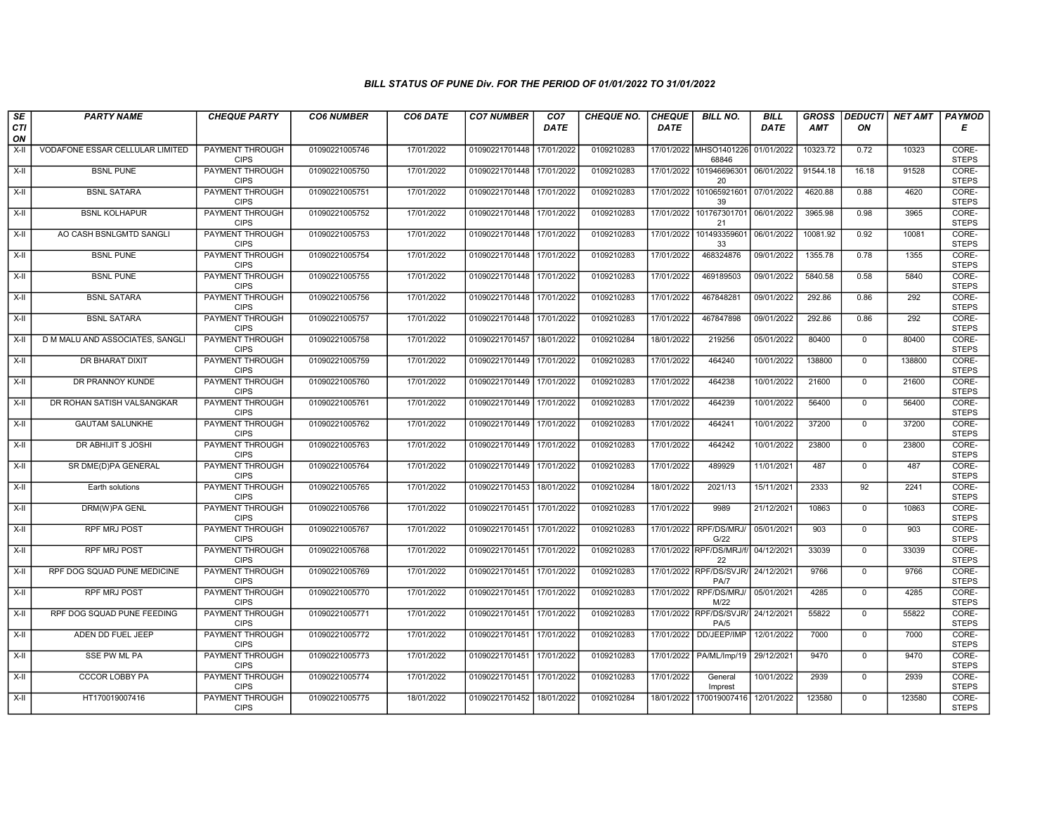| SE        | <b>PARTY NAME</b>               | <b>CHEQUE PARTY</b>                   | <b>CO6 NUMBER</b> | CO6 DATE   | <b>CO7 NUMBER</b>         | CO <sub>7</sub> | <b>CHEQUE NO.</b> | <b>CHEQUE</b> | <b>BILL NO.</b>                 | <b>BILL</b> | <b>GROSS</b> | <b>DEDUCTI</b> | NET AMT | <b>PAYMOD</b>         |
|-----------|---------------------------------|---------------------------------------|-------------------|------------|---------------------------|-----------------|-------------------|---------------|---------------------------------|-------------|--------------|----------------|---------|-----------------------|
| CTI<br>ON |                                 |                                       |                   |            |                           | <b>DATE</b>     |                   | <b>DATE</b>   |                                 | <b>DATE</b> | <b>AMT</b>   | ON             |         | Е                     |
| $X-H$     | VODAFONE ESSAR CELLULAR LIMITED | <b>PAYMENT THROUGH</b><br><b>CIPS</b> | 01090221005746    | 17/01/2022 | 01090221701448            | 17/01/2022      | 0109210283        |               | 17/01/2022 MHSO1401226<br>68846 | 01/01/2022  | 10323.72     | 0.72           | 10323   | CORE-<br><b>STEPS</b> |
| $X-H$     | <b>BSNL PUNE</b>                | <b>PAYMENT THROUGH</b><br><b>CIPS</b> | 01090221005750    | 17/01/2022 | 01090221701448 17/01/2022 |                 | 0109210283        | 17/01/2022    | 101946696301<br>20              | 06/01/2022  | 91544.18     | 16.18          | 91528   | CORE-<br><b>STEPS</b> |
| X-II      | <b>BSNL SATARA</b>              | PAYMENT THROUGH<br><b>CIPS</b>        | 01090221005751    | 17/01/2022 | 01090221701448            | 17/01/2022      | 0109210283        | 17/01/2022    | 101065921601<br>39              | 07/01/2022  | 4620.88      | 0.88           | 4620    | CORE-<br><b>STEPS</b> |
| $X-II$    | <b>BSNL KOLHAPUR</b>            | <b>PAYMENT THROUGH</b><br><b>CIPS</b> | 01090221005752    | 17/01/2022 | 01090221701448            | 17/01/2022      | 0109210283        | 17/01/2022    | 101767301701<br>21              | 06/01/2022  | 3965.98      | 0.98           | 3965    | CORE-<br><b>STEPS</b> |
| $X-H$     | AO CASH BSNLGMTD SANGLI         | <b>PAYMENT THROUGH</b><br><b>CIPS</b> | 01090221005753    | 17/01/2022 | 01090221701448            | 17/01/2022      | 0109210283        | 17/01/2022    | 101493359601<br>33              | 06/01/2022  | 10081.92     | 0.92           | 10081   | CORE-<br><b>STEPS</b> |
| $X-H$     | <b>BSNL PUNE</b>                | <b>PAYMENT THROUGH</b><br><b>CIPS</b> | 01090221005754    | 17/01/2022 | 01090221701448            | 17/01/2022      | 0109210283        | 17/01/2022    | 468324876                       | 09/01/2022  | 1355.78      | 0.78           | 1355    | CORE-<br><b>STEPS</b> |
| X-II      | <b>BSNL PUNE</b>                | PAYMENT THROUGH<br><b>CIPS</b>        | 01090221005755    | 17/01/2022 | 01090221701448            | 17/01/2022      | 0109210283        | 17/01/2022    | 469189503                       | 09/01/2022  | 5840.58      | 0.58           | 5840    | CORE-<br><b>STEPS</b> |
| $X-H$     | <b>BSNL SATARA</b>              | <b>PAYMENT THROUGH</b><br><b>CIPS</b> | 01090221005756    | 17/01/2022 | 01090221701448 17/01/2022 |                 | 0109210283        | 17/01/2022    | 467848281                       | 09/01/2022  | 292.86       | 0.86           | 292     | CORE-<br><b>STEPS</b> |
| $X-H$     | <b>BSNL SATARA</b>              | <b>PAYMENT THROUGH</b><br><b>CIPS</b> | 01090221005757    | 17/01/2022 | 01090221701448            | 17/01/2022      | 0109210283        | 17/01/2022    | 467847898                       | 09/01/2022  | 292.86       | 0.86           | 292     | CORE-<br><b>STEPS</b> |
| $X-H$     | D M MALU AND ASSOCIATES, SANGLI | <b>PAYMENT THROUGH</b><br><b>CIPS</b> | 01090221005758    | 17/01/2022 | 01090221701457 18/01/2022 |                 | 0109210284        | 18/01/2022    | 219256                          | 05/01/2022  | 80400        | 0              | 80400   | CORE-<br><b>STEPS</b> |
| $X-H$     | DR BHARAT DIXIT                 | PAYMENT THROUGH<br><b>CIPS</b>        | 01090221005759    | 17/01/2022 | 01090221701449            | 17/01/2022      | 0109210283        | 17/01/2022    | 464240                          | 10/01/2022  | 138800       | $\mathbf{0}$   | 138800  | CORE-<br><b>STEPS</b> |
| X-II      | DR PRANNOY KUNDE                | <b>PAYMENT THROUGH</b><br><b>CIPS</b> | 01090221005760    | 17/01/2022 | 01090221701449            | 17/01/2022      | 0109210283        | 17/01/2022    | 464238                          | 10/01/2022  | 21600        | $\mathbf 0$    | 21600   | CORE-<br><b>STEPS</b> |
| $X-II$    | DR ROHAN SATISH VALSANGKAR      | <b>PAYMENT THROUGH</b><br><b>CIPS</b> | 01090221005761    | 17/01/2022 | 01090221701449 17/01/2022 |                 | 0109210283        | 17/01/2022    | 464239                          | 10/01/2022  | 56400        | $\overline{0}$ | 56400   | CORE-<br><b>STEPS</b> |
| $X-H$     | <b>GAUTAM SALUNKHE</b>          | PAYMENT THROUGH<br><b>CIPS</b>        | 01090221005762    | 17/01/2022 | 01090221701449            | 17/01/2022      | 0109210283        | 17/01/2022    | 464241                          | 10/01/2022  | 37200        | $\mathbf 0$    | 37200   | CORE-<br><b>STEPS</b> |
| X-II      | DR ABHIJIT S JOSHI              | PAYMENT THROUGH<br><b>CIPS</b>        | 01090221005763    | 17/01/2022 | 01090221701449            | 17/01/2022      | 0109210283        | 17/01/2022    | 464242                          | 10/01/2022  | 23800        | $\Omega$       | 23800   | CORE-<br><b>STEPS</b> |
| X-II      | SR DME(D)PA GENERAL             | PAYMENT THROUGH<br><b>CIPS</b>        | 01090221005764    | 17/01/2022 | 01090221701449            | 17/01/2022      | 0109210283        | 17/01/2022    | 489929                          | 11/01/2021  | 487          | $\mathbf{0}$   | 487     | CORE-<br><b>STEPS</b> |
| X-II      | Earth solutions                 | <b>PAYMENT THROUGH</b><br><b>CIPS</b> | 01090221005765    | 17/01/2022 | 01090221701453            | 18/01/2022      | 0109210284        | 18/01/2022    | 2021/13                         | 15/11/2021  | 2333         | 92             | 2241    | CORE-<br><b>STEPS</b> |
| $X-H$     | DRM(W)PA GENL                   | <b>PAYMENT THROUGH</b><br><b>CIPS</b> | 01090221005766    | 17/01/2022 | 01090221701451            | 17/01/2022      | 0109210283        | 17/01/2022    | 9989                            | 21/12/2021  | 10863        | $\mathbf 0$    | 10863   | CORE-<br><b>STEPS</b> |
| X-II      | <b>RPF MRJ POST</b>             | PAYMENT THROUGH<br><b>CIPS</b>        | 01090221005767    | 17/01/2022 | 01090221701451 17/01/2022 |                 | 0109210283        | 17/01/2022    | RPF/DS/MRJ/<br>G/22             | 05/01/2021  | 903          | $\mathbf 0$    | 903     | CORE-<br><b>STEPS</b> |
| X-II      | <b>RPF MRJ POST</b>             | PAYMENT THROUGH<br><b>CIPS</b>        | 01090221005768    | 17/01/2022 | 01090221701451 17/01/2022 |                 | 0109210283        |               | 17/01/2022 RPF/DS/MRJ/f/<br>22  | 04/12/2021  | 33039        | $\overline{0}$ | 33039   | CORE-<br><b>STEPS</b> |
| X-II      | RPF DOG SQUAD PUNE MEDICINE     | <b>PAYMENT THROUGH</b><br><b>CIPS</b> | 01090221005769    | 17/01/2022 | 01090221701451 17/01/2022 |                 | 0109210283        |               | 17/01/2022 RPF/DS/SVJR/<br>PA/7 | 24/12/2021  | 9766         | $\mathbf{0}$   | 9766    | CORE-<br><b>STEPS</b> |
| X-II      | <b>RPF MRJ POST</b>             | <b>PAYMENT THROUGH</b><br><b>CIPS</b> | 01090221005770    | 17/01/2022 | 01090221701451 17/01/2022 |                 | 0109210283        | 17/01/2022    | RPF/DS/MRJ/<br>M/22             | 05/01/2021  | 4285         | $\Omega$       | 4285    | CORE-<br><b>STEPS</b> |
| $X-H$     | RPF DOG SQUAD PUNE FEEDING      | PAYMENT THROUGH<br><b>CIPS</b>        | 01090221005771    | 17/01/2022 | 01090221701451            | 17/01/2022      | 0109210283        |               | 17/01/2022 RPF/DS/SVJR/<br>PA/5 | 24/12/2021  | 55822        | $\mathbf 0$    | 55822   | CORE-<br><b>STEPS</b> |
| $X-II$    | ADEN DD FUEL JEEP               | PAYMENT THROUGH<br><b>CIPS</b>        | 01090221005772    | 17/01/2022 | 01090221701451            | 17/01/2022      | 0109210283        | 17/01/2022    | DD/JEEP/IMP                     | 12/01/2022  | 7000         | $\Omega$       | 7000    | CORE-<br><b>STEPS</b> |
| $X-H$     | <b>SSE PW ML PA</b>             | PAYMENT THROUGH<br><b>CIPS</b>        | 01090221005773    | 17/01/2022 | 01090221701451 17/01/2022 |                 | 0109210283        | 17/01/2022    | PA/ML/Imp/19                    | 29/12/2021  | 9470         | $\Omega$       | 9470    | CORE-<br><b>STEPS</b> |
| $X-H$     | <b>CCCOR LOBBY PA</b>           | <b>PAYMENT THROUGH</b><br><b>CIPS</b> | 01090221005774    | 17/01/2022 | 01090221701451 17/01/2022 |                 | 0109210283        | 17/01/2022    | General<br>Imprest              | 10/01/2022  | 2939         | $\mathbf 0$    | 2939    | CORE-<br><b>STEPS</b> |
| X-II      | HT170019007416                  | PAYMENT THROUGH<br><b>CIPS</b>        | 01090221005775    | 18/01/2022 | 01090221701452 18/01/2022 |                 | 0109210284        | 18/01/2022    | 170019007416                    | 12/01/2022  | 123580       | $\mathbf{0}$   | 123580  | CORE-<br><b>STEPS</b> |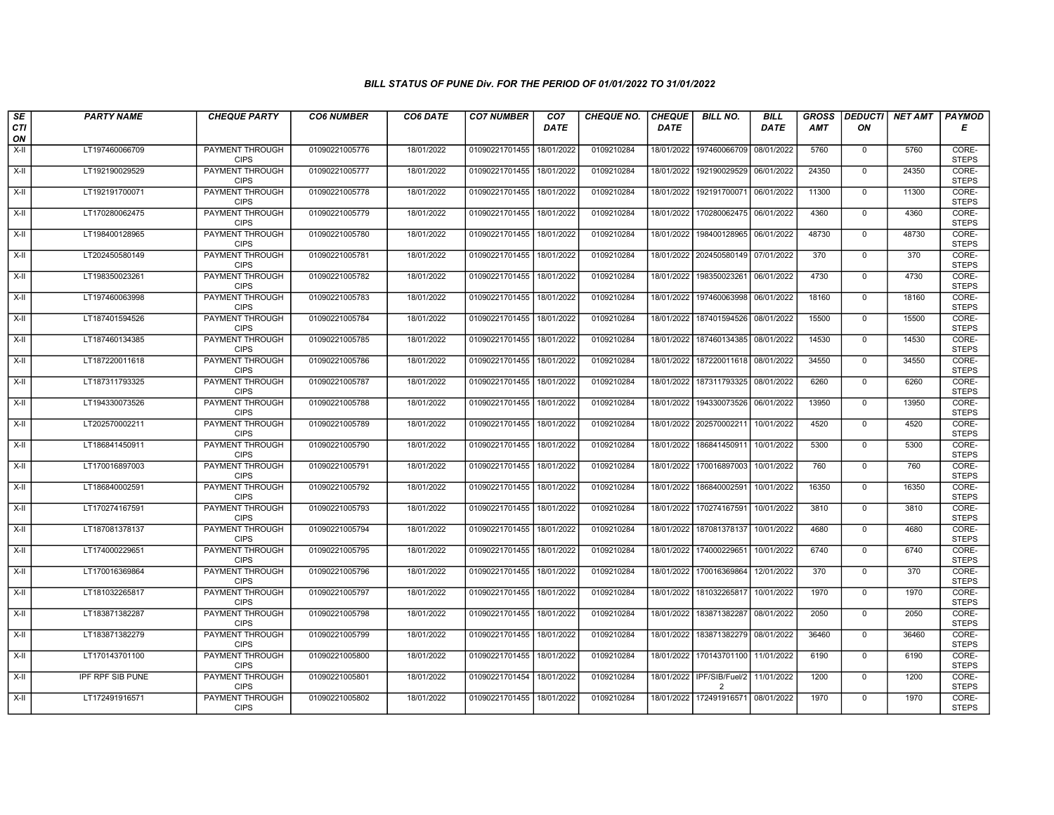| SE                 | <b>PARTY NAME</b>       | <b>CHEQUE PARTY</b>                   | <b>CO6 NUMBER</b> | CO6 DATE   | <b>CO7 NUMBER</b>         | CO <sub>7</sub> | CHEQUE NO. | <b>CHEQUE</b> | <b>BILL NO.</b>                                        | <b>BILL</b> | <b>GROSS</b> |                | DEDUCTI NET AMT | <b>PAYMOD</b>         |
|--------------------|-------------------------|---------------------------------------|-------------------|------------|---------------------------|-----------------|------------|---------------|--------------------------------------------------------|-------------|--------------|----------------|-----------------|-----------------------|
| <b>CTI</b><br>ON   |                         |                                       |                   |            |                           | <b>DATE</b>     |            | <b>DATE</b>   |                                                        | <b>DATE</b> | AMT          | ON             |                 | Е                     |
| $X-H$              | LT197460066709          | <b>PAYMENT THROUGH</b><br><b>CIPS</b> | 01090221005776    | 18/01/2022 | 01090221701455            | 18/01/2022      | 0109210284 | 18/01/2022    | 197460066709                                           | 08/01/2022  | 5760         | 0              | 5760            | CORE-<br><b>STEPS</b> |
| $X-H$              | LT192190029529          | <b>PAYMENT THROUGH</b><br><b>CIPS</b> | 01090221005777    | 18/01/2022 | 01090221701455 18/01/2022 |                 | 0109210284 | 18/01/2022    | 192190029529                                           | 06/01/2022  | 24350        | $\mathbf{0}$   | 24350           | CORE-<br><b>STEPS</b> |
| $X-H$              | LT192191700071          | PAYMENT THROUGH<br><b>CIPS</b>        | 01090221005778    | 18/01/2022 | 01090221701455 18/01/2022 |                 | 0109210284 | 18/01/2022    | 192191700071 06/01/2022                                |             | 11300        | $\mathbf 0$    | 11300           | CORE-<br><b>STEPS</b> |
| $X-H$              | LT170280062475          | PAYMENT THROUGH<br><b>CIPS</b>        | 01090221005779    | 18/01/2022 | 01090221701455            | 18/01/2022      | 0109210284 | 18/01/2022    | 170280062475                                           | 06/01/2022  | 4360         | $\mathbf 0$    | 4360            | CORE-<br><b>STEPS</b> |
| $X-H$              | LT198400128965          | <b>PAYMENT THROUGH</b><br><b>CIPS</b> | 01090221005780    | 18/01/2022 | 01090221701455            | 18/01/2022      | 0109210284 | 18/01/2022    | 198400128965                                           | 06/01/2022  | 48730        | $\mathbf{0}$   | 48730           | CORE-<br><b>STEPS</b> |
| $X-H$              | LT202450580149          | <b>PAYMENT THROUGH</b><br><b>CIPS</b> | 01090221005781    | 18/01/2022 | 01090221701455            | 18/01/2022      | 0109210284 |               | 18/01/2022 202450580149                                | 07/01/2022  | 370          | $\mathbf 0$    | 370             | CORE-<br><b>STEPS</b> |
| $X-II$             | LT198350023261          | PAYMENT THROUGH<br><b>CIPS</b>        | 01090221005782    | 18/01/2022 | 01090221701455            | 18/01/2022      | 0109210284 | 18/01/2022    | 198350023261                                           | 06/01/2022  | 4730         | $\mathbf 0$    | 4730            | CORE-<br><b>STEPS</b> |
| $X-H$              | LT197460063998          | <b>PAYMENT THROUGH</b><br><b>CIPS</b> | 01090221005783    | 18/01/2022 | 01090221701455 18/01/2022 |                 | 0109210284 | 18/01/2022    | 197460063998                                           | 06/01/2022  | 18160        | $\overline{0}$ | 18160           | CORE-<br><b>STEPS</b> |
| X-II               | LT187401594526          | PAYMENT THROUGH<br><b>CIPS</b>        | 01090221005784    | 18/01/2022 | 01090221701455 18/01/2022 |                 | 0109210284 | 18/01/2022    | 187401594526                                           | 08/01/2022  | 15500        | $\mathbf{0}$   | 15500           | CORE-<br><b>STEPS</b> |
| $X-H$              | LT187460134385          | <b>PAYMENT THROUGH</b><br><b>CIPS</b> | 01090221005785    | 18/01/2022 | 01090221701455 18/01/2022 |                 | 0109210284 |               | 18/01/2022 187460134385 08/01/2022                     |             | 14530        | $\overline{0}$ | 14530           | CORE-<br><b>STEPS</b> |
| $X-II$             | LT187220011618          | PAYMENT THROUGH<br><b>CIPS</b>        | 01090221005786    | 18/01/2022 | 01090221701455            | 18/01/2022      | 0109210284 | 18/01/2022    | 187220011618                                           | 08/01/2022  | 34550        | $\mathbf 0$    | 34550           | CORE-<br><b>STEPS</b> |
| $X-H$              | LT187311793325          | PAYMENT THROUGH<br><b>CIPS</b>        | 01090221005787    | 18/01/2022 | 01090221701455            | 18/01/2022      | 0109210284 | 18/01/2022    | 187311793325                                           | 08/01/2022  | 6260         | $\mathbf 0$    | 6260            | CORE-<br><b>STEPS</b> |
| $X-H$              | LT194330073526          | <b>PAYMENT THROUGH</b><br><b>CIPS</b> | 01090221005788    | 18/01/2022 | 01090221701455 18/01/2022 |                 | 0109210284 | 18/01/2022    | 194330073526 06/01/2022                                |             | 13950        | $\overline{0}$ | 13950           | CORE-<br><b>STEPS</b> |
| X-II               | LT202570002211          | <b>PAYMENT THROUGH</b><br><b>CIPS</b> | 01090221005789    | 18/01/2022 | 01090221701455            | 18/01/2022      | 0109210284 | 18/01/2022    | 202570002211                                           | 10/01/2022  | 4520         | $\mathbf 0$    | 4520            | CORE-<br><b>STEPS</b> |
| $\overline{X}$ -II | LT186841450911          | PAYMENT THROUGH<br><b>CIPS</b>        | 01090221005790    | 18/01/2022 | 01090221701455 18/01/2022 |                 | 0109210284 | 18/01/2022    | 186841450911                                           | 10/01/2022  | 5300         | $\mathbf 0$    | 5300            | CORE-<br><b>STEPS</b> |
| $X-II$             | LT170016897003          | PAYMENT THROUGH<br><b>CIPS</b>        | 01090221005791    | 18/01/2022 | 01090221701455            | 18/01/2022      | 0109210284 | 18/01/2022    | 170016897003                                           | 10/01/2022  | 760          | $\mathbf 0$    | 760             | CORE-<br><b>STEPS</b> |
| $X-H$              | LT186840002591          | PAYMENT THROUGH<br><b>CIPS</b>        | 01090221005792    | 18/01/2022 | 01090221701455            | 18/01/2022      | 0109210284 | 18/01/2022    | 186840002591                                           | 10/01/2022  | 16350        | $\mathsf{O}$   | 16350           | CORE-<br><b>STEPS</b> |
| $X-H$              | LT170274167591          | <b>PAYMENT THROUGH</b><br><b>CIPS</b> | 01090221005793    | 18/01/2022 | 01090221701455            | 18/01/2022      | 0109210284 | 18/01/2022    | 170274167591                                           | 10/01/2022  | 3810         | $\mathbf 0$    | 3810            | CORE-<br><b>STEPS</b> |
| $X-H$              | LT187081378137          | PAYMENT THROUGH<br><b>CIPS</b>        | 01090221005794    | 18/01/2022 | 01090221701455            | 18/01/2022      | 0109210284 |               | 18/01/2022 187081378137                                | 10/01/2022  | 4680         | $\mathbf 0$    | 4680            | CORE-<br><b>STEPS</b> |
| $X-H$              | LT174000229651          | PAYMENT THROUGH<br><b>CIPS</b>        | 01090221005795    | 18/01/2022 | 01090221701455            | 18/01/2022      | 0109210284 | 18/01/2022    | 174000229651                                           | 10/01/2022  | 6740         | $\mathbf{0}$   | 6740            | CORE-<br><b>STEPS</b> |
| $X-H$              | LT170016369864          | PAYMENT THROUGH<br><b>CIPS</b>        | 01090221005796    | 18/01/2022 | 01090221701455            | 18/01/2022      | 0109210284 | 18/01/2022    | 170016369864                                           | 12/01/2022  | 370          | $\mathsf{O}$   | 370             | CORE-<br><b>STEPS</b> |
| $X-H$              | LT181032265817          | <b>PAYMENT THROUGH</b><br><b>CIPS</b> | 01090221005797    | 18/01/2022 | 01090221701455 18/01/2022 |                 | 0109210284 | 18/01/2022    | 181032265817                                           | 10/01/2022  | 1970         | $\mathbf 0$    | 1970            | CORE-<br><b>STEPS</b> |
| $X-II$             | LT183871382287          | PAYMENT THROUGH<br><b>CIPS</b>        | 01090221005798    | 18/01/2022 | 01090221701455            | 18/01/2022      | 0109210284 | 18/01/2022    | 183871382287                                           | 08/01/2022  | 2050         | $\mathbf 0$    | 2050            | CORE-<br><b>STEPS</b> |
| $X-II$             | LT183871382279          | PAYMENT THROUGH<br><b>CIPS</b>        | 01090221005799    | 18/01/2022 | 01090221701455            | 18/01/2022      | 0109210284 | 18/01/2022    | 183871382279                                           | 08/01/2022  | 36460        | $\mathbf{0}$   | 36460           | CORE-<br><b>STEPS</b> |
| $X-H$              | LT170143701100          | PAYMENT THROUGH<br><b>CIPS</b>        | 01090221005800    | 18/01/2022 | 01090221701455            | 18/01/2022      | 0109210284 | 18/01/2022    | 170143701100                                           | 11/01/2022  | 6190         | $\mathbf 0$    | 6190            | CORE-<br><b>STEPS</b> |
| $X-H$              | <b>IPF RPF SIB PUNE</b> | <b>PAYMENT THROUGH</b><br><b>CIPS</b> | 01090221005801    | 18/01/2022 | 01090221701454            | 18/01/2022      | 0109210284 |               | 18/01/2022 IPF/SIB/Fuel/2 11/01/2022<br>$\overline{2}$ |             | 1200         | $\mathbf 0$    | 1200            | CORE-<br><b>STEPS</b> |
| $X-H$              | LT172491916571          | <b>PAYMENT THROUGH</b><br><b>CIPS</b> | 01090221005802    | 18/01/2022 | 01090221701455 18/01/2022 |                 | 0109210284 | 18/01/2022    | 172491916571 08/01/2022                                |             | 1970         | $\mathsf{O}$   | 1970            | CORE-<br><b>STEPS</b> |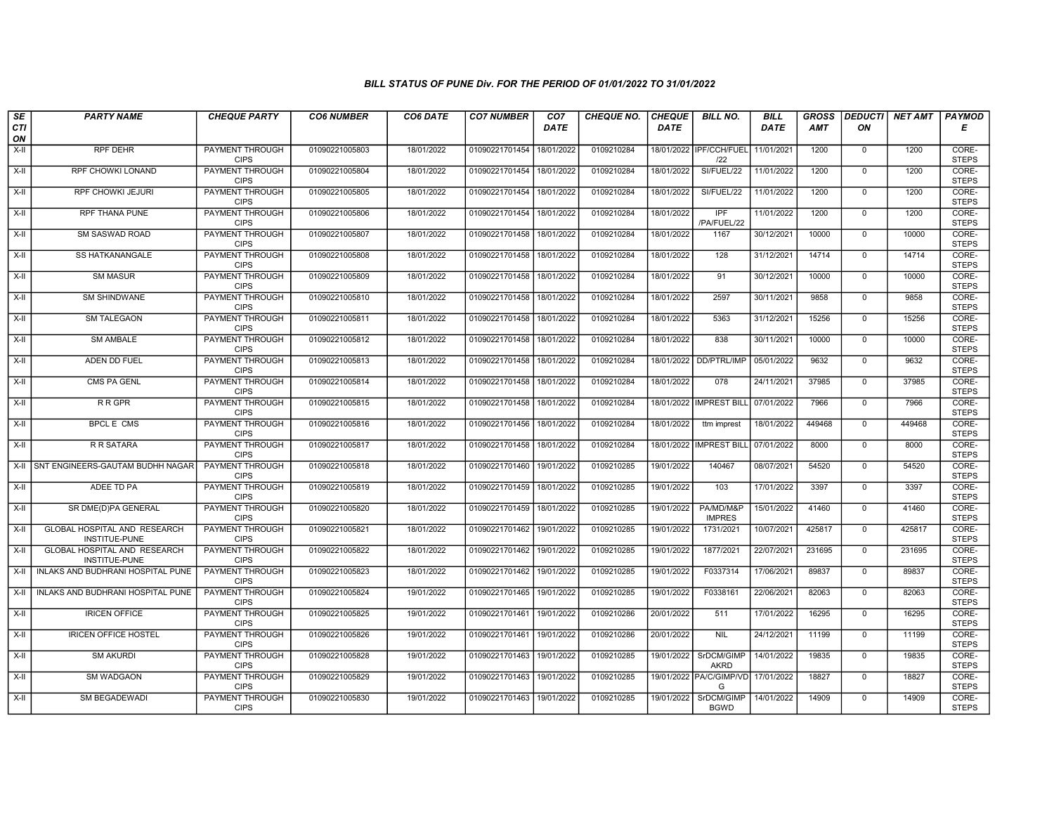| SE        | <b>PARTY NAME</b>                             | <b>CHEQUE PARTY</b>                   | <b>CO6 NUMBER</b> | CO6 DATE   | <b>CO7 NUMBER</b>         | CO <sub>7</sub> | <b>CHEQUE NO.</b> | <b>CHEQUE</b> | <b>BILL NO.</b>                | <b>BILL</b> | <b>GROSS</b> | <b>DEDUCTI</b> | <b>NET AMT</b> | <b>PAYMOD</b>         |
|-----------|-----------------------------------------------|---------------------------------------|-------------------|------------|---------------------------|-----------------|-------------------|---------------|--------------------------------|-------------|--------------|----------------|----------------|-----------------------|
| CTI<br>ON |                                               |                                       |                   |            |                           | <b>DATE</b>     |                   | <b>DATE</b>   |                                | DATE        | AMT          | ON             |                | Е                     |
| X-II      | <b>RPF DEHR</b>                               | <b>PAYMENT THROUGH</b><br><b>CIPS</b> | 01090221005803    | 18/01/2022 | 01090221701454            | 18/01/2022      | 0109210284        |               | 18/01/2022 IPF/CCH/FUEL<br>122 | 11/01/2021  | 1200         | $\mathbf 0$    | 1200           | CORE-<br><b>STEPS</b> |
| $X-H$     | <b>RPF CHOWKI LONAND</b>                      | <b>PAYMENT THROUGH</b><br><b>CIPS</b> | 01090221005804    | 18/01/2022 | 01090221701454 18/01/2022 |                 | 0109210284        | 18/01/2022    | SI/FUEL/22                     | 11/01/2022  | 1200         | $\Omega$       | 1200           | CORE-<br><b>STEPS</b> |
| X-II      | RPF CHOWKI JEJURI                             | PAYMENT THROUGH<br><b>CIPS</b>        | 01090221005805    | 18/01/2022 | 01090221701454 18/01/2022 |                 | 0109210284        | 18/01/2022    | SI/FUEL/22                     | 11/01/2022  | 1200         | $\mathbf 0$    | 1200           | CORE-<br><b>STEPS</b> |
| $X-II$    | <b>RPF THANA PUNE</b>                         | <b>PAYMENT THROUGH</b><br><b>CIPS</b> | 01090221005806    | 18/01/2022 | 01090221701454            | 18/01/2022      | 0109210284        | 18/01/2022    | IPF<br>/PA/FUEL/22             | 11/01/2022  | 1200         | $\overline{0}$ | 1200           | CORE-<br><b>STEPS</b> |
| $X-H$     | <b>SM SASWAD ROAD</b>                         | <b>PAYMENT THROUGH</b><br><b>CIPS</b> | 01090221005807    | 18/01/2022 | 01090221701458 18/01/2022 |                 | 0109210284        | 18/01/2022    | 1167                           | 30/12/2021  | 10000        | $\mathbf 0$    | 10000          | CORE-<br><b>STEPS</b> |
| X-II      | SS HATKANANGALE                               | <b>PAYMENT THROUGH</b><br><b>CIPS</b> | 01090221005808    | 18/01/2022 | 01090221701458            | 18/01/2022      | 0109210284        | 18/01/2022    | 128                            | 31/12/2021  | 14714        | $\mathbf{0}$   | 14714          | CORE-<br><b>STEPS</b> |
| X-II      | <b>SM MASUR</b>                               | PAYMENT THROUGH<br><b>CIPS</b>        | 01090221005809    | 18/01/2022 | 01090221701458            | 18/01/2022      | 0109210284        | 18/01/2022    | 91                             | 30/12/2021  | 10000        | $\Omega$       | 10000          | CORE-<br><b>STEPS</b> |
| $X-II$    | <b>SM SHINDWANE</b>                           | PAYMENT THROUGH<br><b>CIPS</b>        | 01090221005810    | 18/01/2022 | 01090221701458            | 18/01/2022      | 0109210284        | 18/01/2022    | 2597                           | 30/11/2021  | 9858         | $\mathbf 0$    | 9858           | CORE-<br><b>STEPS</b> |
| $X-H$     | <b>SM TALEGAON</b>                            | <b>PAYMENT THROUGH</b><br><b>CIPS</b> | 01090221005811    | 18/01/2022 | 01090221701458            | 18/01/2022      | 0109210284        | 18/01/2022    | 5363                           | 31/12/2021  | 15256        | $\mathbf 0$    | 15256          | CORE-<br><b>STEPS</b> |
| $X-H$     | <b>SM AMBALE</b>                              | <b>PAYMENT THROUGH</b><br><b>CIPS</b> | 01090221005812    | 18/01/2022 | 01090221701458 18/01/2022 |                 | 0109210284        | 18/01/2022    | 838                            | 30/11/2021  | 10000        | $\mathbf 0$    | 10000          | CORE-<br><b>STEPS</b> |
| $X-H$     | ADEN DD FUEL                                  | PAYMENT THROUGH<br><b>CIPS</b>        | 01090221005813    | 18/01/2022 | 01090221701458            | 18/01/2022      | 0109210284        | 18/01/2022    | DD/PTRL/IMP                    | 05/01/2022  | 9632         | $\mathbf 0$    | 9632           | CORE-<br><b>STEPS</b> |
| X-II      | CMS PA GENL                                   | PAYMENT THROUGH<br><b>CIPS</b>        | 01090221005814    | 18/01/2022 | 01090221701458 18/01/2022 |                 | 0109210284        | 18/01/2022    | 078                            | 24/11/2021  | 37985        | $\Omega$       | 37985          | CORE-<br><b>STEPS</b> |
| X-II      | <b>RRGPR</b>                                  | PAYMENT THROUGH<br><b>CIPS</b>        | 01090221005815    | 18/01/2022 | 01090221701458            | 18/01/2022      | 0109210284        | 18/01/2022    | <b>IMPREST BILI</b>            | 07/01/2022  | 7966         | $\mathbf 0$    | 7966           | CORE-<br><b>STEPS</b> |
| $X-H$     | <b>BPCLE CMS</b>                              | <b>PAYMENT THROUGH</b><br><b>CIPS</b> | 01090221005816    | 18/01/2022 | 01090221701456            | 18/01/2022      | 0109210284        | 18/01/2022    | ttm imprest                    | 18/01/2022  | 449468       | $\mathbf 0$    | 449468         | CORE-<br><b>STEPS</b> |
| X-II      | R R SATARA                                    | PAYMENT THROUGH<br><b>CIPS</b>        | 01090221005817    | 18/01/2022 | 01090221701458            | 18/01/2022      | 0109210284        | 18/01/2022    | <b>IMPREST BILL</b>            | 07/01/2022  | 8000         | $\Omega$       | 8000           | CORE-<br><b>STEPS</b> |
| $X-II$    | SNT ENGINEERS-GAUTAM BUDHH NAGAR              | <b>PAYMENT THROUGH</b><br><b>CIPS</b> | 01090221005818    | 18/01/2022 | 01090221701460            | 19/01/2022      | 0109210285        | 19/01/2022    | 140467                         | 08/07/2021  | 54520        | $\overline{0}$ | 54520          | CORE-<br><b>STEPS</b> |
| X-II      | ADEE TD PA                                    | <b>PAYMENT THROUGH</b><br><b>CIPS</b> | 01090221005819    | 18/01/2022 | 01090221701459 18/01/2022 |                 | 0109210285        | 19/01/2022    | 103                            | 17/01/2022  | 3397         | $\Omega$       | 3397           | CORE-<br><b>STEPS</b> |
| X-II      | SR DME(D)PA GENERAL                           | <b>PAYMENT THROUGH</b><br><b>CIPS</b> | 01090221005820    | 18/01/2022 | 01090221701459            | 18/01/2022      | 0109210285        | 19/01/2022    | PA/MD/M&P<br><b>IMPRES</b>     | 15/01/2022  | 41460        | $\mathbf 0$    | 41460          | CORE-<br><b>STEPS</b> |
| $X-II$    | GLOBAL HOSPITAL AND RESEARCH<br>INSTITUE-PUNE | PAYMENT THROUGH<br><b>CIPS</b>        | 01090221005821    | 18/01/2022 | 01090221701462 19/01/2022 |                 | 0109210285        | 19/01/2022    | 1731/2021                      | 10/07/2021  | 425817       | $\Omega$       | 425817         | CORE-<br><b>STEPS</b> |
| X-II      | GLOBAL HOSPITAL AND RESEARCH<br>INSTITUE-PUNE | PAYMENT THROUGH<br><b>CIPS</b>        | 01090221005822    | 18/01/2022 | 01090221701462            | 19/01/2022      | 0109210285        | 19/01/2022    | 1877/2021                      | 22/07/2021  | 231695       | $\mathbf 0$    | 231695         | CORE-<br><b>STEPS</b> |
| $X-H$     | INLAKS AND BUDHRANI HOSPITAL PUNE             | <b>PAYMENT THROUGH</b><br><b>CIPS</b> | 01090221005823    | 18/01/2022 | 01090221701462            | 19/01/2022      | 0109210285        | 19/01/2022    | F0337314                       | 17/06/2021  | 89837        | $\overline{0}$ | 89837          | CORE-<br><b>STEPS</b> |
| $X-H$     | INLAKS AND BUDHRANI HOSPITAL PUNE             | <b>PAYMENT THROUGH</b><br><b>CIPS</b> | 01090221005824    | 19/01/2022 | 01090221701465 19/01/2022 |                 | 0109210285        | 19/01/2022    | F0338161                       | 22/06/2021  | 82063        | $\mathbf 0$    | 82063          | CORE-<br><b>STEPS</b> |
| X-II      | <b>IRICEN OFFICE</b>                          | PAYMENT THROUGH<br><b>CIPS</b>        | 01090221005825    | 19/01/2022 | 01090221701461            | 19/01/2022      | 0109210286        | 20/01/2022    | 511                            | 17/01/2022  | 16295        | $\mathbf{0}$   | 16295          | CORE-<br><b>STEPS</b> |
| $X-H$     | <b>IRICEN OFFICE HOSTEL</b>                   | PAYMENT THROUGH<br><b>CIPS</b>        | 01090221005826    | 19/01/2022 | 01090221701461            | 19/01/2022      | 0109210286        | 20/01/2022    | <b>NIL</b>                     | 24/12/2021  | 11199        | $\Omega$       | 11199          | CORE-<br><b>STEPS</b> |
| X-II      | <b>SM AKURDI</b>                              | PAYMENT THROUGH<br><b>CIPS</b>        | 01090221005828    | 19/01/2022 | 01090221701463            | 19/01/2022      | 0109210285        | 19/01/2022    | SrDCM/GIMP<br><b>AKRD</b>      | 14/01/2022  | 19835        | $\mathbf 0$    | 19835          | CORE-<br><b>STEPS</b> |
| $X-H$     | <b>SM WADGAON</b>                             | <b>PAYMENT THROUGH</b><br><b>CIPS</b> | 01090221005829    | 19/01/2022 | 01090221701463 19/01/2022 |                 | 0109210285        |               | 19/01/2022 PA/C/GIMP/VD<br>G   | 17/01/2022  | 18827        | $\mathsf{O}$   | 18827          | CORE-<br><b>STEPS</b> |
| X-II      | <b>SM BEGADEWADI</b>                          | PAYMENT THROUGH<br><b>CIPS</b>        | 01090221005830    | 19/01/2022 | 01090221701463 19/01/2022 |                 | 0109210285        | 19/01/2022    | SrDCM/GIMP<br><b>BGWD</b>      | 14/01/2022  | 14909        | $\mathbf 0$    | 14909          | CORE-<br><b>STEPS</b> |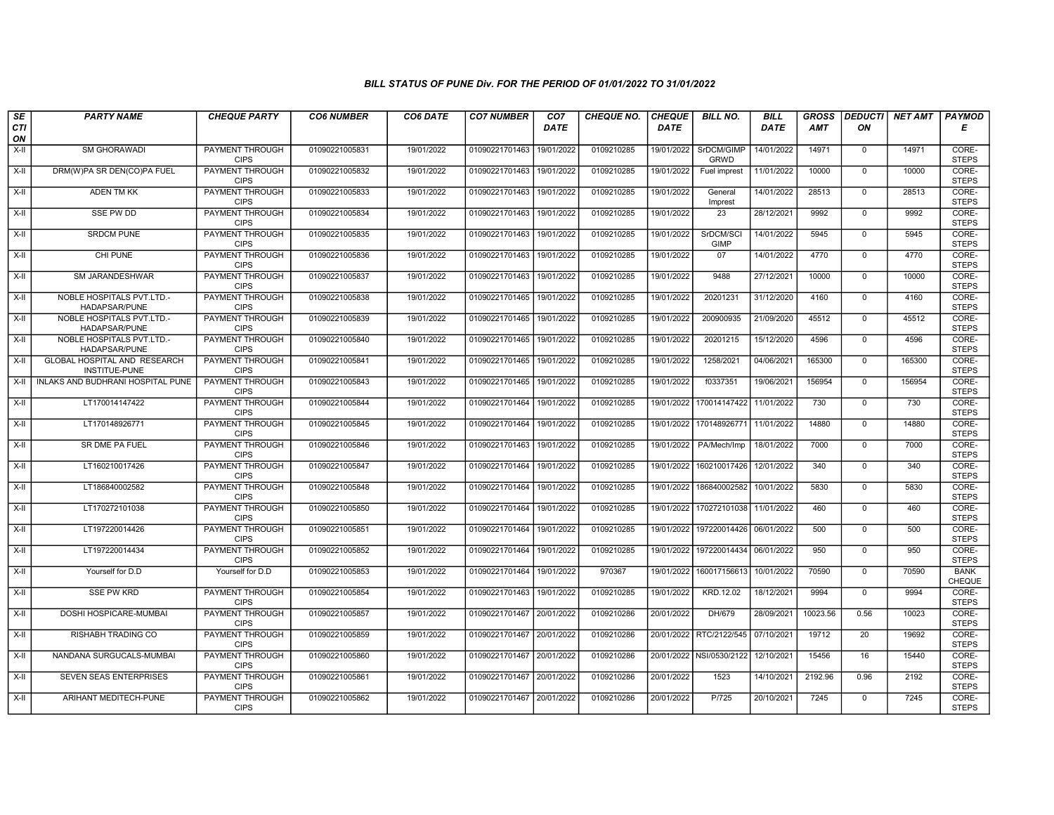| SE               | <b>PARTY NAME</b>                                 | <b>CHEQUE PARTY</b>                   | <b>CO6 NUMBER</b> | CO6 DATE   | <b>CO7 NUMBER</b>         | CO <sub>7</sub> | <b>CHEQUE NO.</b> | <b>CHEQUE</b> | <b>BILL NO.</b>           | <b>BILL</b> | <b>GROSS</b> | <b>DEDUCTI</b> | NET AMT | <b>PAYMOD</b>                |
|------------------|---------------------------------------------------|---------------------------------------|-------------------|------------|---------------------------|-----------------|-------------------|---------------|---------------------------|-------------|--------------|----------------|---------|------------------------------|
| <b>CTI</b><br>ON |                                                   |                                       |                   |            |                           | <b>DATE</b>     |                   | <b>DATE</b>   |                           | DATE        | <b>AMT</b>   | ON             |         | Е                            |
| $X-H$            | <b>SM GHORAWADI</b>                               | <b>PAYMENT THROUGH</b><br><b>CIPS</b> | 01090221005831    | 19/01/2022 | 01090221701463            | 19/01/2022      | 0109210285        | 19/01/2022    | SrDCM/GIMP<br><b>GRWD</b> | 14/01/2022  | 14971        | $\mathbf 0$    | 14971   | CORE-<br><b>STEPS</b>        |
| $X-H$            | DRM(W)PA SR DEN(CO)PA FUEL                        | <b>PAYMENT THROUGH</b><br><b>CIPS</b> | 01090221005832    | 19/01/2022 | 01090221701463            | 19/01/2022      | 0109210285        | 19/01/2022    | Fuel imprest              | 11/01/2022  | 10000        | $\Omega$       | 10000   | CORE-<br><b>STEPS</b>        |
| X-II             | <b>ADEN TM KK</b>                                 | PAYMENT THROUGH<br><b>CIPS</b>        | 01090221005833    | 19/01/2022 | 01090221701463            | 19/01/2022      | 0109210285        | 19/01/2022    | General<br>Imprest        | 14/01/2022  | 28513        | $\mathbf 0$    | 28513   | CORE-<br><b>STEPS</b>        |
| $X-H$            | <b>SSE PW DD</b>                                  | <b>PAYMENT THROUGH</b><br><b>CIPS</b> | 01090221005834    | 19/01/2022 | 01090221701463            | 19/01/2022      | 0109210285        | 19/01/2022    | 23                        | 28/12/2021  | 9992         | $\overline{0}$ | 9992    | CORE-<br><b>STEPS</b>        |
| $X-H$            | <b>SRDCM PUNE</b>                                 | <b>PAYMENT THROUGH</b><br><b>CIPS</b> | 01090221005835    | 19/01/2022 | 01090221701463            | 19/01/2022      | 0109210285        | 19/01/2022    | SrDCM/SCI<br><b>GIMP</b>  | 14/01/2022  | 5945         | $\Omega$       | 5945    | CORE-<br><b>STEPS</b>        |
| X-II             | CHI PUNE                                          | <b>PAYMENT THROUGH</b><br><b>CIPS</b> | 01090221005836    | 19/01/2022 | 01090221701463            | 19/01/2022      | 0109210285        | 19/01/2022    | 07                        | 14/01/2022  | 4770         | $\mathbf{0}$   | 4770    | CORE-<br><b>STEPS</b>        |
| X-II             | SM JARANDESHWAR                                   | PAYMENT THROUGH<br><b>CIPS</b>        | 01090221005837    | 19/01/2022 | 01090221701463            | 19/01/2022      | 0109210285        | 19/01/2022    | 9488                      | 27/12/2021  | 10000        | $\Omega$       | 10000   | CORE-<br><b>STEPS</b>        |
| $X-II$           | NOBLE HOSPITALS PVT.LTD.-<br>HADAPSAR/PUNE        | PAYMENT THROUGH<br><b>CIPS</b>        | 01090221005838    | 19/01/2022 | 01090221701465            | 19/01/2022      | 0109210285        | 19/01/2022    | 20201231                  | 31/12/2020  | 4160         | $\mathbf 0$    | 4160    | CORE-<br><b>STEPS</b>        |
| $X-H$            | <b>NOBLE HOSPITALS PVT.LTD.-</b><br>HADAPSAR/PUNE | <b>PAYMENT THROUGH</b><br><b>CIPS</b> | 01090221005839    | 19/01/2022 | 01090221701465            | 19/01/2022      | 0109210285        | 19/01/2022    | 200900935                 | 21/09/2020  | 45512        | $\mathbf 0$    | 45512   | CORE-<br><b>STEPS</b>        |
| $X-H$            | NOBLE HOSPITALS PVT.LTD.-<br><b>HADAPSAR/PUNE</b> | <b>PAYMENT THROUGH</b><br><b>CIPS</b> | 01090221005840    | 19/01/2022 | 01090221701465 19/01/2022 |                 | 0109210285        | 19/01/2022    | 20201215                  | 15/12/2020  | 4596         | $\mathbf 0$    | 4596    | CORE-<br><b>STEPS</b>        |
| X-II             | GLOBAL HOSPITAL AND RESEARCH<br>INSTITUE-PUNE     | PAYMENT THROUGH<br><b>CIPS</b>        | 01090221005841    | 19/01/2022 | 01090221701465            | 19/01/2022      | 0109210285        | 19/01/2022    | 1258/2021                 | 04/06/2021  | 165300       | $\mathbf{0}$   | 165300  | CORE-<br><b>STEPS</b>        |
| $X-H$            | INLAKS AND BUDHRANI HOSPITAL PUNE                 | <b>PAYMENT THROUGH</b><br><b>CIPS</b> | 01090221005843    | 19/01/2022 | 01090221701465            | 19/01/2022      | 0109210285        | 19/01/2022    | f0337351                  | 19/06/2021  | 156954       | $\Omega$       | 156954  | CORE-<br><b>STEPS</b>        |
| X-II             | LT170014147422                                    | <b>PAYMENT THROUGH</b><br><b>CIPS</b> | 01090221005844    | 19/01/2022 | 01090221701464            | 19/01/2022      | 0109210285        | 19/01/2022    | 170014147422              | 11/01/2022  | 730          | $\mathbf 0$    | 730     | CORE-<br><b>STEPS</b>        |
| $X-H$            | LT170148926771                                    | <b>PAYMENT THROUGH</b><br><b>CIPS</b> | 01090221005845    | 19/01/2022 | 01090221701464            | 19/01/2022      | 0109210285        | 19/01/2022    | 170148926771              | 11/01/2022  | 14880        | $\mathbf 0$    | 14880   | CORE-<br><b>STEPS</b>        |
| X-II             | SR DME PA FUEL                                    | PAYMENT THROUGH<br><b>CIPS</b>        | 01090221005846    | 19/01/2022 | 01090221701463            | 19/01/2022      | 0109210285        | 19/01/2022    | PA/Mech/Imp               | 18/01/2022  | 7000         | $\Omega$       | 7000    | CORE-<br><b>STEPS</b>        |
| $X-II$           | LT160210017426                                    | <b>PAYMENT THROUGH</b><br><b>CIPS</b> | 01090221005847    | 19/01/2022 | 01090221701464            | 19/01/2022      | 0109210285        | 19/01/2022    | 160210017426              | 12/01/2022  | 340          | $\mathbf 0$    | 340     | CORE-<br><b>STEPS</b>        |
| X-II             | LT186840002582                                    | PAYMENT THROUGH<br><b>CIPS</b>        | 01090221005848    | 19/01/2022 | 01090221701464            | 19/01/2022      | 0109210285        | 19/01/2022    | 186840002582              | 10/01/2022  | 5830         | $\Omega$       | 5830    | CORE-<br><b>STEPS</b>        |
| X-II             | LT170272101038                                    | <b>PAYMENT THROUGH</b><br><b>CIPS</b> | 01090221005850    | 19/01/2022 | 01090221701464            | 19/01/2022      | 0109210285        | 19/01/2022    | 170272101038              | 11/01/2022  | 460          | $\mathbf 0$    | 460     | CORE-<br><b>STEPS</b>        |
| X-II             | LT197220014426                                    | PAYMENT THROUGH<br><b>CIPS</b>        | 01090221005851    | 19/01/2022 | 01090221701464            | 19/01/2022      | 0109210285        | 19/01/2022    | 197220014426              | 06/01/2022  | 500          | $\Omega$       | 500     | CORE-<br><b>STEPS</b>        |
| X-II             | LT197220014434                                    | PAYMENT THROUGH<br><b>CIPS</b>        | 01090221005852    | 19/01/2022 | 01090221701464            | 19/01/2022      | 0109210285        | 19/01/2022    | 197220014434              | 06/01/2022  | 950          | $\Omega$       | 950     | CORE-<br><b>STEPS</b>        |
| $X-II$           | Yourself for D.D                                  | Yourself for D.D                      | 01090221005853    | 19/01/2022 | 01090221701464            | 19/01/2022      | 970367            | 19/01/2022    | 160017156613              | 10/01/2022  | 70590        | $\overline{0}$ | 70590   | <b>BANK</b><br><b>CHEQUE</b> |
| X-II             | <b>SSE PW KRD</b>                                 | <b>PAYMENT THROUGH</b><br><b>CIPS</b> | 01090221005854    | 19/01/2022 | 01090221701463 19/01/2022 |                 | 0109210285        | 19/01/2022    | KRD.12.02                 | 18/12/2021  | 9994         | $\Omega$       | 9994    | CORE-<br><b>STEPS</b>        |
| X-II             | DOSHI HOSPICARE-MUMBAI                            | PAYMENT THROUGH<br><b>CIPS</b>        | 01090221005857    | 19/01/2022 | 01090221701467            | 20/01/2022      | 0109210286        | 20/01/2022    | DH/679                    | 28/09/2021  | 10023.56     | 0.56           | 10023   | CORE-<br><b>STEPS</b>        |
| $X-II$           | RISHABH TRADING CO                                | PAYMENT THROUGH<br><b>CIPS</b>        | 01090221005859    | 19/01/2022 | 01090221701467            | 20/01/2022      | 0109210286        | 20/01/2022    | RTC/2122/545              | 07/10/2021  | 19712        | 20             | 19692   | CORE-<br><b>STEPS</b>        |
| X-II             | NANDANA SURGUCALS-MUMBAI                          | <b>PAYMENT THROUGH</b><br><b>CIPS</b> | 01090221005860    | 19/01/2022 | 01090221701467 20/01/2022 |                 | 0109210286        | 20/01/2022    | NSI/0530/2122             | 12/10/2021  | 15456        | 16             | 15440   | CORE-<br><b>STEPS</b>        |
| $X-H$            | <b>SEVEN SEAS ENTERPRISES</b>                     | <b>PAYMENT THROUGH</b><br><b>CIPS</b> | 01090221005861    | 19/01/2022 | 01090221701467 20/01/2022 |                 | 0109210286        | 20/01/2022    | 1523                      | 14/10/2021  | 2192.96      | 0.96           | 2192    | CORE-<br><b>STEPS</b>        |
| X-II             | ARIHANT MEDITECH-PUNE                             | <b>PAYMENT THROUGH</b><br><b>CIPS</b> | 01090221005862    | 19/01/2022 | 01090221701467 20/01/2022 |                 | 0109210286        | 20/01/2022    | P/725                     | 20/10/2021  | 7245         | $\mathbf 0$    | 7245    | CORE-<br><b>STEPS</b>        |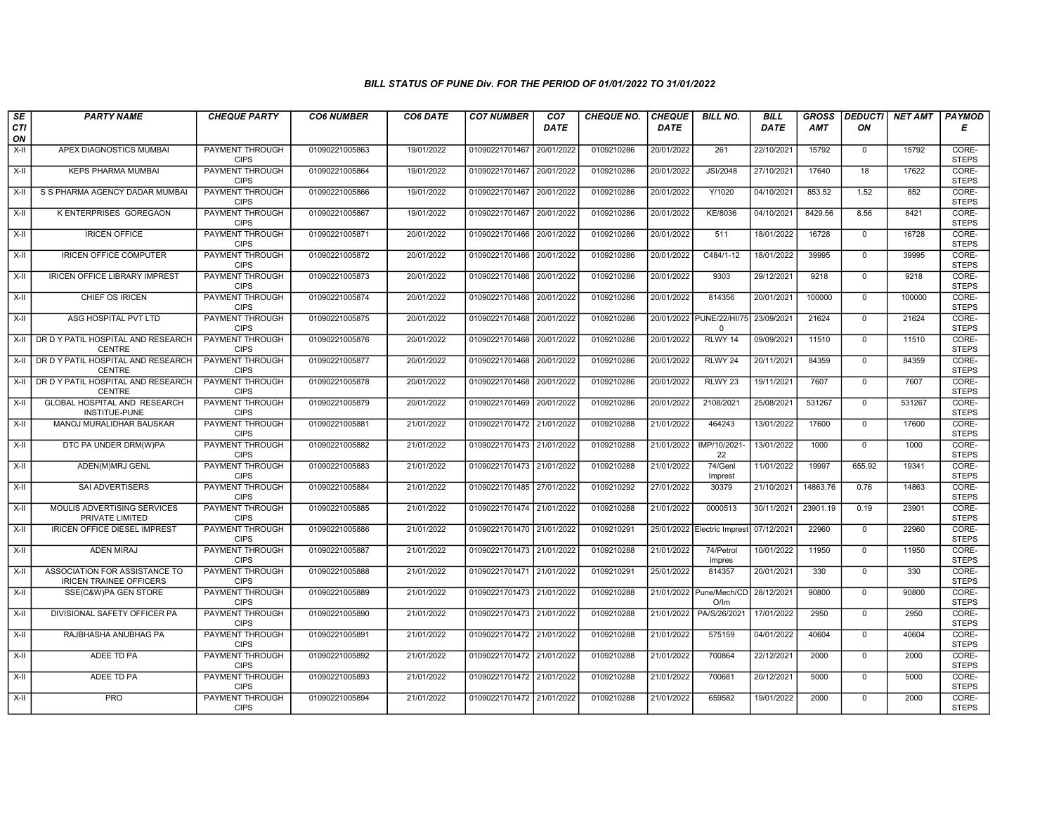| SE               | <b>PARTY NAME</b>                                               | <b>CHEQUE PARTY</b>                   | <b>CO6 NUMBER</b> | CO6 DATE   | <b>CO7 NUMBER</b>         | CO <sub>7</sub> | <b>CHEQUE NO.</b> | <b>CHEQUE</b> | <b>BILL NO.</b>                          | <b>BILL</b> | <b>GROSS</b> | <b>DEDUCTI</b> | <b>NET AMT</b> | <b>PAYMOD</b>         |
|------------------|-----------------------------------------------------------------|---------------------------------------|-------------------|------------|---------------------------|-----------------|-------------------|---------------|------------------------------------------|-------------|--------------|----------------|----------------|-----------------------|
| <b>CTI</b><br>ON |                                                                 |                                       |                   |            |                           | <b>DATE</b>     |                   | <b>DATE</b>   |                                          | DATE        | <b>AMT</b>   | ON             |                | Е                     |
| $X-H$            | APEX DIAGNOSTICS MUMBAI                                         | <b>PAYMENT THROUGH</b><br><b>CIPS</b> | 01090221005863    | 19/01/2022 | 01090221701467            | 20/01/2022      | 0109210286        | 20/01/2022    | 261                                      | 22/10/2021  | 15792        | $\mathbf{0}$   | 15792          | CORE-<br><b>STEPS</b> |
| $X-H$            | <b>KEPS PHARMA MUMBAI</b>                                       | <b>PAYMENT THROUGH</b><br><b>CIPS</b> | 01090221005864    | 19/01/2022 | 01090221701467 20/01/2022 |                 | 0109210286        | 20/01/2022    | <b>JSI/2048</b>                          | 27/10/2021  | 17640        | 18             | 17622          | CORE-<br><b>STEPS</b> |
| X-II             | S S PHARMA AGENCY DADAR MUMBAI                                  | PAYMENT THROUGH<br><b>CIPS</b>        | 01090221005866    | 19/01/2022 | 01090221701467            | 20/01/2022      | 0109210286        | 20/01/2022    | Y/1020                                   | 04/10/2021  | 853.52       | 1.52           | 852            | CORE-<br><b>STEPS</b> |
| $X-H$            | K ENTERPRISES GOREGAON                                          | <b>PAYMENT THROUGH</b><br><b>CIPS</b> | 01090221005867    | 19/01/2022 | 01090221701467 20/01/2022 |                 | 0109210286        | 20/01/2022    | KE/8036                                  | 04/10/2021  | 8429.56      | 8.56           | 8421           | CORE-<br><b>STEPS</b> |
| $X-H$            | <b>IRICEN OFFICE</b>                                            | <b>PAYMENT THROUGH</b><br><b>CIPS</b> | 01090221005871    | 20/01/2022 | 01090221701466 20/01/2022 |                 | 0109210286        | 20/01/2022    | 511                                      | 18/01/2022  | 16728        | $\mathbf{0}$   | 16728          | CORE-<br><b>STEPS</b> |
| X-II             | IRICEN OFFICE COMPUTER                                          | <b>PAYMENT THROUGH</b><br><b>CIPS</b> | 01090221005872    | 20/01/2022 | 01090221701466 20/01/2022 |                 | 0109210286        | 20/01/2022    | C484/1-12                                | 18/01/2022  | 39995        | $\mathbf{0}$   | 39995          | CORE-<br><b>STEPS</b> |
| X-II             | <b>IRICEN OFFICE LIBRARY IMPREST</b>                            | PAYMENT THROUGH<br><b>CIPS</b>        | 01090221005873    | 20/01/2022 | 01090221701466            | 20/01/2022      | 0109210286        | 20/01/2022    | 9303                                     | 29/12/2021  | 9218         | $\Omega$       | 9218           | CORE-<br><b>STEPS</b> |
| X-II             | CHIEF OS IRICEN                                                 | PAYMENT THROUGH<br><b>CIPS</b>        | 01090221005874    | 20/01/2022 | 01090221701466            | 20/01/2022      | 0109210286        | 20/01/2022    | 814356                                   | 20/01/2021  | 100000       | $\mathbf 0$    | 100000         | CORE-<br><b>STEPS</b> |
| $X-H$            | ASG HOSPITAL PVT LTD                                            | <b>PAYMENT THROUGH</b><br><b>CIPS</b> | 01090221005875    | 20/01/2022 | 01090221701468 20/01/2022 |                 | 0109210286        |               | 20/01/2022 PUNE/22/HI/75<br>$\mathbf{0}$ | 23/09/2021  | 21624        | $\Omega$       | 21624          | CORE-<br><b>STEPS</b> |
| X-II             | DR D Y PATIL HOSPITAL AND RESEARCH<br><b>CENTRE</b>             | <b>PAYMENT THROUGH</b><br><b>CIPS</b> | 01090221005876    | 20/01/2022 | 01090221701468 20/01/2022 |                 | 0109210286        | 20/01/2022    | RLWY 14                                  | 09/09/2021  | 11510        | $\mathbf 0$    | 11510          | CORE-<br><b>STEPS</b> |
| X-II             | DR D Y PATIL HOSPITAL AND RESEARCH<br><b>CENTRE</b>             | PAYMENT THROUGH<br><b>CIPS</b>        | 01090221005877    | 20/01/2022 | 01090221701468            | 20/01/2022      | 0109210286        | 20/01/2022    | RLWY 24                                  | 20/11/2021  | 84359        | $\mathbf{0}$   | 84359          | CORE-<br><b>STEPS</b> |
| X-II             | DR D Y PATIL HOSPITAL AND RESEARCH<br><b>CENTRE</b>             | PAYMENT THROUGH<br><b>CIPS</b>        | 01090221005878    | 20/01/2022 | 01090221701468 20/01/2022 |                 | 0109210286        | 20/01/2022    | RLWY <sub>23</sub>                       | 19/11/2021  | 7607         | $\Omega$       | 7607           | CORE-<br><b>STEPS</b> |
| X-II             | GLOBAL HOSPITAL AND RESEARCH<br>INSTITUE-PUNE                   | <b>PAYMENT THROUGH</b><br><b>CIPS</b> | 01090221005879    | 20/01/2022 | 01090221701469            | 20/01/2022      | 0109210286        | 20/01/2022    | 2108/2021                                | 25/08/2021  | 531267       | $\mathbf 0$    | 531267         | CORE-<br><b>STEPS</b> |
| $X-H$            | MANOJ MURALIDHAR BAUSKAR                                        | <b>PAYMENT THROUGH</b><br><b>CIPS</b> | 01090221005881    | 21/01/2022 | 01090221701472 21/01/2022 |                 | 0109210288        | 21/01/2022    | 464243                                   | 13/01/2022  | 17600        | $\mathbf{0}$   | 17600          | CORE-<br><b>STEPS</b> |
| X-II             | DTC PA UNDER DRM(W)PA                                           | <b>PAYMENT THROUGH</b><br><b>CIPS</b> | 01090221005882    | 21/01/2022 | 01090221701473 21/01/2022 |                 | 0109210288        | 21/01/2022    | IMP/10/2021<br>22                        | 13/01/2022  | 1000         | $\Omega$       | 1000           | CORE-<br><b>STEPS</b> |
| $X-H$            | ADEN(M)MRJ GENL                                                 | PAYMENT THROUGH<br><b>CIPS</b>        | 01090221005883    | 21/01/2022 | 01090221701473 21/01/2022 |                 | 0109210288        | 21/01/2022    | 74/Genl<br>Imprest                       | 11/01/2022  | 19997        | 655.92         | 19341          | CORE-<br><b>STEPS</b> |
| X-II             | SAI ADVERTISERS                                                 | PAYMENT THROUGH<br><b>CIPS</b>        | 01090221005884    | 21/01/2022 | 01090221701485 27/01/2022 |                 | 0109210292        | 27/01/2022    | 30379                                    | 21/10/2021  | 14863.76     | 0.76           | 14863          | CORE-<br><b>STEPS</b> |
| X-II             | MOULIS ADVERTISING SERVICES<br>PRIVATE LIMITED                  | <b>PAYMENT THROUGH</b><br><b>CIPS</b> | 01090221005885    | 21/01/2022 | 01090221701474 21/01/2022 |                 | 0109210288        | 21/01/2022    | 0000513                                  | 30/11/2021  | 23901.19     | 0.19           | 23901          | CORE-<br><b>STEPS</b> |
| $X-II$           | <b>IRICEN OFFICE DIESEL IMPREST</b>                             | PAYMENT THROUGH<br><b>CIPS</b>        | 01090221005886    | 21/01/2022 | 01090221701470 21/01/2022 |                 | 0109210291        |               | 25/01/2022 Electric Imprest              | 07/12/2021  | 22960        | $\Omega$       | 22960          | CORE-<br><b>STEPS</b> |
| X-II             | <b>ADEN MIRAJ</b>                                               | PAYMENT THROUGH<br><b>CIPS</b>        | 01090221005887    | 21/01/2022 | 01090221701473 21/01/2022 |                 | 0109210288        | 21/01/2022    | 74/Petrol<br>impres                      | 10/01/2022  | 11950        | $\mathbf 0$    | 11950          | CORE-<br><b>STEPS</b> |
| $X-II$           | ASSOCIATION FOR ASSISTANCE TO<br><b>IRICEN TRAINEE OFFICERS</b> | <b>PAYMENT THROUGH</b><br><b>CIPS</b> | 01090221005888    | 21/01/2022 | 01090221701471 21/01/2022 |                 | 0109210291        | 25/01/2022    | 814357                                   | 20/01/2021  | 330          | $\overline{0}$ | 330            | CORE-<br><b>STEPS</b> |
| X-II             | SSE(C&W)PA GEN STORE                                            | <b>PAYMENT THROUGH</b><br><b>CIPS</b> | 01090221005889    | 21/01/2022 | 01090221701473 21/01/2022 |                 | 0109210288        |               | 21/01/2022 Pune/Mech/CD<br>O/Im          | 28/12/2021  | 90800        | $\Omega$       | 90800          | CORE-<br><b>STEPS</b> |
| X-II             | DIVISIONAL SAFETY OFFICER PA                                    | PAYMENT THROUGH<br><b>CIPS</b>        | 01090221005890    | 21/01/2022 | 01090221701473 21/01/2022 |                 | 0109210288        | 21/01/2022    | PA/S/26/2021                             | 17/01/2022  | 2950         | $\mathbf 0$    | 2950           | CORE-<br><b>STEPS</b> |
| $X-H$            | RAJBHASHA ANUBHAG PA                                            | PAYMENT THROUGH<br><b>CIPS</b>        | 01090221005891    | 21/01/2022 | 01090221701472 21/01/2022 |                 | 0109210288        | 21/01/2022    | 575159                                   | 04/01/2022  | 40604        | $\Omega$       | 40604          | CORE-<br><b>STEPS</b> |
| X-II             | ADEE TD PA                                                      | PAYMENT THROUGH<br><b>CIPS</b>        | 01090221005892    | 21/01/2022 | 01090221701472 21/01/2022 |                 | 0109210288        | 21/01/2022    | 700864                                   | 22/12/2021  | 2000         | $\Omega$       | 2000           | CORE-<br><b>STEPS</b> |
| $X-H$            | ADEE TD PA                                                      | <b>PAYMENT THROUGH</b><br><b>CIPS</b> | 01090221005893    | 21/01/2022 | 01090221701472 21/01/2022 |                 | 0109210288        | 21/01/2022    | 700681                                   | 20/12/2021  | 5000         | $\mathbf 0$    | 5000           | CORE-<br><b>STEPS</b> |
| X-II             | <b>PRO</b>                                                      | <b>PAYMENT THROUGH</b><br><b>CIPS</b> | 01090221005894    | 21/01/2022 | 01090221701472 21/01/2022 |                 | 0109210288        | 21/01/2022    | 659582                                   | 19/01/2022  | 2000         | $\Omega$       | 2000           | CORE-<br><b>STEPS</b> |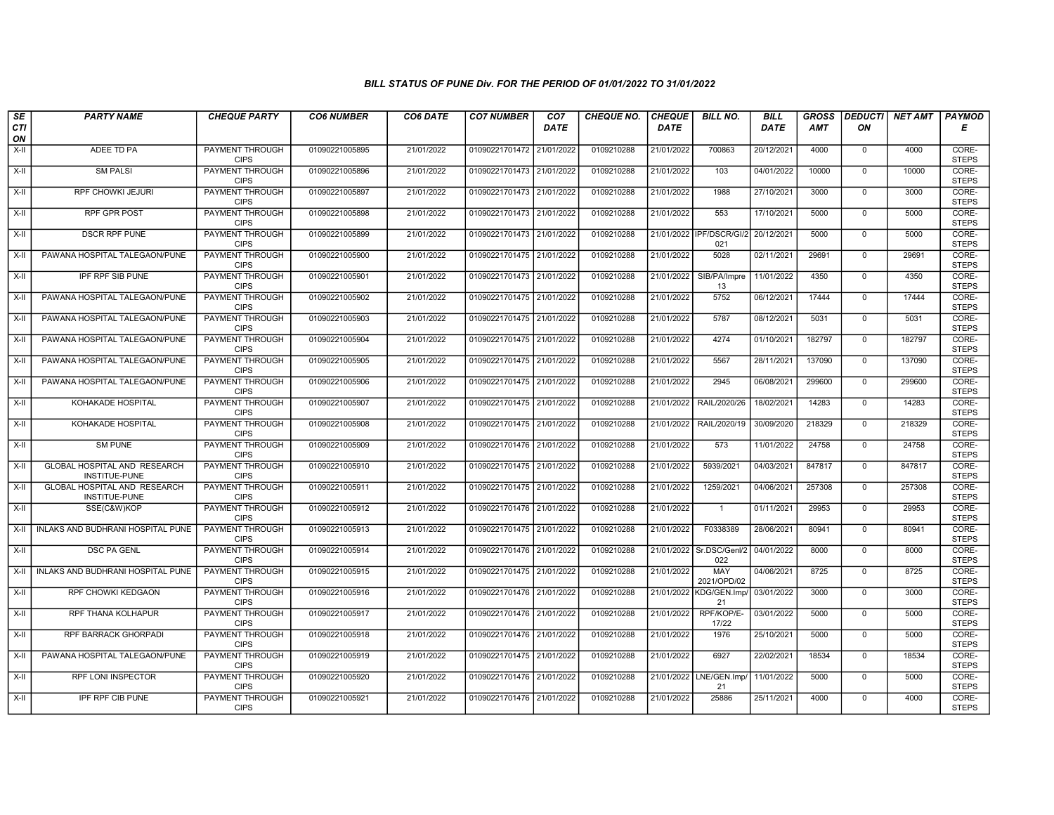| SE               | <b>PARTY NAME</b>                             | <b>CHEQUE PARTY</b>                   | <b>CO6 NUMBER</b> | CO6 DATE   | <b>CO7 NUMBER</b>         | CO <sub>7</sub> | <b>CHEQUE NO.</b> | <b>CHEQUE</b> | <b>BILL NO.</b>                 | <b>BILL</b> | <b>GROSS</b> |                | DEDUCTI NET AMT | <b>PAYMOD</b>         |
|------------------|-----------------------------------------------|---------------------------------------|-------------------|------------|---------------------------|-----------------|-------------------|---------------|---------------------------------|-------------|--------------|----------------|-----------------|-----------------------|
| <b>CTI</b><br>ON |                                               |                                       |                   |            |                           | <b>DATE</b>     |                   | <b>DATE</b>   |                                 | <b>DATE</b> | AMT          | ON             |                 | Е                     |
| $X-H$            | ADEE TD PA                                    | PAYMENT THROUGH<br><b>CIPS</b>        | 01090221005895    | 21/01/2022 | 01090221701472 21/01/2022 |                 | 0109210288        | 21/01/2022    | 700863                          | 20/12/2021  | 4000         | $\mathbf{0}$   | 4000            | CORE-<br><b>STEPS</b> |
| $X-H$            | <b>SM PALSI</b>                               | <b>PAYMENT THROUGH</b><br><b>CIPS</b> | 01090221005896    | 21/01/2022 | 01090221701473 21/01/2022 |                 | 0109210288        | 21/01/2022    | 103                             | 04/01/2022  | 10000        | $\mathbf{0}$   | 10000           | CORE-<br><b>STEPS</b> |
| X-II             | RPF CHOWKI JEJURI                             | PAYMENT THROUGH<br><b>CIPS</b>        | 01090221005897    | 21/01/2022 | 01090221701473 21/01/2022 |                 | 0109210288        | 21/01/2022    | 1988                            | 27/10/2021  | 3000         | $\mathbf 0$    | 3000            | CORE-<br><b>STEPS</b> |
| $X-H$            | <b>RPF GPR POST</b>                           | PAYMENT THROUGH<br><b>CIPS</b>        | 01090221005898    | 21/01/2022 | 01090221701473 21/01/2022 |                 | 0109210288        | 21/01/2022    | 553                             | 17/10/2021  | 5000         | $\mathbf 0$    | 5000            | CORE-<br><b>STEPS</b> |
| $X-H$            | <b>DSCR RPF PUNE</b>                          | <b>PAYMENT THROUGH</b><br><b>CIPS</b> | 01090221005899    | 21/01/2022 | 01090221701473 21/01/2022 |                 | 0109210288        |               | 21/01/2022 IPF/DSCR/GI/2<br>021 | 20/12/2021  | 5000         | $\mathbf 0$    | 5000            | CORE-<br><b>STEPS</b> |
| X-II             | PAWANA HOSPITAL TALEGAON/PUNE                 | <b>PAYMENT THROUGH</b><br><b>CIPS</b> | 01090221005900    | 21/01/2022 | 01090221701475 21/01/2022 |                 | 0109210288        | 21/01/2022    | 5028                            | 02/11/2021  | 29691        | $\Omega$       | 29691           | CORE-<br><b>STEPS</b> |
| $X-II$           | <b>IPF RPF SIB PUNE</b>                       | PAYMENT THROUGH<br><b>CIPS</b>        | 01090221005901    | 21/01/2022 | 01090221701473 21/01/2022 |                 | 0109210288        | 21/01/2022    | SIB/PA/Impre<br>13              | 11/01/2022  | 4350         | $\mathbf{0}$   | 4350            | CORE-<br><b>STEPS</b> |
| $X-II$           | PAWANA HOSPITAL TALEGAON/PUNE                 | <b>PAYMENT THROUGH</b><br><b>CIPS</b> | 01090221005902    | 21/01/2022 | 01090221701475 21/01/2022 |                 | 0109210288        | 21/01/2022    | 5752                            | 06/12/2021  | 17444        | $\overline{0}$ | 17444           | CORE-<br><b>STEPS</b> |
| X-II             | PAWANA HOSPITAL TALEGAON/PUNE                 | <b>PAYMENT THROUGH</b><br><b>CIPS</b> | 01090221005903    | 21/01/2022 | 01090221701475 21/01/2022 |                 | 0109210288        | 21/01/2022    | 5787                            | 08/12/2021  | 5031         | $\mathbf{0}$   | 5031            | CORE-<br><b>STEPS</b> |
| $X-H$            | PAWANA HOSPITAL TALEGAON/PUNE                 | <b>PAYMENT THROUGH</b><br><b>CIPS</b> | 01090221005904    | 21/01/2022 | 01090221701475 21/01/2022 |                 | 0109210288        | 21/01/2022    | 4274                            | 01/10/2021  | 182797       | $\overline{0}$ | 182797          | CORE-<br><b>STEPS</b> |
| X-II             | PAWANA HOSPITAL TALEGAON/PUNE                 | PAYMENT THROUGH<br><b>CIPS</b>        | 01090221005905    | 21/01/2022 | 01090221701475 21/01/2022 |                 | 0109210288        | 21/01/2022    | 5567                            | 28/11/2021  | 137090       | $\mathbf 0$    | 137090          | CORE-<br><b>STEPS</b> |
| X-II             | PAWANA HOSPITAL TALEGAON/PUNE                 | PAYMENT THROUGH<br><b>CIPS</b>        | 01090221005906    | 21/01/2022 | 01090221701475 21/01/2022 |                 | 0109210288        | 21/01/2022    | 2945                            | 06/08/2021  | 299600       | $\mathbf 0$    | 299600          | CORE-<br><b>STEPS</b> |
| $X-H$            | KOHAKADE HOSPITAL                             | <b>PAYMENT THROUGH</b><br><b>CIPS</b> | 01090221005907    | 21/01/2022 | 01090221701475 21/01/2022 |                 | 0109210288        | 21/01/2022    | RAIL/2020/26                    | 18/02/2021  | 14283        | $\overline{0}$ | 14283           | CORE-<br><b>STEPS</b> |
| X-II             | KOHAKADE HOSPITAL                             | <b>PAYMENT THROUGH</b><br><b>CIPS</b> | 01090221005908    | 21/01/2022 | 01090221701475 21/01/2022 |                 | 0109210288        | 21/01/2022    | RAIL/2020/19                    | 30/09/2020  | 218329       | $\mathbf 0$    | 218329          | CORE-<br><b>STEPS</b> |
| $X-II$           | <b>SM PUNE</b>                                | PAYMENT THROUGH<br><b>CIPS</b>        | 01090221005909    | 21/01/2022 | 01090221701476 21/01/2022 |                 | 0109210288        | 21/01/2022    | 573                             | 11/01/2022  | 24758        | $\Omega$       | 24758           | CORE-<br><b>STEPS</b> |
| X-II             | GLOBAL HOSPITAL AND RESEARCH<br>INSTITUE-PUNE | PAYMENT THROUGH<br><b>CIPS</b>        | 01090221005910    | 21/01/2022 | 01090221701475 21/01/2022 |                 | 0109210288        | 21/01/2022    | 5939/2021                       | 04/03/2021  | 847817       | $\mathbf 0$    | 847817          | CORE-<br><b>STEPS</b> |
| X-II             | GLOBAL HOSPITAL AND RESEARCH<br>INSTITUE-PUNE | <b>PAYMENT THROUGH</b><br><b>CIPS</b> | 01090221005911    | 21/01/2022 | 01090221701475 21/01/2022 |                 | 0109210288        | 21/01/2022    | 1259/2021                       | 04/06/2021  | 257308       | $\mathbf 0$    | 257308          | CORE-<br><b>STEPS</b> |
| $X-H$            | SSE(C&W)KOP                                   | <b>PAYMENT THROUGH</b><br><b>CIPS</b> | 01090221005912    | 21/01/2022 | 01090221701476 21/01/2022 |                 | 0109210288        | 21/01/2022    | $\overline{1}$                  | 01/11/2021  | 29953        | $\mathbf 0$    | 29953           | CORE-<br><b>STEPS</b> |
| X-II             | INLAKS AND BUDHRANI HOSPITAL PUNE             | PAYMENT THROUGH<br><b>CIPS</b>        | 01090221005913    | 21/01/2022 | 01090221701475 21/01/2022 |                 | 0109210288        | 21/01/2022    | F0338389                        | 28/06/2021  | 80941        | $\mathbf 0$    | 80941           | CORE-<br><b>STEPS</b> |
| $X-H$            | <b>DSC PA GENL</b>                            | PAYMENT THROUGH<br><b>CIPS</b>        | 01090221005914    | 21/01/2022 | 01090221701476 21/01/2022 |                 | 0109210288        |               | 21/01/2022 Sr.DSC/Genl/2<br>022 | 04/01/2022  | 8000         | $\mathbf{0}$   | 8000            | CORE-<br><b>STEPS</b> |
| X-II             | INLAKS AND BUDHRANI HOSPITAL PUNE             | PAYMENT THROUGH<br><b>CIPS</b>        | 01090221005915    | 21/01/2022 | 01090221701475 21/01/2022 |                 | 0109210288        | 21/01/2022    | <b>MAY</b><br>2021/OPD/02       | 04/06/2021  | 8725         | $\mathbf{0}$   | 8725            | CORE-<br><b>STEPS</b> |
| X-II             | <b>RPF CHOWKI KEDGAON</b>                     | PAYMENT THROUGH<br><b>CIPS</b>        | 01090221005916    | 21/01/2022 | 01090221701476 21/01/2022 |                 | 0109210288        | 21/01/2022    | KDG/GEN.Imp/<br>21              | 03/01/2022  | 3000         | $\Omega$       | 3000            | CORE-<br><b>STEPS</b> |
| X-II             | RPF THANA KOLHAPUR                            | PAYMENT THROUGH<br><b>CIPS</b>        | 01090221005917    | 21/01/2022 | 01090221701476 21/01/2022 |                 | 0109210288        | 21/01/2022    | RPF/KOP/E-<br>17/22             | 03/01/2022  | 5000         | $\mathbf 0$    | 5000            | CORE-<br><b>STEPS</b> |
| $X-H$            | <b>RPF BARRACK GHORPADI</b>                   | PAYMENT THROUGH<br><b>CIPS</b>        | 01090221005918    | 21/01/2022 | 01090221701476 21/01/2022 |                 | 0109210288        | 21/01/2022    | 1976                            | 25/10/2021  | 5000         | $\Omega$       | 5000            | CORE-<br><b>STEPS</b> |
| X-II             | PAWANA HOSPITAL TALEGAON/PUNE                 | PAYMENT THROUGH<br><b>CIPS</b>        | 01090221005919    | 21/01/2022 | 01090221701475 21/01/2022 |                 | 0109210288        | 21/01/2022    | 6927                            | 22/02/2021  | 18534        | $\mathbf 0$    | 18534           | CORE-<br><b>STEPS</b> |
| $X-H$            | <b>RPF LONI INSPECTOR</b>                     | <b>PAYMENT THROUGH</b><br><b>CIPS</b> | 01090221005920    | 21/01/2022 | 01090221701476 21/01/2022 |                 | 0109210288        |               | 21/01/2022 LNE/GEN.Imp/<br>21   | 11/01/2022  | 5000         | $\mathbf 0$    | 5000            | CORE-<br><b>STEPS</b> |
| $X-II$           | <b>IPF RPF CIB PUNE</b>                       | <b>PAYMENT THROUGH</b><br><b>CIPS</b> | 01090221005921    | 21/01/2022 | 01090221701476 21/01/2022 |                 | 0109210288        | 21/01/2022    | 25886                           | 25/11/2021  | 4000         | $\mathbf 0$    | 4000            | CORE-<br><b>STEPS</b> |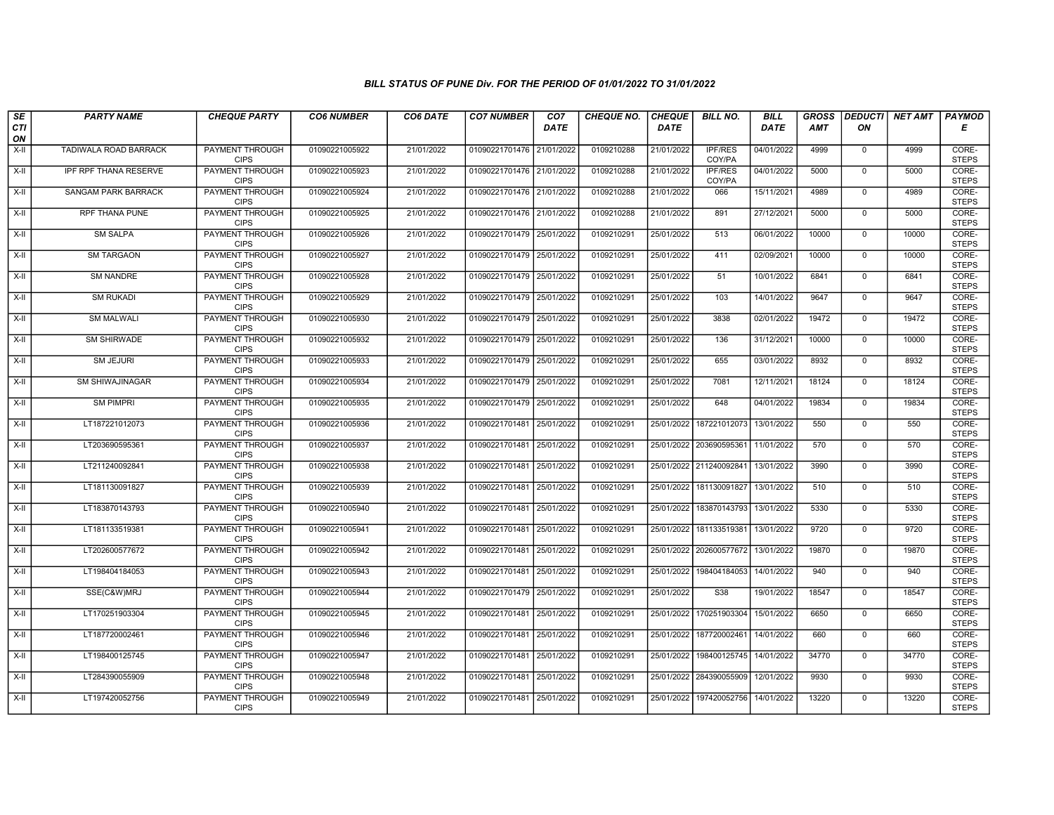| SE               | <b>PARTY NAME</b>            | <b>CHEQUE PARTY</b>                   | <b>CO6 NUMBER</b> | CO6 DATE   | <b>CO7 NUMBER</b>         | CO <sub>7</sub> | <b>CHEQUE NO.</b> | <b>CHEQUE</b> | <b>BILL NO.</b>          | <b>BILL</b> | <b>GROSS</b> | <b>DEDUCTI</b> | NET AMT | <b>PAYMOD</b>         |
|------------------|------------------------------|---------------------------------------|-------------------|------------|---------------------------|-----------------|-------------------|---------------|--------------------------|-------------|--------------|----------------|---------|-----------------------|
| <b>CTI</b><br>ON |                              |                                       |                   |            |                           | <b>DATE</b>     |                   | DATE          |                          | DATE        | <b>AMT</b>   | ΟN             |         | Е                     |
| $X-H$            | TADIWALA ROAD BARRACK        | PAYMENT THROUGH<br><b>CIPS</b>        | 01090221005922    | 21/01/2022 | 01090221701476            | 21/01/2022      | 0109210288        | 21/01/2022    | <b>IPF/RES</b><br>COY/PA | 04/01/2022  | 4999         | $\mathbf 0$    | 4999    | CORE-<br><b>STEPS</b> |
| $X-H$            | <b>IPF RPF THANA RESERVE</b> | PAYMENT THROUGH<br><b>CIPS</b>        | 01090221005923    | 21/01/2022 | 01090221701476 21/01/2022 |                 | 0109210288        | 21/01/2022    | <b>IPF/RES</b><br>COY/PA | 04/01/2022  | 5000         | $\mathbf 0$    | 5000    | CORE-<br><b>STEPS</b> |
| X-II             | SANGAM PARK BARRACK          | PAYMENT THROUGH<br><b>CIPS</b>        | 01090221005924    | 21/01/2022 | 01090221701476 21/01/2022 |                 | 0109210288        | 21/01/2022    | 066                      | 15/11/2021  | 4989         | $\mathbf 0$    | 4989    | CORE-<br><b>STEPS</b> |
| $X-H$            | RPF THANA PUNE               | PAYMENT THROUGH<br><b>CIPS</b>        | 01090221005925    | 21/01/2022 | 01090221701476 21/01/2022 |                 | 0109210288        | 21/01/2022    | 891                      | 27/12/2021  | 5000         | $\overline{0}$ | 5000    | CORE-<br><b>STEPS</b> |
| $X-H$            | <b>SM SALPA</b>              | <b>PAYMENT THROUGH</b><br><b>CIPS</b> | 01090221005926    | 21/01/2022 | 01090221701479 25/01/2022 |                 | 0109210291        | 25/01/2022    | 513                      | 06/01/2022  | 10000        | $\mathbf 0$    | 10000   | CORE-<br><b>STEPS</b> |
| $X-II$           | <b>SM TARGAON</b>            | <b>PAYMENT THROUGH</b><br><b>CIPS</b> | 01090221005927    | 21/01/2022 | 01090221701479 25/01/2022 |                 | 0109210291        | 25/01/2022    | 411                      | 02/09/2021  | 10000        | $\mathbf{0}$   | 10000   | CORE-<br><b>STEPS</b> |
| $X-II$           | <b>SM NANDRE</b>             | PAYMENT THROUGH<br><b>CIPS</b>        | 01090221005928    | 21/01/2022 | 01090221701479            | 25/01/2022      | 0109210291        | 25/01/2022    | 51                       | 10/01/2022  | 6841         | $\mathbf 0$    | 6841    | CORE-<br><b>STEPS</b> |
| $X-H$            | <b>SM RUKADI</b>             | PAYMENT THROUGH<br><b>CIPS</b>        | 01090221005929    | 21/01/2022 | 01090221701479            | 25/01/2022      | 0109210291        | 25/01/2022    | 103                      | 14/01/2022  | 9647         | $\mathbf 0$    | 9647    | CORE-<br><b>STEPS</b> |
| $X-H$            | <b>SM MALWALI</b>            | <b>PAYMENT THROUGH</b><br><b>CIPS</b> | 01090221005930    | 21/01/2022 | 01090221701479 25/01/2022 |                 | 0109210291        | 25/01/2022    | 3838                     | 02/01/2022  | 19472        | $\mathbf 0$    | 19472   | CORE-<br><b>STEPS</b> |
| $X-H$            | <b>SM SHIRWADE</b>           | <b>PAYMENT THROUGH</b><br><b>CIPS</b> | 01090221005932    | 21/01/2022 | 01090221701479 25/01/2022 |                 | 0109210291        | 25/01/2022    | 136                      | 31/12/2021  | 10000        | $\mathbf 0$    | 10000   | CORE-<br><b>STEPS</b> |
| $X-II$           | SM JEJURI                    | PAYMENT THROUGH<br><b>CIPS</b>        | 01090221005933    | 21/01/2022 | 01090221701479 25/01/2022 |                 | 0109210291        | 25/01/2022    | 655                      | 03/01/2022  | 8932         | $\mathbf 0$    | 8932    | CORE-<br><b>STEPS</b> |
| X-II             | <b>SM SHIWAJINAGAR</b>       | PAYMENT THROUGH<br><b>CIPS</b>        | 01090221005934    | 21/01/2022 | 01090221701479 25/01/2022 |                 | 0109210291        | 25/01/2022    | 7081                     | 12/11/2021  | 18124        | $\mathbf 0$    | 18124   | CORE-<br><b>STEPS</b> |
| $X-H$            | <b>SM PIMPRI</b>             | PAYMENT THROUGH<br><b>CIPS</b>        | 01090221005935    | 21/01/2022 | 01090221701479            | 25/01/2022      | 0109210291        | 25/01/2022    | 648                      | 04/01/2022  | 19834        | $\mathbf 0$    | 19834   | CORE-<br><b>STEPS</b> |
| $X-H$            | LT187221012073               | <b>PAYMENT THROUGH</b><br><b>CIPS</b> | 01090221005936    | 21/01/2022 | 01090221701481 25/01/2022 |                 | 0109210291        | 25/01/2022    | 187221012073             | 13/01/2022  | 550          | $\mathbf{0}$   | 550     | CORE-<br><b>STEPS</b> |
| $X-H$            | LT203690595361               | PAYMENT THROUGH<br><b>CIPS</b>        | 01090221005937    | 21/01/2022 | 01090221701481 25/01/2022 |                 | 0109210291        |               | 25/01/2022 203690595361  | 11/01/2022  | 570          | $\mathbf 0$    | 570     | CORE-<br><b>STEPS</b> |
| $X-II$           | LT211240092841               | <b>PAYMENT THROUGH</b><br><b>CIPS</b> | 01090221005938    | 21/01/2022 | 01090221701481 25/01/2022 |                 | 0109210291        |               | 25/01/2022 211240092841  | 13/01/2022  | 3990         | $\overline{0}$ | 3990    | CORE-<br><b>STEPS</b> |
| X-II             | LT181130091827               | <b>PAYMENT THROUGH</b><br><b>CIPS</b> | 01090221005939    | 21/01/2022 | 01090221701481 25/01/2022 |                 | 0109210291        | 25/01/2022    | 181130091827             | 13/01/2022  | 510          | $\mathbf{0}$   | 510     | CORE-<br><b>STEPS</b> |
| $X-H$            | LT183870143793               | <b>PAYMENT THROUGH</b><br><b>CIPS</b> | 01090221005940    | 21/01/2022 | 01090221701481            | 25/01/2022      | 0109210291        | 25/01/2022    | 183870143793             | 13/01/2022  | 5330         | $\mathbf 0$    | 5330    | CORE-<br><b>STEPS</b> |
| $X-II$           | LT181133519381               | PAYMENT THROUGH<br><b>CIPS</b>        | 01090221005941    | 21/01/2022 | 01090221701481 25/01/2022 |                 | 0109210291        |               | 25/01/2022 181133519381  | 13/01/2022  | 9720         | $\mathbf{0}$   | 9720    | CORE-<br><b>STEPS</b> |
| X-II             | LT202600577672               | PAYMENT THROUGH<br><b>CIPS</b>        | 01090221005942    | 21/01/2022 | 01090221701481            | 25/01/2022      | 0109210291        | 25/01/2022    | 202600577672             | 13/01/2022  | 19870        | $\mathbf 0$    | 19870   | CORE-<br><b>STEPS</b> |
| $X-H$            | LT198404184053               | <b>PAYMENT THROUGH</b><br><b>CIPS</b> | 01090221005943    | 21/01/2022 | 01090221701481 25/01/2022 |                 | 0109210291        | 25/01/2022    | 198404184053             | 14/01/2022  | 940          | $\overline{0}$ | 940     | CORE-<br><b>STEPS</b> |
| X-II             | SSE(C&W)MRJ                  | <b>PAYMENT THROUGH</b><br><b>CIPS</b> | 01090221005944    | 21/01/2022 | 01090221701479 25/01/2022 |                 | 0109210291        | 25/01/2022    | S38                      | 19/01/2022  | 18547        | $\mathbf{0}$   | 18547   | CORE-<br><b>STEPS</b> |
| $X-II$           | LT170251903304               | PAYMENT THROUGH<br><b>CIPS</b>        | 01090221005945    | 21/01/2022 | 01090221701481 25/01/2022 |                 | 0109210291        | 25/01/2022    | 170251903304             | 15/01/2022  | 6650         | 0              | 6650    | CORE-<br><b>STEPS</b> |
| $X-H$            | LT187720002461               | PAYMENT THROUGH<br><b>CIPS</b>        | 01090221005946    | 21/01/2022 | 01090221701481 25/01/2022 |                 | 0109210291        | 25/01/2022    | 187720002461             | 14/01/2022  | 660          | $\mathbf{0}$   | 660     | CORE-<br><b>STEPS</b> |
| $X-H$            | LT198400125745               | PAYMENT THROUGH<br><b>CIPS</b>        | 01090221005947    | 21/01/2022 | 01090221701481 25/01/2022 |                 | 0109210291        | 25/01/2022    | 198400125745             | 14/01/2022  | 34770        | $\mathbf 0$    | 34770   | CORE-<br><b>STEPS</b> |
| $X-H$            | LT284390055909               | <b>PAYMENT THROUGH</b><br><b>CIPS</b> | 01090221005948    | 21/01/2022 | 01090221701481 25/01/2022 |                 | 0109210291        |               | 25/01/2022 284390055909  | 12/01/2022  | 9930         | $\mathbf 0$    | 9930    | CORE-<br><b>STEPS</b> |
| X-II             | LT197420052756               | <b>PAYMENT THROUGH</b><br><b>CIPS</b> | 01090221005949    | 21/01/2022 | 01090221701481 25/01/2022 |                 | 0109210291        |               | 25/01/2022 197420052756  | 14/01/2022  | 13220        | $\mathbf 0$    | 13220   | CORE-<br><b>STEPS</b> |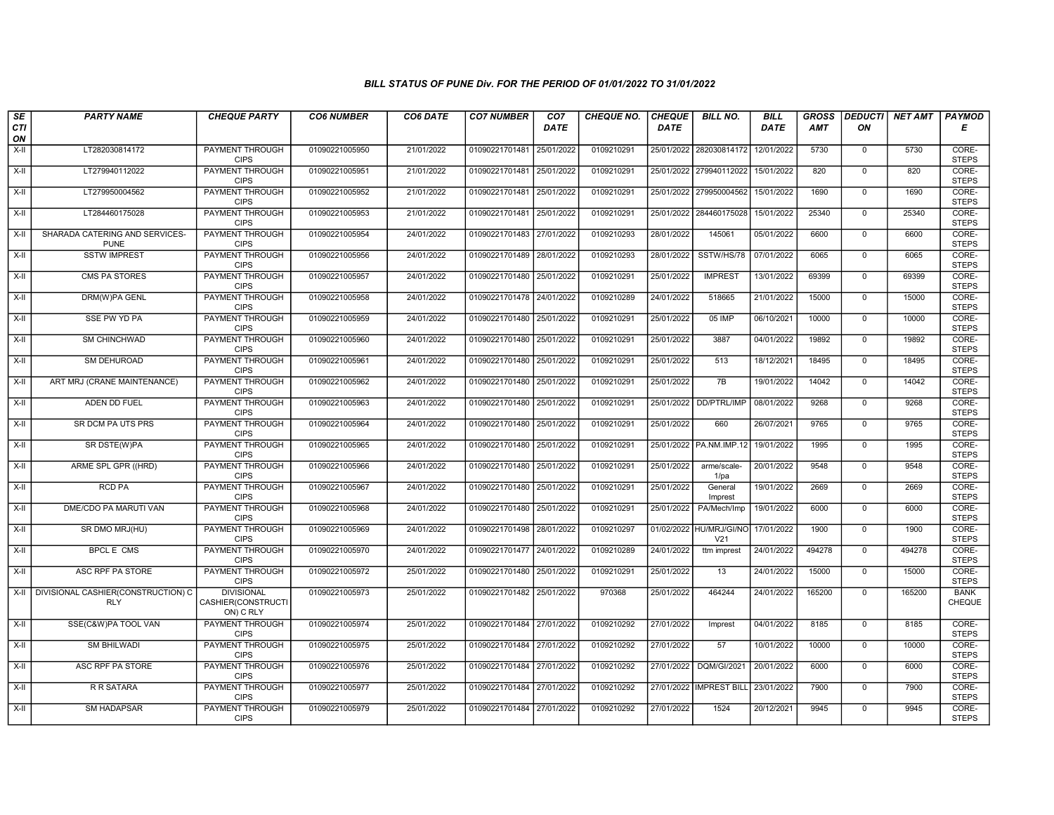| SE                 | <b>PARTY NAME</b>                                       | <b>CHEQUE PARTY</b>                                  | <b>CO6 NUMBER</b> | CO6 DATE   | <b>CO7 NUMBER</b>         | CO <sub>7</sub> | <b>CHEQUE NO.</b> | <b>CHEQUE</b> | <b>BILL NO.</b>                            | <b>BILL</b> | <b>GROSS</b> | <b>DEDUCTI</b> | <b>NET AMT</b> | <b>PAYMOD</b>                |
|--------------------|---------------------------------------------------------|------------------------------------------------------|-------------------|------------|---------------------------|-----------------|-------------------|---------------|--------------------------------------------|-------------|--------------|----------------|----------------|------------------------------|
| <b>CTI</b><br>ON   |                                                         |                                                      |                   |            |                           | <b>DATE</b>     |                   | <b>DATE</b>   |                                            | <b>DATE</b> | AMT          | ON             |                | Е                            |
| $X-H$              | LT282030814172                                          | PAYMENT THROUGH<br><b>CIPS</b>                       | 01090221005950    | 21/01/2022 | 01090221701481 25/01/2022 |                 | 0109210291        |               | 25/01/2022 282030814172                    | 12/01/2022  | 5730         | $\mathbf 0$    | 5730           | CORE-<br><b>STEPS</b>        |
| $X-H$              | LT279940112022                                          | <b>PAYMENT THROUGH</b><br><b>CIPS</b>                | 01090221005951    | 21/01/2022 | 01090221701481 25/01/2022 |                 | 0109210291        | 25/01/2022    | 279940112022                               | 15/01/2022  | 820          | $\mathbf 0$    | 820            | CORE-<br><b>STEPS</b>        |
| $X-II$             | LT279950004562                                          | PAYMENT THROUGH<br><b>CIPS</b>                       | 01090221005952    | 21/01/2022 | 01090221701481 25/01/2022 |                 | 0109210291        |               | 25/01/2022 279950004562                    | 15/01/2022  | 1690         | $\mathbf{0}$   | 1690           | CORE-<br><b>STEPS</b>        |
| X-II               | LT284460175028                                          | PAYMENT THROUGH<br><b>CIPS</b>                       | 01090221005953    | 21/01/2022 | 01090221701481 25/01/2022 |                 | 0109210291        | 25/01/2022    | 284460175028                               | 15/01/2022  | 25340        | $\mathbf{0}$   | 25340          | CORE-<br><b>STEPS</b>        |
| X-II               | SHARADA CATERING AND SERVICES-<br><b>PUNE</b>           | <b>PAYMENT THROUGH</b><br><b>CIPS</b>                | 01090221005954    | 24/01/2022 | 01090221701483 27/01/2022 |                 | 0109210293        | 28/01/2022    | 145061                                     | 05/01/2022  | 6600         | $\mathbf 0$    | 6600           | CORE-<br><b>STEPS</b>        |
| $X-H$              | <b>SSTW IMPREST</b>                                     | <b>PAYMENT THROUGH</b><br><b>CIPS</b>                | 01090221005956    | 24/01/2022 | 01090221701489 28/01/2022 |                 | 0109210293        | 28/01/2022    | SSTW/HS/78                                 | 07/01/2022  | 6065         | $\overline{0}$ | 6065           | CORE-<br><b>STEPS</b>        |
| X-II               | CMS PA STORES                                           | PAYMENT THROUGH<br><b>CIPS</b>                       | 01090221005957    | 24/01/2022 | 01090221701480            | 25/01/2022      | 0109210291        | 25/01/2022    | <b>IMPREST</b>                             | 13/01/2022  | 69399        | $\mathbf 0$    | 69399          | CORE-<br><b>STEPS</b>        |
| $X-H$              | DRM(W)PA GENL                                           | <b>PAYMENT THROUGH</b><br><b>CIPS</b>                | 01090221005958    | 24/01/2022 | 01090221701478 24/01/2022 |                 | 0109210289        | 24/01/2022    | 518665                                     | 21/01/2022  | 15000        | $\mathbf{0}$   | 15000          | CORE-<br><b>STEPS</b>        |
| $\overline{x}$ -II | <b>SSE PW YD PA</b>                                     | <b>PAYMENT THROUGH</b><br><b>CIPS</b>                | 01090221005959    | 24/01/2022 | 01090221701480 25/01/2022 |                 | 0109210291        | 25/01/2022    | 05 IMP                                     | 06/10/2021  | 10000        | $\mathbf 0$    | 10000          | CORE-<br><b>STEPS</b>        |
| $X-H$              | <b>SM CHINCHWAD</b>                                     | <b>PAYMENT THROUGH</b><br><b>CIPS</b>                | 01090221005960    | 24/01/2022 | 01090221701480 25/01/2022 |                 | 0109210291        | 25/01/2022    | 3887                                       | 04/01/2022  | 19892        | $\overline{0}$ | 19892          | CORE-<br><b>STEPS</b>        |
| X-II               | SM DEHUROAD                                             | PAYMENT THROUGH<br><b>CIPS</b>                       | 01090221005961    | 24/01/2022 | 01090221701480            | 25/01/2022      | 0109210291        | 25/01/2022    | 513                                        | 18/12/2021  | 18495        | $\mathbf{0}$   | 18495          | CORE-<br><b>STEPS</b>        |
| $X-H$              | ART MRJ (CRANE MAINTENANCE)                             | <b>PAYMENT THROUGH</b><br><b>CIPS</b>                | 01090221005962    | 24/01/2022 | 01090221701480 25/01/2022 |                 | 0109210291        | 25/01/2022    | 7B                                         | 19/01/2022  | 14042        | $\mathsf 0$    | 14042          | CORE-<br><b>STEPS</b>        |
| $X-H$              | ADEN DD FUEL                                            | <b>PAYMENT THROUGH</b><br><b>CIPS</b>                | 01090221005963    | 24/01/2022 | 01090221701480 25/01/2022 |                 | 0109210291        |               | 25/01/2022 DD/PTRL/IMP                     | 08/01/2022  | 9268         | $\mathbf 0$    | 9268           | CORE-<br><b>STEPS</b>        |
| X-II               | SR DCM PA UTS PRS                                       | <b>PAYMENT THROUGH</b><br><b>CIPS</b>                | 01090221005964    | 24/01/2022 | 01090221701480 25/01/2022 |                 | 0109210291        | 25/01/2022    | 660                                        | 26/07/2021  | 9765         | $\mathbf 0$    | 9765           | CORE-<br><b>STEPS</b>        |
| X-II               | SR DSTE(W)PA                                            | PAYMENT THROUGH<br><b>CIPS</b>                       | 01090221005965    | 24/01/2022 | 01090221701480            | 25/01/2022      | 0109210291        |               | 25/01/2022 PA.NM.IMP.12                    | 19/01/2022  | 1995         | $\mathbf 0$    | 1995           | CORE-<br><b>STEPS</b>        |
| X-II               | ARME SPL GPR ((HRD)                                     | PAYMENT THROUGH<br><b>CIPS</b>                       | 01090221005966    | 24/01/2022 | 01090221701480            | 25/01/2022      | 0109210291        | 25/01/2022    | arme/scale-<br>$1$ /pa                     | 20/01/2022  | 9548         | $\overline{0}$ | 9548           | CORE-<br><b>STEPS</b>        |
| X-II               | <b>RCD PA</b>                                           | <b>PAYMENT THROUGH</b><br><b>CIPS</b>                | 01090221005967    | 24/01/2022 | 01090221701480 25/01/2022 |                 | 0109210291        | 25/01/2022    | General<br>Imprest                         | 19/01/2022  | 2669         | $\mathbf 0$    | 2669           | CORE-<br><b>STEPS</b>        |
| $X-H$              | DME/CDO PA MARUTI VAN                                   | <b>PAYMENT THROUGH</b><br><b>CIPS</b>                | 01090221005968    | 24/01/2022 | 01090221701480 25/01/2022 |                 | 0109210291        | 25/01/2022    | PA/Mech/Imp                                | 19/01/2022  | 6000         | $\mathbf 0$    | 6000           | CORE-<br><b>STEPS</b>        |
| X-II               | SR DMO MRJ(HU)                                          | PAYMENT THROUGH<br><b>CIPS</b>                       | 01090221005969    | 24/01/2022 | 01090221701498            | 28/01/2022      | 0109210297        |               | 01/02/2022 HU/MRJ/GI/NO<br>V <sub>21</sub> | 17/01/2022  | 1900         | $\mathsf 0$    | 1900           | CORE-<br><b>STEPS</b>        |
| $X-H$              | <b>BPCLE CMS</b>                                        | PAYMENT THROUGH<br><b>CIPS</b>                       | 01090221005970    | 24/01/2022 | 01090221701477 24/01/2022 |                 | 0109210289        | 24/01/2022    | ttm imprest                                | 24/01/2022  | 494278       | $\overline{0}$ | 494278         | CORE-<br><b>STEPS</b>        |
| X-II               | ASC RPF PA STORE                                        | <b>PAYMENT THROUGH</b><br><b>CIPS</b>                | 01090221005972    | 25/01/2022 | 01090221701480 25/01/2022 |                 | 0109210291        | 25/01/2022    | 13                                         | 24/01/2022  | 15000        | $\mathbf 0$    | 15000          | CORE-<br><b>STEPS</b>        |
|                    | X-II   DIVISIONAL CASHIER(CONSTRUCTION) C<br><b>RLY</b> | <b>DIVISIONAL</b><br>CASHIER(CONSTRUCTI<br>ON) C RLY | 01090221005973    | 25/01/2022 | 01090221701482 25/01/2022 |                 | 970368            | 25/01/2022    | 464244                                     | 24/01/2022  | 165200       | $\mathbf{0}$   | 165200         | <b>BANK</b><br><b>CHEQUE</b> |
| $X-H$              | SSE(C&W)PA TOOL VAN                                     | <b>PAYMENT THROUGH</b><br><b>CIPS</b>                | 01090221005974    | 25/01/2022 | 01090221701484 27/01/2022 |                 | 0109210292        | 27/01/2022    | Imprest                                    | 04/01/2022  | 8185         | $\mathbf{0}$   | 8185           | CORE-<br><b>STEPS</b>        |
| $X-H$              | <b>SM BHILWADI</b>                                      | <b>PAYMENT THROUGH</b><br><b>CIPS</b>                | 01090221005975    | 25/01/2022 | 01090221701484 27/01/2022 |                 | 0109210292        | 27/01/2022    | 57                                         | 10/01/2022  | 10000        | $\mathbf 0$    | 10000          | CORE-<br><b>STEPS</b>        |
| X-II               | <b>ASC RPF PA STORE</b>                                 | <b>PAYMENT THROUGH</b><br><b>CIPS</b>                | 01090221005976    | 25/01/2022 | 01090221701484 27/01/2022 |                 | 0109210292        | 27/01/2022    | DQM/GI/2021                                | 20/01/2022  | 6000         | $\mathbf 0$    | 6000           | CORE-<br><b>STEPS</b>        |
| X-II               | R R SATARA                                              | PAYMENT THROUGH<br><b>CIPS</b>                       | 01090221005977    | 25/01/2022 | 01090221701484 27/01/2022 |                 | 0109210292        |               | 27/01/2022 IMPREST BILL                    | 23/01/2022  | 7900         | $\mathbf 0$    | 7900           | CORE-<br><b>STEPS</b>        |
| $X-H$              | <b>SM HADAPSAR</b>                                      | PAYMENT THROUGH<br><b>CIPS</b>                       | 01090221005979    | 25/01/2022 | 01090221701484 27/01/2022 |                 | 0109210292        | 27/01/2022    | 1524                                       | 20/12/2021  | 9945         | $\mathbf 0$    | 9945           | CORE-<br><b>STEPS</b>        |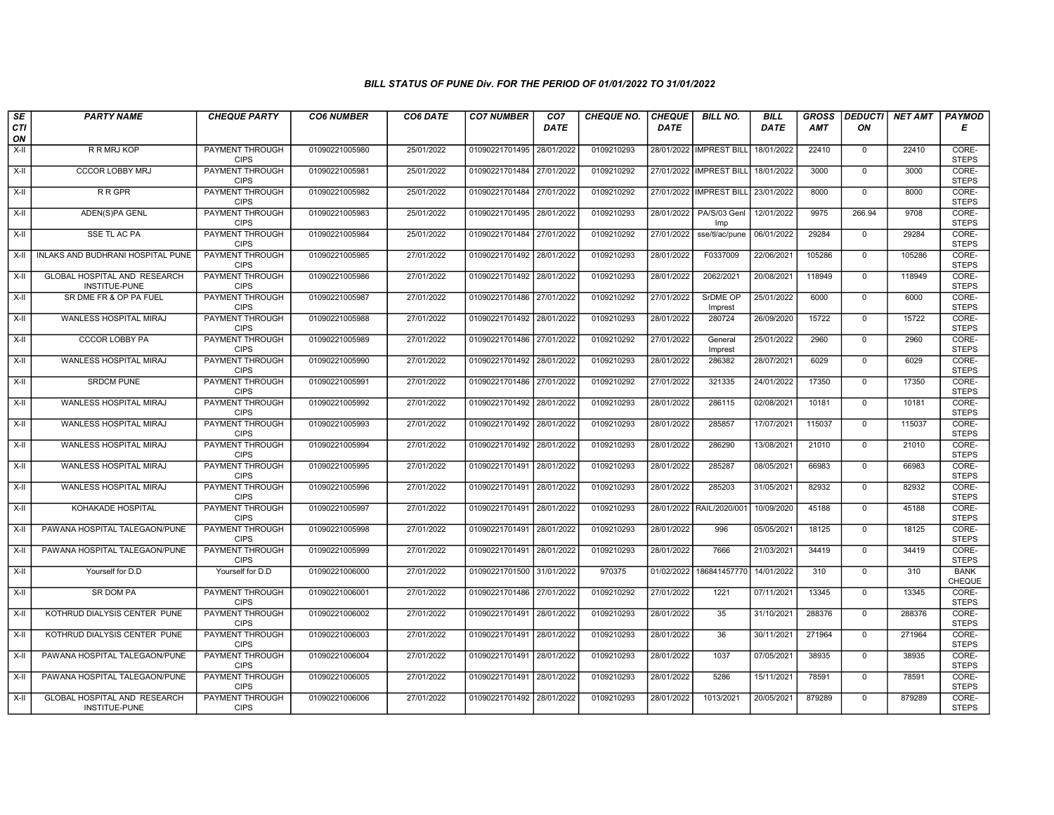| SE               | <b>PARTY NAME</b>                                    | <b>CHEQUE PARTY</b>                   | <b>CO6 NUMBER</b> | CO6 DATE   | <b>CO7 NUMBER</b>         | CO <sub>7</sub> | <b>CHEQUE NO.</b> | <b>CHEQUE</b> | <b>BILL NO.</b>                      | <b>BILL</b> | <b>GROSS</b> |                | <b>DEDUCTI NET AMT</b> | <b>PAYMOD</b>                |
|------------------|------------------------------------------------------|---------------------------------------|-------------------|------------|---------------------------|-----------------|-------------------|---------------|--------------------------------------|-------------|--------------|----------------|------------------------|------------------------------|
| <b>CTI</b><br>ON |                                                      |                                       |                   |            |                           | <b>DATE</b>     |                   | <b>DATE</b>   |                                      | <b>DATE</b> | <b>AMT</b>   | ON             |                        | Е                            |
| $X-H$            | <b>R R MRJ KOP</b>                                   | <b>PAYMENT THROUGH</b><br><b>CIPS</b> | 01090221005980    | 25/01/2022 | 01090221701495            | 28/01/2022      | 0109210293        |               | 28/01/2022   IMPREST BILL            | 18/01/2022  | 22410        | $\mathbf 0$    | 22410                  | CORE-<br><b>STEPS</b>        |
| $X-H$            | <b>CCCOR LOBBY MRJ</b>                               | <b>PAYMENT THROUGH</b><br><b>CIPS</b> | 01090221005981    | 25/01/2022 | 01090221701484 27/01/2022 |                 | 0109210292        |               | 27/01/2022 IMPREST BILL 18/01/2022   |             | 3000         | $\mathbf 0$    | 3000                   | CORE-<br><b>STEPS</b>        |
| X-II             | R R GPR                                              | PAYMENT THROUGH<br><b>CIPS</b>        | 01090221005982    | 25/01/2022 | 01090221701484 27/01/2022 |                 | 0109210292        |               | 27/01/2022   IMPREST BILL 23/01/2022 |             | 8000         | $\mathbf 0$    | 8000                   | CORE-<br><b>STEPS</b>        |
| X-II             | ADEN(S)PA GENL                                       | <b>PAYMENT THROUGH</b><br><b>CIPS</b> | 01090221005983    | 25/01/2022 | 01090221701495 28/01/2022 |                 | 0109210293        | 28/01/2022    | PA/S/03 Genl<br>Imp                  | 12/01/2022  | 9975         | 266.94         | 9708                   | CORE-<br><b>STEPS</b>        |
| $X-H$            | <b>SSE TL AC PA</b>                                  | <b>PAYMENT THROUGH</b><br><b>CIPS</b> | 01090221005984    | 25/01/2022 | 01090221701484 27/01/2022 |                 | 0109210292        | 27/01/2022    | sse/tl/ac/pune                       | 06/01/2022  | 29284        | $\mathbf{0}$   | 29284                  | CORE-<br><b>STEPS</b>        |
| X-II             | INLAKS AND BUDHRANI HOSPITAL PUNE                    | <b>PAYMENT THROUGH</b><br><b>CIPS</b> | 01090221005985    | 27/01/2022 | 01090221701492 28/01/2022 |                 | 0109210293        | 28/01/2022    | F0337009                             | 22/06/2021  | 105286       | $\Omega$       | 105286                 | CORE-<br><b>STEPS</b>        |
| X-II             | <b>GLOBAL HOSPITAL AND RESEARCH</b><br>INSTITUE-PUNE | PAYMENT THROUGH<br><b>CIPS</b>        | 01090221005986    | 27/01/2022 | 01090221701492 28/01/2022 |                 | 0109210293        | 28/01/2022    | 2062/2021                            | 20/08/2021  | 118949       | $\mathbf{0}$   | 118949                 | CORE-<br><b>STEPS</b>        |
| $X-H$            | SR DME FR & OP PA FUEL                               | PAYMENT THROUGH<br><b>CIPS</b>        | 01090221005987    | 27/01/2022 | 01090221701486 27/01/2022 |                 | 0109210292        | 27/01/2022    | SrDME OP<br>Imprest                  | 25/01/2022  | 6000         | $\overline{0}$ | 6000                   | CORE-<br><b>STEPS</b>        |
| $X-H$            | WANLESS HOSPITAL MIRAJ                               | <b>PAYMENT THROUGH</b><br><b>CIPS</b> | 01090221005988    | 27/01/2022 | 01090221701492 28/01/2022 |                 | 0109210293        | 28/01/2022    | 280724                               | 26/09/2020  | 15722        | $\mathbf 0$    | 15722                  | CORE-<br><b>STEPS</b>        |
| $X-H$            | <b>CCCOR LOBBY PA</b>                                | <b>PAYMENT THROUGH</b><br><b>CIPS</b> | 01090221005989    | 27/01/2022 | 01090221701486 27/01/2022 |                 | 0109210292        | 27/01/2022    | General<br>Imprest                   | 25/01/2022  | 2960         | 0              | 2960                   | CORE-<br><b>STEPS</b>        |
| X-II             | WANLESS HOSPITAL MIRAJ                               | <b>PAYMENT THROUGH</b><br><b>CIPS</b> | 01090221005990    | 27/01/2022 | 01090221701492 28/01/2022 |                 | 0109210293        | 28/01/2022    | 286382                               | 28/07/2021  | 6029         | $\mathbf 0$    | 6029                   | CORE-<br><b>STEPS</b>        |
| X-II             | <b>SRDCM PUNE</b>                                    | PAYMENT THROUGH<br><b>CIPS</b>        | 01090221005991    | 27/01/2022 | 01090221701486 27/01/2022 |                 | 0109210292        | 27/01/2022    | 321335                               | 24/01/2022  | 17350        | $\mathbf{0}$   | 17350                  | CORE-<br><b>STEPS</b>        |
| $X-H$            | WANLESS HOSPITAL MIRAJ                               | <b>PAYMENT THROUGH</b><br><b>CIPS</b> | 01090221005992    | 27/01/2022 | 01090221701492 28/01/2022 |                 | 0109210293        | 28/01/2022    | 286115                               | 02/08/2021  | 10181        | $\mathbf 0$    | 10181                  | CORE-<br><b>STEPS</b>        |
| $X-H$            | WANLESS HOSPITAL MIRAJ                               | PAYMENT THROUGH<br><b>CIPS</b>        | 01090221005993    | 27/01/2022 | 01090221701492 28/01/2022 |                 | 0109210293        | 28/01/2022    | 285857                               | 17/07/2021  | 115037       | $\mathbf 0$    | 115037                 | CORE-<br><b>STEPS</b>        |
| X-II             | WANLESS HOSPITAL MIRAJ                               | PAYMENT THROUGH<br><b>CIPS</b>        | 01090221005994    | 27/01/2022 | 01090221701492 28/01/2022 |                 | 0109210293        | 28/01/2022    | 286290                               | 13/08/2021  | 21010        | $\mathbf 0$    | 21010                  | CORE-<br><b>STEPS</b>        |
| X-II             | WANLESS HOSPITAL MIRAJ                               | PAYMENT THROUGH<br><b>CIPS</b>        | 01090221005995    | 27/01/2022 | 01090221701491 28/01/2022 |                 | 0109210293        | 28/01/2022    | 285287                               | 08/05/2021  | 66983        | $\mathbf{0}$   | 66983                  | CORE-<br><b>STEPS</b>        |
| X-II             | WANLESS HOSPITAL MIRAJ                               | <b>PAYMENT THROUGH</b><br><b>CIPS</b> | 01090221005996    | 27/01/2022 | 01090221701491 28/01/2022 |                 | 0109210293        | 28/01/2022    | 285203                               | 31/05/2021  | 82932        | $\mathbf 0$    | 82932                  | CORE-<br><b>STEPS</b>        |
| X-II             | KOHAKADE HOSPITAL                                    | <b>PAYMENT THROUGH</b><br><b>CIPS</b> | 01090221005997    | 27/01/2022 | 01090221701491            | 28/01/2022      | 0109210293        | 28/01/2022    | RAIL/2020/00                         | 10/09/2020  | 45188        | $\mathbf 0$    | 45188                  | CORE-<br><b>STEPS</b>        |
| X-II             | PAWANA HOSPITAL TALEGAON/PUNE                        | <b>PAYMENT THROUGH</b><br><b>CIPS</b> | 01090221005998    | 27/01/2022 | 01090221701491 28/01/2022 |                 | 0109210293        | 28/01/2022    | 996                                  | 05/05/2021  | 18125        | $\mathbf 0$    | 18125                  | CORE-<br><b>STEPS</b>        |
| X-II             | PAWANA HOSPITAL TALEGAON/PUNE                        | PAYMENT THROUGH<br><b>CIPS</b>        | 01090221005999    | 27/01/2022 | 01090221701491 28/01/2022 |                 | 0109210293        | 28/01/2022    | 7666                                 | 21/03/2021  | 34419        | $\mathbf 0$    | 34419                  | CORE-<br><b>STEPS</b>        |
| X-II             | Yourself for D.D                                     | Yourself for D.D                      | 01090221006000    | 27/01/2022 | 01090221701500 31/01/2022 |                 | 970375            | 01/02/2022    | 186841457770                         | 14/01/2022  | 310          | $\mathbf{0}$   | 310                    | <b>BANK</b><br><b>CHEQUE</b> |
| X-II             | <b>SR DOM PA</b>                                     | PAYMENT THROUGH<br><b>CIPS</b>        | 01090221006001    | 27/01/2022 | 01090221701486 27/01/2022 |                 | 0109210292        | 27/01/2022    | 1221                                 | 07/11/2021  | 13345        | $\mathbf 0$    | 13345                  | CORE-<br><b>STEPS</b>        |
| X-II             | KOTHRUD DIALYSIS CENTER PUNE                         | PAYMENT THROUGH<br><b>CIPS</b>        | 01090221006002    | 27/01/2022 | 01090221701491            | 28/01/2022      | 0109210293        | 28/01/2022    | 35                                   | 31/10/2021  | 288376       | $\mathbf 0$    | 288376                 | CORE-<br><b>STEPS</b>        |
| X-II             | KOTHRUD DIALYSIS CENTER PUNE                         | <b>PAYMENT THROUGH</b><br><b>CIPS</b> | 01090221006003    | 27/01/2022 | 01090221701491            | 28/01/2022      | 0109210293        | 28/01/2022    | 36                                   | 30/11/2021  | 271964       | $\mathbf{0}$   | 271964                 | CORE-<br><b>STEPS</b>        |
| X-II             | PAWANA HOSPITAL TALEGAON/PUNE                        | PAYMENT THROUGH<br><b>CIPS</b>        | 01090221006004    | 27/01/2022 | 01090221701491 28/01/2022 |                 | 0109210293        | 28/01/2022    | 1037                                 | 07/05/2021  | 38935        | $\mathbf 0$    | 38935                  | CORE-<br><b>STEPS</b>        |
| $X-H$            | PAWANA HOSPITAL TALEGAON/PUNE                        | <b>PAYMENT THROUGH</b><br><b>CIPS</b> | 01090221006005    | 27/01/2022 | 01090221701491 28/01/2022 |                 | 0109210293        | 28/01/2022    | 5286                                 | 15/11/2021  | 78591        | $\mathbf 0$    | 78591                  | CORE-<br><b>STEPS</b>        |
| X-II             | GLOBAL HOSPITAL AND RESEARCH<br>INSTITUE-PUNE        | PAYMENT THROUGH<br><b>CIPS</b>        | 01090221006006    | 27/01/2022 | 01090221701492 28/01/2022 |                 | 0109210293        | 28/01/2022    | 1013/2021                            | 20/05/2021  | 879289       | $\mathbf 0$    | 879289                 | CORE-<br><b>STEPS</b>        |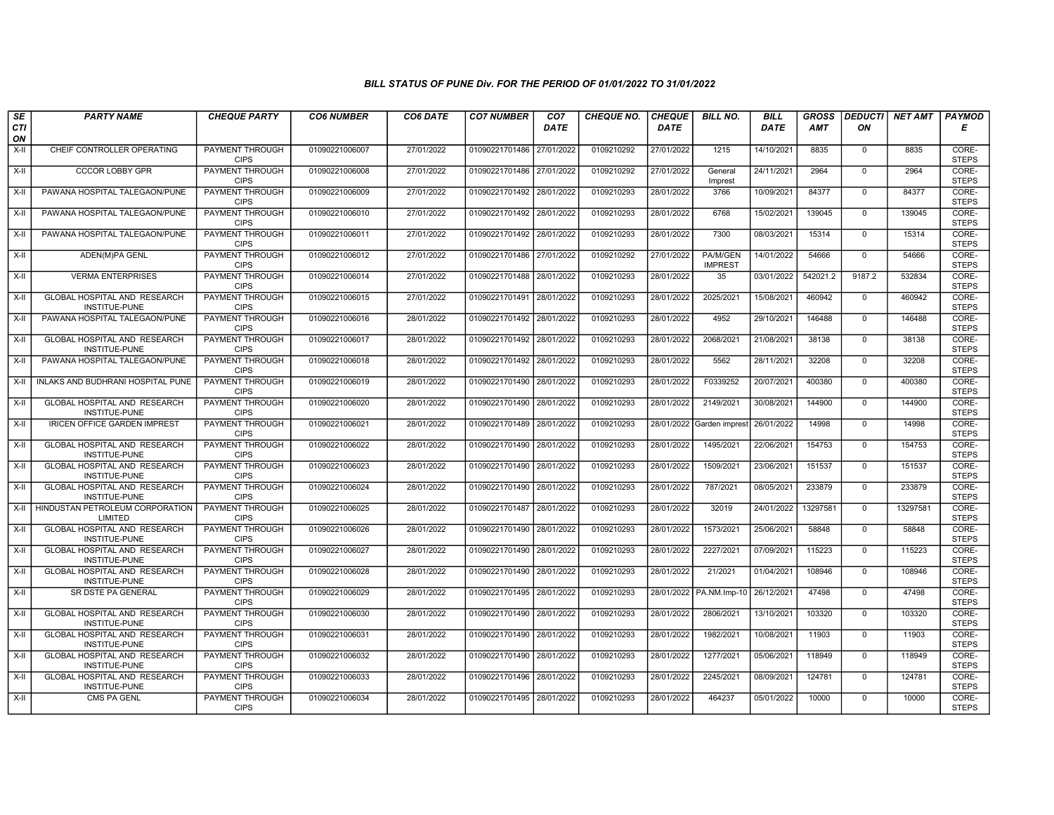| SE               | <b>PARTY NAME</b>                                           | <b>CHEQUE PARTY</b>                   | <b>CO6 NUMBER</b> | CO6 DATE   | <b>CO7 NUMBER</b>         | CO <sub>7</sub> | <b>CHEQUE NO.</b> | <b>CHEQUE</b> | <b>BILL NO.</b>            | <b>BILL</b> | <b>GROSS</b> | <b>DEDUCTI</b> | NET AMT  | <b>PAYMOD</b>         |
|------------------|-------------------------------------------------------------|---------------------------------------|-------------------|------------|---------------------------|-----------------|-------------------|---------------|----------------------------|-------------|--------------|----------------|----------|-----------------------|
| <b>CTI</b><br>ON |                                                             |                                       |                   |            |                           | <b>DATE</b>     |                   | <b>DATE</b>   |                            | DATE        | <b>AMT</b>   | ΟN             |          | Е                     |
| X-II             | CHEIF CONTROLLER OPERATING                                  | PAYMENT THROUGH<br><b>CIPS</b>        | 01090221006007    | 27/01/2022 | 01090221701486            | 27/01/2022      | 0109210292        | 27/01/2022    | 1215                       | 14/10/2021  | 8835         | $\mathbf 0$    | 8835     | CORE-<br><b>STEPS</b> |
| $X-H$            | <b>CCCOR LOBBY GPR</b>                                      | <b>PAYMENT THROUGH</b><br><b>CIPS</b> | 01090221006008    | 27/01/2022 | 01090221701486 27/01/2022 |                 | 0109210292        | 27/01/2022    | General<br>Imprest         | 24/11/2021  | 2964         | $\Omega$       | 2964     | CORE-<br><b>STEPS</b> |
| X-II             | PAWANA HOSPITAL TALEGAON/PUNE                               | PAYMENT THROUGH<br><b>CIPS</b>        | 01090221006009    | 27/01/2022 | 01090221701492            | 28/01/2022      | 0109210293        | 28/01/2022    | 3766                       | 10/09/2021  | 84377        | $\mathbf 0$    | 84377    | CORE-<br><b>STEPS</b> |
| $X-II$           | PAWANA HOSPITAL TALEGAON/PUNE                               | PAYMENT THROUGH<br><b>CIPS</b>        | 01090221006010    | 27/01/2022 | 01090221701492            | 28/01/2022      | 0109210293        | 28/01/2022    | 6768                       | 15/02/2021  | 139045       | $\mathbf 0$    | 139045   | CORE-<br><b>STEPS</b> |
| X-II             | PAWANA HOSPITAL TALEGAON/PUNE                               | PAYMENT THROUGH<br><b>CIPS</b>        | 01090221006011    | 27/01/2022 | 01090221701492 28/01/2022 |                 | 0109210293        | 28/01/2022    | 7300                       | 08/03/2021  | 15314        | $\mathbf 0$    | 15314    | CORE-<br><b>STEPS</b> |
| $X-II$           | ADEN(M)PA GENL                                              | <b>PAYMENT THROUGH</b><br><b>CIPS</b> | 01090221006012    | 27/01/2022 | 01090221701486 27/01/2022 |                 | 0109210292        | 27/01/2022    | PA/M/GEN<br><b>IMPREST</b> | 14/01/2022  | 54666        | $\mathbf 0$    | 54666    | CORE-<br><b>STEPS</b> |
| X-II             | <b>VERMA ENTERPRISES</b>                                    | PAYMENT THROUGH<br><b>CIPS</b>        | 01090221006014    | 27/01/2022 | 01090221701488            | 28/01/2022      | 0109210293        | 28/01/2022    | 35                         | 03/01/2022  | 542021.2     | 9187.2         | 532834   | CORE-<br><b>STEPS</b> |
| X-II             | GLOBAL HOSPITAL AND RESEARCH<br>INSTITUE-PUNE               | PAYMENT THROUGH<br><b>CIPS</b>        | 01090221006015    | 27/01/2022 | 01090221701491            | 28/01/2022      | 0109210293        | 28/01/2022    | 2025/2021                  | 15/08/2021  | 460942       | $\mathbf 0$    | 460942   | CORE-<br><b>STEPS</b> |
| $X-II$           | PAWANA HOSPITAL TALEGAON/PUNE                               | <b>PAYMENT THROUGH</b><br><b>CIPS</b> | 01090221006016    | 28/01/2022 | 01090221701492 28/01/2022 |                 | 0109210293        | 28/01/2022    | 4952                       | 29/10/2021  | 146488       | $\Omega$       | 146488   | CORE-<br><b>STEPS</b> |
| X-II             | GLOBAL HOSPITAL AND RESEARCH<br><b>INSTITUE-PUNE</b>        | <b>PAYMENT THROUGH</b><br><b>CIPS</b> | 01090221006017    | 28/01/2022 | 01090221701492 28/01/2022 |                 | 0109210293        | 28/01/2022    | 2068/2021                  | 21/08/2021  | 38138        | $\mathbf 0$    | 38138    | CORE-<br><b>STEPS</b> |
| X-II             | PAWANA HOSPITAL TALEGAON/PUNE                               | PAYMENT THROUGH<br><b>CIPS</b>        | 01090221006018    | 28/01/2022 | 01090221701492 28/01/2022 |                 | 0109210293        | 28/01/2022    | 5562                       | 28/11/2021  | 32208        | $\mathbf{0}$   | 32208    | CORE-<br><b>STEPS</b> |
| X-II             | INLAKS AND BUDHRANI HOSPITAL PUNE                           | PAYMENT THROUGH<br><b>CIPS</b>        | 01090221006019    | 28/01/2022 | 01090221701490 28/01/2022 |                 | 0109210293        | 28/01/2022    | F0339252                   | 20/07/2021  | 400380       | $\Omega$       | 400380   | CORE-<br><b>STEPS</b> |
| X-II             | GLOBAL HOSPITAL AND RESEARCH<br>INSTITUE-PUNE               | <b>PAYMENT THROUGH</b><br><b>CIPS</b> | 01090221006020    | 28/01/2022 | 01090221701490            | 28/01/2022      | 0109210293        | 28/01/2022    | 2149/2021                  | 30/08/2021  | 144900       | $\mathbf 0$    | 144900   | CORE-<br><b>STEPS</b> |
| $X-H$            | <b>IRICEN OFFICE GARDEN IMPREST</b>                         | PAYMENT THROUGH<br><b>CIPS</b>        | 01090221006021    | 28/01/2022 | 01090221701489 28/01/2022 |                 | 0109210293        |               | 28/01/2022 Garden imprest  | 26/01/2022  | 14998        | $\mathbf 0$    | 14998    | CORE-<br><b>STEPS</b> |
| X-II             | GLOBAL HOSPITAL AND RESEARCH<br><b>INSTITUE-PUNE</b>        | PAYMENT THROUGH<br><b>CIPS</b>        | 01090221006022    | 28/01/2022 | 01090221701490 28/01/2022 |                 | 0109210293        | 28/01/2022    | 1495/2021                  | 22/06/2021  | 154753       | $\Omega$       | 154753   | CORE-<br><b>STEPS</b> |
| X-II             | GLOBAL HOSPITAL AND RESEARCH<br>INSTITUE-PUNE               | PAYMENT THROUGH<br><b>CIPS</b>        | 01090221006023    | 28/01/2022 | 01090221701490 28/01/2022 |                 | 0109210293        | 28/01/2022    | 1509/2021                  | 23/06/2021  | 151537       | $\mathbf{0}$   | 151537   | CORE-<br><b>STEPS</b> |
| X-II             | <b>GLOBAL HOSPITAL AND RESEARCH</b><br><b>INSTITUE-PUNE</b> | PAYMENT THROUGH<br><b>CIPS</b>        | 01090221006024    | 28/01/2022 | 01090221701490 28/01/2022 |                 | 0109210293        | 28/01/2022    | 787/2021                   | 08/05/2021  | 233879       | $\mathbf 0$    | 233879   | CORE-<br><b>STEPS</b> |
| X-II             | HINDUSTAN PETROLEUM CORPORATION<br>LIMITED                  | <b>PAYMENT THROUGH</b><br><b>CIPS</b> | 01090221006025    | 28/01/2022 | 01090221701487            | 28/01/2022      | 0109210293        | 28/01/2022    | 32019                      | 24/01/2022  | 13297581     | $\mathbf 0$    | 13297581 | CORE-<br><b>STEPS</b> |
| $X-II$           | <b>GLOBAL HOSPITAL AND RESEARCH</b><br>INSTITUE-PUNE        | PAYMENT THROUGH<br><b>CIPS</b>        | 01090221006026    | 28/01/2022 | 01090221701490 28/01/2022 |                 | 0109210293        | 28/01/2022    | 1573/2021                  | 25/06/2021  | 58848        | $\Omega$       | 58848    | CORE-<br><b>STEPS</b> |
| X-II             | GLOBAL HOSPITAL AND RESEARCH<br>INSTITUE-PUNE               | PAYMENT THROUGH<br><b>CIPS</b>        | 01090221006027    | 28/01/2022 | 01090221701490            | 28/01/2022      | 0109210293        | 28/01/2022    | 2227/2021                  | 07/09/2021  | 115223       | $\mathbf 0$    | 115223   | CORE-<br><b>STEPS</b> |
| $X-II$           | <b>GLOBAL HOSPITAL AND RESEARCH</b><br>INSTITUE-PUNE        | <b>PAYMENT THROUGH</b><br><b>CIPS</b> | 01090221006028    | 28/01/2022 | 01090221701490 28/01/2022 |                 | 0109210293        | 28/01/2022    | 21/2021                    | 01/04/2021  | 108946       | $\mathbf 0$    | 108946   | CORE-<br><b>STEPS</b> |
| X-II             | SR DSTE PA GENERAL                                          | <b>PAYMENT THROUGH</b><br><b>CIPS</b> | 01090221006029    | 28/01/2022 | 01090221701495 28/01/2022 |                 | 0109210293        | 28/01/2022    | PA.NM.Imp-10               | 26/12/2021  | 47498        | $\Omega$       | 47498    | CORE-<br><b>STEPS</b> |
| X-II             | GLOBAL HOSPITAL AND RESEARCH<br>INSTITUE-PUNE               | PAYMENT THROUGH<br><b>CIPS</b>        | 01090221006030    | 28/01/2022 | 01090221701490            | 28/01/2022      | 0109210293        | 28/01/2022    | 2806/2021                  | 13/10/2021  | 103320       | $\mathbf 0$    | 103320   | CORE-<br><b>STEPS</b> |
| X-II             | GLOBAL HOSPITAL AND RESEARCH<br>INSTITUE-PUNE               | PAYMENT THROUGH<br><b>CIPS</b>        | 01090221006031    | 28/01/2022 | 01090221701490            | 28/01/2022      | 0109210293        | 28/01/2022    | 1982/2021                  | 10/08/2021  | 11903        | $\mathbf 0$    | 11903    | CORE-<br><b>STEPS</b> |
| X-II             | GLOBAL HOSPITAL AND RESEARCH<br>INSTITUE-PUNE               | PAYMENT THROUGH<br><b>CIPS</b>        | 01090221006032    | 28/01/2022 | 01090221701490            | 28/01/2022      | 0109210293        | 28/01/2022    | 1277/2021                  | 05/06/2021  | 118949       | $\Omega$       | 118949   | CORE-<br><b>STEPS</b> |
| $X-H$            | <b>GLOBAL HOSPITAL AND RESEARCH</b><br>INSTITUE-PUNE        | <b>PAYMENT THROUGH</b><br><b>CIPS</b> | 01090221006033    | 28/01/2022 | 01090221701496 28/01/2022 |                 | 0109210293        | 28/01/2022    | 2245/2021                  | 08/09/2021  | 124781       | $\mathbf 0$    | 124781   | CORE-<br><b>STEPS</b> |
| $X-H$            | CMS PA GENL                                                 | PAYMENT THROUGH<br><b>CIPS</b>        | 01090221006034    | 28/01/2022 | 01090221701495 28/01/2022 |                 | 0109210293        | 28/01/2022    | 464237                     | 05/01/2022  | 10000        | $\mathbf 0$    | 10000    | CORE-<br><b>STEPS</b> |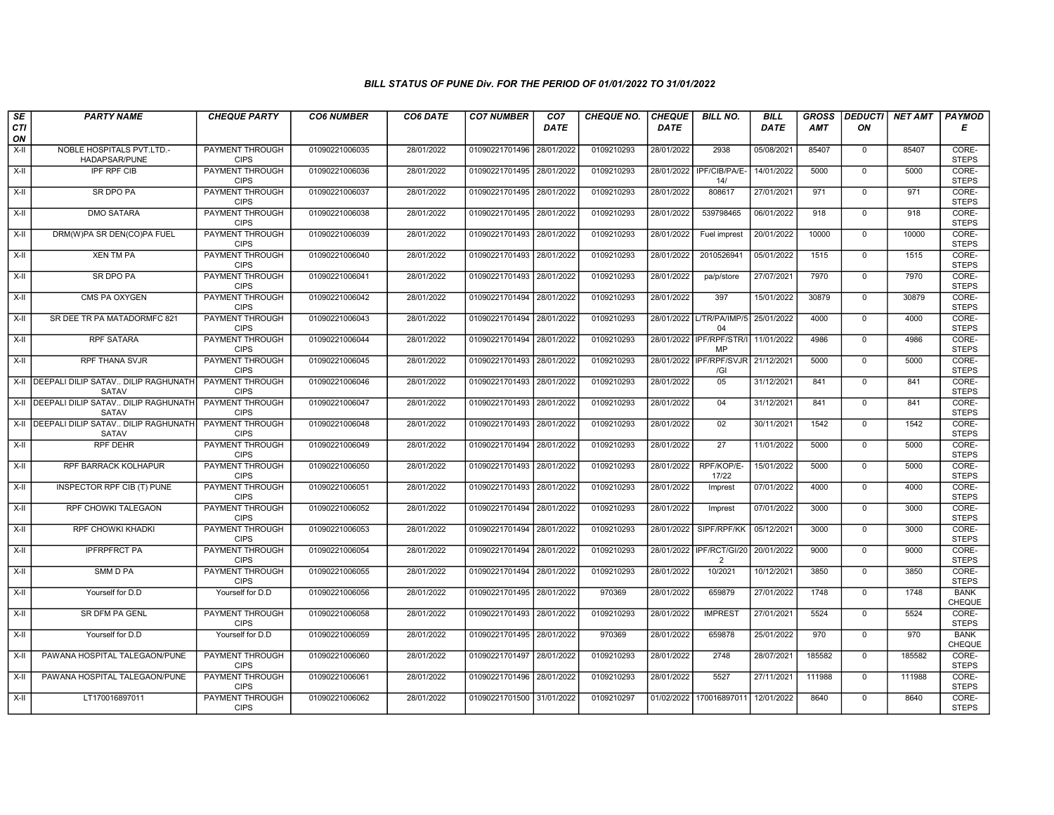| SE        | <b>PARTY NAME</b>                                          | <b>CHEQUE PARTY</b>                   | <b>CO6 NUMBER</b> | CO6 DATE   | <b>CO7 NUMBER</b>         | CO <sub>7</sub> | CHEQUE NO. | <b>CHEQUE</b> | <b>BILL NO.</b>                                      | <b>BILL</b> | <b>GROSS</b> | <b>DEDUCTI</b> | NET AMT | <b>PAYMOD</b>         |
|-----------|------------------------------------------------------------|---------------------------------------|-------------------|------------|---------------------------|-----------------|------------|---------------|------------------------------------------------------|-------------|--------------|----------------|---------|-----------------------|
| CTI<br>ON |                                                            |                                       |                   |            |                           | <b>DATE</b>     |            | <b>DATE</b>   |                                                      | DATE        | <b>AMT</b>   | ON             |         | Е                     |
| $X-H$     | NOBLE HOSPITALS PVT.LTD.-<br>HADAPSAR/PUNE                 | <b>PAYMENT THROUGH</b><br><b>CIPS</b> | 01090221006035    | 28/01/2022 | 01090221701496            | 28/01/2022      | 0109210293 | 28/01/2022    | 2938                                                 | 05/08/2021  | 85407        | $\mathbf{0}$   | 85407   | CORE-<br><b>STEPS</b> |
| $X-H$     | <b>IPF RPF CIB</b>                                         | <b>PAYMENT THROUGH</b><br><b>CIPS</b> | 01090221006036    | 28/01/2022 | 01090221701495 28/01/2022 |                 | 0109210293 | 28/01/2022    | IPF/CIB/PA/E-<br>14/                                 | 14/01/2022  | 5000         | $\Omega$       | 5000    | CORE-<br><b>STEPS</b> |
| $X-II$    | SR DPO PA                                                  | PAYMENT THROUGH<br><b>CIPS</b>        | 01090221006037    | 28/01/2022 | 01090221701495 28/01/2022 |                 | 0109210293 | 28/01/2022    | 808617                                               | 27/01/2021  | 971          | $\mathbf 0$    | 971     | CORE-<br><b>STEPS</b> |
| $X-H$     | <b>DMO SATARA</b>                                          | <b>PAYMENT THROUGH</b><br><b>CIPS</b> | 01090221006038    | 28/01/2022 | 01090221701495 28/01/2022 |                 | 0109210293 | 28/01/2022    | 539798465                                            | 06/01/2022  | 918          | $\overline{0}$ | 918     | CORE-<br><b>STEPS</b> |
| $X-H$     | DRM(W)PA SR DEN(CO)PA FUEL                                 | <b>PAYMENT THROUGH</b><br><b>CIPS</b> | 01090221006039    | 28/01/2022 | 01090221701493 28/01/2022 |                 | 0109210293 | 28/01/2022    | Fuel imprest                                         | 20/01/2022  | 10000        | $\Omega$       | 10000   | CORE-<br><b>STEPS</b> |
| X-II      | XEN TM PA                                                  | <b>PAYMENT THROUGH</b><br><b>CIPS</b> | 01090221006040    | 28/01/2022 | 01090221701493 28/01/2022 |                 | 0109210293 | 28/01/2022    | 2010526941                                           | 05/01/2022  | 1515         | $\mathbf{0}$   | 1515    | CORE-<br><b>STEPS</b> |
| X-II      | <b>SR DPO PA</b>                                           | PAYMENT THROUGH<br><b>CIPS</b>        | 01090221006041    | 28/01/2022 | 01090221701493            | 28/01/2022      | 0109210293 | 28/01/2022    | pa/p/store                                           | 27/07/2021  | 7970         | $\Omega$       | 7970    | CORE-<br><b>STEPS</b> |
| $X-II$    | CMS PA OXYGEN                                              | <b>PAYMENT THROUGH</b><br><b>CIPS</b> | 01090221006042    | 28/01/2022 | 01090221701494            | 28/01/2022      | 0109210293 | 28/01/2022    | 397                                                  | 15/01/2022  | 30879        | $\mathbf 0$    | 30879   | CORE-<br><b>STEPS</b> |
| $X-H$     | SR DEE TR PA MATADORMFC 821                                | PAYMENT THROUGH<br><b>CIPS</b>        | 01090221006043    | 28/01/2022 | 01090221701494 28/01/2022 |                 | 0109210293 |               | 28/01/2022 L/TR/PA/IMP/5<br>04                       | 25/01/2022  | 4000         | $\Omega$       | 4000    | CORE-<br><b>STEPS</b> |
| $X-H$     | <b>RPF SATARA</b>                                          | <b>PAYMENT THROUGH</b><br><b>CIPS</b> | 01090221006044    | 28/01/2022 | 01090221701494 28/01/2022 |                 | 0109210293 |               | 28/01/2022   IPF/RPF/STR/I   11/01/2022<br><b>MP</b> |             | 4986         | $\Omega$       | 4986    | CORE-<br><b>STEPS</b> |
| X-II      | <b>RPF THANA SVJR</b>                                      | PAYMENT THROUGH<br><b>CIPS</b>        | 01090221006045    | 28/01/2022 | 01090221701493 28/01/2022 |                 | 0109210293 |               | 28/01/2022 IPF/RPF/SVJR 21/12/2021<br>/GI            |             | 5000         | $\mathbf{0}$   | 5000    | CORE-<br><b>STEPS</b> |
|           | X-II   DEEPALI DILIP SATAV DILIP RAGHUNATH<br><b>SATAV</b> | PAYMENT THROUGH<br><b>CIPS</b>        | 01090221006046    | 28/01/2022 | 01090221701493 28/01/2022 |                 | 0109210293 | 28/01/2022    | 0 <sub>5</sub>                                       | 31/12/2021  | 841          | $\Omega$       | 841     | CORE-<br><b>STEPS</b> |
|           | X-II   DEEPALI DILIP SATAV DILIP RAGHUNATH<br>SATAV        | <b>PAYMENT THROUGH</b><br><b>CIPS</b> | 01090221006047    | 28/01/2022 | 01090221701493 28/01/2022 |                 | 0109210293 | 28/01/2022    | 04                                                   | 31/12/2021  | 841          | $\mathbf 0$    | 841     | CORE-<br><b>STEPS</b> |
|           | X-II IDEEPALI DILIP SATAV DILIP RAGHUNATH<br>SATAV         | <b>PAYMENT THROUGH</b><br><b>CIPS</b> | 01090221006048    | 28/01/2022 | 01090221701493            | 28/01/2022      | 0109210293 | 28/01/2022    | 02                                                   | 30/11/2021  | 1542         | $\mathbf 0$    | 1542    | CORE-<br><b>STEPS</b> |
| X-II      | <b>RPF DEHR</b>                                            | PAYMENT THROUGH<br><b>CIPS</b>        | 01090221006049    | 28/01/2022 | 01090221701494 28/01/2022 |                 | 0109210293 | 28/01/2022    | $\overline{27}$                                      | 11/01/2022  | 5000         | $\Omega$       | 5000    | CORE-<br><b>STEPS</b> |
| $X-II$    | RPF BARRACK KOLHAPUR                                       | <b>PAYMENT THROUGH</b><br><b>CIPS</b> | 01090221006050    | 28/01/2022 | 01090221701493 28/01/2022 |                 | 0109210293 | 28/01/2022    | RPF/KOP/E-<br>17/22                                  | 15/01/2022  | 5000         | $\overline{0}$ | 5000    | CORE-<br><b>STEPS</b> |
| X-II      | INSPECTOR RPF CIB (T) PUNE                                 | <b>PAYMENT THROUGH</b><br><b>CIPS</b> | 01090221006051    | 28/01/2022 | 01090221701493 28/01/2022 |                 | 0109210293 | 28/01/2022    | Imprest                                              | 07/01/2022  | 4000         | $\Omega$       | 4000    | CORE-<br><b>STEPS</b> |
| X-II      | RPF CHOWKI TALEGAON                                        | <b>PAYMENT THROUGH</b><br><b>CIPS</b> | 01090221006052    | 28/01/2022 | 01090221701494            | 28/01/2022      | 0109210293 | 28/01/2022    | Imprest                                              | 07/01/2022  | 3000         | $\mathbf 0$    | 3000    | CORE-<br><b>STEPS</b> |
| X-II      | RPF CHOWKI KHADKI                                          | PAYMENT THROUGH<br><b>CIPS</b>        | 01090221006053    | 28/01/2022 | 01090221701494 28/01/2022 |                 | 0109210293 | 28/01/2022    | SIPF/RPF/KK                                          | 05/12/2021  | 3000         | $\Omega$       | 3000    | CORE-<br><b>STEPS</b> |
| $X-H$     | <b>IPFRPFRCT PA</b>                                        | PAYMENT THROUGH<br><b>CIPS</b>        | 01090221006054    | 28/01/2022 | 01090221701494 28/01/2022 |                 | 0109210293 | 28/01/2022    | IPF/RCT/GI/20<br>$\overline{2}$                      | 20/01/2022  | 9000         | $\mathbf 0$    | 9000    | CORE-<br><b>STEPS</b> |
| $X-II$    | SMM D PA                                                   | <b>PAYMENT THROUGH</b><br><b>CIPS</b> | 01090221006055    | 28/01/2022 | 01090221701494 28/01/2022 |                 | 0109210293 | 28/01/2022    | 10/2021                                              | 10/12/2021  | 3850         | $\overline{0}$ | 3850    | CORE-<br><b>STEPS</b> |
| X-II      | Yourself for D.D                                           | Yourself for D.D                      | 01090221006056    | 28/01/2022 | 01090221701495 28/01/2022 |                 | 970369     | 28/01/2022    | 659879                                               | 27/01/2022  | 1748         | $\Omega$       | 1748    | <b>BANK</b><br>CHEQUE |
| $X-II$    | SR DFM PA GENL                                             | PAYMENT THROUGH<br><b>CIPS</b>        | 01090221006058    | 28/01/2022 | 01090221701493            | 28/01/2022      | 0109210293 | 28/01/2022    | <b>IMPREST</b>                                       | 27/01/2021  | 5524         | $\mathbf 0$    | 5524    | CORE-<br><b>STEPS</b> |
| X-II      | Yourself for D.D                                           | Yourself for D.D                      | 01090221006059    | 28/01/2022 | 01090221701495            | 28/01/2022      | 970369     | 28/01/2022    | 659878                                               | 25/01/2022  | 970          | $\Omega$       | 970     | <b>BANK</b><br>CHEQUE |
| X-II      | PAWANA HOSPITAL TALEGAON/PUNE                              | PAYMENT THROUGH<br><b>CIPS</b>        | 01090221006060    | 28/01/2022 | 01090221701497 28/01/2022 |                 | 0109210293 | 28/01/2022    | 2748                                                 | 28/07/2021  | 185582       | $\Omega$       | 185582  | CORE-<br><b>STEPS</b> |
| $X-H$     | PAWANA HOSPITAL TALEGAON/PUNE                              | <b>PAYMENT THROUGH</b><br><b>CIPS</b> | 01090221006061    | 28/01/2022 | 01090221701496 28/01/2022 |                 | 0109210293 | 28/01/2022    | 5527                                                 | 27/11/2021  | 111988       | $\Omega$       | 111988  | CORE-<br><b>STEPS</b> |
| X-II      | LT170016897011                                             | <b>PAYMENT THROUGH</b><br><b>CIPS</b> | 01090221006062    | 28/01/2022 | 01090221701500 31/01/2022 |                 | 0109210297 | 01/02/2022    | 170016897011                                         | 12/01/2022  | 8640         | $\mathbf{0}$   | 8640    | CORE-<br><b>STEPS</b> |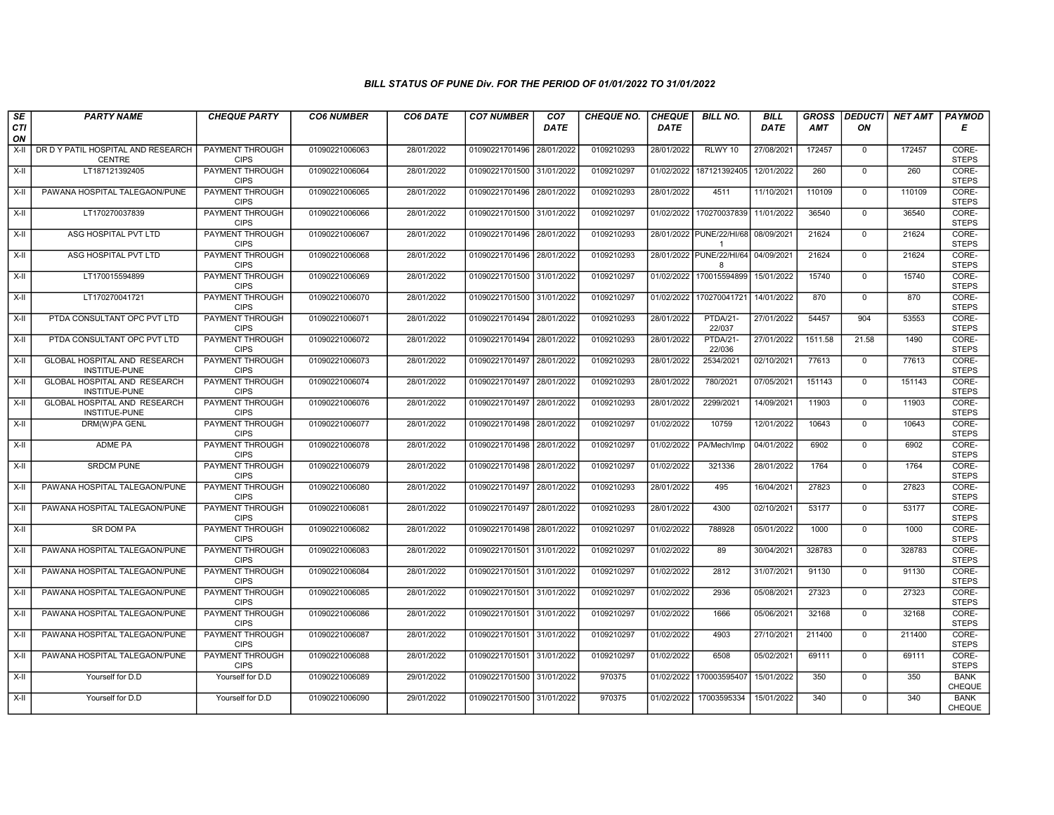| SE               | <b>PARTY NAME</b>                                    | <b>CHEQUE PARTY</b>                   | <b>CO6 NUMBER</b> | CO6 DATE   | <b>CO7 NUMBER</b>         | CO <sub>7</sub> | <b>CHEQUE NO.</b> | <b>CHEQUE</b> | <b>BILL NO.</b>                          | <b>BILL</b> | <b>GROSS</b> | <b>DEDUCTI</b> | NET AMT | <b>PAYMOD</b>                |
|------------------|------------------------------------------------------|---------------------------------------|-------------------|------------|---------------------------|-----------------|-------------------|---------------|------------------------------------------|-------------|--------------|----------------|---------|------------------------------|
| <b>CTI</b><br>ON |                                                      |                                       |                   |            |                           | <b>DATE</b>     |                   | <b>DATE</b>   |                                          | <b>DATE</b> | <b>AMT</b>   | ON             |         | Е                            |
| $X-H$            | DR D Y PATIL HOSPITAL AND RESEARCH<br>CENTRE         | <b>PAYMENT THROUGH</b><br><b>CIPS</b> | 01090221006063    | 28/01/2022 | 01090221701496            | 28/01/2022      | 0109210293        | 28/01/2022    | RLWY 10                                  | 27/08/2021  | 172457       | $\overline{0}$ | 172457  | CORE-<br><b>STEPS</b>        |
| $X-H$            | LT187121392405                                       | PAYMENT THROUGH<br><b>CIPS</b>        | 01090221006064    | 28/01/2022 | 01090221701500 31/01/2022 |                 | 0109210297        | 01/02/2022    | 187121392405                             | 12/01/2022  | 260          | $\Omega$       | 260     | CORE-<br><b>STEPS</b>        |
| X-II             | PAWANA HOSPITAL TALEGAON/PUNE                        | PAYMENT THROUGH<br><b>CIPS</b>        | 01090221006065    | 28/01/2022 | 01090221701496 28/01/2022 |                 | 0109210293        | 28/01/2022    | 4511                                     | 11/10/2021  | 110109       | $\mathbf 0$    | 110109  | CORE-<br><b>STEPS</b>        |
| $X-II$           | LT170270037839                                       | PAYMENT THROUGH<br><b>CIPS</b>        | 01090221006066    | 28/01/2022 | 01090221701500            | 31/01/2022      | 0109210297        | 01/02/2022    | 170270037839                             | 11/01/2022  | 36540        | $\mathbf{0}$   | 36540   | CORE-<br><b>STEPS</b>        |
| X-II             | ASG HOSPITAL PVT LTD                                 | <b>PAYMENT THROUGH</b><br><b>CIPS</b> | 01090221006067    | 28/01/2022 | 01090221701496 28/01/2022 |                 | 0109210293        |               | 28/01/2022 PUNE/22/HI/68<br>$\mathbf{1}$ | 08/09/2021  | 21624        | $\mathbf 0$    | 21624   | CORE-<br><b>STEPS</b>        |
| X-II             | ASG HOSPITAL PVT LTD                                 | <b>PAYMENT THROUGH</b><br><b>CIPS</b> | 01090221006068    | 28/01/2022 | 01090221701496            | 28/01/2022      | 0109210293        | 28/01/2022    | PUNE/22/HI/64<br>$\mathsf{R}$            | 04/09/2021  | 21624        | $\Omega$       | 21624   | CORE-<br><b>STEPS</b>        |
| X-II             | LT170015594899                                       | PAYMENT THROUGH<br><b>CIPS</b>        | 01090221006069    | 28/01/2022 | 01090221701500 31/01/2022 |                 | 0109210297        | 01/02/2022    | 170015594899                             | 15/01/2022  | 15740        | $\mathbf{0}$   | 15740   | CORE-<br><b>STEPS</b>        |
| $X-II$           | LT170270041721                                       | <b>PAYMENT THROUGH</b><br><b>CIPS</b> | 01090221006070    | 28/01/2022 | 01090221701500 31/01/2022 |                 | 0109210297        | 01/02/2022    | 170270041721                             | 14/01/2022  | 870          | $\overline{0}$ | 870     | CORE-<br><b>STEPS</b>        |
| $X-H$            | PTDA CONSULTANT OPC PVT LTD                          | <b>PAYMENT THROUGH</b><br><b>CIPS</b> | 01090221006071    | 28/01/2022 | 01090221701494 28/01/2022 |                 | 0109210293        | 28/01/2022    | PTDA/21-<br>22/037                       | 27/01/2022  | 54457        | 904            | 53553   | CORE-<br><b>STEPS</b>        |
| $X-H$            | PTDA CONSULTANT OPC PVT LTD                          | <b>PAYMENT THROUGH</b><br><b>CIPS</b> | 01090221006072    | 28/01/2022 | 01090221701494 28/01/2022 |                 | 0109210293        | 28/01/2022    | PTDA/21-<br>22/036                       | 27/01/2022  | 1511.58      | 21.58          | 1490    | CORE-<br><b>STEPS</b>        |
| X-II             | GLOBAL HOSPITAL AND RESEARCH<br>INSTITUE-PUNE        | PAYMENT THROUGH<br><b>CIPS</b>        | 01090221006073    | 28/01/2022 | 01090221701497 28/01/2022 |                 | 0109210293        | 28/01/2022    | 2534/2021                                | 02/10/2021  | 77613        | $\mathbf{0}$   | 77613   | CORE-<br><b>STEPS</b>        |
| $X-H$            | <b>GLOBAL HOSPITAL AND RESEARCH</b><br>INSTITUE-PUNE | PAYMENT THROUGH<br><b>CIPS</b>        | 01090221006074    | 28/01/2022 | 01090221701497 28/01/2022 |                 | 0109210293        | 28/01/2022    | 780/2021                                 | 07/05/2021  | 151143       | $\Omega$       | 151143  | CORE-<br><b>STEPS</b>        |
| X-II             | GLOBAL HOSPITAL AND RESEARCH<br>INSTITUE-PUNE        | <b>PAYMENT THROUGH</b><br><b>CIPS</b> | 01090221006076    | 28/01/2022 | 01090221701497            | 28/01/2022      | 0109210293        | 28/01/2022    | 2299/2021                                | 14/09/2021  | 11903        | $\mathbf 0$    | 11903   | CORE-<br><b>STEPS</b>        |
| $X-H$            | <b>DRM(W)PA GENL</b>                                 | <b>PAYMENT THROUGH</b><br><b>CIPS</b> | 01090221006077    | 28/01/2022 | 01090221701498            | 28/01/2022      | 0109210297        | 01/02/2022    | 10759                                    | 12/01/2022  | 10643        | $\mathbf{0}$   | 10643   | CORE-<br><b>STEPS</b>        |
| $X-H$            | <b>ADME PA</b>                                       | PAYMENT THROUGH<br><b>CIPS</b>        | 01090221006078    | 28/01/2022 | 01090221701498            | 28/01/2022      | 0109210297        | 01/02/2022    | PA/Mech/Imp                              | 04/01/2022  | 6902         | $\Omega$       | 6902    | CORE-<br><b>STEPS</b>        |
| $X-II$           | <b>SRDCM PUNE</b>                                    | <b>PAYMENT THROUGH</b><br><b>CIPS</b> | 01090221006079    | 28/01/2022 | 01090221701498 28/01/2022 |                 | 0109210297        | 01/02/2022    | 321336                                   | 28/01/2022  | 1764         | $\Omega$       | 1764    | CORE-<br><b>STEPS</b>        |
| X-II             | PAWANA HOSPITAL TALEGAON/PUNE                        | PAYMENT THROUGH<br><b>CIPS</b>        | 01090221006080    | 28/01/2022 | 01090221701497 28/01/2022 |                 | 0109210293        | 28/01/2022    | 495                                      | 16/04/2021  | 27823        | $\mathbf{0}$   | 27823   | CORE-<br><b>STEPS</b>        |
| $X-H$            | PAWANA HOSPITAL TALEGAON/PUNE                        | <b>PAYMENT THROUGH</b><br><b>CIPS</b> | 01090221006081    | 28/01/2022 | 01090221701497            | 28/01/2022      | 0109210293        | 28/01/2022    | 4300                                     | 02/10/2021  | 53177        | $\mathbf 0$    | 53177   | CORE-<br><b>STEPS</b>        |
| X-II             | SR DOM PA                                            | PAYMENT THROUGH<br><b>CIPS</b>        | 01090221006082    | 28/01/2022 | 01090221701498            | 28/01/2022      | 0109210297        | 01/02/2022    | 788928                                   | 05/01/2022  | 1000         | $\Omega$       | 1000    | CORE-<br><b>STEPS</b>        |
| $X-II$           | PAWANA HOSPITAL TALEGAON/PUNE                        | <b>PAYMENT THROUGH</b><br><b>CIPS</b> | 01090221006083    | 28/01/2022 | 01090221701501 31/01/2022 |                 | 0109210297        | 01/02/2022    | 89                                       | 30/04/2021  | 328783       | $\overline{0}$ | 328783  | CORE-<br><b>STEPS</b>        |
| $X-II$           | PAWANA HOSPITAL TALEGAON/PUNE                        | <b>PAYMENT THROUGH</b><br><b>CIPS</b> | 01090221006084    | 28/01/2022 | 01090221701501 31/01/2022 |                 | 0109210297        | 01/02/2022    | 2812                                     | 31/07/2021  | 91130        | $\mathbf 0$    | 91130   | CORE-<br><b>STEPS</b>        |
| $X-H$            | PAWANA HOSPITAL TALEGAON/PUNE                        | <b>PAYMENT THROUGH</b><br><b>CIPS</b> | 01090221006085    | 28/01/2022 | 01090221701501 31/01/2022 |                 | 0109210297        | 01/02/2022    | 2936                                     | 05/08/2021  | 27323        | $\overline{0}$ | 27323   | CORE-<br><b>STEPS</b>        |
| $X-II$           | PAWANA HOSPITAL TALEGAON/PUNE                        | <b>PAYMENT THROUGH</b><br><b>CIPS</b> | 01090221006086    | 28/01/2022 | 01090221701501            | 31/01/2022      | 0109210297        | 01/02/2022    | 1666                                     | 05/06/2021  | 32168        | $\mathbf 0$    | 32168   | CORE-<br><b>STEPS</b>        |
| $X-II$           | PAWANA HOSPITAL TALEGAON/PUNE                        | PAYMENT THROUGH<br><b>CIPS</b>        | 01090221006087    | 28/01/2022 | 01090221701501 31/01/2022 |                 | 0109210297        | 01/02/2022    | 4903                                     | 27/10/2021  | 211400       | $\mathbf{0}$   | 211400  | CORE-<br><b>STEPS</b>        |
| X-II             | PAWANA HOSPITAL TALEGAON/PUNE                        | <b>PAYMENT THROUGH</b><br><b>CIPS</b> | 01090221006088    | 28/01/2022 | 01090221701501 31/01/2022 |                 | 0109210297        | 01/02/2022    | 6508                                     | 05/02/2021  | 69111        | $\mathbf{0}$   | 69111   | CORE-<br><b>STEPS</b>        |
| X-II             | Yourself for D.D                                     | Yourself for D.D                      | 01090221006089    | 29/01/2022 | 01090221701500 31/01/2022 |                 | 970375            | 01/02/2022    | 170003595407                             | 15/01/2022  | 350          | $\mathbf 0$    | 350     | <b>BANK</b><br><b>CHEQUE</b> |
| X-II             | Yourself for D.D                                     | Yourself for D.D                      | 01090221006090    | 29/01/2022 | 01090221701500 31/01/2022 |                 | 970375            | 01/02/2022    | 17003595334                              | 15/01/2022  | 340          | $\mathbf 0$    | 340     | <b>BANK</b><br>CHEQUE        |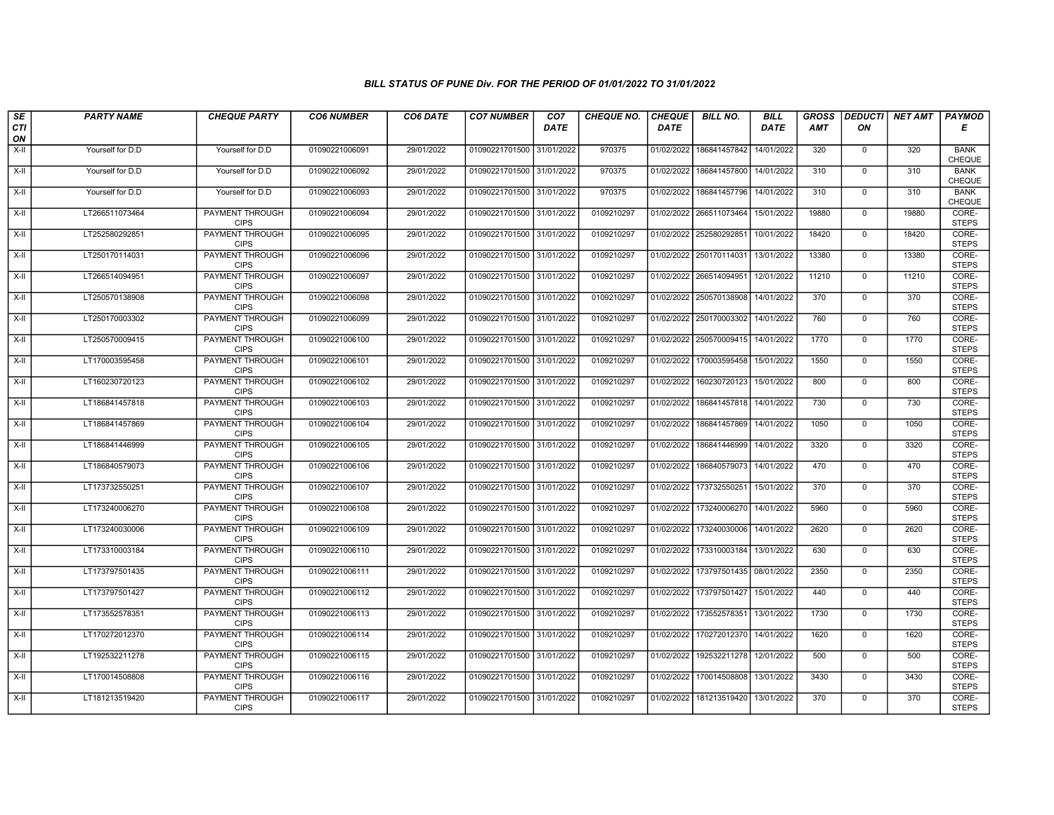| SE               | <b>PARTY NAME</b> | <b>CHEQUE PARTY</b>                   | <b>CO6 NUMBER</b> | CO6 DATE   | <b>CO7 NUMBER</b>         | CO <sub>7</sub> | CHEQUE NO. | <b>CHEQUE</b> | <b>BILL NO.</b>         | <b>BILL</b> | <b>GROSS</b> |                | DEDUCTI NET AMT | <b>PAYMOD</b>                |
|------------------|-------------------|---------------------------------------|-------------------|------------|---------------------------|-----------------|------------|---------------|-------------------------|-------------|--------------|----------------|-----------------|------------------------------|
| <b>CTI</b><br>ON |                   |                                       |                   |            |                           | <b>DATE</b>     |            | <b>DATE</b>   |                         | <b>DATE</b> | <b>AMT</b>   | ON             |                 | Е                            |
| $X-H$            | Yourself for D.D  | Yourself for D.D                      | 01090221006091    | 29/01/2022 | 01090221701500 31/01/2022 |                 | 970375     | 01/02/2022    | 186841457842            | 14/01/2022  | 320          | 0              | 320             | <b>BANK</b><br><b>CHEQUE</b> |
| $X-H$            | Yourself for D.D  | Yourself for D.D                      | 01090221006092    | 29/01/2022 | 01090221701500 31/01/2022 |                 | 970375     | 01/02/2022    | 186841457800            | 14/01/2022  | 310          | $\mathbf{0}$   | 310             | <b>BANK</b><br>CHEQUE        |
| $X-H$            | Yourself for D.D  | Yourself for D.D                      | 01090221006093    | 29/01/2022 | 01090221701500 31/01/2022 |                 | 970375     | 01/02/2022    | 186841457796            | 14/01/2022  | 310          | $\mathbf 0$    | 310             | <b>BANK</b><br>CHEQUE        |
| $X-H$            | LT266511073464    | <b>PAYMENT THROUGH</b><br><b>CIPS</b> | 01090221006094    | 29/01/2022 | 01090221701500 31/01/2022 |                 | 0109210297 | 01/02/2022    | 266511073464            | 15/01/2022  | 19880        | $\mathbf 0$    | 19880           | CORE-<br><b>STEPS</b>        |
| $X-H$            | LT252580292851    | <b>PAYMENT THROUGH</b><br><b>CIPS</b> | 01090221006095    | 29/01/2022 | 01090221701500 31/01/2022 |                 | 0109210297 |               | 01/02/2022 252580292851 | 10/01/2022  | 18420        | $\mathbf{0}$   | 18420           | CORE-<br><b>STEPS</b>        |
| $X-H$            | LT250170114031    | <b>PAYMENT THROUGH</b><br><b>CIPS</b> | 01090221006096    | 29/01/2022 | 01090221701500 31/01/2022 |                 | 0109210297 |               | 01/02/2022 250170114031 | 13/01/2022  | 13380        | $\mathbf 0$    | 13380           | CORE-<br><b>STEPS</b>        |
| $X-II$           | LT266514094951    | PAYMENT THROUGH<br><b>CIPS</b>        | 01090221006097    | 29/01/2022 | 01090221701500 31/01/2022 |                 | 0109210297 |               | 01/02/2022 266514094951 | 12/01/2022  | 11210        | $\mathbf 0$    | 11210           | CORE-<br><b>STEPS</b>        |
| $X-H$            | LT250570138908    | <b>PAYMENT THROUGH</b><br><b>CIPS</b> | 01090221006098    | 29/01/2022 | 01090221701500 31/01/2022 |                 | 0109210297 | 01/02/2022    | 250570138908            | 14/01/2022  | 370          | $\overline{0}$ | 370             | CORE-<br><b>STEPS</b>        |
| X-II             | LT250170003302    | PAYMENT THROUGH<br><b>CIPS</b>        | 01090221006099    | 29/01/2022 | 01090221701500 31/01/2022 |                 | 0109210297 |               | 01/02/2022 250170003302 | 14/01/2022  | 760          | $\mathbf{0}$   | 760             | CORE-<br><b>STEPS</b>        |
| $X-H$            | LT250570009415    | <b>PAYMENT THROUGH</b><br><b>CIPS</b> | 01090221006100    | 29/01/2022 | 01090221701500 31/01/2022 |                 | 0109210297 |               | 01/02/2022 250570009415 | 14/01/2022  | 1770         | $\overline{0}$ | 1770            | CORE-<br><b>STEPS</b>        |
| $X-II$           | LT170003595458    | PAYMENT THROUGH<br><b>CIPS</b>        | 01090221006101    | 29/01/2022 | 01090221701500            | 31/01/2022      | 0109210297 | 01/02/2022    | 170003595458            | 15/01/2022  | 1550         | $\mathbf 0$    | 1550            | CORE-<br><b>STEPS</b>        |
| $X-H$            | LT160230720123    | PAYMENT THROUGH<br><b>CIPS</b>        | 01090221006102    | 29/01/2022 | 01090221701500 31/01/2022 |                 | 0109210297 | 01/02/2022    | 160230720123            | 15/01/2022  | 800          | $\mathbf 0$    | 800             | CORE-<br><b>STEPS</b>        |
| $X-H$            | LT186841457818    | <b>PAYMENT THROUGH</b><br><b>CIPS</b> | 01090221006103    | 29/01/2022 | 01090221701500 31/01/2022 |                 | 0109210297 | 01/02/2022    | 186841457818            | 14/01/2022  | 730          | $\overline{0}$ | 730             | CORE-<br><b>STEPS</b>        |
| X-II             | LT186841457869    | <b>PAYMENT THROUGH</b><br><b>CIPS</b> | 01090221006104    | 29/01/2022 | 01090221701500 31/01/2022 |                 | 0109210297 | 01/02/2022    | 186841457869            | 14/01/2022  | 1050         | $\mathbf 0$    | 1050            | CORE-<br><b>STEPS</b>        |
| $X-H$            | LT186841446999    | PAYMENT THROUGH<br><b>CIPS</b>        | 01090221006105    | 29/01/2022 | 01090221701500 31/01/2022 |                 | 0109210297 | 01/02/2022    | 186841446999            | 14/01/2022  | 3320         | $\mathbf{0}$   | 3320            | CORE-<br><b>STEPS</b>        |
| $X-II$           | LT186840579073    | PAYMENT THROUGH<br><b>CIPS</b>        | 01090221006106    | 29/01/2022 | 01090221701500 31/01/2022 |                 | 0109210297 | 01/02/2022    | 186840579073            | 14/01/2022  | 470          | $\mathbf 0$    | 470             | CORE-<br><b>STEPS</b>        |
| $X-H$            | LT173732550251    | PAYMENT THROUGH<br><b>CIPS</b>        | 01090221006107    | 29/01/2022 | 01090221701500 31/01/2022 |                 | 0109210297 | 01/02/2022    | 173732550251            | 15/01/2022  | 370          | $\mathsf{O}$   | 370             | CORE-<br><b>STEPS</b>        |
| $X-H$            | LT173240006270    | <b>PAYMENT THROUGH</b><br><b>CIPS</b> | 01090221006108    | 29/01/2022 | 01090221701500 31/01/2022 |                 | 0109210297 | 01/02/2022    | 173240006270            | 14/01/2022  | 5960         | $\mathbf 0$    | 5960            | CORE-<br><b>STEPS</b>        |
| $X-H$            | LT173240030006    | PAYMENT THROUGH<br><b>CIPS</b>        | 01090221006109    | 29/01/2022 | 01090221701500 31/01/2022 |                 | 0109210297 |               | 01/02/2022 173240030006 | 14/01/2022  | 2620         | $\mathbf 0$    | 2620            | CORE-<br><b>STEPS</b>        |
| $X-H$            | LT173310003184    | PAYMENT THROUGH<br><b>CIPS</b>        | 01090221006110    | 29/01/2022 | 01090221701500 31/01/2022 |                 | 0109210297 | 01/02/2022    | 173310003184            | 13/01/2022  | 630          | $\overline{0}$ | 630             | CORE-<br><b>STEPS</b>        |
| $X-H$            | LT173797501435    | PAYMENT THROUGH<br><b>CIPS</b>        | 01090221006111    | 29/01/2022 | 01090221701500 31/01/2022 |                 | 0109210297 | 01/02/2022    | 173797501435 08/01/2022 |             | 2350         | $\mathsf{O}$   | 2350            | CORE-<br><b>STEPS</b>        |
| $X-H$            | LT173797501427    | <b>PAYMENT THROUGH</b><br><b>CIPS</b> | 01090221006112    | 29/01/2022 | 01090221701500 31/01/2022 |                 | 0109210297 | 01/02/2022    | 173797501427            | 15/01/2022  | 440          | $\mathbf 0$    | 440             | CORE-<br><b>STEPS</b>        |
| $X-II$           | LT173552578351    | PAYMENT THROUGH<br><b>CIPS</b>        | 01090221006113    | 29/01/2022 | 01090221701500 31/01/2022 |                 | 0109210297 | 01/02/2022    | 173552578351            | 13/01/2022  | 1730         | $\mathbf 0$    | 1730            | CORE-<br><b>STEPS</b>        |
| $X-II$           | LT170272012370    | PAYMENT THROUGH<br><b>CIPS</b>        | 01090221006114    | 29/01/2022 | 01090221701500 31/01/2022 |                 | 0109210297 |               | 01/02/2022 170272012370 | 14/01/2022  | 1620         | $\mathbf{0}$   | 1620            | CORE-<br><b>STEPS</b>        |
| $X-H$            | LT192532211278    | PAYMENT THROUGH<br><b>CIPS</b>        | 01090221006115    | 29/01/2022 | 01090221701500 31/01/2022 |                 | 0109210297 | 01/02/2022    | 192532211278            | 12/01/2022  | 500          | $\mathbf 0$    | 500             | CORE-<br><b>STEPS</b>        |
| $X-H$            | LT170014508808    | <b>PAYMENT THROUGH</b><br><b>CIPS</b> | 01090221006116    | 29/01/2022 | 01090221701500 31/01/2022 |                 | 0109210297 | 01/02/2022    | 170014508808            | 13/01/2022  | 3430         | $\mathbf 0$    | 3430            | CORE-<br><b>STEPS</b>        |
| $X-H$            | LT181213519420    | <b>PAYMENT THROUGH</b><br><b>CIPS</b> | 01090221006117    | 29/01/2022 | 01090221701500 31/01/2022 |                 | 0109210297 | 01/02/2022    | 181213519420            | 13/01/2022  | 370          | $\mathsf{O}$   | 370             | CORE-<br><b>STEPS</b>        |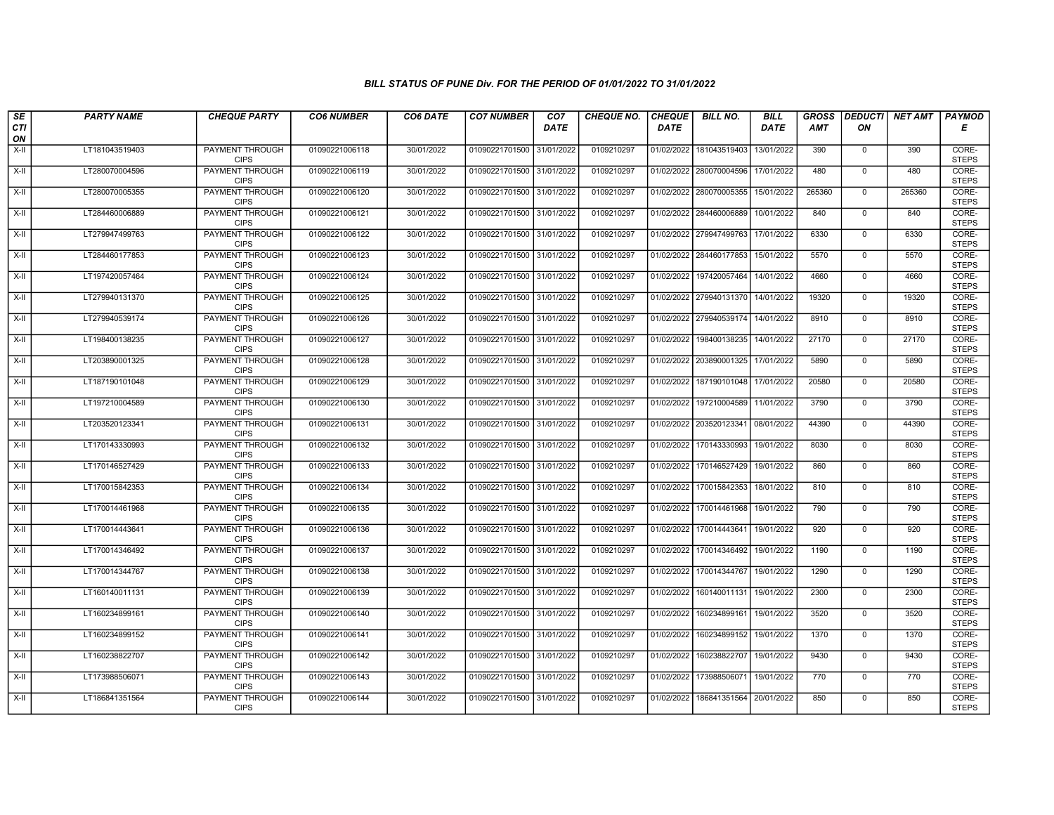| SE               | <b>PARTY NAME</b> | <b>CHEQUE PARTY</b>                   | <b>CO6 NUMBER</b> | CO6 DATE   | <b>CO7 NUMBER</b>         | CO <sub>7</sub> | CHEQUE NO. | <b>CHEQUE</b> | <b>BILL NO.</b>         | <b>BILL</b> | <b>GROSS</b> |                | DEDUCTI NET AMT | <b>PAYMOD</b>         |
|------------------|-------------------|---------------------------------------|-------------------|------------|---------------------------|-----------------|------------|---------------|-------------------------|-------------|--------------|----------------|-----------------|-----------------------|
| <b>CTI</b><br>ON |                   |                                       |                   |            |                           | <b>DATE</b>     |            | <b>DATE</b>   |                         | <b>DATE</b> | <b>AMT</b>   | ON             |                 | Е                     |
| $X-H$            | LT181043519403    | <b>PAYMENT THROUGH</b><br><b>CIPS</b> | 01090221006118    | 30/01/2022 | 01090221701500 31/01/2022 |                 | 0109210297 | 01/02/2022    | 181043519403            | 13/01/2022  | 390          | 0              | 390             | CORE-<br><b>STEPS</b> |
| $X-H$            | LT280070004596    | <b>PAYMENT THROUGH</b><br><b>CIPS</b> | 01090221006119    | 30/01/2022 | 01090221701500 31/01/2022 |                 | 0109210297 |               | 01/02/2022 280070004596 | 17/01/2022  | 480          | $\mathbf{0}$   | 480             | CORE-<br><b>STEPS</b> |
| $X-H$            | LT280070005355    | PAYMENT THROUGH<br><b>CIPS</b>        | 01090221006120    | 30/01/2022 | 01090221701500 31/01/2022 |                 | 0109210297 | 01/02/2022    | 280070005355            | 15/01/2022  | 265360       | $\mathbf 0$    | 265360          | CORE-<br><b>STEPS</b> |
| $X-H$            | LT284460006889    | PAYMENT THROUGH<br><b>CIPS</b>        | 01090221006121    | 30/01/2022 | 01090221701500 31/01/2022 |                 | 0109210297 | 01/02/2022    | 284460006889            | 10/01/2022  | 840          | $\mathbf 0$    | 840             | CORE-<br><b>STEPS</b> |
| $X-H$            | LT279947499763    | <b>PAYMENT THROUGH</b><br><b>CIPS</b> | 01090221006122    | 30/01/2022 | 01090221701500 31/01/2022 |                 | 0109210297 |               | 01/02/2022 279947499763 | 17/01/2022  | 6330         | $\mathbf{0}$   | 6330            | CORE-<br><b>STEPS</b> |
| $X-H$            | LT284460177853    | <b>PAYMENT THROUGH</b><br><b>CIPS</b> | 01090221006123    | 30/01/2022 | 01090221701500 31/01/2022 |                 | 0109210297 |               | 01/02/2022 284460177853 | 15/01/2022  | 5570         | $\mathbf 0$    | 5570            | CORE-<br><b>STEPS</b> |
| $X-II$           | LT197420057464    | PAYMENT THROUGH<br><b>CIPS</b>        | 01090221006124    | 30/01/2022 | 01090221701500 31/01/2022 |                 | 0109210297 | 01/02/2022    | 197420057464            | 14/01/2022  | 4660         | $\mathbf 0$    | 4660            | CORE-<br><b>STEPS</b> |
| $X-H$            | LT279940131370    | <b>PAYMENT THROUGH</b><br><b>CIPS</b> | 01090221006125    | 30/01/2022 | 01090221701500 31/01/2022 |                 | 0109210297 | 01/02/2022    | 279940131370            | 14/01/2022  | 19320        | $\overline{0}$ | 19320           | CORE-<br><b>STEPS</b> |
| X-II             | LT279940539174    | PAYMENT THROUGH<br><b>CIPS</b>        | 01090221006126    | 30/01/2022 | 01090221701500 31/01/2022 |                 | 0109210297 |               | 01/02/2022 279940539174 | 14/01/2022  | 8910         | $\mathbf{0}$   | 8910            | CORE-<br><b>STEPS</b> |
| $X-H$            | LT198400138235    | <b>PAYMENT THROUGH</b><br><b>CIPS</b> | 01090221006127    | 30/01/2022 | 01090221701500 31/01/2022 |                 | 0109210297 | 01/02/2022    | 198400138235            | 14/01/2022  | 27170        | $\overline{0}$ | 27170           | CORE-<br><b>STEPS</b> |
| $X-II$           | LT203890001325    | PAYMENT THROUGH<br><b>CIPS</b>        | 01090221006128    | 30/01/2022 | 01090221701500            | 31/01/2022      | 0109210297 | 01/02/2022    | 203890001325            | 17/01/2022  | 5890         | $\mathbf 0$    | 5890            | CORE-<br><b>STEPS</b> |
| $X-H$            | LT187190101048    | PAYMENT THROUGH<br><b>CIPS</b>        | 01090221006129    | 30/01/2022 | 01090221701500 31/01/2022 |                 | 0109210297 | 01/02/2022    | 187190101048            | 17/01/2022  | 20580        | $\mathbf 0$    | 20580           | CORE-<br><b>STEPS</b> |
| $X-H$            | LT197210004589    | <b>PAYMENT THROUGH</b><br><b>CIPS</b> | 01090221006130    | 30/01/2022 | 01090221701500 31/01/2022 |                 | 0109210297 | 01/02/2022    | 197210004589            | 11/01/2022  | 3790         | $\overline{0}$ | 3790            | CORE-<br><b>STEPS</b> |
| X-II             | LT203520123341    | <b>PAYMENT THROUGH</b><br><b>CIPS</b> | 01090221006131    | 30/01/2022 | 01090221701500 31/01/2022 |                 | 0109210297 |               | 01/02/2022 203520123341 | 08/01/2022  | 44390        | $\mathbf 0$    | 44390           | CORE-<br><b>STEPS</b> |
| $X-H$            | LT170143330993    | PAYMENT THROUGH<br><b>CIPS</b>        | 01090221006132    | 30/01/2022 | 01090221701500 31/01/2022 |                 | 0109210297 | 01/02/2022    | 170143330993            | 19/01/2022  | 8030         | $\mathbf 0$    | 8030            | CORE-<br><b>STEPS</b> |
| $X-II$           | LT170146527429    | PAYMENT THROUGH<br><b>CIPS</b>        | 01090221006133    | 30/01/2022 | 01090221701500 31/01/2022 |                 | 0109210297 | 01/02/2022    | 170146527429            | 19/01/2022  | 860          | $\mathbf 0$    | 860             | CORE-<br><b>STEPS</b> |
| $X-H$            | LT170015842353    | PAYMENT THROUGH<br><b>CIPS</b>        | 01090221006134    | 30/01/2022 | 01090221701500 31/01/2022 |                 | 0109210297 | 01/02/2022    | 170015842353            | 18/01/2022  | 810          | $\mathsf{O}$   | 810             | CORE-<br><b>STEPS</b> |
| $X-H$            | LT170014461968    | <b>PAYMENT THROUGH</b><br><b>CIPS</b> | 01090221006135    | 30/01/2022 | 01090221701500 31/01/2022 |                 | 0109210297 | 01/02/2022    | 170014461968            | 19/01/2022  | 790          | $\mathbf 0$    | 790             | CORE-<br><b>STEPS</b> |
| $X-H$            | LT170014443641    | PAYMENT THROUGH<br><b>CIPS</b>        | 01090221006136    | 30/01/2022 | 01090221701500 31/01/2022 |                 | 0109210297 |               | 01/02/2022 170014443641 | 19/01/2022  | 920          | $\mathbf{0}$   | 920             | CORE-<br><b>STEPS</b> |
| $X-H$            | LT170014346492    | PAYMENT THROUGH<br><b>CIPS</b>        | 01090221006137    | 30/01/2022 | 01090221701500 31/01/2022 |                 | 0109210297 | 01/02/2022    | 170014346492            | 19/01/2022  | 1190         | $\mathbf{0}$   | 1190            | CORE-<br><b>STEPS</b> |
| $X-H$            | LT170014344767    | PAYMENT THROUGH<br><b>CIPS</b>        | 01090221006138    | 30/01/2022 | 01090221701500 31/01/2022 |                 | 0109210297 | 01/02/2022    | 170014344767            | 19/01/2022  | 1290         | $\mathsf{O}$   | 1290            | CORE-<br><b>STEPS</b> |
| X-II             | LT160140011131    | <b>PAYMENT THROUGH</b><br><b>CIPS</b> | 01090221006139    | 30/01/2022 | 01090221701500 31/01/2022 |                 | 0109210297 | 01/02/2022    | 160140011131            | 19/01/2022  | 2300         | $\mathbf 0$    | 2300            | CORE-<br><b>STEPS</b> |
| $X-II$           | LT160234899161    | PAYMENT THROUGH<br><b>CIPS</b>        | 01090221006140    | 30/01/2022 | 01090221701500 31/01/2022 |                 | 0109210297 | 01/02/2022    | 160234899161            | 19/01/2022  | 3520         | $\mathbf 0$    | 3520            | CORE-<br><b>STEPS</b> |
| $X-II$           | LT160234899152    | PAYMENT THROUGH<br><b>CIPS</b>        | 01090221006141    | 30/01/2022 | 01090221701500 31/01/2022 |                 | 0109210297 | 01/02/2022    | 160234899152            | 19/01/2022  | 1370         | $\mathbf{0}$   | 1370            | CORE-<br><b>STEPS</b> |
| $X-H$            | LT160238822707    | PAYMENT THROUGH<br><b>CIPS</b>        | 01090221006142    | 30/01/2022 | 01090221701500 31/01/2022 |                 | 0109210297 | 01/02/2022    | 160238822707            | 19/01/2022  | 9430         | $\mathbf 0$    | 9430            | CORE-<br><b>STEPS</b> |
| $X-H$            | LT173988506071    | <b>PAYMENT THROUGH</b><br><b>CIPS</b> | 01090221006143    | 30/01/2022 | 01090221701500 31/01/2022 |                 | 0109210297 | 01/02/2022    | 173988506071            | 19/01/2022  | 770          | $\mathbf 0$    | 770             | CORE-<br><b>STEPS</b> |
| $X-H$            | LT186841351564    | <b>PAYMENT THROUGH</b><br><b>CIPS</b> | 01090221006144    | 30/01/2022 | 01090221701500 31/01/2022 |                 | 0109210297 | 01/02/2022    | 186841351564            | 20/01/2022  | 850          | $\mathsf{O}$   | 850             | CORE-<br><b>STEPS</b> |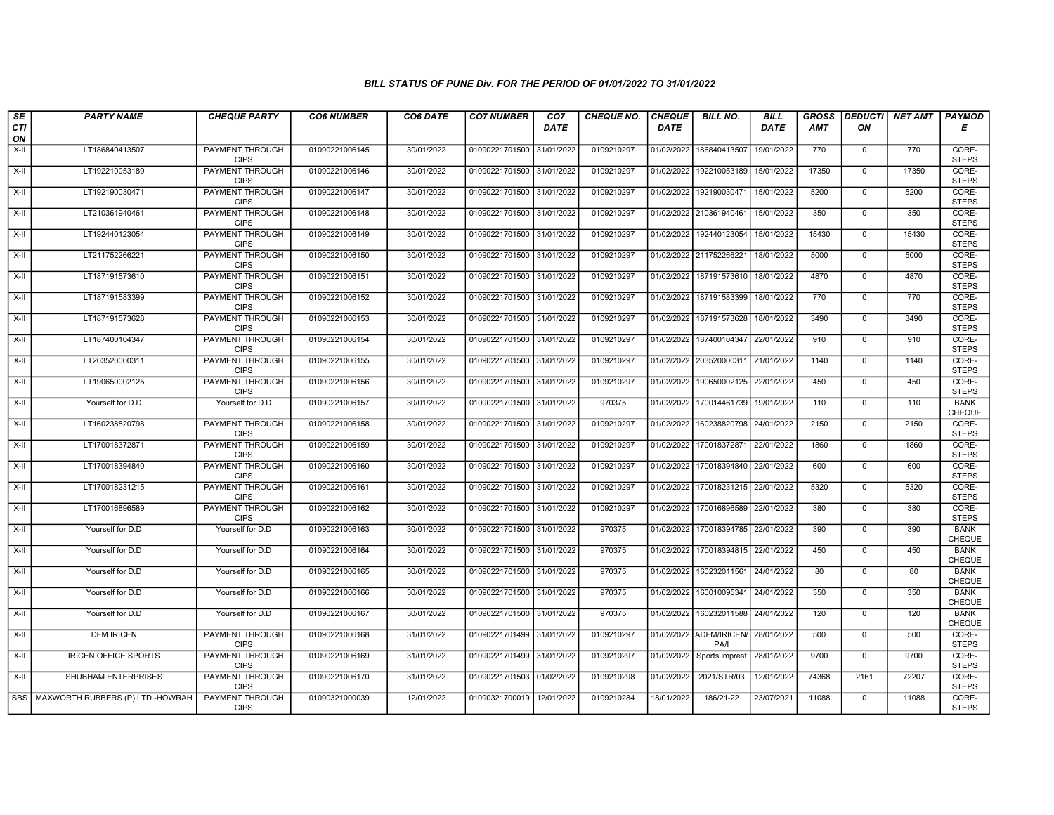| SE               | <b>PARTY NAME</b>                      | <b>CHEQUE PARTY</b>                   | <b>CO6 NUMBER</b> | CO6 DATE   | <b>CO7 NUMBER</b>         | CO <sub>7</sub> | <b>CHEQUE NO.</b> | <b>CHEQUE</b> | <b>BILL NO.</b>                 | <b>BILL</b> | <b>GROSS</b> |                | DEDUCTI NET AMT | <b>PAYMOD</b>                |
|------------------|----------------------------------------|---------------------------------------|-------------------|------------|---------------------------|-----------------|-------------------|---------------|---------------------------------|-------------|--------------|----------------|-----------------|------------------------------|
| <b>CTI</b><br>ON |                                        |                                       |                   |            |                           | <b>DATE</b>     |                   | <b>DATE</b>   |                                 | <b>DATE</b> | <b>AMT</b>   | ON             |                 | Е                            |
| $X-H$            | LT186840413507                         | <b>PAYMENT THROUGH</b><br><b>CIPS</b> | 01090221006145    | 30/01/2022 | 01090221701500            | 31/01/2022      | 0109210297        | 01/02/2022    | 186840413507                    | 19/01/2022  | 770          | 0              | 770             | CORE-<br><b>STEPS</b>        |
| $X-H$            | LT192210053189                         | <b>PAYMENT THROUGH</b><br><b>CIPS</b> | 01090221006146    | 30/01/2022 | 01090221701500 31/01/2022 |                 | 0109210297        | 01/02/2022    | 192210053189                    | 15/01/2022  | 17350        | $\mathbf{0}$   | 17350           | CORE-<br><b>STEPS</b>        |
| $X-H$            | LT192190030471                         | PAYMENT THROUGH<br><b>CIPS</b>        | 01090221006147    | 30/01/2022 | 01090221701500 31/01/2022 |                 | 0109210297        | 01/02/2022    | 192190030471                    | 15/01/2022  | 5200         | $\mathbf 0$    | 5200            | CORE-<br><b>STEPS</b>        |
| $X-H$            | LT210361940461                         | PAYMENT THROUGH<br><b>CIPS</b>        | 01090221006148    | 30/01/2022 | 01090221701500 31/01/2022 |                 | 0109210297        | 01/02/2022    | 210361940461                    | 15/01/2022  | 350          | $\mathbf 0$    | 350             | CORE-<br><b>STEPS</b>        |
| $X-H$            | LT192440123054                         | <b>PAYMENT THROUGH</b><br><b>CIPS</b> | 01090221006149    | 30/01/2022 | 01090221701500 31/01/2022 |                 | 0109210297        | 01/02/2022    | 192440123054                    | 15/01/2022  | 15430        | $\mathbf{0}$   | 15430           | CORE-<br><b>STEPS</b>        |
| $X-H$            | LT211752266221                         | <b>PAYMENT THROUGH</b><br><b>CIPS</b> | 01090221006150    | 30/01/2022 | 01090221701500 31/01/2022 |                 | 0109210297        |               | 01/02/2022 211752266221         | 18/01/2022  | 5000         | $\mathbf 0$    | 5000            | CORE-<br><b>STEPS</b>        |
| $X-II$           | LT187191573610                         | PAYMENT THROUGH<br><b>CIPS</b>        | 01090221006151    | 30/01/2022 | 01090221701500 31/01/2022 |                 | 0109210297        | 01/02/2022    | 187191573610                    | 18/01/2022  | 4870         | $\mathbf 0$    | 4870            | CORE-<br><b>STEPS</b>        |
| $X-H$            | LT187191583399                         | <b>PAYMENT THROUGH</b><br><b>CIPS</b> | 01090221006152    | 30/01/2022 | 01090221701500 31/01/2022 |                 | 0109210297        | 01/02/2022    | 187191583399                    | 18/01/2022  | 770          | $\overline{0}$ | 770             | CORE-<br><b>STEPS</b>        |
| X-II             | LT187191573628                         | PAYMENT THROUGH<br><b>CIPS</b>        | 01090221006153    | 30/01/2022 | 01090221701500 31/01/2022 |                 | 0109210297        | 01/02/2022    | 187191573628                    | 18/01/2022  | 3490         | $\mathbf{0}$   | 3490            | CORE-<br><b>STEPS</b>        |
| $X-H$            | LT187400104347                         | <b>PAYMENT THROUGH</b><br><b>CIPS</b> | 01090221006154    | 30/01/2022 | 01090221701500 31/01/2022 |                 | 0109210297        |               | 01/02/2022 187400104347         | 22/01/2022  | 910          | $\overline{0}$ | 910             | CORE-<br><b>STEPS</b>        |
| $X-II$           | LT203520000311                         | PAYMENT THROUGH<br><b>CIPS</b>        | 01090221006155    | 30/01/2022 | 01090221701500            | 31/01/2022      | 0109210297        | 01/02/2022    | 203520000311                    | 21/01/2022  | 1140         | $\mathbf 0$    | 1140            | CORE-<br><b>STEPS</b>        |
| $X-H$            | LT190650002125                         | PAYMENT THROUGH<br><b>CIPS</b>        | 01090221006156    | 30/01/2022 | 01090221701500 31/01/2022 |                 | 0109210297        | 01/02/2022    | 190650002125                    | 22/01/2022  | 450          | 0              | 450             | CORE-<br><b>STEPS</b>        |
| $X-H$            | Yourself for D.D                       | Yourself for D.D                      | 01090221006157    | 30/01/2022 | 01090221701500 31/01/2022 |                 | 970375            | 01/02/2022    | 170014461739                    | 19/01/2022  | 110          | $\overline{0}$ | 110             | <b>BANK</b><br>CHEQUE        |
| X-II             | LT160238820798                         | <b>PAYMENT THROUGH</b><br><b>CIPS</b> | 01090221006158    | 30/01/2022 | 01090221701500 31/01/2022 |                 | 0109210297        | 01/02/2022    | 160238820798                    | 24/01/2022  | 2150         | $\mathbf 0$    | 2150            | CORE-<br><b>STEPS</b>        |
| $X-H$            | LT170018372871                         | PAYMENT THROUGH<br><b>CIPS</b>        | 01090221006159    | 30/01/2022 | 01090221701500 31/01/2022 |                 | 0109210297        | 01/02/2022    | 170018372871                    | 22/01/2022  | 1860         | $\mathbf 0$    | 1860            | CORE-<br><b>STEPS</b>        |
| $X-II$           | LT170018394840                         | PAYMENT THROUGH<br><b>CIPS</b>        | 01090221006160    | 30/01/2022 | 01090221701500 31/01/2022 |                 | 0109210297        | 01/02/2022    | 170018394840                    | 22/01/2022  | 600          | $\mathbf 0$    | 600             | CORE-<br><b>STEPS</b>        |
| $X-H$            | LT170018231215                         | PAYMENT THROUGH<br><b>CIPS</b>        | 01090221006161    | 30/01/2022 | 01090221701500 31/01/2022 |                 | 0109210297        | 01/02/2022    | 170018231215                    | 22/01/2022  | 5320         | $\mathsf{O}$   | 5320            | CORE-<br><b>STEPS</b>        |
| $X-H$            | LT170016896589                         | PAYMENT THROUGH<br><b>CIPS</b>        | 01090221006162    | 30/01/2022 | 01090221701500 31/01/2022 |                 | 0109210297        | 01/02/2022    | 170016896589                    | 22/01/2022  | 380          | $\mathbf 0$    | 380             | CORE-<br><b>STEPS</b>        |
| $X-H$            | Yourself for D.D                       | Yourself for D.D                      | 01090221006163    | 30/01/2022 | 01090221701500 31/01/2022 |                 | 970375            |               | 01/02/2022 170018394785         | 22/01/2022  | 390          | $\mathbf 0$    | 390             | <b>BANK</b><br><b>CHEQUE</b> |
| $X-H$            | Yourself for D.D                       | Yourself for D.D                      | 01090221006164    | 30/01/2022 | 01090221701500 31/01/2022 |                 | 970375            | 01/02/2022    | 170018394815                    | 22/01/2022  | 450          | $\overline{0}$ | 450             | <b>BANK</b><br>CHEQUE        |
| $X-H$            | Yourself for D.D                       | Yourself for D.D                      | 01090221006165    | 30/01/2022 | 01090221701500 31/01/2022 |                 | 970375            | 01/02/2022    | 160232011561 24/01/2022         |             | 80           | $\mathsf{O}$   | 80              | <b>BANK</b><br>CHEQUE        |
| $X-H$            | Yourself for D.D                       | Yourself for D.D                      | 01090221006166    | 30/01/2022 | 01090221701500 31/01/2022 |                 | 970375            | 01/02/2022    | 160010095341                    | 24/01/2022  | 350          | $\mathbf 0$    | 350             | <b>BANK</b><br>CHEQUE        |
| $X-II$           | Yourself for D.D                       | Yourself for D.D                      | 01090221006167    | 30/01/2022 | 01090221701500 31/01/2022 |                 | 970375            | 01/02/2022    | 160232011588                    | 24/01/2022  | 120          | $\mathbf 0$    | 120             | <b>BANK</b><br>CHEQUE        |
| $X-II$           | <b>DFM IRICEN</b>                      | PAYMENT THROUGH<br><b>CIPS</b>        | 01090221006168    | 31/01/2022 | 01090221701499 31/01/2022 |                 | 0109210297        |               | 01/02/2022 ADFM/IRICEN/<br>PA/I | 28/01/2022  | 500          | $\mathbf{0}$   | 500             | CORE-<br><b>STEPS</b>        |
| X-II             | <b>IRICEN OFFICE SPORTS</b>            | PAYMENT THROUGH<br><b>CIPS</b>        | 01090221006169    | 31/01/2022 | 01090221701499 31/01/2022 |                 | 0109210297        | 01/02/2022    | Sports imprest                  | 28/01/2022  | 9700         | $\mathbf 0$    | 9700            | CORE-<br><b>STEPS</b>        |
| $X-H$            | SHUBHAM ENTERPRISES                    | <b>PAYMENT THROUGH</b><br><b>CIPS</b> | 01090221006170    | 31/01/2022 | 01090221701503 01/02/2022 |                 | 0109210298        | 01/02/2022    | 2021/STR/03                     | 12/01/2022  | 74368        | 2161           | 72207           | CORE-<br><b>STEPS</b>        |
|                  | SBS   MAXWORTH RUBBERS (P) LTD.-HOWRAH | PAYMENT THROUGH<br><b>CIPS</b>        | 01090321000039    | 12/01/2022 | 01090321700019 12/01/2022 |                 | 0109210284        | 18/01/2022    | 186/21-22                       | 23/07/2021  | 11088        | $\mathsf{O}$   | 11088           | CORE-<br><b>STEPS</b>        |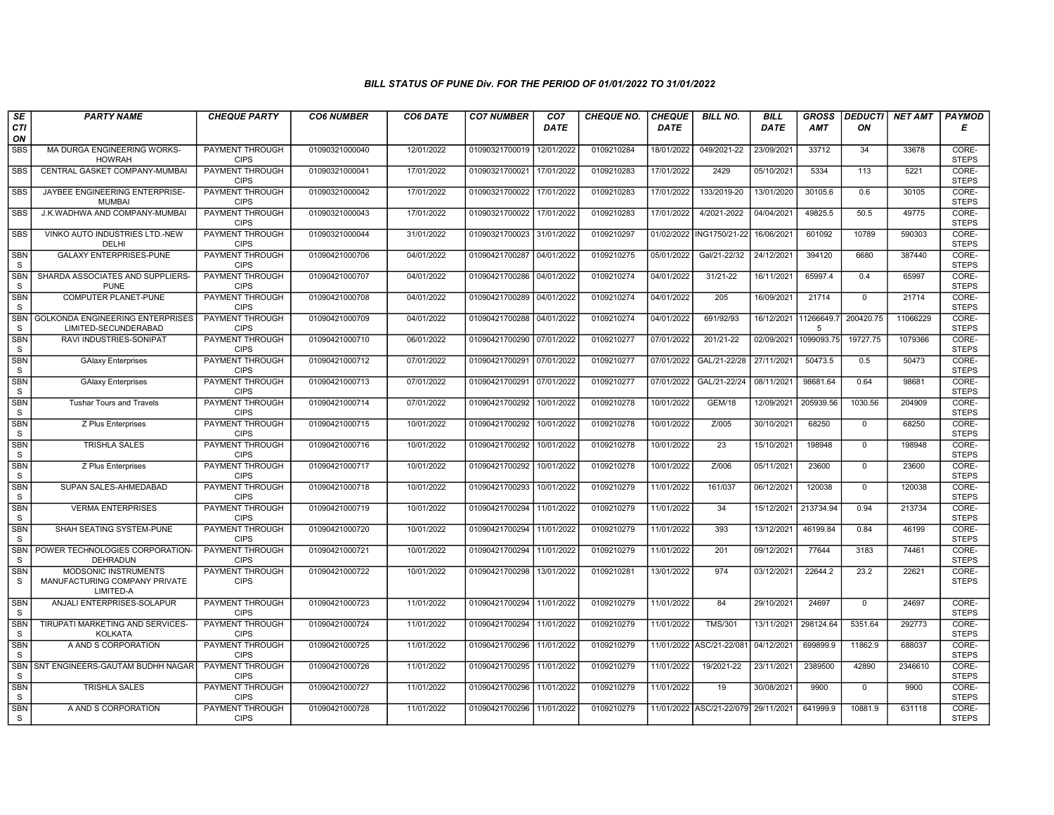| SE                         | <b>PARTY NAME</b>                                                         | <b>CHEQUE PARTY</b>                   | <b>CO6 NUMBER</b> | CO6 DATE   | <b>CO7 NUMBER</b>         | CO <sub>7</sub> | <b>CHEQUE NO.</b> | <b>CHEQUE</b> | <b>BILL NO.</b>          | <b>BILL</b> | <b>GROSS</b>    | <b>DEDUCTI</b> | <b>NET AMT</b> | <b>PAYMOD</b>         |
|----------------------------|---------------------------------------------------------------------------|---------------------------------------|-------------------|------------|---------------------------|-----------------|-------------------|---------------|--------------------------|-------------|-----------------|----------------|----------------|-----------------------|
| CTI<br>ON                  |                                                                           |                                       |                   |            |                           | DATE            |                   | <b>DATE</b>   |                          | DATE        | AMT             | ON             |                | Е                     |
| <b>SBS</b>                 | MA DURGA ENGINEERING WORKS-<br><b>HOWRAH</b>                              | <b>PAYMENT THROUGH</b><br><b>CIPS</b> | 01090321000040    | 12/01/2022 | 01090321700019 12/01/2022 |                 | 0109210284        | 18/01/2022    | 049/2021-22              | 23/09/2021  | 33712           | 34             | 33678          | CORE-<br><b>STEPS</b> |
| <b>SBS</b>                 | CENTRAL GASKET COMPANY-MUMBAI                                             | <b>PAYMENT THROUGH</b><br><b>CIPS</b> | 01090321000041    | 17/01/2022 | 01090321700021            | 17/01/2022      | 0109210283        | 17/01/2022    | 2429                     | 05/10/2021  | 5334            | 113            | 5221           | CORE-<br><b>STEPS</b> |
| <b>SBS</b>                 | JAYBEE ENGINEERING ENTERPRISE-<br><b>MUMBAI</b>                           | PAYMENT THROUGH<br><b>CIPS</b>        | 01090321000042    | 17/01/2022 | 01090321700022            | 17/01/2022      | 0109210283        | 17/01/2022    | 133/2019-20              | 13/01/2020  | 30105.6         | 0.6            | 30105          | CORE-<br><b>STEPS</b> |
| SBS                        | J.K.WADHWA AND COMPANY-MUMBAI                                             | PAYMENT THROUGH<br><b>CIPS</b>        | 01090321000043    | 17/01/2022 | 01090321700022            | 17/01/2022      | 0109210283        | 17/01/2022    | 4/2021-2022              | 04/04/2021  | 49825.5         | 50.5           | 49775          | CORE-<br><b>STEPS</b> |
| <b>SBS</b>                 | VINKO AUTO INDUSTRIES LTD.-NEW<br>DELHI                                   | <b>PAYMENT THROUGH</b><br><b>CIPS</b> | 01090321000044    | 31/01/2022 | 01090321700023 31/01/2022 |                 | 0109210297        | 01/02/2022    | ING1750/21-22            | 16/06/2021  | 601092          | 10789          | 590303         | CORE-<br><b>STEPS</b> |
| <b>SBN</b><br>S            | <b>GALAXY ENTERPRISES-PUNE</b>                                            | <b>PAYMENT THROUGH</b><br><b>CIPS</b> | 01090421000706    | 04/01/2022 | 01090421700287            | 04/01/2022      | 0109210275        | 05/01/2022    | Gal/21-22/32             | 24/12/2021  | 394120          | 6680           | 387440         | CORE-<br><b>STEPS</b> |
| <b>SBN</b><br>S            | SHARDA ASSOCIATES AND SUPPLIERS-<br><b>PUNE</b>                           | PAYMENT THROUGH<br><b>CIPS</b>        | 01090421000707    | 04/01/2022 | 01090421700286            | 04/01/2022      | 0109210274        | 04/01/2022    | 31/21-22                 | 16/11/2021  | 65997.4         | 0.4            | 65997          | CORE-<br><b>STEPS</b> |
| <b>SBN</b><br>S            | <b>COMPUTER PLANET-PUNE</b>                                               | <b>PAYMENT THROUGH</b><br><b>CIPS</b> | 01090421000708    | 04/01/2022 | 01090421700289 04/01/2022 |                 | 0109210274        | 04/01/2022    | 205                      | 16/09/2021  | 21714           | $\mathbf 0$    | 21714          | CORE-<br><b>STEPS</b> |
| <b>SBN</b><br><sub>S</sub> | <b>GOLKONDA ENGINEERING ENTERPRISES</b><br>LIMITED-SECUNDERABAD           | <b>PAYMENT THROUGH</b><br><b>CIPS</b> | 01090421000709    | 04/01/2022 | 01090421700288 04/01/2022 |                 | 0109210274        | 04/01/2022    | 691/92/93                | 16/12/2021  | 11266649.<br>-5 | 200420.75      | 11066229       | CORE-<br><b>STEPS</b> |
| <b>SBN</b><br>S            | RAVI INDUSTRIES-SONIPAT                                                   | <b>PAYMENT THROUGH</b><br><b>CIPS</b> | 01090421000710    | 06/01/2022 | 01090421700290 07/01/2022 |                 | 0109210277        | 07/01/2022    | 201/21-22                | 02/09/2021  | 1099093.75      | 19727.75       | 1079366        | CORE-<br><b>STEPS</b> |
| <b>SBN</b><br>S            | <b>GAlaxy Enterprises</b>                                                 | PAYMENT THROUGH<br><b>CIPS</b>        | 01090421000712    | 07/01/2022 | 01090421700291            | 07/01/2022      | 0109210277        | 07/01/2022    | GAL/21-22/28             | 27/11/2021  | 50473.5         | 0.5            | 50473          | CORE-<br><b>STEPS</b> |
| <b>SBN</b><br>S            | <b>GAlaxy Enterprises</b>                                                 | <b>PAYMENT THROUGH</b><br><b>CIPS</b> | 01090421000713    | 07/01/2022 | 01090421700291            | 07/01/2022      | 0109210277        | 07/01/2022    | GAL/21-22/24             | 08/11/2021  | 98681.64        | 0.64           | 98681          | CORE-<br><b>STEPS</b> |
| <b>SBN</b><br>S            | <b>Tushar Tours and Travels</b>                                           | <b>PAYMENT THROUGH</b><br><b>CIPS</b> | 01090421000714    | 07/01/2022 | 01090421700292            | 10/01/2022      | 0109210278        | 10/01/2022    | <b>GEM/18</b>            | 12/09/2021  | 205939.56       | 1030.56        | 204909         | CORE-<br><b>STEPS</b> |
| <b>SBN</b><br>S            | Z Plus Enterprises                                                        | <b>PAYMENT THROUGH</b><br><b>CIPS</b> | 01090421000715    | 10/01/2022 | 01090421700292            | 10/01/2022      | 0109210278        | 10/01/2022    | Z/005                    | 30/10/2021  | 68250           | $\mathbf 0$    | 68250          | CORE-<br><b>STEPS</b> |
| <b>SBN</b><br>S            | <b>TRISHLA SALES</b>                                                      | PAYMENT THROUGH<br><b>CIPS</b>        | 01090421000716    | 10/01/2022 | 01090421700292            | 10/01/2022      | 0109210278        | 10/01/2022    | 23                       | 15/10/2021  | 198948          | $\mathbf 0$    | 198948         | CORE-<br><b>STEPS</b> |
| <b>SBN</b><br>S            | Z Plus Enterprises                                                        | <b>PAYMENT THROUGH</b><br><b>CIPS</b> | 01090421000717    | 10/01/2022 | 01090421700292            | 10/01/2022      | 0109210278        | 10/01/2022    | Z/006                    | 05/11/2021  | 23600           | $\mathbf 0$    | 23600          | CORE-<br><b>STEPS</b> |
| <b>SBN</b><br>$\mathsf S$  | SUPAN SALES-AHMEDABAD                                                     | <b>PAYMENT THROUGH</b><br><b>CIPS</b> | 01090421000718    | 10/01/2022 | 01090421700293            | 10/01/2022      | 0109210279        | 11/01/2022    | 161/037                  | 06/12/2021  | 120038          | $\mathbf 0$    | 120038         | CORE-<br><b>STEPS</b> |
| <b>SBN</b><br>S            | <b>VERMA ENTERPRISES</b>                                                  | <b>PAYMENT THROUGH</b><br><b>CIPS</b> | 01090421000719    | 10/01/2022 | 01090421700294 11/01/2022 |                 | 0109210279        | 11/01/2022    | 34                       | 15/12/2021  | 213734.94       | 0.94           | 213734         | CORE-<br><b>STEPS</b> |
| SBN<br>S                   | SHAH SEATING SYSTEM-PUNE                                                  | <b>PAYMENT THROUGH</b><br><b>CIPS</b> | 01090421000720    | 10/01/2022 | 01090421700294            | 11/01/2022      | 0109210279        | 11/01/2022    | 393                      | 13/12/2021  | 46199.84        | 0.84           | 46199          | CORE-<br><b>STEPS</b> |
| <b>SBN</b><br>S            | POWER TECHNOLOGIES CORPORATION-<br><b>DEHRADUN</b>                        | <b>PAYMENT THROUGH</b><br><b>CIPS</b> | 01090421000721    | 10/01/2022 | 01090421700294 11/01/2022 |                 | 0109210279        | 11/01/2022    | 201                      | 09/12/2021  | 77644           | 3183           | 74461          | CORE-<br><b>STEPS</b> |
| <b>SBN</b><br>S            | <b>MODSONIC INSTRUMENTS</b><br>MANUFACTURING COMPANY PRIVATE<br>LIMITED-A | <b>PAYMENT THROUGH</b><br><b>CIPS</b> | 01090421000722    | 10/01/2022 | 01090421700298            | 13/01/2022      | 0109210281        | 13/01/2022    | 974                      | 03/12/2021  | 22644.2         | 23.2           | 22621          | CORE-<br><b>STEPS</b> |
| SBN<br>S                   | ANJALI ENTERPRISES-SOLAPUR                                                | PAYMENT THROUGH<br><b>CIPS</b>        | 01090421000723    | 11/01/2022 | 01090421700294 11/01/2022 |                 | 0109210279        | 11/01/2022    | 84                       | 29/10/2021  | 24697           | $\Omega$       | 24697          | CORE-<br><b>STEPS</b> |
| <b>SBN</b><br>S            | TIRUPATI MARKETING AND SERVICES-<br><b>KOLKATA</b>                        | PAYMENT THROUGH<br><b>CIPS</b>        | 01090421000724    | 11/01/2022 | 01090421700294 11/01/2022 |                 | 0109210279        | 11/01/2022    | <b>TMS/301</b>           | 13/11/2021  | 298124.64       | 5351.64        | 292773         | CORE-<br><b>STEPS</b> |
| <b>SBN</b><br>S            | A AND S CORPORATION                                                       | <b>PAYMENT THROUGH</b><br><b>CIPS</b> | 01090421000725    | 11/01/2022 | 01090421700296            | 11/01/2022      | 0109210279        | 11/01/2022    | ASC/21-22/08             | 04/12/2021  | 699899.9        | 11862.9        | 688037         | CORE-<br><b>STEPS</b> |
| <b>SBN</b><br>S            | SNT ENGINEERS-GAUTAM BUDHH NAGAR                                          | <b>PAYMENT THROUGH</b><br><b>CIPS</b> | 01090421000726    | 11/01/2022 | 01090421700295 11/01/2022 |                 | 0109210279        | 11/01/2022    | 19/2021-22               | 23/11/2021  | 2389500         | 42890          | 2346610        | CORE-<br><b>STEPS</b> |
| SBN<br>S                   | <b>TRISHLA SALES</b>                                                      | PAYMENT THROUGH<br><b>CIPS</b>        | 01090421000727    | 11/01/2022 | 01090421700296            | 11/01/2022      | 0109210279        | 11/01/2022    | 19                       | 30/08/2021  | 9900            | $\Omega$       | 9900           | CORE-<br><b>STEPS</b> |
| <b>SBN</b><br>S            | A AND S CORPORATION                                                       | PAYMENT THROUGH<br><b>CIPS</b>        | 01090421000728    | 11/01/2022 | 01090421700296 11/01/2022 |                 | 0109210279        |               | 11/01/2022 ASC/21-22/079 | 29/11/2021  | 641999.9        | 10881.9        | 631118         | CORE-<br><b>STEPS</b> |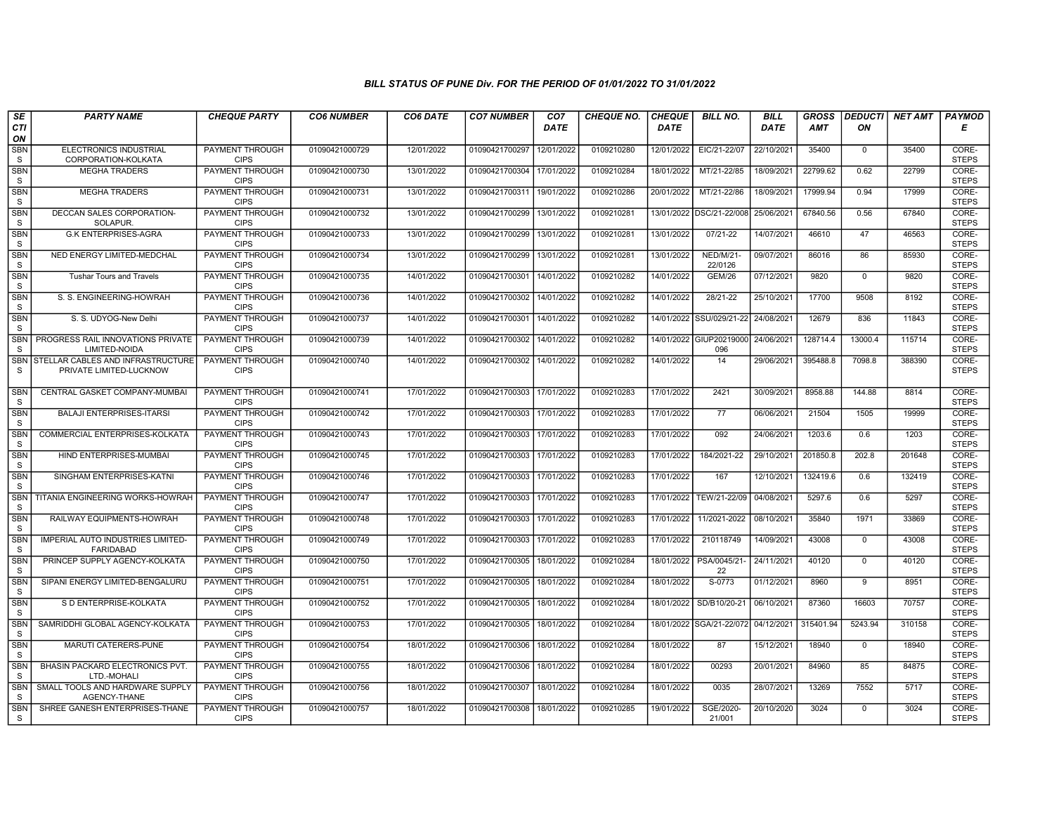| SE                         | <b>PARTY NAME</b>                                            | <b>CHEQUE PARTY</b>                   | <b>CO6 NUMBER</b> | CO6 DATE   | <b>CO7 NUMBER</b>         | CO <sub>7</sub> | <b>CHEQUE NO.</b> | <b>CHEQUE</b> | <b>BILL NO.</b>                | <b>BILL</b> | <b>GROSS</b> | <b>DEDUCTI</b> | NET AMT | <b>PAYMOD</b>         |
|----------------------------|--------------------------------------------------------------|---------------------------------------|-------------------|------------|---------------------------|-----------------|-------------------|---------------|--------------------------------|-------------|--------------|----------------|---------|-----------------------|
| CTI<br>ON                  |                                                              |                                       |                   |            |                           | <b>DATE</b>     |                   | <b>DATE</b>   |                                | <b>DATE</b> | <b>AMT</b>   | ON             |         | Е                     |
| <b>SBN</b><br>S            | <b>ELECTRONICS INDUSTRIAL</b><br>CORPORATION-KOLKATA         | <b>PAYMENT THROUGH</b><br><b>CIPS</b> | 01090421000729    | 12/01/2022 | 01090421700297            | 12/01/2022      | 0109210280        | 12/01/2022    | EIC/21-22/07                   | 22/10/2021  | 35400        | $\mathbf 0$    | 35400   | CORE-<br><b>STEPS</b> |
| <b>SBN</b><br>S            | <b>MEGHA TRADERS</b>                                         | <b>PAYMENT THROUGH</b><br><b>CIPS</b> | 01090421000730    | 13/01/2022 | 01090421700304            | 17/01/2022      | 0109210284        | 18/01/2022    | MT/21-22/85                    | 18/09/2021  | 22799.62     | 0.62           | 22799   | CORE-<br><b>STEPS</b> |
| <b>SBN</b><br>S            | <b>MEGHA TRADERS</b>                                         | <b>PAYMENT THROUGH</b><br><b>CIPS</b> | 01090421000731    | 13/01/2022 | 01090421700311            | 19/01/2022      | 0109210286        | 20/01/2022    | MT/21-22/86                    | 18/09/2021  | 17999.94     | 0.94           | 17999   | CORE-<br><b>STEPS</b> |
| <b>SBN</b><br>S            | DECCAN SALES CORPORATION-<br><b>SOLAPUR</b>                  | PAYMENT THROUGH<br><b>CIPS</b>        | 01090421000732    | 13/01/2022 | 01090421700299            | 13/01/2022      | 0109210281        | 13/01/2022    | DSC/21-22/008                  | 25/06/2021  | 67840.56     | 0.56           | 67840   | CORE-<br><b>STEPS</b> |
| <b>SBN</b><br>S            | <b>G.K ENTERPRISES-AGRA</b>                                  | <b>PAYMENT THROUGH</b><br><b>CIPS</b> | 01090421000733    | 13/01/2022 | 01090421700299            | 13/01/2022      | 0109210281        | 13/01/2022    | 07/21-22                       | 14/07/2021  | 46610        | 47             | 46563   | CORE-<br><b>STEPS</b> |
| SBN<br>S                   | NED ENERGY LIMITED-MEDCHAL                                   | <b>PAYMENT THROUGH</b><br><b>CIPS</b> | 01090421000734    | 13/01/2022 | 01090421700299            | 13/01/2022      | 0109210281        | 13/01/2022    | <b>NED/M/21-</b><br>22/0126    | 09/07/2021  | 86016        | 86             | 85930   | CORE-<br><b>STEPS</b> |
| <b>SBN</b><br><sub>S</sub> | <b>Tushar Tours and Travels</b>                              | <b>PAYMENT THROUGH</b><br><b>CIPS</b> | 01090421000735    | 14/01/2022 | 01090421700301            | 14/01/2022      | 0109210282        | 14/01/2022    | <b>GEM/26</b>                  | 07/12/2021  | 9820         | $\mathbf 0$    | 9820    | CORE-<br><b>STEPS</b> |
| <b>SBN</b><br>S            | S. S. ENGINEERING-HOWRAH                                     | <b>PAYMENT THROUGH</b><br><b>CIPS</b> | 01090421000736    | 14/01/2022 | 01090421700302            | 14/01/2022      | 0109210282        | 14/01/2022    | 28/21-22                       | 25/10/2021  | 17700        | 9508           | 8192    | CORE-<br><b>STEPS</b> |
| <b>SBN</b><br>S            | S. S. UDYOG-New Delhi                                        | <b>PAYMENT THROUGH</b><br><b>CIPS</b> | 01090421000737    | 14/01/2022 | 01090421700301            | 14/01/2022      | 0109210282        |               | 14/01/2022 SSU/029/21-22       | 24/08/2021  | 12679        | 836            | 11843   | CORE-<br><b>STEPS</b> |
| <b>SBN</b><br>S            | PROGRESS RAIL INNOVATIONS PRIVATE<br>LIMITED-NOIDA           | <b>PAYMENT THROUGH</b><br><b>CIPS</b> | 01090421000739    | 14/01/2022 | 01090421700302            | 14/01/2022      | 0109210282        |               | 14/01/2022 GIUP20219000<br>096 | 24/06/2021  | 128714.4     | 13000.4        | 115714  | CORE-<br><b>STEPS</b> |
| SBN<br>-S                  | STELLAR CABLES AND INFRASTRUCTURE<br>PRIVATE LIMITED-LUCKNOW | PAYMENT THROUGH<br><b>CIPS</b>        | 01090421000740    | 14/01/2022 | 01090421700302            | 14/01/2022      | 0109210282        | 14/01/2022    | 14                             | 29/06/2021  | 395488.8     | 7098.8         | 388390  | CORE-<br><b>STEPS</b> |
| <b>SBN</b><br>S            | CENTRAL GASKET COMPANY-MUMBAI                                | <b>PAYMENT THROUGH</b><br><b>CIPS</b> | 01090421000741    | 17/01/2022 | 01090421700303            | 17/01/2022      | 0109210283        | 17/01/2022    | 2421                           | 30/09/2021  | 8958.88      | 144.88         | 8814    | CORE-<br><b>STEPS</b> |
| SBN<br>S                   | <b>BALAJI ENTERPRISES-ITARSI</b>                             | PAYMENT THROUGH<br><b>CIPS</b>        | 01090421000742    | 17/01/2022 | 01090421700303            | 17/01/2022      | 0109210283        | 17/01/2022    | 77                             | 06/06/2021  | 21504        | 1505           | 19999   | CORE-<br><b>STEPS</b> |
| <b>SBN</b><br>S            | COMMERCIAL ENTERPRISES-KOLKATA                               | <b>PAYMENT THROUGH</b><br><b>CIPS</b> | 01090421000743    | 17/01/2022 | 01090421700303            | 17/01/2022      | 0109210283        | 17/01/2022    | 092                            | 24/06/2021  | 1203.6       | 0.6            | 1203    | CORE-<br><b>STEPS</b> |
| <b>SBN</b><br>S            | HIND ENTERPRISES-MUMBAI                                      | <b>PAYMENT THROUGH</b><br><b>CIPS</b> | 01090421000745    | 17/01/2022 | 01090421700303            | 17/01/2022      | 0109210283        | 17/01/2022    | 184/2021-22                    | 29/10/2021  | 201850.8     | 202.8          | 201648  | CORE-<br><b>STEPS</b> |
| <b>SBN</b><br>S            | SINGHAM ENTERPRISES-KATNI                                    | <b>PAYMENT THROUGH</b><br><b>CIPS</b> | 01090421000746    | 17/01/2022 | 01090421700303            | 17/01/2022      | 0109210283        | 17/01/2022    | 167                            | 12/10/2021  | 132419.6     | 0.6            | 132419  | CORE-<br><b>STEPS</b> |
| <b>SBN</b><br><sub>S</sub> | TITANIA ENGINEERING WORKS-HOWRAH                             | PAYMENT THROUGH<br><b>CIPS</b>        | 01090421000747    | 17/01/2022 | 01090421700303            | 17/01/2022      | 0109210283        | 17/01/2022    | TEW/21-22/09                   | 04/08/2021  | 5297.6       | 0.6            | 5297    | CORE-<br><b>STEPS</b> |
| SBN<br><sub>S</sub>        | RAILWAY EQUIPMENTS-HOWRAH                                    | PAYMENT THROUGH<br><b>CIPS</b>        | 01090421000748    | 17/01/2022 | 01090421700303            | 17/01/2022      | 0109210283        | 17/01/2022    | 11/2021-2022                   | 08/10/2021  | 35840        | 1971           | 33869   | CORE-<br><b>STEPS</b> |
| <b>SBN</b><br><sub>S</sub> | IMPERIAL AUTO INDUSTRIES LIMITED-<br><b>FARIDABAD</b>        | <b>PAYMENT THROUGH</b><br><b>CIPS</b> | 01090421000749    | 17/01/2022 | 01090421700303            | 17/01/2022      | 0109210283        | 17/01/2022    | 210118749                      | 14/09/2021  | 43008        | $\mathbf 0$    | 43008   | CORE-<br><b>STEPS</b> |
| <b>SBN</b><br>S            | PRINCEP SUPPLY AGENCY-KOLKATA                                | <b>PAYMENT THROUGH</b><br><b>CIPS</b> | 01090421000750    | 17/01/2022 | 01090421700305            | 18/01/2022      | 0109210284        | 18/01/2022    | PSA/0045/21-<br>22             | 24/11/2021  | 40120        | $\mathbf 0$    | 40120   | CORE-<br><b>STEPS</b> |
| SBN<br>S                   | SIPANI ENERGY LIMITED-BENGALURU                              | <b>PAYMENT THROUGH</b><br><b>CIPS</b> | 01090421000751    | 17/01/2022 | 01090421700305            | 18/01/2022      | 0109210284        | 18/01/2022    | S-0773                         | 01/12/2021  | 8960         | 9              | 8951    | CORE-<br><b>STEPS</b> |
| SBN<br><sub>S</sub>        | S D ENTERPRISE-KOLKATA                                       | PAYMENT THROUGH<br><b>CIPS</b>        | 01090421000752    | 17/01/2022 | 01090421700305            | 18/01/2022      | 0109210284        | 18/01/2022    | SD/B10/20-21                   | 06/10/2021  | 87360        | 16603          | 70757   | CORE-<br><b>STEPS</b> |
| <b>SBN</b><br><sub>S</sub> | SAMRIDDHI GLOBAL AGENCY-KOLKATA                              | <b>PAYMENT THROUGH</b><br><b>CIPS</b> | 01090421000753    | 17/01/2022 | 01090421700305            | 18/01/2022      | 0109210284        |               | 18/01/2022 SGA/21-22/072       | 04/12/2021  | 315401.94    | 5243.94        | 310158  | CORE-<br><b>STEPS</b> |
| <b>SBN</b><br><sub>S</sub> | <b>MARUTI CATERERS-PUNE</b>                                  | <b>PAYMENT THROUGH</b><br><b>CIPS</b> | 01090421000754    | 18/01/2022 | 01090421700306            | 18/01/2022      | 0109210284        | 18/01/2022    | 87                             | 15/12/2021  | 18940        | $\mathbf 0$    | 18940   | CORE-<br><b>STEPS</b> |
| <b>SBN</b><br>S            | BHASIN PACKARD ELECTRONICS PVT.<br>LTD.-MOHALI               | <b>PAYMENT THROUGH</b><br><b>CIPS</b> | 01090421000755    | 18/01/2022 | 01090421700306 18/01/2022 |                 | 0109210284        | 18/01/2022    | 00293                          | 20/01/2021  | 84960        | 85             | 84875   | CORE-<br><b>STEPS</b> |
| SBN<br><sub>S</sub>        | SMALL TOOLS AND HARDWARE SUPPLY<br>AGENCY-THANE              | PAYMENT THROUGH<br><b>CIPS</b>        | 01090421000756    | 18/01/2022 | 01090421700307            | 18/01/2022      | 0109210284        | 18/01/2022    | 0035                           | 28/07/2021  | 13269        | 7552           | 5717    | CORE-<br><b>STEPS</b> |
| <b>SBN</b><br><sub>S</sub> | SHREE GANESH ENTERPRISES-THANE                               | <b>PAYMENT THROUGH</b><br><b>CIPS</b> | 01090421000757    | 18/01/2022 | 01090421700308            | 18/01/2022      | 0109210285        | 19/01/2022    | SGE/2020-<br>21/001            | 20/10/2020  | 3024         | $\mathbf 0$    | 3024    | CORE-<br><b>STEPS</b> |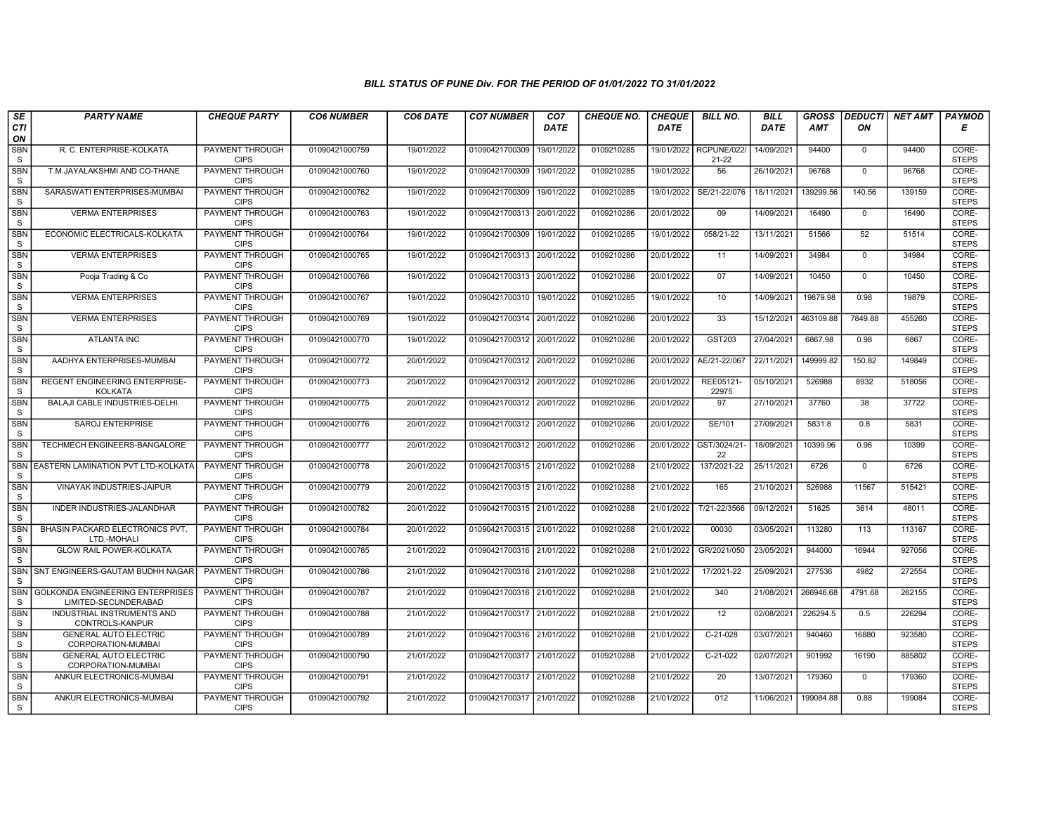| SE                         | <b>PARTY NAME</b>                                               | <b>CHEQUE PARTY</b>                   | <b>CO6 NUMBER</b> | CO6 DATE   | <b>CO7 NUMBER</b>         | CO <sub>7</sub> | <b>CHEQUE NO.</b> | <b>CHEQUE</b> | <b>BILL NO.</b>                     | <b>BILL</b> | <b>GROSS</b> | <b>DEDUCTI</b> | NET AMT | <b>PAYMOD</b>         |
|----------------------------|-----------------------------------------------------------------|---------------------------------------|-------------------|------------|---------------------------|-----------------|-------------------|---------------|-------------------------------------|-------------|--------------|----------------|---------|-----------------------|
| <b>CTI</b><br>ON           |                                                                 |                                       |                   |            |                           | <b>DATE</b>     |                   | <b>DATE</b>   |                                     | <b>DATE</b> | <b>AMT</b>   | ON             |         | Е                     |
| <b>SBN</b><br>S            | R. C. ENTERPRISE-KOLKATA                                        | <b>PAYMENT THROUGH</b><br><b>CIPS</b> | 01090421000759    | 19/01/2022 | 01090421700309            | 19/01/2022      | 0109210285        |               | 19/01/2022 RCPUNE/022/<br>$21 - 22$ | 14/09/2021  | 94400        | $\mathbf 0$    | 94400   | CORE-<br><b>STEPS</b> |
| <b>SBN</b><br>S            | T.M.JAYALAKSHMI AND CO-THANE                                    | PAYMENT THROUGH<br><b>CIPS</b>        | 01090421000760    | 19/01/2022 | 01090421700309            | 19/01/2022      | 0109210285        | 19/01/2022    | 56                                  | 26/10/2021  | 96768        | $\Omega$       | 96768   | CORE-<br><b>STEPS</b> |
| SBN<br>S                   | SARASWATI ENTERPRISES-MUMBAI                                    | PAYMENT THROUGH<br><b>CIPS</b>        | 01090421000762    | 19/01/2022 | 01090421700309            | 19/01/2022      | 0109210285        | 19/01/2022    | SE/21-22/076                        | 18/11/2021  | 139299.56    | 140.56         | 139159  | CORE-<br><b>STEPS</b> |
| <b>SBN</b><br>S            | <b>VERMA ENTERPRISES</b>                                        | <b>PAYMENT THROUGH</b><br><b>CIPS</b> | 01090421000763    | 19/01/2022 | 01090421700313            | 20/01/2022      | 0109210286        | 20/01/2022    | 09                                  | 14/09/2021  | 16490        | $\mathbf 0$    | 16490   | CORE-<br><b>STEPS</b> |
| <b>SBN</b><br>S            | ECONOMIC ELECTRICALS-KOLKATA                                    | PAYMENT THROUGH<br><b>CIPS</b>        | 01090421000764    | 19/01/2022 | 01090421700309            | 19/01/2022      | 0109210285        | 19/01/2022    | 058/21-22                           | 13/11/2021  | 51566        | 52             | 51514   | CORE-<br><b>STEPS</b> |
| <b>SBN</b><br>S            | <b>VERMA ENTERPRISES</b>                                        | <b>PAYMENT THROUGH</b><br><b>CIPS</b> | 01090421000765    | 19/01/2022 | 01090421700313            | 20/01/2022      | 0109210286        | 20/01/2022    | 11                                  | 14/09/2021  | 34984        | $\Omega$       | 34984   | CORE-<br><b>STEPS</b> |
| <b>SBN</b><br>S            | Pooja Trading & Co                                              | PAYMENT THROUGH<br><b>CIPS</b>        | 01090421000766    | 19/01/2022 | 01090421700313            | 20/01/2022      | 0109210286        | 20/01/2022    | 07                                  | 14/09/2021  | 10450        | $\mathbf{0}$   | 10450   | CORE-<br><b>STEPS</b> |
| <b>SBN</b><br>S            | <b>VERMA ENTERPRISES</b>                                        | <b>PAYMENT THROUGH</b><br><b>CIPS</b> | 01090421000767    | 19/01/2022 | 01090421700310            | 19/01/2022      | 0109210285        | 19/01/2022    | 10                                  | 14/09/2021  | 19879.98     | 0.98           | 19879   | CORE-<br><b>STEPS</b> |
| <b>SBN</b><br>S            | <b>VERMA ENTERPRISES</b>                                        | <b>PAYMENT THROUGH</b><br><b>CIPS</b> | 01090421000769    | 19/01/2022 | 01090421700314            | 20/01/2022      | 0109210286        | 20/01/2022    | 33                                  | 15/12/2021  | 463109.88    | 7849.88        | 455260  | CORE-<br><b>STEPS</b> |
| <b>SBN</b><br>S            | <b>ATLANTA INC</b>                                              | <b>PAYMENT THROUGH</b><br><b>CIPS</b> | 01090421000770    | 19/01/2022 | 01090421700312 20/01/2022 |                 | 0109210286        | 20/01/2022    | GST203                              | 27/04/2021  | 6867.98      | 0.98           | 6867    | CORE-<br><b>STEPS</b> |
| <b>SBN</b><br>S            | AADHYA ENTERPRISES-MUMBAI                                       | PAYMENT THROUGH<br><b>CIPS</b>        | 01090421000772    | 20/01/2022 | 01090421700312            | 20/01/2022      | 0109210286        | 20/01/2022    | AE/21-22/067                        | 22/11/2021  | 149999.82    | 150.82         | 149849  | CORE-<br><b>STEPS</b> |
| <b>SBN</b><br>S            | REGENT ENGINEERING ENTERPRISE-<br><b>KOLKATA</b>                | PAYMENT THROUGH<br><b>CIPS</b>        | 01090421000773    | 20/01/2022 | 01090421700312            | 20/01/2022      | 0109210286        | 20/01/2022    | REE05121-<br>22975                  | 05/10/2021  | 526988       | 8932           | 518056  | CORE-<br><b>STEPS</b> |
| <b>SBN</b><br>$\mathbb S$  | <b>BALAJI CABLE INDUSTRIES-DELHI</b>                            | PAYMENT THROUGH<br><b>CIPS</b>        | 01090421000775    | 20/01/2022 | 01090421700312            | 20/01/2022      | 0109210286        | 20/01/2022    | 97                                  | 27/10/2021  | 37760        | 38             | 37722   | CORE-<br><b>STEPS</b> |
| <b>SBN</b><br>S            | SAROJ ENTERPRISE                                                | <b>PAYMENT THROUGH</b><br><b>CIPS</b> | 01090421000776    | 20/01/2022 | 01090421700312            | 20/01/2022      | 0109210286        | 20/01/2022    | SE/101                              | 27/09/2021  | 5831.8       | 0.8            | 5831    | CORE-<br><b>STEPS</b> |
| SBN<br>S                   | TECHMECH ENGINEERS-BANGALORE                                    | PAYMENT THROUGH<br><b>CIPS</b>        | 01090421000777    | 20/01/2022 | 01090421700312 20/01/2022 |                 | 0109210286        | 20/01/2022    | GST/3024/21<br>22                   | 18/09/2021  | 10399.96     | 0.96           | 10399   | CORE-<br><b>STEPS</b> |
| <b>SBN</b><br>S            | <b>EASTERN LAMINATION PVT LTD-KOLKATA</b>                       | PAYMENT THROUGH<br><b>CIPS</b>        | 01090421000778    | 20/01/2022 | 01090421700315 21/01/2022 |                 | 0109210288        | 21/01/2022    | 137/2021-22                         | 25/11/2021  | 6726         | $\mathbf{0}$   | 6726    | CORE-<br><b>STEPS</b> |
| <b>SBN</b><br>S            | <b>VINAYAK INDUSTRIES-JAIPUR</b>                                | PAYMENT THROUGH<br><b>CIPS</b>        | 01090421000779    | 20/01/2022 | 01090421700315 21/01/2022 |                 | 0109210288        | 21/01/2022    | 165                                 | 21/10/2021  | 526988       | 11567          | 515421  | CORE-<br><b>STEPS</b> |
| <b>SBN</b><br>S            | <b>INDER INDUSTRIES-JALANDHAR</b>                               | <b>PAYMENT THROUGH</b><br><b>CIPS</b> | 01090421000782    | 20/01/2022 | 01090421700315            | 21/01/2022      | 0109210288        | 21/01/2022    | T/21-22/3566                        | 09/12/2021  | 51625        | 3614           | 48011   | CORE-<br><b>STEPS</b> |
| <b>SBN</b><br>S            | BHASIN PACKARD ELECTRONICS PVT.<br>LTD.-MOHALI                  | <b>PAYMENT THROUGH</b><br><b>CIPS</b> | 01090421000784    | 20/01/2022 | 01090421700315 21/01/2022 |                 | 0109210288        | 21/01/2022    | 00030                               | 03/05/2021  | 113280       | 113            | 113167  | CORE-<br><b>STEPS</b> |
| <b>SBN</b><br>S            | <b>GLOW RAIL POWER-KOLKATA</b>                                  | PAYMENT THROUGH<br><b>CIPS</b>        | 01090421000785    | 21/01/2022 | 01090421700316 21/01/2022 |                 | 0109210288        | 21/01/2022    | GR/2021/050                         | 23/05/2021  | 944000       | 16944          | 927056  | CORE-<br><b>STEPS</b> |
| <b>SBN</b><br>S            | SNT ENGINEERS-GAUTAM BUDHH NAGAR                                | <b>PAYMENT THROUGH</b><br><b>CIPS</b> | 01090421000786    | 21/01/2022 | 01090421700316 21/01/2022 |                 | 0109210288        | 21/01/2022    | 17/2021-22                          | 25/09/2021  | 277536       | 4982           | 272554  | CORE-<br><b>STEPS</b> |
| <b>SBN</b><br>S            | <b>GOLKONDA ENGINEERING ENTERPRISES</b><br>LIMITED-SECUNDERABAD | <b>PAYMENT THROUGH</b><br><b>CIPS</b> | 01090421000787    | 21/01/2022 | 01090421700316 21/01/2022 |                 | 0109210288        | 21/01/2022    | 340                                 | 21/08/2021  | 266946.68    | 4791.68        | 262155  | CORE-<br><b>STEPS</b> |
| SBN<br>S                   | INDUSTRIAL INSTRUMENTS AND<br>CONTROLS-KANPUR                   | PAYMENT THROUGH<br><b>CIPS</b>        | 01090421000788    | 21/01/2022 | 01090421700317 21/01/2022 |                 | 0109210288        | 21/01/2022    | 12                                  | 02/08/2021  | 226294.5     | 0.5            | 226294  | CORE-<br><b>STEPS</b> |
| <b>SBN</b><br>S            | <b>GENERAL AUTO ELECTRIC</b><br>CORPORATION-MUMBAI              | PAYMENT THROUGH<br><b>CIPS</b>        | 01090421000789    | 21/01/2022 | 01090421700316            | 21/01/2022      | 0109210288        | 21/01/2022    | $C-21-028$                          | 03/07/2021  | 940460       | 16880          | 923580  | CORE-<br><b>STEPS</b> |
| <b>SBN</b><br>S            | <b>GENERAL AUTO ELECTRIC</b><br>CORPORATION-MUMBAI              | <b>PAYMENT THROUGH</b><br><b>CIPS</b> | 01090421000790    | 21/01/2022 | 01090421700317 21/01/2022 |                 | 0109210288        | 21/01/2022    | $C-21-022$                          | 02/07/2021  | 901992       | 16190          | 885802  | CORE-<br><b>STEPS</b> |
| <b>SBN</b><br>S            | ANKUR ELECTRONICS-MUMBAI                                        | <b>PAYMENT THROUGH</b><br><b>CIPS</b> | 01090421000791    | 21/01/2022 | 01090421700317 21/01/2022 |                 | 0109210288        | 21/01/2022    | 20                                  | 13/07/2021  | 179360       | $\mathbf 0$    | 179360  | CORE-<br><b>STEPS</b> |
| <b>SBN</b><br><sub>S</sub> | ANKUR ELECTRONICS-MUMBAI                                        | PAYMENT THROUGH<br><b>CIPS</b>        | 01090421000792    | 21/01/2022 | 01090421700317 21/01/2022 |                 | 0109210288        | 21/01/2022    | 012                                 | 11/06/2021  | 199084.88    | 0.88           | 199084  | CORE-<br><b>STEPS</b> |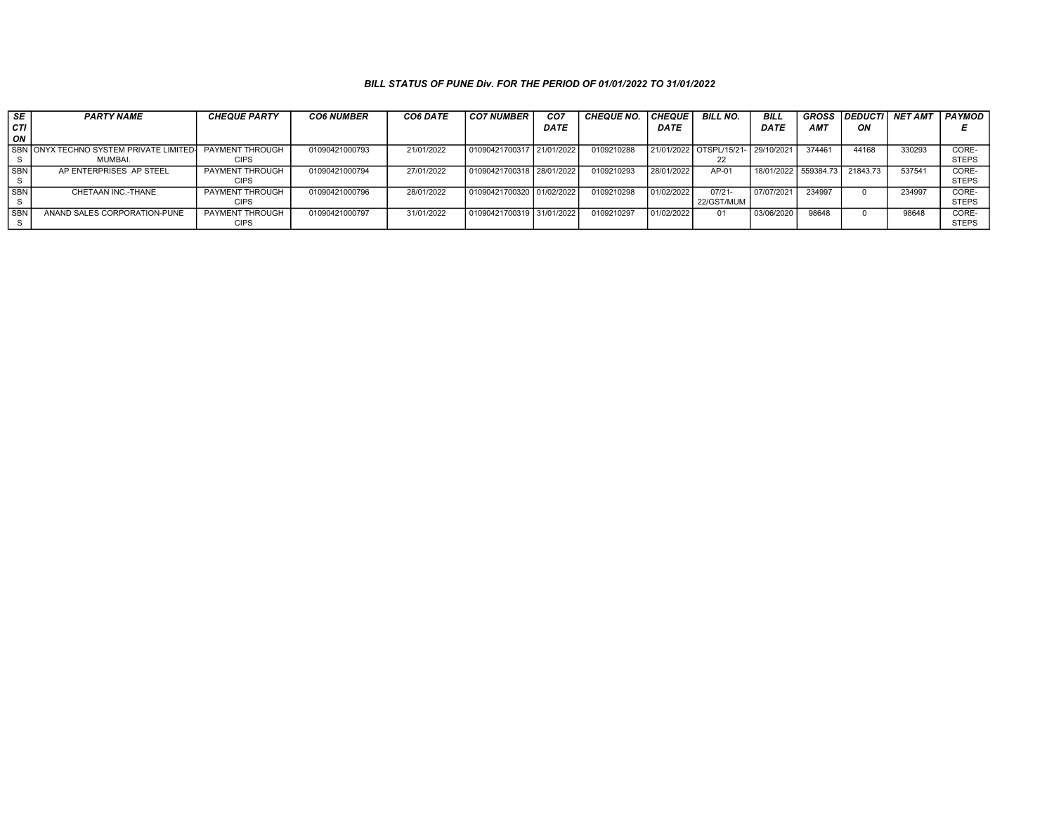| SE         | <b>PARTY NAME</b>                       | <b>CHEQUE PARTY</b> | <b>CO6 NUMBER</b> | CO6 DATE   | <b>CO7 NUMBER</b>         | CO <sub>7</sub> | <b>CHEQUE NO.</b> | <b>CHEQUE</b> | <b>BILL NO.</b>        | <b>BILL</b> | <b>GROSS</b>    | <b>DEDUCTI</b> | <b>NET AMT</b> | PAYMOD       |
|------------|-----------------------------------------|---------------------|-------------------|------------|---------------------------|-----------------|-------------------|---------------|------------------------|-------------|-----------------|----------------|----------------|--------------|
| l CTI      |                                         |                     |                   |            |                           | <b>DATE</b>     |                   | DATE          |                        | <b>DATE</b> | AM <sub>7</sub> | ΟN             |                |              |
| l on       |                                         |                     |                   |            |                           |                 |                   |               |                        |             |                 |                |                |              |
|            | SBN ONYX TECHNO SYSTEM PRIVATE LIMITED- | PAYMENT THROUGH     | 01090421000793    | 21/01/2022 | 01090421700317 21/01/2022 |                 | 0109210288        |               | 21/01/2022 OTSPL/15/21 | 29/10/2021  | 374461          | 44168          | 330293         | CORE-        |
|            | MUMBAI.                                 | <b>CIPS</b>         |                   |            |                           |                 |                   |               | 22                     |             |                 |                |                | <b>STEPS</b> |
| l SBN l    | AP ENTERPRISES AP STEEL                 | PAYMENT THROUGH     | 01090421000794    | 27/01/2022 | 01090421700318 28/01/2022 |                 | 0109210293        | 28/01/2022    | AP-01                  | 18/01/2022  | 559384.73       | 21843.73       | 53754          | CORE-        |
|            |                                         | <b>CIPS</b>         |                   |            |                           |                 |                   |               |                        |             |                 |                |                | <b>STEPS</b> |
| <b>SBN</b> | CHETAAN INC.-THANE                      | PAYMENT THROUGH     | 01090421000796    | 28/01/2022 | 01090421700320 01/02/2022 |                 | 0109210298        | 01/02/2022    | $07/21 -$              | 07/07/2021  | 234997          |                | 234997         | CORE-        |
|            |                                         | <b>CIPS</b>         |                   |            |                           |                 |                   |               | 22/GST/MUM             |             |                 |                |                | <b>STEPS</b> |
| l SBN      | ANAND SALES CORPORATION-PUNE            | PAYMENT THROUGH     | 01090421000797    | 31/01/2022 | 01090421700319 31/01/2022 |                 | 0109210297        | 01/02/2022    | 01                     | 03/06/2020  | 98648           |                | 98648          | CORE-        |
|            |                                         | <b>CIPS</b>         |                   |            |                           |                 |                   |               |                        |             |                 |                |                | <b>STEPS</b> |